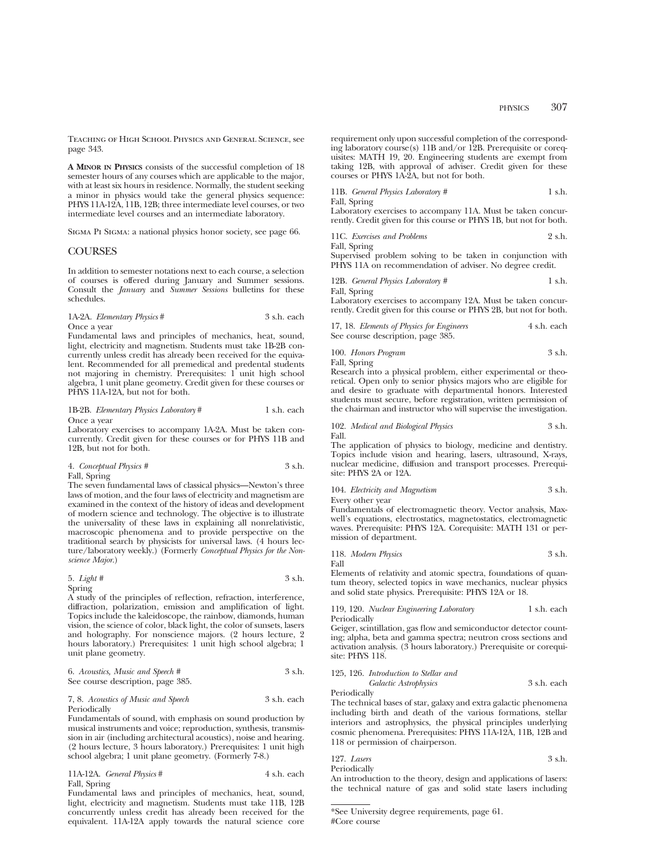Teaching of High School Physics and General Science, see page 343.

**A MINOR IN PHYSICS** consists of the successful completion of 18 semester hours of any courses which are applicable to the major, with at least six hours in residence. Normally, the student seeking a minor in physics would take the general physics sequence: PHYS 11A-12A, 11B, 12B; three intermediate level courses, or two intermediate level courses and an intermediate laboratory.

Sigma Pi Sigma: a national physics honor society, see page 66.

#### **COURSES**

In addition to semester notations next to each course, a selection of courses is offered during January and Summer sessions. Consult the *January* and *Summer Sessions* bulletins for these schedules.

1A-2A. *Elementary Physics* # 3 s.h. each Once a year

Fundamental laws and principles of mechanics, heat, sound, light, electricity and magnetism. Students must take 1B-2B concurrently unless credit has already been received for the equivalent. Recommended for all premedical and predental students not majoring in chemistry. Prerequisites: 1 unit high school algebra, 1 unit plane geometry. Credit given for these courses or PHYS 11A-12A, but not for both.

#### 1B-2B. *Elementary Physics Laboratory* # 1 s.h. each Once a year

Laboratory exercises to accompany 1A-2A. Must be taken concurrently. Credit given for these courses or for PHYS 11B and 12B, but not for both.

4. *Conceptual Physics #* 3 s.h.

Fall, Spring

The seven fundamental laws of classical physics—Newton's three laws of motion, and the four laws of electricity and magnetism are examined in the context of the history of ideas and development of modern science and technology. The objective is to illustrate the universality of these laws in explaining all nonrelativistic, macroscopic phenomena and to provide perspective on the traditional search by physicists for universal laws. (4 hours lecture/laboratory weekly.) (Formerly *Conceptual Physics for the Nonscience Major*.)

#### 5. *Light #* 3 s.h. Spring

A study of the principles of reflection, refraction, interference, diffraction, polarization, emission and amplification of light. Topics include the kaleidoscope, the rainbow, diamonds, human vision, the science of color, black light, the color of sunsets, lasers and holography. For nonscience majors. (2 hours lecture, 2 hours laboratory.) Prerequisites: 1 unit high school algebra; 1 unit plane geometry.

| 6. Acoustics, Music and Speech #  | 3 s.h. |
|-----------------------------------|--------|
| See course description, page 385. |        |

7, 8. *Acoustics of Music and Speech* 3 s.h. each Periodically

Fundamentals of sound, with emphasis on sound production by musical instruments and voice; reproduction, synthesis, transmission in air (including architectural acoustics), noise and hearing. (2 hours lecture, 3 hours laboratory.) Prerequisites: 1 unit high school algebra; 1 unit plane geometry. (Formerly 7-8.)

| 11A-12A. General Physics # | 4 s.h. each |
|----------------------------|-------------|
| Fall, Spring               |             |

Fundamental laws and principles of mechanics, heat, sound, light, electricity and magnetism. Students must take 11B, 12B concurrently unless credit has already been received for the equivalent. 11A-12A apply towards the natural science core

PHYSICS 307

requirement only upon successful completion of the corresponding laboratory course(s) 11B and/or 12B. Prerequisite or corequisites: MATH 19, 20. Engineering students are exempt from taking 12B, with approval of adviser. Credit given for these courses or PHYS 1A-2A, but not for both.

| 11B. General Physics Laboratory # | 1 s.h. |
|-----------------------------------|--------|
| Fall, Spring                      |        |

Laboratory exercises to accompany 11A. Must be taken concurrently. Credit given for this course or PHYS 1B, but not for both.

| 11C. Exercises and Problems | 2 s.h. |
|-----------------------------|--------|
| Fall, Spring                |        |

Supervised problem solving to be taken in conjunction with PHYS 11A on recommendation of adviser. No degree credit.

12B. *General Physics Laboratory* # 1 s.h. Fall, Spring

Laboratory exercises to accompany 12A. Must be taken concurrently. Credit given for this course or PHYS 2B, but not for both.

|  | 17, 18. Elements of Physics for Engineers | 4 s.h. each |
|--|-------------------------------------------|-------------|
|  | See course description, page 385.         |             |

| 100. Honors Program | 3 s.h. |
|---------------------|--------|
|                     |        |

Fall, Spring

Research into a physical problem, either experimental or theoretical. Open only to senior physics majors who are eligible for and desire to graduate with departmental honors. Interested students must secure, before registration, written permission of the chairman and instructor who will supervise the investigation.

102. *Medical and Biological Physics* 3 s.h. Fall.

The application of physics to biology, medicine and dentistry. Topics include vision and hearing, lasers, ultrasound, X-rays, nuclear medicine, diffusion and transport processes. Prerequisite: PHYS 2A or 12A.

104. *Electricity and Magnetism* 3 s.h. Every other year

Fundamentals of electromagnetic theory. Vector analysis, Maxwell's equations, electrostatics, magnetostatics, electromagnetic waves. Prerequisite: PHYS 12A. Corequisite: MATH 131 or permission of department.

|            | 118. Modern Physics |  |  |  |  |  |  | 3 s.h. |
|------------|---------------------|--|--|--|--|--|--|--------|
| Fall       |                     |  |  |  |  |  |  |        |
| <b>TIL</b> |                     |  |  |  |  |  |  |        |

Elements of relativity and atomic spectra, foundations of quantum theory, selected topics in wave mechanics, nuclear physics and solid state physics. Prerequisite: PHYS 12A or 18.

119, 120. *Nuclear Engineering Laboratory* 1 s.h. each Periodically

Geiger, scintillation, gas flow and semiconductor detector counting; alpha, beta and gamma spectra; neutron cross sections and activation analysis. (3 hours laboratory.) Prerequisite or corequisite: PHYS 118.

#### 125, 126. *Introduction to Stellar and*

*Galactic Astrophysics* 3 s.h. each

Periodically

The technical bases of star, galaxy and extra galactic phenomena including birth and death of the various formations, stellar interiors and astrophysics, the physical principles underlying cosmic phenomena. Prerequisites: PHYS 11A-12A, 11B, 12B and 118 or permission of chairperson.

| 127. Lasers | 3 s.h. |
|-------------|--------|
|             |        |

Periodically An introduction to the theory, design and applications of lasers: the technical nature of gas and solid state lasers including

<sup>\*</sup>See University degree requirements, page 61. #Core course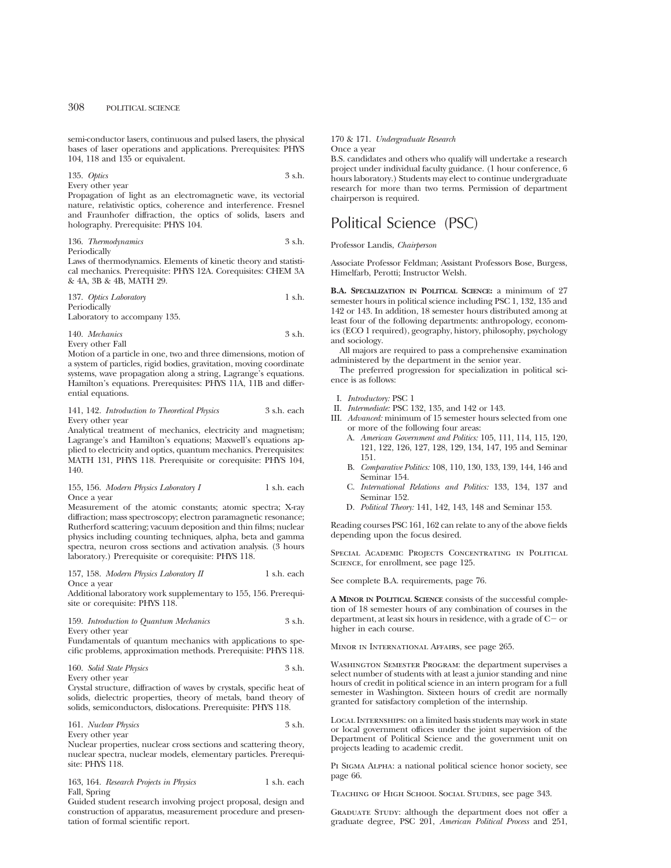semi-conductor lasers, continuous and pulsed lasers, the physical bases of laser operations and applications. Prerequisites: PHYS 104, 118 and 135 or equivalent.

## 135. *Optics* 3 s.h.

Every other year

Propagation of light as an electromagnetic wave, its vectorial nature, relativistic optics, coherence and interference. Fresnel and Fraunhofer diffraction, the optics of solids, lasers and holography. Prerequisite: PHYS 104.

## 136. *Thermodynamics* 3 s.h.

Periodically

Laws of thermodynamics. Elements of kinetic theory and statistical mechanics. Prerequisite: PHYS 12A. Corequisites: CHEM 3A & 4A, 3B & 4B, MATH 29.

| 137. Optics Laboratory | 1 s.h. |
|------------------------|--------|
| Periodically           |        |

Laboratory to accompany 135.

140. *Mechanics* 3 s.h. Every other Fall

Motion of a particle in one, two and three dimensions, motion of a system of particles, rigid bodies, gravitation, moving coordinate systems, wave propagation along a string, Lagrange's equations. Hamilton's equations. Prerequisites: PHYS 11A, 11B and differential equations.

#### 141, 142. *Introduction to Theoretical Physics* 3 s.h. each Every other year

Analytical treatment of mechanics, electricity and magnetism; Lagrange's and Hamilton's equations; Maxwell's equations applied to electricity and optics, quantum mechanics. Prerequisites: MATH 131, PHYS 118. Prerequisite or corequisite: PHYS 104, 140.

#### 155, 156. *Modern Physics Laboratory I* 1 s.h. each Once a year

Measurement of the atomic constants; atomic spectra; X-ray diffraction; mass spectroscopy; electron paramagnetic resonance; Rutherford scattering; vacuum deposition and thin films; nuclear physics including counting techniques, alpha, beta and gamma spectra, neuron cross sections and activation analysis.  $(3)$  hours laboratory.) Prerequisite or corequisite: PHYS 118.

157, 158. *Modern Physics Laboratory II* 1 s.h. each Once a year

Additional laboratory work supplementary to 155, 156. Prerequisite or corequisite: PHYS 118.

159. *Introduction to Quantum Mechanics* 3 s.h. Every other year

Fundamentals of quantum mechanics with applications to specific problems, approximation methods. Prerequisite: PHYS 118.

160. *Solid State Physics* 3 s.h. Every other year

Crystal structure, diffraction of waves by crystals, specific heat of solids, dielectric properties, theory of metals, band theory of solids, semiconductors, dislocations. Prerequisite: PHYS 118.

161. *Nuclear Physics* 3 s.h. Every other year

Nuclear properties, nuclear cross sections and scattering theory, nuclear spectra, nuclear models, elementary particles. Prerequisite: PHYS 118.

163, 164. *Research Projects in Physics* 1 s.h. each Fall, Spring

Guided student research involving project proposal, design and construction of apparatus, measurement procedure and presentation of formal scientific report.

## 170 & 171. *Undergraduate Research*

Once a year

B.S. candidates and others who qualify will undertake a research project under individual faculty guidance. (1 hour conference, 6 hours laboratory.) Students may elect to continue undergraduate research for more than two terms. Permission of department chairperson is required.

# Political Science (PSC)

Professor Landis, *Chairperson*

Associate Professor Feldman; Assistant Professors Bose, Burgess, Himelfarb, Perotti; Instructor Welsh.

**B.A. SPECIALIZATION IN POLITICAL SCIENCE:** a minimum of 27 semester hours in political science including PSC 1, 132, 135 and 142 or 143. In addition, 18 semester hours distributed among at least four of the following departments: anthropology, economics (ECO 1 required), geography, history, philosophy, psychology and sociology.

All majors are required to pass a comprehensive examination administered by the department in the senior year.

The preferred progression for specialization in political science is as follows:

- I. *Introductory:* PSC 1
- II. *Intermediate:* PSC 132, 135, and 142 or 143.
- III. *Advanced:* minimum of 15 semester hours selected from one or more of the following four areas:
	- A. *American Government and Politics:* 105, 111, 114, 115, 120, 121, 122, 126, 127, 128, 129, 134, 147, 195 and Seminar 151.
	- B. *Comparative Politics:* 108, 110, 130, 133, 139, 144, 146 and Seminar 154.
	- C. *International Relations and Politics:* 133, 134, 137 and Seminar 152.
	- D. *Political Theory:* 141, 142, 143, 148 and Seminar 153.

Reading courses PSC 161, 162 can relate to any of the above fields depending upon the focus desired.

SPECIAL ACADEMIC PROJECTS CONCENTRATING IN POLITICAL SCIENCE, for enrollment, see page 125.

See complete B.A. requirements, page 76.

**A MINOR IN POLITICAL SCIENCE** consists of the successful completion of 18 semester hours of any combination of courses in the department, at least six hours in residence, with a grade of  $C-$  or higher in each course.

Minor in International Affairs, see page 265.

Washington Semester Program: the department supervises a select number of students with at least a junior standing and nine hours of credit in political science in an intern program for a full semester in Washington. Sixteen hours of credit are normally granted for satisfactory completion of the internship.

Local Internships: on a limited basis students may work in state or local government offices under the joint supervision of the Department of Political Science and the government unit on projects leading to academic credit.

PI SIGMA ALPHA: a national political science honor society, see page 66.

Teaching of High School Social Studies, see page 343.

GRADUATE STUDY: although the department does not offer a graduate degree, PSC 201, *American Political Process* and 251,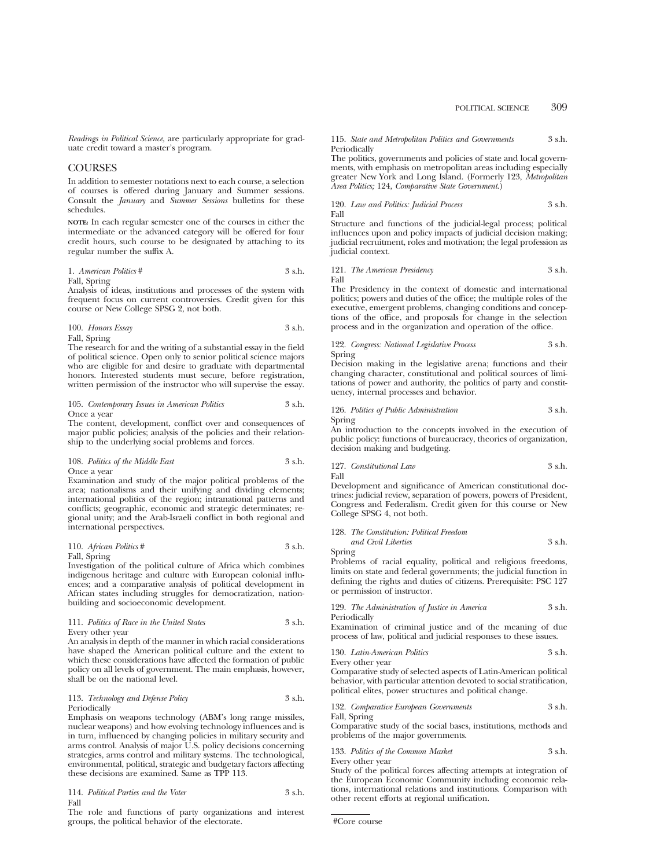*Readings in Political Science,* are particularly appropriate for graduate credit toward a master's program.

## **COURSES**

In addition to semester notations next to each course, a selection of courses is offered during January and Summer sessions. Consult the *January* and *Summer Sessions* bulletins for these schedules.

**NOTE:** In each regular semester one of the courses in either the intermediate or the advanced category will be offered for four credit hours, such course to be designated by attaching to its regular number the suffix A.

#### 1. *American Politics* # 3 s.h. Fall, Spring

Analysis of ideas, institutions and processes of the system with frequent focus on current controversies. Credit given for this course or New College SPSG 2, not both.

$$
100. Honors Essay \t\t 3 s.h.
$$

Fall, Spring The research for and the writing of a substantial essay in the field of political science. Open only to senior political science majors who are eligible for and desire to graduate with departmental honors. Interested students must secure, before registration, written permission of the instructor who will supervise the essay.

105. *Contemporary Issues in American Politics* 3 s.h. Once a year

The content, development, conflict over and consequences of major public policies; analysis of the policies and their relationship to the underlying social problems and forces.

108. *Politics of the Middle East* 3 s.h. Once a year

Examination and study of the major political problems of the area; nationalisms and their unifying and dividing elements; international politics of the region; intranational patterns and conflicts; geographic, economic and strategic determinates; regional unity; and the Arab-Israeli conflict in both regional and international perspectives.

110. *African Politics* # 3 s.h. Fall, Spring

Investigation of the political culture of Africa which combines indigenous heritage and culture with European colonial influences; and a comparative analysis of political development in African states including struggles for democratization, nationbuilding and socioeconomic development.

111. *Politics of Race in the United States* 3 s.h. Every other year

An analysis in depth of the manner in which racial considerations have shaped the American political culture and the extent to which these considerations have affected the formation of public policy on all levels of government. The main emphasis, however, shall be on the national level.

113. *Technology and Defense Policy* 3 s.h. Periodically

Emphasis on weapons technology (ABM's long range missiles, nuclear weapons) and how evolving technology influences and is in turn, influenced by changing policies in military security and arms control. Analysis of major U.S. policy decisions concerning strategies, arms control and military systems. The technological, environmental, political, strategic and budgetary factors affecting these decisions are examined. Same as TPP 113.

114. *Political Parties and the Voter* 3 s.h. Fall

The role and functions of party organizations and interest groups, the political behavior of the electorate.

115. *State and Metropolitan Politics and Governments* 3 s.h. Periodically

The politics, governments and policies of state and local governments, with emphasis on metropolitan areas including especially greater New York and Long Island. (Formerly 123, *Metropolitan Area Politics;* 124, *Comparative State Government*.)

120. *Law and Politics: Judicial Process* 3 s.h. Fall

Structure and functions of the judicial-legal process; political influences upon and policy impacts of judicial decision making; judicial recruitment, roles and motivation; the legal profession as judicial context.

121. *The American Presidency* 3 s.h. Fall

The Presidency in the context of domestic and international politics; powers and duties of the office; the multiple roles of the executive, emergent problems, changing conditions and conceptions of the office, and proposals for change in the selection process and in the organization and operation of the office.

122. *Congress: National Legislative Process* 3 s.h. Spring

Decision making in the legislative arena; functions and their changing character, constitutional and political sources of limitations of power and authority, the politics of party and constituency, internal processes and behavior.

126. *Politics of Public Administration* 3 s.h. Spring

An introduction to the concepts involved in the execution of public policy: functions of bureaucracy, theories of organization, decision making and budgeting.

127. *Constitutional Law* 3 s.h. Fall

Development and significance of American constitutional doctrines: judicial review, separation of powers, powers of President, Congress and Federalism. Credit given for this course or New College SPSG 4, not both.

#### 128. *The Constitution: Political Freedom*

*and Civil Liberties* 3 s.h. Spring

Problems of racial equality, political and religious freedoms, limits on state and federal governments; the judicial function in defining the rights and duties of citizens. Prerequisite: PSC 127 or permission of instructor.

129. *The Administration of Justice in America* 3 s.h. Periodically

Examination of criminal justice and of the meaning of due process of law, political and judicial responses to these issues.

130. *Latin-American Politics* 3 s.h. Every other year

Comparative study of selected aspects of Latin-American political behavior, with particular attention devoted to social stratification, political elites, power structures and political change.

132. *Comparative European Governments* 3 s.h. Fall, Spring

Comparative study of the social bases, institutions, methods and problems of the major governments.

133. *Politics of the Common Market* 3 s.h.

Every other year

Study of the political forces affecting attempts at integration of the European Economic Community including economic relations, international relations and institutions. Comparison with other recent efforts at regional unification.

#Core course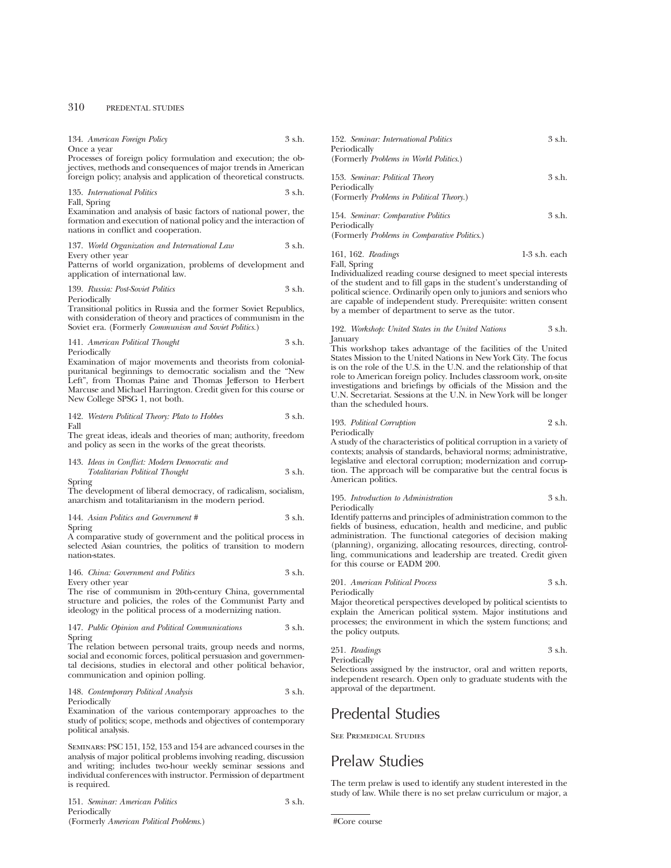| 134. American Foreign Policy                                                                                                                                                                                                                                                               | 3 s.h. | 152. Seminar: International Politics                                                                                                                                                                                                                                                                                                                                               | 3 s.h.           |
|--------------------------------------------------------------------------------------------------------------------------------------------------------------------------------------------------------------------------------------------------------------------------------------------|--------|------------------------------------------------------------------------------------------------------------------------------------------------------------------------------------------------------------------------------------------------------------------------------------------------------------------------------------------------------------------------------------|------------------|
| Once a year<br>Processes of foreign policy formulation and execution; the ob-                                                                                                                                                                                                              |        | Periodically<br>(Formerly Problems in World Politics.)                                                                                                                                                                                                                                                                                                                             |                  |
| jectives, methods and consequences of major trends in American<br>foreign policy; analysis and application of theoretical constructs.                                                                                                                                                      |        | 153. Seminar: Political Theory                                                                                                                                                                                                                                                                                                                                                     | $3 \,$ s.h.      |
| 135. International Politics<br>Fall, Spring                                                                                                                                                                                                                                                | 3 s.h. | Periodically<br>(Formerly Problems in Political Theory.)                                                                                                                                                                                                                                                                                                                           |                  |
| Examination and analysis of basic factors of national power, the<br>formation and execution of national policy and the interaction of<br>nations in conflict and cooperation.                                                                                                              |        | 154. Seminar: Comparative Politics<br>Periodically<br>(Formerly Problems in Comparative Politics.)                                                                                                                                                                                                                                                                                 | 3 s.h.           |
| 137. World Organization and International Law                                                                                                                                                                                                                                              | 3 s.h. |                                                                                                                                                                                                                                                                                                                                                                                    |                  |
| Every other year<br>Patterns of world organization, problems of development and<br>application of international law.                                                                                                                                                                       |        | 161, 162. Readings<br>Fall, Spring<br>Individualized reading course designed to meet special interests                                                                                                                                                                                                                                                                             | $1-3$ s.h. each  |
| 139. Russia: Post-Soviet Politics<br>Periodically                                                                                                                                                                                                                                          | 3 s.h. | of the student and to fill gaps in the student's understanding of<br>political science. Ordinarily open only to juniors and seniors who<br>are capable of independent study. Prerequisite: written consent                                                                                                                                                                         |                  |
| Transitional politics in Russia and the former Soviet Republics,<br>with consideration of theory and practices of communism in the                                                                                                                                                         |        | by a member of department to serve as the tutor.                                                                                                                                                                                                                                                                                                                                   |                  |
| Soviet era. (Formerly Communism and Soviet Politics.)                                                                                                                                                                                                                                      |        | 192. Workshop: United States in the United Nations                                                                                                                                                                                                                                                                                                                                 | $3 \text{ s.h.}$ |
| 141. American Political Thought<br>Periodically                                                                                                                                                                                                                                            | 3 s.h. | January<br>This workshop takes advantage of the facilities of the United                                                                                                                                                                                                                                                                                                           |                  |
| Examination of major movements and theorists from colonial-<br>puritanical beginnings to democratic socialism and the "New<br>Left", from Thomas Paine and Thomas Jefferson to Herbert<br>Marcuse and Michael Harrington. Credit given for this course or<br>New College SPSG 1, not both. |        | States Mission to the United Nations in New York City. The focus<br>is on the role of the U.S. in the U.N. and the relationship of that<br>role to American foreign policy. Includes classroom work, on-site<br>investigations and briefings by officials of the Mission and the<br>U.N. Secretariat. Sessions at the U.N. in New York will be longer<br>than the scheduled hours. |                  |
| 142. Western Political Theory: Plato to Hobbes<br>Fall                                                                                                                                                                                                                                     | 3 s.h. | 193. Political Corruption                                                                                                                                                                                                                                                                                                                                                          | $2 \,$ s.h.      |
| The great ideas, ideals and theories of man; authority, freedom<br>and policy as seen in the works of the great theorists.                                                                                                                                                                 |        | Periodically<br>A study of the characteristics of political corruption in a variety of<br>contexts; analysis of standards, behavioral norms; administrative,                                                                                                                                                                                                                       |                  |
| 143. Ideas in Conflict: Modern Democratic and<br>Totalitarian Political Thought                                                                                                                                                                                                            | 3 s.h. | legislative and electoral corruption; modernization and corrup-<br>tion. The approach will be comparative but the central focus is                                                                                                                                                                                                                                                 |                  |
| Spring                                                                                                                                                                                                                                                                                     |        | American politics.                                                                                                                                                                                                                                                                                                                                                                 |                  |
| The development of liberal democracy, of radicalism, socialism,<br>anarchism and totalitarianism in the modern period.                                                                                                                                                                     |        | 195. Introduction to Administration<br>Periodically                                                                                                                                                                                                                                                                                                                                | $3 \text{ s.h.}$ |
| 144. Asian Politics and Government #<br>Spring                                                                                                                                                                                                                                             | 3 s.h. | Identify patterns and principles of administration common to the<br>fields of business, education, health and medicine, and public                                                                                                                                                                                                                                                 |                  |

A comparative study of government and the political process in selected Asian countries, the politics of transition to modern nation-states.

| 146. China: Government and Politics<br>3 s.h. |  |
|-----------------------------------------------|--|
|-----------------------------------------------|--|

Every other year

The rise of communism in 20th-century China, governmental structure and policies, the roles of the Communist Party and ideology in the political process of a modernizing nation.

## 147. *Public Opinion and Political Communications* 3 s.h. Spring

The relation between personal traits, group needs and norms, social and economic forces, political persuasion and governmental decisions, studies in electoral and other political behavior, communication and opinion polling.

148. *Contemporary Political Analysis* 3 s.h. Periodically

Examination of the various contemporary approaches to the study of politics; scope, methods and objectives of contemporary political analysis.

Seminars: PSC 151, 152, 153 and 154 are advanced courses in the analysis of major political problems involving reading, discussion and writing; includes two-hour weekly seminar sessions and individual conferences with instructor. Permission of department is required.

| 151. Seminar: American Politics         | $3$ s.h. |
|-----------------------------------------|----------|
| Periodically                            |          |
| (Formerly American Political Problems.) |          |

fields of business, education, health and medicine, and public administration. The functional categories of decision making (planning), organizing, allocating resources, directing, controlling, communications and leadership are treated. Credit given for this course or EADM 200.

## 201. *American Political Process* 3 s.h. Periodically

Major theoretical perspectives developed by political scientists to explain the American political system. Major institutions and processes; the environment in which the system functions; and the policy outputs.

251. *Readings* 3 s.h.

Periodically

Selections assigned by the instructor, oral and written reports, independent research. Open only to graduate students with the approval of the department.

# Predental Studies

See Premedical Studies

# Prelaw Studies

The term prelaw is used to identify any student interested in the study of law. While there is no set prelaw curriculum or major, a

#Core course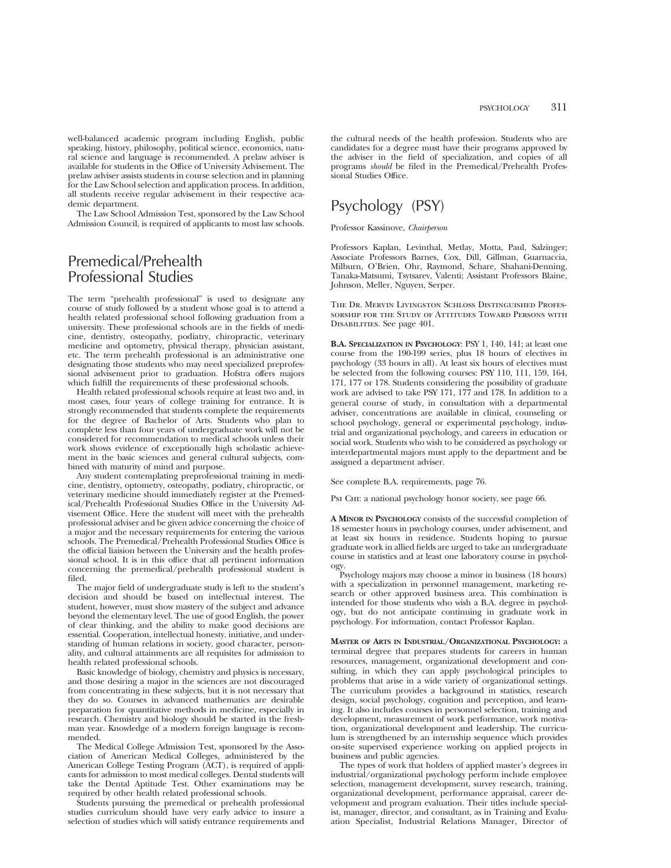well-balanced academic program including English, public speaking, history, philosophy, political science, economics, natural science and language is recommended. A prelaw adviser is available for students in the Office of University Advisement. The prelaw adviser assists students in course selection and in planning for the Law School selection and application process. In addition, all students receive regular advisement in their respective academic department.

The Law School Admission Test, sponsored by the Law School Admission Council, is required of applicants to most law schools.

# Premedical/Prehealth Professional Studies

The term "prehealth professional" is used to designate any course of study followed by a student whose goal is to attend a health related professional school following graduation from a university. These professional schools are in the fields of medicine, dentistry, osteopathy, podiatry, chiropractic, veterinary medicine and optometry, physical therapy, physician assistant, etc. The term prehealth professional is an administrative one designating those students who may need specialized preprofessional advisement prior to graduation. Hofstra offers majors which fulfill the requirements of these professional schools.

Health related professional schools require at least two and, in most cases, four years of college training for entrance. It is strongly recommended that students complete the requirements for the degree of Bachelor of Arts. Students who plan to complete less than four years of undergraduate work will not be considered for recommendation to medical schools unless their work shows evidence of exceptionally high scholastic achievement in the basic sciences and general cultural subjects, combined with maturity of mind and purpose.

Any student contemplating preprofessional training in medicine, dentistry, optometry, osteopathy, podiatry, chiropractic, or veterinary medicine should immediately register at the Premedical/Prehealth Professional Studies Office in the University Advisement Office. Here the student will meet with the prehealth professional adviser and be given advice concerning the choice of a major and the necessary requirements for entering the various schools. The Premedical/Prehealth Professional Studies Office is the official liaision between the University and the health professional school. It is in this office that all pertinent information concerning the premedical/prehealth professional student is filed.

The major field of undergraduate study is left to the student's decision and should be based on intellectual interest. The student, however, must show mastery of the subject and advance beyond the elementary level. The use of good English, the power of clear thinking, and the ability to make good decisions are essential. Cooperation, intellectual honesty, initiative, and understanding of human relations in society, good character, personality, and cultural attainments are all requisites for admission to health related professional schools.

Basic knowledge of biology, chemistry and physics is necessary, and those desiring a major in the sciences are not discouraged from concentrating in these subjects, but it is not necessary that they do so. Courses in advanced mathematics are desirable preparation for quantitative methods in medicine, especially in research. Chemistry and biology should be started in the freshman year. Knowledge of a modern foreign language is recommended.

The Medical College Admission Test, sponsored by the Association of American Medical Colleges, administered by the American College Testing Program (ACT), is required of applicants for admission to most medical colleges. Dental students will take the Dental Aptitude Test. Other examinations may be required by other health related professional schools.

Students pursuing the premedical or prehealth professional studies curriculum should have very early advice to insure a selection of studies which will satisfy entrance requirements and

the cultural needs of the health profession. Students who are candidates for a degree must have their programs approved by the adviser in the field of specialization, and copies of all programs *should* be filed in the Premedical/Prehealth Professional Studies Office.

# Psychology (PSY)

Professor Kassinove, *Chairperson*

Professors Kaplan, Levinthal, Metlay, Motta, Paul, Salzinger; Associate Professors Barnes, Cox, Dill, Gillman, Guarnaccia, Milburn, O'Brien, Ohr, Raymond, Schare, Shahani-Denning, Tanaka-Matsumi, Tsytsarev, Valenti; Assistant Professors Blaine, Johnson, Meller, Nguyen, Serper.

The Dr. Mervin Livingston Schloss Distinguished Professorship for the Study of Attitudes Toward Persons with Disabilities. See page 401.

**B.A. SPECIALIZATION IN PSYCHOLOGY**: PSY 1, 140, 141; at least one course from the 190-199 series, plus 18 hours of electives in psychology (33 hours in all). At least six hours of electives must be selected from the following courses: PSY 110, 111, 159, 164, 171, 177 or 178. Students considering the possibility of graduate work are advised to take PSY 171, 177 and 178. In addition to a general course of study, in consultation with a departmental adviser, concentrations are available in clinical, counseling or school psychology, general or experimental psychology, industrial and organizational psychology, and careers in education or social work. Students who wish to be considered as psychology or interdepartmental majors must apply to the department and be assigned a department adviser.

See complete B.A. requirements, page 76.

Psi Chi: a national psychology honor society, see page 66.

**A MINOR IN PSYCHOLOGY** consists of the successful completion of 18 semester hours in psychology courses, under advisement, and at least six hours in residence. Students hoping to pursue graduate work in allied fields are urged to take an undergraduate course in statistics and at least one laboratory course in psychology.

Psychology majors may choose a minor in business (18 hours) with a specialization in personnel management, marketing research or other approved business area. This combination is intended for those students who wish a B.A. degree in psychology, but do not anticipate continuing in graduate work in psychology. For information, contact Professor Kaplan.

**MASTER OF ARTS IN INDUSTRIAL/ORGANIZATIONAL PSYCHOLOGY:** a terminal degree that prepares students for careers in human resources, management, organizational development and consulting, in which they can apply psychological principles to problems that arise in a wide variety of organizational settings. The curriculum provides a background in statistics, research design, social psychology, cognition and perception, and learning. It also includes courses in personnel selection, training and development, measurement of work performance, work motivation, organizational development and leadership. The curriculum is strengthened by an internship sequence which provides on-site supervised experience working on applied projects in business and public agencies.

The types of work that holders of applied master's degrees in industrial/organizational psychology perform include employee selection, management development, survey research, training, organizational development, performance appraisal, career development and program evaluation. Their titles include specialist, manager, director, and consultant, as in Training and Evaluation Specialist, Industrial Relations Manager, Director of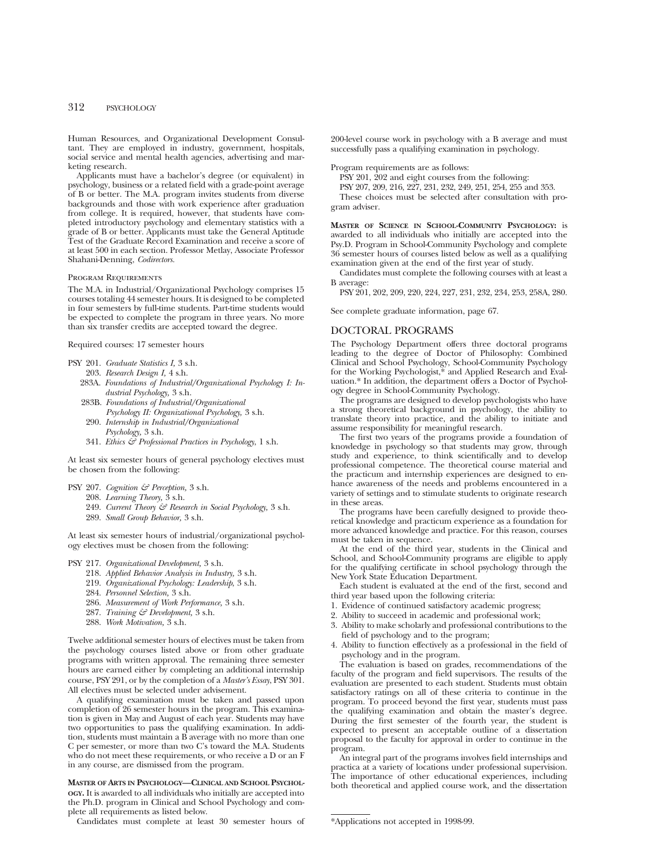## 312 PSYCHOLOGY

Human Resources, and Organizational Development Consultant. They are employed in industry, government, hospitals, social service and mental health agencies, advertising and marketing research.

Applicants must have a bachelor's degree (or equivalent) in psychology, business or a related field with a grade-point average of B or better. The M.A. program invites students from diverse backgrounds and those with work experience after graduation from college. It is required, however, that students have completed introductory psychology and elementary statistics with a grade of B or better. Applicants must take the General Aptitude Test of the Graduate Record Examination and receive a score of at least 500 in each section. Professor Metlay, Associate Professor Shahani-Denning, *Codirectors.*

#### Program Requirements

The M.A. in Industrial/Organizational Psychology comprises 15 courses totaling 44 semester hours. It is designed to be completed in four semesters by full-time students. Part-time students would be expected to complete the program in three years. No more than six transfer credits are accepted toward the degree.

Required courses: 17 semester hours

- PSY 201. *Graduate Statistics I,* 3 s.h.
- 203. *Research Design I,* 4 s.h.
- 283A. *Foundations of Industrial/Organizational Psychology I: Industrial Psychology,* 3 s.h.
- 283B. *Foundations of Industrial/Organizational Psychology II: Organizational Psychology,* 3 s.h.
- 290. *Internship in Industrial/Organizational Psychology,* 3 s.h.
- 341. *Ethics & Professional Practices in Psychology*, 1 s.h.

At least six semester hours of general psychology electives must be chosen from the following:

- PSY 207. *Cognition & Perception,* 3 s.h.
- 208. *Learning Theory,* 3 s.h.
	- 249. *Current Theory & Research in Social Psychology,* 3 s.h. 289. *Small Group Behavior,* 3 s.h.
	-

At least six semester hours of industrial/organizational psychology electives must be chosen from the following:

#### PSY 217. *Organizational Development,* 3 s.h.

- 218. *Applied Behavior Analysis in Industry,* 3 s.h.
- 219. *Organizational Psychology: Leadership*, 3 s.h.
- 284. *Personnel Selection,* 3 s.h.
- 286. *Measurement of Work Performance,* 3 s.h.
- 287. *Training & Development,* 3 s.h.
- 288. *Work Motivation,* 3 s.h.

Twelve additional semester hours of electives must be taken from the psychology courses listed above or from other graduate programs with written approval. The remaining three semester hours are earned either by completing an additional internship course, PSY 291, or by the completion of a *Master's Essay*, PSY 301. All electives must be selected under advisement.

A qualifying examination must be taken and passed upon completion of 26 semester hours in the program. This examination is given in May and August of each year. Students may have two opportunities to pass the qualifying examination. In addition, students must maintain a B average with no more than one C per semester, or more than two C's toward the M.A. Students who do not meet these requirements, or who receive a D or an F in any course, are dismissed from the program.

**MASTER OF ARTS IN PSYCHOLOGY—CLINICAL AND SCHOOL PSYCHOL-OGY.** It is awarded to all individuals who initially are accepted into the Ph.D. program in Clinical and School Psychology and complete all requirements as listed below.

Candidates must complete at least 30 semester hours of

200-level course work in psychology with a B average and must successfully pass a qualifying examination in psychology.

Program requirements are as follows:

- PSY 201, 202 and eight courses from the following:
- PSY 207, 209, 216, 227, 231, 232, 249, 251, 254, 255 and 353.

These choices must be selected after consultation with program adviser.

**MASTER OF SCIENCE IN SCHOOL-COMMUNITY PSYCHOLOGY:** is awarded to all individuals who initially are accepted into the Psy.D. Program in School-Community Psychology and complete 36 semester hours of courses listed below as well as a qualifying examination given at the end of the first year of study.

Candidates must complete the following courses with at least a B average:

PSY 201, 202, 209, 220, 224, 227, 231, 232, 234, 253, 258A, 280.

See complete graduate information, page 67.

#### DOCTORAL PROGRAMS

The Psychology Department offers three doctoral programs leading to the degree of Doctor of Philosophy: Combined Clinical and School Psychology, School-Community Psychology for the Working Psychologist,\* and Applied Research and Evaluation.\* In addition, the department offers a Doctor of Psychology degree in School-Community Psychology.

The programs are designed to develop psychologists who have a strong theoretical background in psychology, the ability to translate theory into practice, and the ability to initiate and assume responsibility for meaningful research.

The first two years of the programs provide a foundation of knowledge in psychology so that students may grow, through study and experience, to think scientifically and to develop professional competence. The theoretical course material and the practicum and internship experiences are designed to enhance awareness of the needs and problems encountered in a variety of settings and to stimulate students to originate research in these areas.

The programs have been carefully designed to provide theoretical knowledge and practicum experience as a foundation for more advanced knowledge and practice. For this reason, courses must be taken in sequence.

At the end of the third year, students in the Clinical and School, and School-Community programs are eligible to apply for the qualifying certificate in school psychology through the New York State Education Department.

Each student is evaluated at the end of the first, second and third year based upon the following criteria:

- 1. Evidence of continued satisfactory academic progress;
- 2. Ability to succeed in academic and professional work;
- 3. Ability to make scholarly and professional contributions to the field of psychology and to the program;
- 4. Ability to function effectively as a professional in the field of psychology and in the program.

The evaluation is based on grades, recommendations of the faculty of the program and field supervisors. The results of the evaluation are presented to each student. Students must obtain satisfactory ratings on all of these criteria to continue in the program. To proceed beyond the first year, students must pass the qualifying examination and obtain the master's degree. During the first semester of the fourth year, the student is expected to present an acceptable outline of a dissertation proposal to the faculty for approval in order to continue in the program.

An integral part of the programs involves field internships and practica at a variety of locations under professional supervision. The importance of other educational experiences, including both theoretical and applied course work, and the dissertation

<sup>\*</sup>Applications not accepted in 1998-99.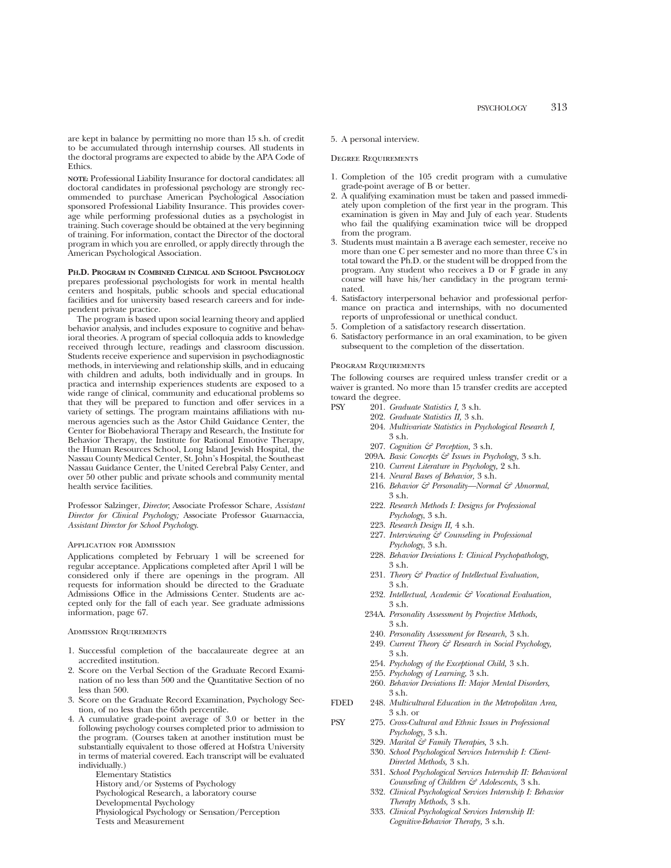are kept in balance by permitting no more than 15 s.h. of credit to be accumulated through internship courses. All students in the doctoral programs are expected to abide by the APA Code of Ethics.

**NOTE:** Professional Liability Insurance for doctoral candidates: all doctoral candidates in professional psychology are strongly recommended to purchase American Psychological Association sponsored Professional Liability Insurance. This provides coverage while performing professional duties as a psychologist in training. Such coverage should be obtained at the very beginning of training. For information, contact the Director of the doctoral program in which you are enrolled, or apply directly through the American Psychological Association.

**PH.D. PROGRAM IN COMBINED CLINICAL AND SCHOOL PSYCHOLOGY** prepares professional psychologists for work in mental health centers and hospitals, public schools and special educational facilities and for university based research careers and for independent private practice.

The program is based upon social learning theory and applied behavior analysis, and includes exposure to cognitive and behavioral theories. A program of special colloquia adds to knowledge received through lecture, readings and classroom discussion. Students receive experience and supervision in psychodiagnostic methods, in interviewing and relationship skills, and in educaing with children and adults, both individually and in groups. In practica and internship experiences students are exposed to a wide range of clinical, community and educational problems so that they will be prepared to function and offer services in a variety of settings. The program maintains affiliations with numerous agencies such as the Astor Child Guidance Center, the Center for Biobehavioral Therapy and Research, the Institute for Behavior Therapy, the Institute for Rational Emotive Therapy, the Human Resources School, Long Island Jewish Hospital, the Nassau County Medical Center, St. John's Hospital, the Southeast Nassau Guidance Center, the United Cerebral Palsy Center, and over 50 other public and private schools and community mental health service facilities.

Professor Salzinger, *Director*; Associate Professor Schare, *Assistant Director for Clinical Psychology;* Associate Professor Guarnaccia, *Assistant Director for School Psychology*.

#### Application for Admission

Applications completed by February 1 will be screened for regular acceptance. Applications completed after April 1 will be considered only if there are openings in the program. All requests for information should be directed to the Graduate Admissions Office in the Admissions Center. Students are accepted only for the fall of each year. See graduate admissions information, page 67.

#### Admission Requirements

- 1. Successful completion of the baccalaureate degree at an accredited institution.
- 2. Score on the Verbal Section of the Graduate Record Examination of no less than 500 and the Quantitative Section of no less than 500.
- 3. Score on the Graduate Record Examination, Psychology Section, of no less than the 65th percentile.
- 4. A cumulative grade-point average of 3.0 or better in the following psychology courses completed prior to admission to the program. (Courses taken at another institution must be substantially equivalent to those offered at Hofstra University in terms of material covered. Each transcript will be evaluated individually.)

Elementary Statistics History and/or Systems of Psychology Psychological Research, a laboratory course Developmental Psychology Physiological Psychology or Sensation/Perception

Tests and Measurement

#### 5. A personal interview.

#### Degree Requirements

- 1. Completion of the 105 credit program with a cumulative grade-point average of B or better.
- 2. A qualifying examination must be taken and passed immediately upon completion of the first year in the program. This examination is given in May and July of each year. Students who fail the qualifying examination twice will be dropped from the program.
- 3. Students must maintain a B average each semester, receive no more than one C per semester and no more than three C's in total toward the Ph.D. or the student will be dropped from the program. Any student who receives a D or F grade in any course will have his/her candidacy in the program terminated.
- 4. Satisfactory interpersonal behavior and professional performance on practica and internships, with no documented reports of unprofessional or unethical conduct.
- 5. Completion of a satisfactory research dissertation.
- 6. Satisfactory performance in an oral examination, to be given subsequent to the completion of the dissertation.

#### PROGRAM REQUIREMENTS

The following courses are required unless transfer credit or a waiver is granted. No more than 15 transfer credits are accepted toward the degree.

- PSY 201. *Graduate Statistics I,* 3 s.h.
	- 202. *Graduate Statistics II,* 3 s.h.
	- 204. *Multivariate Statistics in Psychological Research I,* 3 s.h.
	- 207. *Cognition & Perception,* 3 s.h.
	- 209A. *Basic Concepts & Issues in Psychology,* 3 s.h.
	- 210. *Current Literature in Psychology,* 2 s.h.
	- 214. *Neural Bases of Behavior,* 3 s.h.
	- 216. *Behavior & Personality—Normal & Abnormal*, 3 s.h.
	- 222. *Research Methods I: Designs for Professional Psychology*, 3 s.h.
	- 223. *Research Design II,* 4 s.h.
	- 227. *Interviewing & Counseling in Professional Psychology*, 3 s.h.
	- 228. *Behavior Deviations I: Clinical Psychopathology,* 3 s.h.
	- 231. *Theory & Practice of Intellectual Evaluation,* 3 s.h.
	- 232. *Intellectual, Academic & Vocational Evaluation,* 3 s.h.
	- 234A. *Personality Assessment by Projective Methods,* 3 s.h.
	- 240. *Personality Assessment for Research,* 3 s.h.
	- 249. *Current Theory & Research in Social Psychology,*
	- 3 s.h.
	- 254. *Psychology of the Exceptional Child,* 3 s.h.
	- 255. *Psychology of Learning,* 3 s.h.
	- 260. *Behavior Deviations II: Major Mental Disorders,* 3 s.h.
- FDED 248. *Multicultural Education in the Metropolitan Area,* 3 s.h. or
- PSY 275. *Cross-Cultural and Ethnic Issues in Professional Psychology,* 3 s.h.
	- 329. *Marital & Family Therapies,* 3 s.h.
	- 330. *School Psychological Services Internship I: Client-Directed Methods,* 3 s.h.
	- 331. *School Psychological Services Internship II: Behavioral Counseling of Children & Adolescents,* 3 s.h.
	- 332. *Clinical Psychological Services Internship I: Behavior Therapy Methods,* 3 s.h.
	- 333. *Clinical Psychological Services Internship II: Cognitive-Behavior Therapy,* 3 s.h.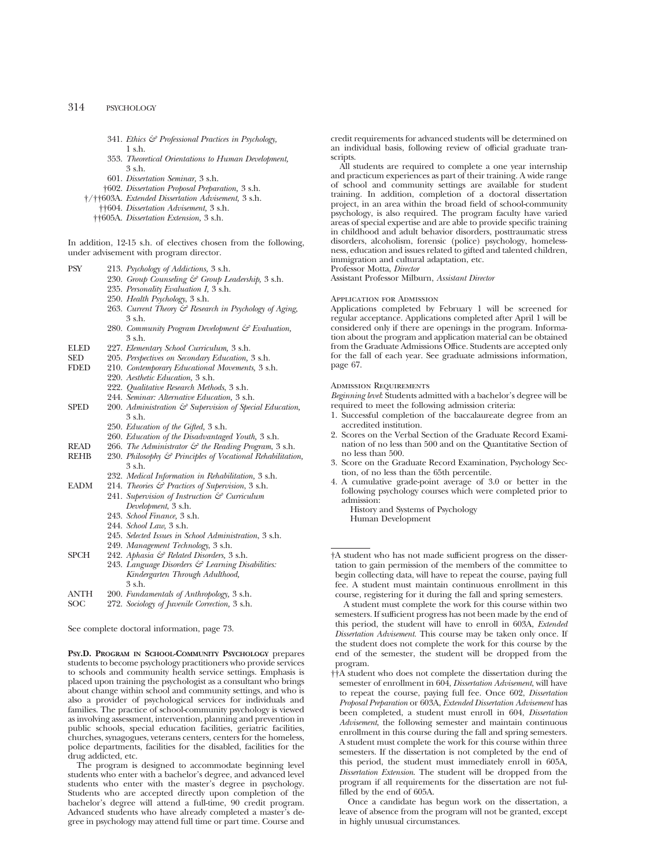## 314 PSYCHOLOGY

- 341. *Ethics & Professional Practices in Psychology,* 1 s.h.
- 353. *Theoretical Orientations to Human Development,* 3 s.h.
- 601. *Dissertation Seminar,* 3 s.h.
- †602. *Dissertation Proposal Preparation,* 3 s.h.
- †/††603A. *Extended Dissertation Advisement,* 3 s.h.
	- ††604. *Dissertation Advisement,* 3 s.h.
	- ††605A. *Dissertation Extension,* 3 s.h.

In addition, 12-15 s.h. of electives chosen from the following, under advisement with program director.

- PSY 213. *Psychology of Addictions,* 3 s.h.
	- 230. *Group Counseling & Group Leadership,* 3 s.h.
	- 235. *Personality Evaluation I,* 3 s.h.
	- 250. *Health Psychology*, 3 s.h.
	- 263. *Current Theory & Research in Psychology of Aging,* 3 s.h.
	- 280. *Community Program Development & Evaluation,* 3 s.h.
- ELED 227. *Elementary School Curriculum,* 3 s.h.
- 
- SED 205. *Perspectives on Secondary Education,* 3 s.h. FDED 210. *Contemporary Educational Movements,* 3 s.h.
	- 220. *Aesthetic Education,* 3 s.h.
	- 222. *Qualitative Research Methods*, 3 s.h.
	- 244. *Seminar: Alternative Education,* 3 s.h.
- SPED 200. *Administration*  $\mathcal{E}$  *Supervision of Special Education,* 3 s.h.
	- 250. *Education of the Gifted,* 3 s.h.
	- 260. *Education of the Disadvantaged Youth,* 3 s.h.
	-
- READ 266. *The Administrator & the Reading Program*, 3 s.h.<br>REHB 230. *Philosophy & Principles of Vocational Rehabilitation* 230. Philosophy & Principles of Vocational Rehabilitation, 3 s.h.
	- 232. *Medical Information in Rehabilitation,* 3 s.h.
- EADM 214. *Theories & Practices of Supervision*, 3 s.h. 241. *Supervision of Instruction & Curriculum*
	- *Development*, 3 s.h.
		- 243. *School Finance,* 3 s.h.
		- 244. *School Law,* 3 s.h.
		- 245. *Selected Issues in School Administration*, 3 s.h.
	- 249. *Management Technology*, 3 s.h.
- SPCH 242. *Aphasia & Related Disorders,* 3 s.h.
- 243. *Language Disorders & Learning Disabilities: Kindergarten Through Adulthood,* 3 s.h.
- ANTH 200. *Fundamentals of Anthropology,* 3 s.h.

272. *Sociology of Juvenile Correction*, 3 s.h.

See complete doctoral information, page 73.

**PSY.D. PROGRAM IN SCHOOL-COMMUNITY PSYCHOLOGY** prepares students to become psychology practitioners who provide services to schools and community health service settings. Emphasis is placed upon training the psychologist as a consultant who brings about change within school and community settings, and who is also a provider of psychological services for individuals and families. The practice of school-community psychology is viewed as involving assessment, intervention, planning and prevention in public schools, special education facilities, geriatric facilities, churches, synagogues, veterans centers, centers for the homeless, police departments, facilities for the disabled, facilities for the drug addicted, etc.

The program is designed to accommodate beginning level students who enter with a bachelor's degree, and advanced level students who enter with the master's degree in psychology. Students who are accepted directly upon completion of the bachelor's degree will attend a full-time, 90 credit program. Advanced students who have already completed a master's degree in psychology may attend full time or part time. Course and credit requirements for advanced students will be determined on an individual basis, following review of official graduate transcripts.

All students are required to complete a one year internship and practicum experiences as part of their training. A wide range of school and community settings are available for student training. In addition, completion of a doctoral dissertation project, in an area within the broad field of school-community psychology, is also required. The program faculty have varied areas of special expertise and are able to provide specific training in childhood and adult behavior disorders, posttraumatic stress disorders, alcoholism, forensic (police) psychology, homelessness, education and issues related to gifted and talented children, immigration and cultural adaptation, etc.

Professor Motta, *Director*

Assistant Professor Milburn, *Assistant Director*

#### Application for Admission

Applications completed by February 1 will be screened for regular acceptance. Applications completed after April 1 will be considered only if there are openings in the program. Information about the program and application material can be obtained from the Graduate Admissions Office. Students are accepted only for the fall of each year. See graduate admissions information, page 67.

#### Admission Requirements

*Beginning level*: Students admitted with a bachelor's degree will be required to meet the following admission criteria:

- 1. Successful completion of the baccalaureate degree from an accredited institution.
- 2. Scores on the Verbal Section of the Graduate Record Examination of no less than 500 and on the Quantitative Section of no less than 500.
- 3. Score on the Graduate Record Examination, Psychology Section, of no less than the 65th percentile.
- 4. A cumulative grade-point average of 3.0 or better in the following psychology courses which were completed prior to admission:
	- History and Systems of Psychology Human Development

†A student who has not made sufficient progress on the dissertation to gain permission of the members of the committee to begin collecting data, will have to repeat the course, paying full fee. A student must maintain continuous enrollment in this course, registering for it during the fall and spring semesters.

A student must complete the work for this course within two semesters. If sufficient progress has not been made by the end of this period, the student will have to enroll in 603A, *Extended Dissertation Advisement.* This course may be taken only once. If the student does not complete the work for this course by the end of the semester, the student will be dropped from the program.

††A student who does not complete the dissertation during the semester of enrollment in 604, *Dissertation Advisement*, will have to repeat the course, paying full fee. Once 602, *Dissertation Proposal Preparation* or 603A, *Extended Dissertation Advisement* has been completed, a student must enroll in 604, *Dissertation Advisement*, the following semester and maintain continuous enrollment in this course during the fall and spring semesters. A student must complete the work for this course within three semesters. If the dissertation is not completed by the end of this period, the student must immediately enroll in 605A, *Dissertation Extension*. The student will be dropped from the program if all requirements for the dissertation are not fulfilled by the end of 605A.

Once a candidate has begun work on the dissertation, a leave of absence from the program will not be granted, except in highly unusual circumstances.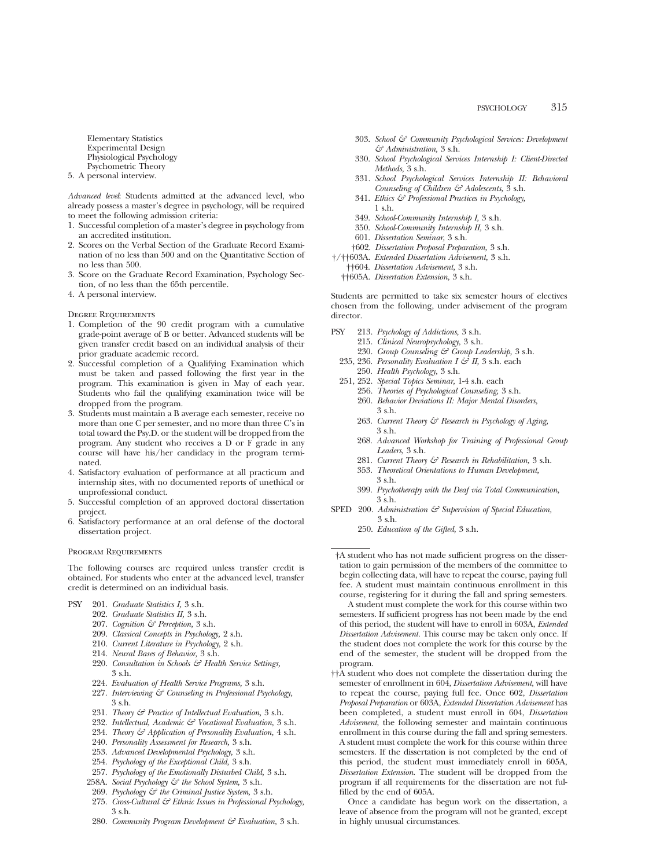Elementary Statistics Experimental Design Physiological Psychology Psychometric Theory

5. A personal interview.

*Advanced level*: Students admitted at the advanced level, who already possess a master's degree in psychology, will be required to meet the following admission criteria:

- 1. Successful completion of a master's degree in psychology from an accredited institution.
- 2. Scores on the Verbal Section of the Graduate Record Examination of no less than 500 and on the Quantitative Section of no less than 500.
- 3. Score on the Graduate Record Examination, Psychology Section, of no less than the 65th percentile.
- 4. A personal interview.

Degree Requirements

- 1. Completion of the 90 credit program with a cumulative grade-point average of B or better. Advanced students will be given transfer credit based on an individual analysis of their prior graduate academic record.
- 2. Successful completion of a Qualifying Examination which must be taken and passed following the first year in the program. This examination is given in May of each year. Students who fail the qualifying examination twice will be dropped from the program.
- 3. Students must maintain a B average each semester, receive no more than one C per semester, and no more than three C's in total toward the Psy.D. or the student will be dropped from the program. Any student who receives a D or F grade in any course will have his/her candidacy in the program terminated.
- 4. Satisfactory evaluation of performance at all practicum and internship sites, with no documented reports of unethical or unprofessional conduct.
- 5. Successful completion of an approved doctoral dissertation project.
- 6. Satisfactory performance at an oral defense of the doctoral dissertation project.

#### Program Requirements

The following courses are required unless transfer credit is obtained. For students who enter at the advanced level, transfer credit is determined on an individual basis.

- PSY 201. *Graduate Statistics I,* 3 s.h.
	- 202. *Graduate Statistics II,* 3 s.h.
	- 207. *Cognition & Perception,* 3 s.h.
	- 209. *Classical Concepts in Psychology,* 2 s.h.
	-
	- 210. *Current Literature in Psychology,* 2 s.h.
	- 214. *Neural Bases of Behavior,* 3 s.h.
	- 220. *Consultation in Schools & Health Service Settings,* 3 s.h.
	- 224. *Evaluation of Health Service Programs,* 3 s.h.
	- 227. *Interviewing & Counseling in Professional Psychology,* 3 s.h.
	- 231. *Theory & Practice of Intellectual Evaluation,* 3 s.h.
	- 232. *Intellectual, Academic & Vocational Evaluation,* 3 s.h.
	- 234. *Theory & Application of Personality Evaluation,* 4 s.h.
	- 240. *Personality Assessment for Research,* 3 s.h.
	- 253. *Advanced Developmental Psychology,* 3 s.h.
	- 254. *Psychology of the Exceptional Child,* 3 s.h.
	- 257. *Psychology of the Emotionally Disturbed Child,* 3 s.h.
	- 258A. *Social Psychology & the School System,* 3 s.h.
	- 269. *Psychology & the Criminal Justice System,* 3 s.h.
	- 275. *Cross-Cultural & Ethnic Issues in Professional Psychology,* 3 s.h.
	- 280. *Community Program Development & Evaluation,* 3 s.h.
- 303. *School & Community Psychological Services: Development & Administration,* 3 s.h.
- 330. *School Psychological Services Internship I: Client-Directed Methods,* 3 s.h.
- 331. *School Psychological Services Internship II: Behavioral Counseling of Children & Adolescents,* 3 s.h.
- 341. *Ethics & Professional Practices in Psychology,* 1 s.h.
- 349. *School-Community Internship I,* 3 s.h.
- 350. *School-Community Internship II,* 3 s.h.
- 601. *Dissertation Seminar,* 3 s.h.
- †602. *Dissertation Proposal Preparation,* 3 s.h.
- †/††603A. *Extended Dissertation Advisement,* 3 s.h.
	- ††604. *Dissertation Advisement,* 3 s.h.
	- ††605A. *Dissertation Extension,* 3 s.h.

Students are permitted to take six semester hours of electives chosen from the following, under advisement of the program director.

- PSY 213. *Psychology of Addictions,* 3 s.h.
	- 215. *Clinical Neuropsychology,* 3 s.h.
		- 230. *Group Counseling & Group Leadership,* 3 s.h.
	- 235, 236. *Personality Evaluation I*  $\mathcal{C}$  *II*, 3 s.h. each
	- 250. *Health Psychology,* 3 s.h.
	- 251, 252. *Special Topics Seminar,* 1-4 s.h. each
		- 256. *Theories of Psychological Counseling,* 3 s.h.
			- 260. *Behavior Deviations II: Major Mental Disorders,* 3 s.h.
			- 263. *Current Theory & Research in Psychology of Aging,* 3 s.h.
			- 268. *Advanced Workshop for Training of Professional Group Leaders,* 3 s.h.
			- 281. *Current Theory & Research in Rehabilitation,* 3 s.h.
			- 353. *Theoretical Orientations to Human Development,* 3 s.h.
		- 399. *Psychotherapy with the Deaf via Total Communication,* 3 s.h.
- SPED 200. *Administration*  $\mathcal{C}$  *Supervision of Special Education,* 3 s.h.
	- 250. *Education of the Gifted,* 3 s.h.

†A student who has not made sufficient progress on the dissertation to gain permission of the members of the committee to begin collecting data, will have to repeat the course, paying full fee. A student must maintain continuous enrollment in this course, registering for it during the fall and spring semesters.

A student must complete the work for this course within two semesters. If sufficient progress has not been made by the end of this period, the student will have to enroll in 603A, *Extended Dissertation Advisement.* This course may be taken only once. If the student does not complete the work for this course by the end of the semester, the student will be dropped from the program.

††A student who does not complete the dissertation during the semester of enrollment in 604, *Dissertation Advisement*, will have to repeat the course, paying full fee. Once 602, *Dissertation Proposal Preparation* or 603A, *Extended Dissertation Advisement* has been completed, a student must enroll in 604, *Dissertation Advisement*, the following semester and maintain continuous enrollment in this course during the fall and spring semesters. A student must complete the work for this course within three semesters. If the dissertation is not completed by the end of this period, the student must immediately enroll in 605A, *Dissertation Extension*. The student will be dropped from the program if all requirements for the dissertation are not fulfilled by the end of 605A.

Once a candidate has begun work on the dissertation, a leave of absence from the program will not be granted, except in highly unusual circumstances.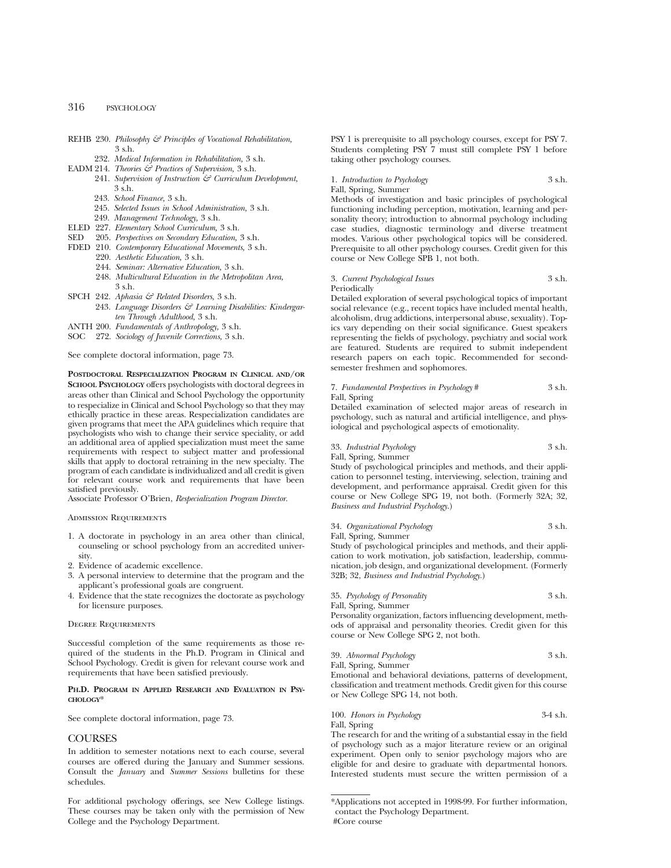## 316 PSYCHOLOGY

- REHB 230. *Philosophy & Principles of Vocational Rehabilitation,* 3 s.h.
- 232. *Medical Information in Rehabilitation,* 3 s.h.
- EADM 214. *Theories & Practices of Supervision,* 3 s.h.
	- 241. *Supervision of Instruction & Curriculum Development,* 3 s.h.
	- 243. *School Finance,* 3 s.h.
	- 245. *Selected Issues in School Administration,* 3 s.h.
	- 249. *Management Technology,* 3 s.h.
- ELED 227. *Elementary School Curriculum,* 3 s.h.
- SED 205. *Perspectives on Secondary Education,* 3 s.h.
- FDED 210. *Contemporary Educational Movements,* 3 s.h.
	- 220. *Aesthetic Education,* 3 s.h.
	- 244. *Seminar: Alternative Education,* 3 s.h.
	- 248. *Multicultural Education in the Metropolitan Area,* 3 s.h.
- SPCH 242. *Aphasia & Related Disorders,* 3 s.h. 243. *Language Disorders & Learning Disabilities: Kindergarten Through Adulthood,* 3 s.h.
- ANTH 200. *Fundamentals of Anthropology,* 3 s.h.
- SOC 272. *Sociology of Juvenile Corrections,* 3 s.h.

See complete doctoral information, page 73.

**POSTDOCTORAL RESPECIALIZATION PROGRAM IN CLINICAL AND/OR SCHOOL PSYCHOLOGY** offers psychologists with doctoral degrees in areas other than Clinical and School Psychology the opportunity to respecialize in Clinical and School Psychology so that they may ethically practice in these areas. Respecialization candidates are given programs that meet the APA guidelines which require that psychologists who wish to change their service speciality, or add an additional area of applied specialization must meet the same requirements with respect to subject matter and professional skills that apply to doctoral retraining in the new specialty. The program of each candidate is individualized and all credit is given for relevant course work and requirements that have been satisfied previously.

Associate Professor O'Brien, *Respecialization Program Director.*

#### Admission Requirements

- 1. A doctorate in psychology in an area other than clinical, counseling or school psychology from an accredited university.
- 2. Evidence of academic excellence.
- 3. A personal interview to determine that the program and the applicant's professional goals are congruent.
- 4. Evidence that the state recognizes the doctorate as psychology for licensure purposes.

#### Degree Requirements

Successful completion of the same requirements as those required of the students in the Ph.D. Program in Clinical and School Psychology. Credit is given for relevant course work and requirements that have been satisfied previously.

#### **PH.D. PROGRAM IN APPLIED RESEARCH AND EVALUATION IN PSY-CHOLOGY**\*

See complete doctoral information, page 73.

#### COURSES

In addition to semester notations next to each course, several courses are offered during the January and Summer sessions. Consult the *January* and *Summer Sessions* bulletins for these schedules.

For additional psychology offerings, see New College listings. These courses may be taken only with the permission of New College and the Psychology Department.

PSY 1 is prerequisite to all psychology courses, except for PSY 7. Students completing PSY 7 must still complete PSY 1 before taking other psychology courses.

1. *Introduction to Psychology* 3 s.h. Fall, Spring, Summer

Methods of investigation and basic principles of psychological functioning including perception, motivation, learning and personality theory; introduction to abnormal psychology including case studies, diagnostic terminology and diverse treatment modes. Various other psychological topics will be considered. Prerequisite to all other psychology courses. Credit given for this course or New College SPB 1, not both.

## 3. *Current Psychological Issues* 3 s.h. Periodically

Detailed exploration of several psychological topics of important social relevance (e.g., recent topics have included mental health, alcoholism, drug addictions, interpersonal abuse, sexuality). Topics vary depending on their social significance. Guest speakers representing the fields of psychology, psychiatry and social work are featured. Students are required to submit independent research papers on each topic. Recommended for secondsemester freshmen and sophomores.

#### 7. *Fundamental Perspectives in Psychology* # 3 s.h. Fall, Spring

Detailed examination of selected major areas of research in psychology, such as natural and artificial intelligence, and physiological and psychological aspects of emotionality.

## 33. *Industrial Psychology* 3 s.h.

Fall, Spring, Summer

Study of psychological principles and methods, and their application to personnel testing, interviewing, selection, training and development, and performance appraisal. Credit given for this course or New College SPG 19, not both. (Formerly 32A; 32, *Business and Industrial Psychology*.)

#### 34. *Organizational Psychology* 3 s.h. Fall, Spring, Summer

Study of psychological principles and methods, and their application to work motivation, job satisfaction, leadership, communication, job design, and organizational development. (Formerly 32B; 32, *Business and Industrial Psychology*.)

35. *Psychology of Personality* 3 s.h. Fall, Spring, Summer

Personality organization, factors influencing development, methods of appraisal and personality theories. Credit given for this course or New College SPG 2, not both.

| 39. Abnormal Psychology                                       | 3 s.h. |
|---------------------------------------------------------------|--------|
| Fall, Spring, Summer                                          |        |
| Emotional and behavioral deviations, patterns of development, |        |

classification and treatment methods. Credit given for this course or New College SPG 14, not both.

100. *Honors in Psychology* 3-4 s.h.

Fall, Spring The research for and the writing of a substantial essay in the field of psychology such as a major literature review or an original experiment. Open only to senior psychology majors who are eligible for and desire to graduate with departmental honors. Interested students must secure the written permission of a

<sup>\*</sup>Applications not accepted in 1998-99. For further information, contact the Psychology Department. #Core course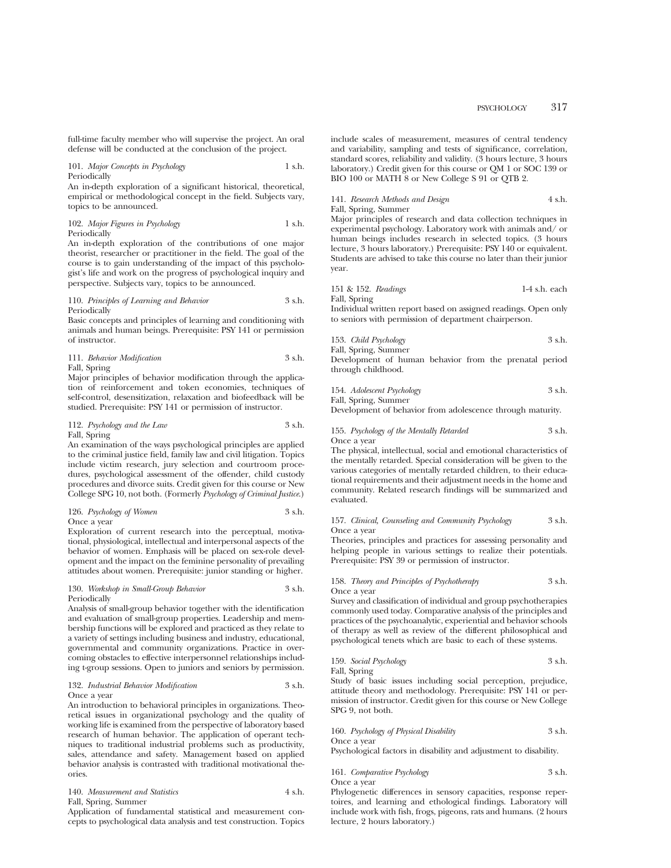full-time faculty member who will supervise the project. An oral defense will be conducted at the conclusion of the project.

101. *Major Concepts in Psychology* 1 s.h. Periodically

An in-depth exploration of a significant historical, theoretical, empirical or methodological concept in the field. Subjects vary, topics to be announced.

102. *Major Figures in Psychology* 1 s.h. Periodically

An in-depth exploration of the contributions of one major theorist, researcher or practitioner in the field. The goal of the course is to gain understanding of the impact of this psychologist's life and work on the progress of psychological inquiry and perspective. Subjects vary, topics to be announced.

110. *Principles of Learning and Behavior* 3 s.h. Periodically

Basic concepts and principles of learning and conditioning with animals and human beings. Prerequisite: PSY 141 or permission of instructor.

|  |  | 111. Behavior Modification |  | 3 s.h. |
|--|--|----------------------------|--|--------|
|--|--|----------------------------|--|--------|

#### Fall, Spring

Major principles of behavior modification through the application of reinforcement and token economies, techniques of self-control, desensitization, relaxation and biofeedback will be studied. Prerequisite: PSY 141 or permission of instructor.

## 112. *Psychology and the Law* 3 s.h.

Fall, Spring

An examination of the ways psychological principles are applied to the criminal justice field, family law and civil litigation. Topics include victim research, jury selection and courtroom procedures, psychological assessment of the offender, child custody procedures and divorce suits. Credit given for this course or New College SPG 10, not both. (Formerly *Psychology of Criminal Justice*.)

#### 126. *Psychology of Women* 3 s.h.

Once a year

Exploration of current research into the perceptual, motivational, physiological, intellectual and interpersonal aspects of the behavior of women. Emphasis will be placed on sex-role development and the impact on the feminine personality of prevailing attitudes about women. Prerequisite: junior standing or higher.

#### 130. *Workshop in Small-Group Behavior* 3 s.h. Periodically

Analysis of small-group behavior together with the identification and evaluation of small-group properties. Leadership and membership functions will be explored and practiced as they relate to a variety of settings including business and industry, educational, governmental and community organizations. Practice in overcoming obstacles to effective interpersonnel relationships including t-group sessions. Open to juniors and seniors by permission.

#### 132. *Industrial Behavior Modification* 3 s.h. Once a year

An introduction to behavioral principles in organizations. Theoretical issues in organizational psychology and the quality of working life is examined from the perspective of laboratory based research of human behavior. The application of operant techniques to traditional industrial problems such as productivity, sales, attendance and safety. Management based on applied behavior analysis is contrasted with traditional motivational theories.

140. *Measurement and Statistics* 4 s.h.

Fall, Spring, Summer

Application of fundamental statistical and measurement concepts to psychological data analysis and test construction. Topics

include scales of measurement, measures of central tendency and variability, sampling and tests of significance, correlation, standard scores, reliability and validity. (3 hours lecture, 3 hours laboratory.) Credit given for this course or QM 1 or SOC 139 or BIO 100 or MATH 8 or New College S 91 or QTB 2.

141. *Research Methods and Design* 4 s.h. Fall, Su

Major principles of research and data collection techniques in experimental psychology. Laboratory work with animals and/ or human beings includes research in selected topics. (3 hours lecture, 3 hours laboratory.) Prerequisite: PSY 140 or equivalent. Students are advised to take this course no later than their junior year.

151 & 152. *Readings* 1-4 s.h. each Fall, Spring

Individual written report based on assigned readings. Open only to seniors with permission of department chairperson.

153. *Child Psychology* 3 s.h. Fall, Spring, Summer

Development of human behavior from the prenatal period through childhood.

154. *Adolescent Psychology* 3 s.h. Fall, Spring, Summer

Development of behavior from adolescence through maturity.

155. *Psychology of the Mentally Retarded* 3 s.h. Once a year

The physical, intellectual, social and emotional characteristics of the mentally retarded. Special consideration will be given to the various categories of mentally retarded children, to their educational requirements and their adjustment needs in the home and community. Related research findings will be summarized and evaluated.

#### 157. *Clinical, Counseling and Community Psychology* 3 s.h. Once a year

Theories, principles and practices for assessing personality and helping people in various settings to realize their potentials. Prerequisite: PSY 39 or permission of instructor.

## 158. *Theory and Principles of Psychotherapy* 3 s.h. Once a year

Survey and classification of individual and group psychotherapies commonly used today. Comparative analysis of the principles and practices of the psychoanalytic, experiential and behavior schools of therapy as well as review of the different philosophical and psychological tenets which are basic to each of these systems.

159. *Social Psychology* 3 s.h. Fall, Spring

Study of basic issues including social perception, prejudice, attitude theory and methodology. Prerequisite: PSY 141 or permission of instructor. Credit given for this course or New College SPG 9, not both.

#### 160. *Psychology of Physical Disability* 3 s.h. Once a year

Psychological factors in disability and adjustment to disability.

161. *Comparative Psychology* 3 s.h. Once a year

Phylogenetic differences in sensory capacities, response repertoires, and learning and ethological findings. Laboratory will include work with fish, frogs, pigeons, rats and humans. (2 hours lecture, 2 hours laboratory.)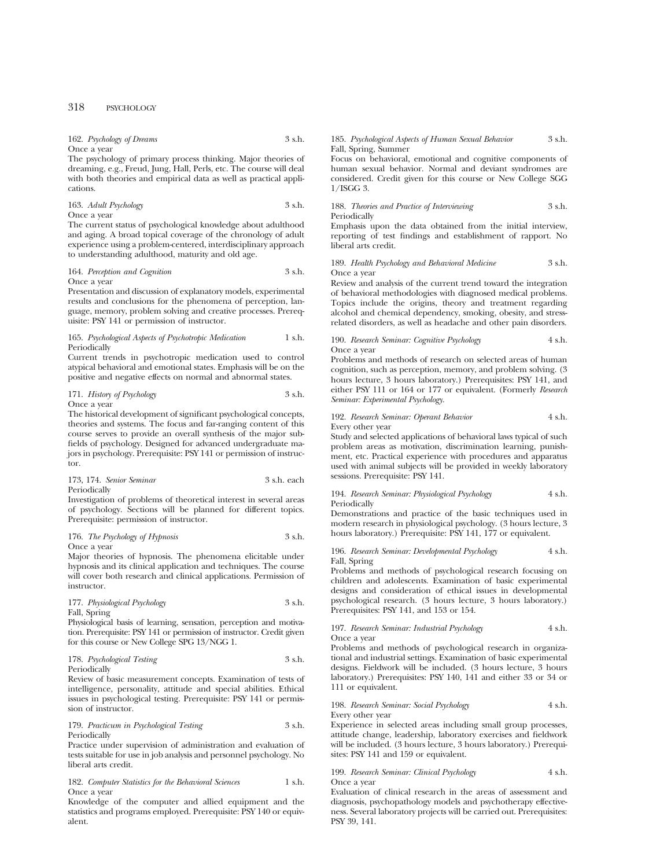## 162. *Psychology of Dreams* 3 s.h.

Once a year The psychology of primary process thinking. Major theories of dreaming, e.g., Freud, Jung, Hall, Perls, etc. The course will deal with both theories and empirical data as well as practical applications.

163. *Adult Psychology* 3 s.h.

Once a year

The current status of psychological knowledge about adulthood and aging. A broad topical coverage of the chronology of adult experience using a problem-centered, interdisciplinary approach to understanding adulthood, maturity and old age.

#### 164. *Perception and Cognition* 3 s.h. Once a year

Presentation and discussion of explanatory models, experimental results and conclusions for the phenomena of perception, language, memory, problem solving and creative processes. Prerequisite: PSY 141 or permission of instructor.

#### 165. *Psychological Aspects of Psychotropic Medication* 1 s.h. Periodically

Current trends in psychotropic medication used to control atypical behavioral and emotional states. Emphasis will be on the positive and negative effects on normal and abnormal states.

#### 171. *History of Psychology* 3 s.h. Once a year

The historical development of significant psychological concepts, theories and systems. The focus and far-ranging content of this course serves to provide an overall synthesis of the major subfields of psychology. Designed for advanced undergraduate majors in psychology. Prerequisite: PSY 141 or permission of instructor.

| 173, 174. Senior Seminar | 3 s.h. each |
|--------------------------|-------------|
| Periodically             |             |

Investigation of problems of theoretical interest in several areas of psychology. Sections will be planned for different topics. Prerequisite: permission of instructor.

#### 176. *The Psychology of Hypnosis* 3 s.h. Once a year

Major theories of hypnosis. The phenomena elicitable under hypnosis and its clinical application and techniques. The course will cover both research and clinical applications. Permission of instructor.

177. *Physiological Psychology* 3 s.h. Fall, Spring

Physiological basis of learning, sensation, perception and motivation. Prerequisite: PSY 141 or permission of instructor. Credit given for this course or New College SPG 13/NGG 1.

178. *Psychological Testing* 3 s.h.

Periodically

Review of basic measurement concepts. Examination of tests of intelligence, personality, attitude and special abilities. Ethical issues in psychological testing. Prerequisite: PSY 141 or permission of instructor.

179. *Practicum in Psychological Testing* 3 s.h. Periodically

Practice under supervision of administration and evaluation of tests suitable for use in job analysis and personnel psychology. No liberal arts credit.

182. *Computer Statistics for the Behavioral Sciences* 1 s.h. Once a year

Knowledge of the computer and allied equipment and the statistics and programs employed. Prerequisite: PSY 140 or equivalent.

## 185. *Psychological Aspects of Human Sexual Behavior* 3 s.h. Fall, Spring, Summer

Focus on behavioral, emotional and cognitive components of human sexual behavior. Normal and deviant syndromes are considered. Credit given for this course or New College SGG 1/ISGG 3.

188. *Theories and Practice of Interviewing* 3 s.h. Periodically

Emphasis upon the data obtained from the initial interview, reporting of test findings and establishment of rapport. No liberal arts credit.

## 189. *Health Psychology and Behavioral Medicine* 3 s.h. Once a year

Review and analysis of the current trend toward the integration of behavioral methodologies with diagnosed medical problems. Topics include the origins, theory and treatment regarding alcohol and chemical dependency, smoking, obesity, and stressrelated disorders, as well as headache and other pain disorders.

#### 190. *Research Seminar: Cognitive Psychology* 4 s.h. Once a year

Problems and methods of research on selected areas of human cognition, such as perception, memory, and problem solving. (3 hours lecture, 3 hours laboratory.) Prerequisites: PSY 141, and either PSY 111 or 164 or 177 or equivalent. (Formerly *Research Seminar: Experimental Psychology.*

#### 192. *Research Seminar: Operant Behavior* 4 s.h. Every other year

Study and selected applications of behavioral laws typical of such problem areas as motivation, discrimination learning, punishment, etc. Practical experience with procedures and apparatus used with animal subjects will be provided in weekly laboratory sessions. Prerequisite: PSY 141.

#### 194. *Research Seminar: Physiological Psychology* 4 s.h. Periodically

Demonstrations and practice of the basic techniques used in modern research in physiological psychology. (3 hours lecture, 3 hours laboratory.) Prerequisite: PSY 141, 177 or equivalent.

196. *Research Seminar: Developmental Psychology* 4 s.h. Fall, Spring

Problems and methods of psychological research focusing on children and adolescents. Examination of basic experimental designs and consideration of ethical issues in developmental psychological research. (3 hours lecture, 3 hours laboratory.) Prerequisites: PSY 141, and 153 or 154.

#### 197. *Research Seminar: Industrial Psychology* 4 s.h. Once a year

Problems and methods of psychological research in organizational and industrial settings. Examination of basic experimental designs. Fieldwork will be included. (3 hours lecture, 3 hours laboratory.) Prerequisites: PSY 140, 141 and either 33 or 34 or 111 or equivalent.

198. *Research Seminar: Social Psychology* 4 s.h. Every other year

Experience in selected areas including small group processes, attitude change, leadership, laboratory exercises and fieldwork will be included. (3 hours lecture, 3 hours laboratory.) Prerequisites: PSY 141 and 159 or equivalent.

## 199. *Research Seminar: Clinical Psychology* 4 s.h. Once a year

Evaluation of clinical research in the areas of assessment and diagnosis, psychopathology models and psychotherapy effectiveness. Several laboratory projects will be carried out. Prerequisites: PSY 39, 141.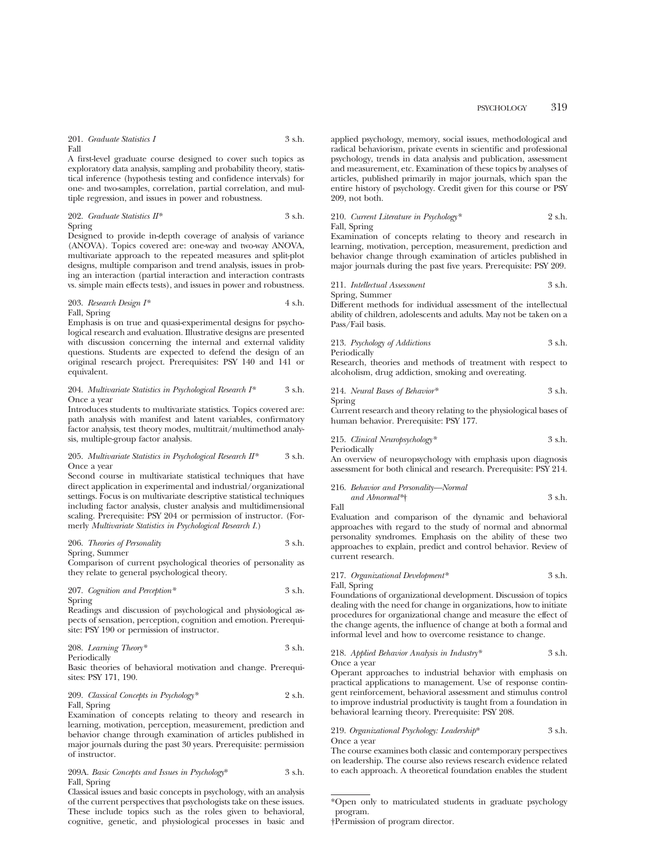## PSYCHOLOGY 319

#### 201. *Graduate Statistics I* 3 s.h. Fall

A first-level graduate course designed to cover such topics as exploratory data analysis, sampling and probability theory, statistical inference (hypothesis testing and confidence intervals) for one- and two-samples, correlation, partial correlation, and multiple regression, and issues in power and robustness.

202. *Graduate Statistics II\** 3 s.h. Spring

Designed to provide in-depth coverage of analysis of variance (ANOVA). Topics covered are: one-way and two-way ANOVA, multivariate approach to the repeated measures and split-plot designs, multiple comparison and trend analysis, issues in probing an interaction (partial interaction and interaction contrasts vs. simple main effects tests), and issues in power and robustness.

203. *Research Design I\** 4 s.h. Fall, Spring

Emphasis is on true and quasi-experimental designs for psychological research and evaluation. Illustrative designs are presented with discussion concerning the internal and external validity questions. Students are expected to defend the design of an original research project. Prerequisites: PSY 140 and 141 or equivalent.

#### 204. *Multivariate Statistics in Psychological Research I\** 3 s.h. Once a year

Introduces students to multivariate statistics. Topics covered are: path analysis with manifest and latent variables, confirmatory factor analysis, test theory modes, multitrait/multimethod analysis, multiple-group factor analysis.

#### 205. *Multivariate Statistics in Psychological Research II\** 3 s.h. Once a year

Second course in multivariate statistical techniques that have direct application in experimental and industrial/organizational settings. Focus is on multivariate descriptive statistical techniques including factor analysis, cluster analysis and multidimensional scaling. Prerequisite: PSY 204 or permission of instructor. (Formerly *Multivariate Statistics in Psychological Research I.*)

206. *Theories of Personality* 3 s.h.

Spring, Summer

Comparison of current psychological theories of personality as they relate to general psychological theory.

207. *Cognition and Perception\** 3 s.h.

Spring

Readings and discussion of psychological and physiological aspects of sensation, perception, cognition and emotion. Prerequisite: PSY 190 or permission of instructor.

208. *Learning Theory\** 3 s.h. Periodically

Basic theories of behavioral motivation and change. Prerequisites: PSY 171, 190.

209. *Classical Concepts in Psychology\** 2 s.h. Fall, Spring

Examination of concepts relating to theory and research in learning, motivation, perception, measurement, prediction and behavior change through examination of articles published in major journals during the past 30 years. Prerequisite: permission of instructor.

209A. *Basic Concepts and Issues in Psychology*\* 3 s.h. Fall, Spring

Classical issues and basic concepts in psychology, with an analysis of the current perspectives that psychologists take on these issues. These include topics such as the roles given to behavioral, cognitive, genetic, and physiological processes in basic and applied psychology, memory, social issues, methodological and radical behaviorism, private events in scientific and professional psychology, trends in data analysis and publication, assessment and measurement, etc. Examination of these topics by analyses of articles, published primarily in major journals, which span the entire history of psychology. Credit given for this course or PSY 209, not both.

210. *Current Literature in Psychology\** 2 s.h. Fall, Spring

Examination of concepts relating to theory and research in learning, motivation, perception, measurement, prediction and behavior change through examination of articles published in major journals during the past five years. Prerequisite: PSY 209.

211. *Intellectual Assessment* 3 s.h. Spring, Summer

Different methods for individual assessment of the intellectual ability of children, adolescents and adults. May not be taken on a Pass/Fail basis.

213. *Psychology of Addictions* 3 s.h. Periodically

Research, theories and methods of treatment with respect to alcoholism, drug addiction, smoking and overeating.

214. *Neural Bases of Behavior\** 3 s.h. Spring

Current research and theory relating to the physiological bases of human behavior. Prerequisite: PSY 177.

215. *Clinical Neuropsychology\** 3 s.h. Periodically

An overview of neuropsychology with emphasis upon diagnosis assessment for both clinical and research. Prerequisite: PSY 214.

216. *Behavior and Personality—Normal and Abnormal\**† 3 s.h.

Fall

Evaluation and comparison of the dynamic and behavioral approaches with regard to the study of normal and abnormal personality syndromes. Emphasis on the ability of these two approaches to explain, predict and control behavior. Review of current research.

217. *Organizational Development\** 3 s.h. Fall, Spring

Foundations of organizational development. Discussion of topics dealing with the need for change in organizations, how to initiate procedures for organizational change and measure the effect of the change agents, the influence of change at both a formal and informal level and how to overcome resistance to change.

218. *Applied Behavior Analysis in Industry\** 3 s.h. Once a year

Operant approaches to industrial behavior with emphasis on practical applications to management. Use of response contingent reinforcement, behavioral assessment and stimulus control to improve industrial productivity is taught from a foundation in behavioral learning theory. Prerequisite: PSY 208.

219. *Organizational Psychology: Leadership*\* 3 s.h. Once a year

The course examines both classic and contemporary perspectives on leadership. The course also reviews research evidence related to each approach. A theoretical foundation enables the student

<sup>\*</sup>Open only to matriculated students in graduate psychology program.

<sup>†</sup>Permission of program director.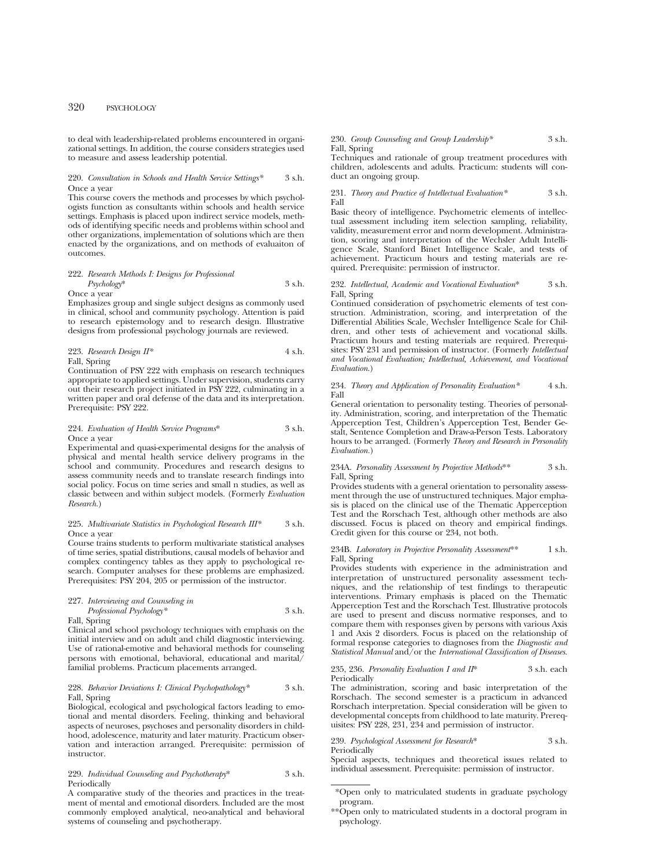## 320 PSYCHOLOGY

to deal with leadership-related problems encountered in organizational settings. In addition, the course considers strategies used to measure and assess leadership potential.

220. *Consultation in Schools and Health Service Settings\** 3 s.h. Once a year

This course covers the methods and processes by which psychologists function as consultants within schools and health service settings. Emphasis is placed upon indirect service models, methods of identifying specific needs and problems within school and other organizations, implementation of solutions which are then enacted by the organizations, and on methods of evaluaiton of outcomes.

#### 222. *Research Methods I: Designs for Professional Psychology*\* 3 s.h.

Once a year

Emphasizes group and single subject designs as commonly used in clinical, school and community psychology. Attention is paid to research epistemology and to research design. Illustrative designs from professional psychology journals are reviewed.

223. *Research Design* 
$$
H^*
$$
 4 s.h.

Fall, Spring

Continuation of PSY 222 with emphasis on research techniques appropriate to applied settings. Under supervision, students carry out their research project initiated in PSY 222, culminating in a written paper and oral defense of the data and its interpretation. Prerequisite: PSY 222.

#### 224. *Evaluation of Health Service Programs*\* 3 s.h. Once a year

Experimental and quasi-experimental designs for the analysis of physical and mental health service delivery programs in the school and community. Procedures and research designs to assess community needs and to translate research findings into social policy. Focus on time series and small n studies, as well as classic between and within subject models. (Formerly *Evaluation Research.*)

#### 225. *Multivariate Statistics in Psychological Research III\** 3 s.h. Once a year

Course trains students to perform multivariate statistical analyses of time series, spatial distributions, causal models of behavior and complex contingency tables as they apply to psychological research. Computer analyses for these problems are emphasized. Prerequisites: PSY 204, 205 or permission of the instructor.

227. *Interviewing and Counseling in Professional Psychology\** 3 s.h.

Fall, Spring

Clinical and school psychology techniques with emphasis on the initial interview and on adult and child diagnostic interviewing. Use of rational-emotive and behavioral methods for counseling persons with emotional, behavioral, educational and marital/ familial problems. Practicum placements arranged.

#### 228. *Behavior Deviations I: Clinical Psychopathology\** 3 s.h. Fall, Spring

Biological, ecological and psychological factors leading to emotional and mental disorders. Feeling, thinking and behavioral aspects of neuroses, psychoses and personality disorders in childhood, adolescence, maturity and later maturity. Practicum observation and interaction arranged. Prerequisite: permission of instructor.

#### 229. *Individual Counseling and Psychotherapy*\* 3 s.h. Periodically

A comparative study of the theories and practices in the treatment of mental and emotional disorders. Included are the most commonly employed analytical, neo-analytical and behavioral systems of counseling and psychotherapy.

230. *Group Counseling and Group Leadership\** 3 s.h. Fall, Spring

Techniques and rationale of group treatment procedures with children, adolescents and adults. Practicum: students will conduct an ongoing group.

231. *Theory and Practice of Intellectual Evaluation\** 3 s.h. Fall

Basic theory of intelligence. Psychometric elements of intellectual assessment including item selection sampling, reliability, validity, measurement error and norm development. Administration, scoring and interpretation of the Wechsler Adult Intelligence Scale, Stanford Binet Intelligence Scale, and tests of achievement. Practicum hours and testing materials are required. Prerequisite: permission of instructor.

232. *Intellectual, Academic and Vocational Evaluation*\* 3 s.h. Fall, Spring

Continued consideration of psychometric elements of test construction. Administration, scoring, and interpretation of the Differential Abilities Scale, Wechsler Intelligence Scale for Children, and other tests of achievement and vocational skills. Practicum hours and testing materials are required. Prerequisites: PSY 231 and permission of instructor. (Formerly *Intellectual and Vocational Evaluation; Intellectual, Achievement, and Vocational Evaluation*.)

234. *Theory and Application of Personality Evaluation\** 4 s.h. Fall

General orientation to personality testing. Theories of personality. Administration, scoring, and interpretation of the Thematic Apperception Test, Children's Apperception Test, Bender Gestalt, Sentence Completion and Draw-a-Person Tests. Laboratory hours to be arranged. (Formerly *Theory and Research in Personality Evaluation.*)

234A. *Personality Assessment by Projective Methods*\*\* 3 s.h. Fall, Spring

Provides students with a general orientation to personality assessment through the use of unstructured techniques. Major emphasis is placed on the clinical use of the Thematic Apperception Test and the Rorschach Test, although other methods are also discussed. Focus is placed on theory and empirical findings. Credit given for this course or 234, not both.

234B. *Laboratory in Projective Personality Assessment*\*\* 1 s.h. Fall, Spring

Provides students with experience in the administration and interpretation of unstructured personality assessment techniques, and the relationship of test findings to therapeutic interventions. Primary emphasis is placed on the Thematic Apperception Test and the Rorschach Test. Illustrative protocols are used to present and discuss normative responses, and to compare them with responses given by persons with various Axis 1 and Axis 2 disorders. Focus is placed on the relationship of formal response categories to diagnoses from the *Diagnostic and Statistical Manual* and/or the *International Classification of Diseases.*

235, 236. *Personality Evaluation I and II*\* 3 s.h. each Periodically

The administration, scoring and basic interpretation of the Rorschach. The second semester is a practicum in advanced Rorschach interpretation. Special consideration will be given to developmental concepts from childhood to late maturity. Prerequisites: PSY 228, 231, 234 and permission of instructor.

239. *Psychological Assessment for Research*\* 3 s.h. **Periodically** 

Special aspects, techniques and theoretical issues related to individual assessment. Prerequisite: permission of instructor.

<sup>\*</sup>Open only to matriculated students in graduate psychology program.

<sup>\*\*</sup>Open only to matriculated students in a doctoral program in psychology.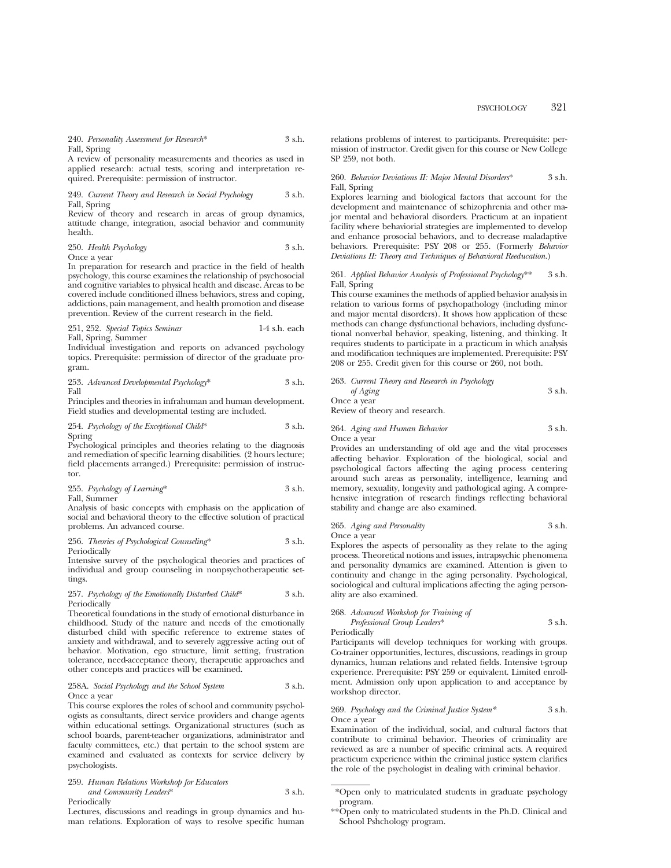## 240. *Personality Assessment for Research*\* 3 s.h. Fall, Spring

A review of personality measurements and theories as used in applied research: actual tests, scoring and interpretation required. Prerequisite: permission of instructor.

249. *Current Theory and Research in Social Psychology* 3 s.h. Fall, Spring

Review of theory and research in areas of group dynamics, attitude change, integration, asocial behavior and community health.

250. *Health Psychology* 3 s.h.

Once a year

In preparation for research and practice in the field of health psychology, this course examines the relationship of psychosocial and cognitive variables to physical health and disease. Areas to be covered include conditioned illness behaviors, stress and coping, addictions, pain management, and health promotion and disease prevention. Review of the current research in the field.

251, 252. *Special Topics Seminar* 1-4 s.h. each Fall, Spring, Summer

Individual investigation and reports on advanced psychology topics. Prerequisite: permission of director of the graduate program.

253. *Advanced Developmental Psychology*\* 3 s.h. Fall

Principles and theories in infrahuman and human development. Field studies and developmental testing are included.

254. *Psychology of the Exceptional Child*\* 3 s.h. Spring

Psychological principles and theories relating to the diagnosis and remediation of specific learning disabilities. (2 hours lecture; field placements arranged.) Prerequisite: permission of instructor.

255. *Psychology of Learning*\* 3 s.h.

Fall, Summer

Analysis of basic concepts with emphasis on the application of social and behavioral theory to the effective solution of practical problems. An advanced course.

256. *Theories of Psychological Counseling*\* 3 s.h. Periodically

Intensive survey of the psychological theories and practices of individual and group counseling in nonpsychotherapeutic settings.

#### 257. *Psychology of the Emotionally Disturbed Child*\* 3 s.h. Periodically

Theoretical foundations in the study of emotional disturbance in childhood. Study of the nature and needs of the emotionally disturbed child with specific reference to extreme states of anxiety and withdrawal, and to severely aggressive acting out of behavior. Motivation, ego structure, limit setting, frustration tolerance, need-acceptance theory, therapeutic approaches and other concepts and practices will be examined.

#### 258A. *Social Psychology and the School System* 3 s.h. Once a year

This course explores the roles of school and community psychologists as consultants, direct service providers and change agents within educational settings. Organizational structures (such as school boards, parent-teacher organizations, administrator and faculty committees, etc.) that pertain to the school system are examined and evaluated as contexts for service delivery by psychologists.

259. *Human Relations Workshop for Educators and Community Leaders*\* 3 s.h. Periodically

Lectures, discussions and readings in group dynamics and human relations. Exploration of ways to resolve specific human relations problems of interest to participants. Prerequisite: permission of instructor. Credit given for this course or New College SP 259, not both.

#### 260. *Behavior Deviations II: Major Mental Disorders*\* 3 s.h. Fall, Spring

Explores learning and biological factors that account for the development and maintenance of schizophrenia and other major mental and behavioral disorders. Practicum at an inpatient facility where behaviorial strategies are implemented to develop and enhance prosocial behaviors, and to decrease maladaptive behaviors. Prerequisite: PSY 208 or 255. (Formerly *Behavior Deviations II: Theory and Techniques of Behavioral Reeducation*.)

#### 261. *Applied Behavior Analysis of Professional Psychology*\*\* 3 s.h. Fall, Spring

This course examines the methods of applied behavior analysis in relation to various forms of psychopathology (including minor and major mental disorders). It shows how application of these methods can change dysfunctional behaviors, including dysfunctional nonverbal behavior, speaking, listening, and thinking. It requires students to participate in a practicum in which analysis and modification techniques are implemented. Prerequisite: PSY 208 or 255. Credit given for this course or 260, not both.

| 263. Current Theory and Research in Psychology |        |
|------------------------------------------------|--------|
| of Aging                                       | 3 s.h. |
| Once a year                                    |        |
| Review of theory and research.                 |        |

264. *Aging and Human Behavior* 3 s.h. Once a year

Provides an understanding of old age and the vital processes affecting behavior. Exploration of the biological, social and psychological factors affecting the aging process centering around such areas as personality, intelligence, learning and memory, sexuality, longevity and pathological aging. A comprehensive integration of research findings reflecting behavioral stability and change are also examined.

265. *Aging and Personality* 3 s.h. Once a year

Explores the aspects of personality as they relate to the aging process. Theoretical notions and issues, intrapsychic phenomena and personality dynamics are examined. Attention is given to continuity and change in the aging personality. Psychological, sociological and cultural implications affecting the aging personality are also examined.

## 268. *Advanced Workshop for Training of Professional Group Leaders*\* 3 s.h.

Periodically

Participants will develop techniques for working with groups. Co-trainer opportunities, lectures, discussions, readings in group dynamics, human relations and related fields. Intensive t-group experience. Prerequisite: PSY 259 or equivalent. Limited enrollment. Admission only upon application to and acceptance by workshop director.

## 269. *Psychology and the Criminal Justice System\** 3 s.h. Once a year

Examination of the individual, social, and cultural factors that contribute to criminal behavior. Theories of criminality are reviewed as are a number of specific criminal acts. A required practicum experience within the criminal justice system clarifies the role of the psychologist in dealing with criminal behavior.

<sup>\*</sup>Open only to matriculated students in graduate psychology program.

<sup>\*\*</sup>Open only to matriculated students in the Ph.D. Clinical and School Pshchology program.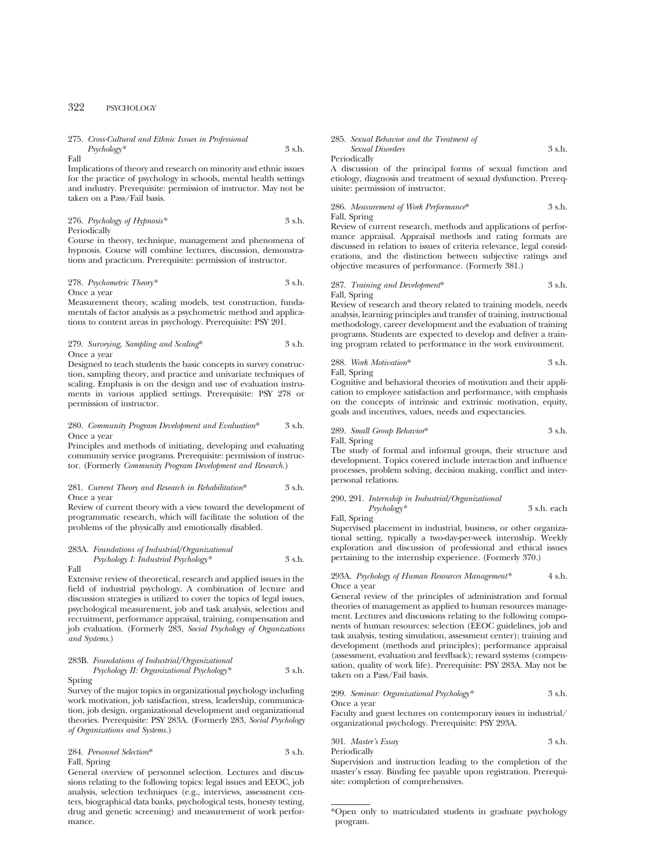## 322 PSYCHOLOGY

275. *Cross-Cultural and Ethnic Issues in Professional Psychology\** 3 s.h.

Fall

Implications of theory and research on minority and ethnic issues for the practice of psychology in schools, mental health settings and industry. Prerequisite: permission of instructor. May not be taken on a Pass/Fail basis.

#### 276. *Psychology of Hypnosis\** 3 s.h. Periodically

Course in theory, technique, management and phenomena of hypnosis. Course will combine lectures, discussion, demonstrations and practicum. Prerequisite: permission of instructor.

#### 278. *Psychometric Theory\** 3 s.h.

Once a year

Measurement theory, scaling models, test construction, fundamentals of factor analysis as a psychometric method and applications to content areas in psychology. Prerequisite: PSY 201.

279. *Surveying, Sampling and Scaling*\* 3 s.h. Once a year

Designed to teach students the basic concepts in survey construction, sampling theory, and practice and univariate techniques of scaling. Emphasis is on the design and use of evaluation instruments in various applied settings. Prerequisite: PSY 278 or permission of instructor.

#### 280. *Community Program Development and Evaluation*\* 3 s.h. Once a year

Principles and methods of initiating, developing and evaluating community service programs. Prerequisite: permission of instructor. (Formerly *Community Program Development and Research.*)

281. *Current Theory and Research in Rehabilitation*\* 3 s.h. Once a year

Review of current theory with a view toward the development of programmatic research, which will facilitate the solution of the problems of the physically and emotionally disabled.

283A. *Foundations of Industrial/Organizational Psychology I: Industrial Psychology\** 3 s.h. Fall

Extensive review of theoretical, research and applied issues in the field of industrial psychology. A combination of lecture and discussion strategies is utilized to cover the topics of legal issues, psychological measurement, job and task analysis, selection and recruitment, performance appraisal, training, compensation and job evaluation. (Formerly 283, *Social Psychology of Organizations and Systems.*)

283B. *Foundations of Industrial/Organizational Psychology II: Organizational Psychology\** 3 s.h.

Spring

Survey of the major topics in organizational psychology including work motivation, job satisfaction, stress, leadership, communication, job design, organizational development and organizational theories. Prerequisite: PSY 283A. (Formerly 283, *Social Psychology of Organizations and Systems.*)

284. *Personnel Selection*\* 3 s.h. Fall, Spring

General overview of personnel selection. Lectures and discussions relating to the following topics: legal issues and EEOC, job analysis, selection techniques (e.g., interviews, assessment centers, biographical data banks, psychological tests, honesty testing, drug and genetic screening) and measurement of work performance.

285. *Sexual Behavior and the Treatment of Sexual Disorders* 3 s.h.

Peri

A discussion of the principal forms of sexual function and etiology, diagnosis and treatment of sexual dysfunction. Prerequisite: permission of instructor.

286. *Measurement of Work Performance*\* 3 s.h. Fall, Spring

Review of current research, methods and applications of performance appraisal. Appraisal methods and rating formats are discussed in relation to issues of criteria relevance, legal considerations, and the distinction between subjective ratings and objective measures of performance. (Formerly 381.)

287. *Training and Development*\* 3 s.h. Fall, Spring

Review of research and theory related to training models, needs analysis, learning principles and transfer of training, instructional methodology, career development and the evaluation of training programs. Students are expected to develop and deliver a training program related to performance in the work environment.

288. *Work Motivation*\* 3 s.h. Fall, Spring

Cognitive and behavioral theories of motivation and their application to employee satisfaction and performance, with emphasis on the concepts of intrinsic and extrinsic motivation, equity, goals and incentives, values, needs and expectancies.

289. *Small Group Behavior*\* 3 s.h. Fall, Spring

The study of formal and informal groups, their structure and development. Topics covered include interaction and influence processes, problem solving, decision making, conflict and interpersonal relations.

290, 291. *Internship in Industrial/Organizational Psychology\** 3 s.h. each Fall, Spring

Supervised placement in industrial, business, or other organizational setting, typically a two-day-per-week internship. Weekly exploration and discussion of professional and ethical issues pertaining to the internship experience. (Formerly 370.)

#### 293A. *Psychology of Human Resources Management\** 4 s.h. Once a year

General review of the principles of administration and formal theories of management as applied to human resources management. Lectures and discussions relating to the following components of human resources: selection (EEOC guidelines, job and task analysis, testing simulation, assessment center); training and development (methods and principles); performance appraisal (assessment, evaluation and feedback); reward systems (compensation, quality of work life). Prerequisite: PSY 283A. May not be taken on a Pass/Fail basis.

299. *Seminar: Organizational Psychology\** 3 s.h. Once a year

Faculty and guest lectures on contemporary issues in industrial/ organizational psychology. Prerequisite: PSY 293A.

301. *Master's Essay* 3 s.h. Periodically

Supervision and instruction leading to the completion of the master's essay. Binding fee payable upon registration. Prerequisite: completion of comprehensives.

<sup>\*</sup>Open only to matriculated students in graduate psychology program.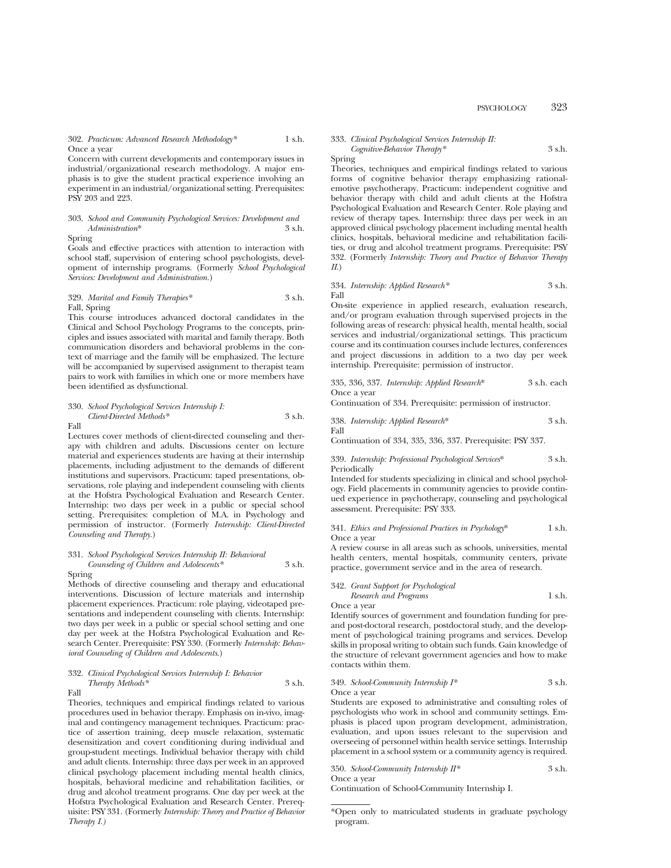## PSYCHOLOGY 323

#### 302. *Practicum: Advanced Research Methodology\** 1 s.h. Once a year

Concern with current developments and contemporary issues in industrial/organizational research methodology. A major emphasis is to give the student practical experience involving an experiment in an industrial/organizational setting. Prerequisites: PSY 203 and 223.

## 303. *School and Community Psychological Services: Development and*  $Adminisation<sup>*</sup>$

Spring

Goals and effective practices with attention to interaction with school staff, supervision of entering school psychologists, development of internship programs. (Formerly *School Psychological Services: Development and Administration.*)

#### 329. *Marital and Family Therapies\** 3 s.h. Fall, Spring

This course introduces advanced doctoral candidates in the Clinical and School Psychology Programs to the concepts, principles and issues associated with marital and family therapy. Both communication disorders and behavioral problems in the context of marriage and the family will be emphasized. The lecture will be accompanied by supervised assignment to therapist team pairs to work with families in which one or more members have been identified as dysfunctional.

#### 330. *School Psychological Services Internship I: Client-Directed Methods\** 3 s.h. Fall

Lectures cover methods of client-directed counseling and therapy with children and adults. Discussions center on lecture material and experiences students are having at their internship placements, including adjustment to the demands of different institutions and supervisors. Practicum: taped presentations, observations, role playing and independent counseling with clients at the Hofstra Psychological Evaluation and Research Center. Internship: two days per week in a public or special school setting. Prerequisites: completion of M.A. in Psychology and permission of instructor. (Formerly *Internship: Client-Directed Counseling and Therapy.*)

## 331. *School Psychological Services Internship II: Behavioral Counseling of Children and Adolescents\** 3 s.h.

Spring Methods of directive counseling and therapy and educational interventions. Discussion of lecture materials and internship placement experiences. Practicum: role playing, videotaped presentations and independent counseling with clients. Internship: two days per week in a public or special school setting and one day per week at the Hofstra Psychological Evaluation and Research Center. Prerequisite: PSY 330. (Formerly *Internship: Behav-*

*ioral Counseling of Children and Adolescents*.)

## 332. *Clinical Psychological Services Internship I: Behavior Therapy Methods\** 3 s.h.

Fall

Theories, techniques and empirical findings related to various procedures used in behavior therapy. Emphasis on in-vivo, imaginal and contingency management techniques. Practicum: practice of assertion training, deep muscle relaxation, systematic desensitization and covert conditioning during individual and group-student meetings. Individual behavior therapy with child and adult clients. Internship: three days per week in an approved clinical psychology placement including mental health clinics, hospitals, behavioral medicine and rehabilitation facilities, or drug and alcohol treatment programs. One day per week at the Hofstra Psychological Evaluation and Research Center. Prerequisite: PSY 331. (Formerly *Internship: Theory and Practice of Behavior Therapy I.)*

#### 333. *Clinical Psychological Services Internship II: Cognitive-Behavior Therapy\** 3 s.h.

Spring

Theories, techniques and empirical findings related to various forms of cognitive behavior therapy emphasizing rationalemotive psychotherapy. Practicum: independent cognitive and behavior therapy with child and adult clients at the Hofstra Psychological Evaluation and Research Center. Role playing and review of therapy tapes. Internship: three days per week in an approved clinical psychology placement including mental health clinics, hospitals, behavioral medicine and rehabilitation facilities, or drug and alcohol treatment programs. Prerequisite: PSY 332. (Formerly *Internship: Theory and Practice of Behavior Therapy II*.)

#### 334. *Internship: Applied Research\** 3 s.h. Fall

On-site experience in applied research, evaluation research, and/or program evaluation through supervised projects in the following areas of research: physical health, mental health, social services and industrial/organizational settings. This practicum course and its continuation courses include lectures, conferences and project discussions in addition to a two day per week internship. Prerequisite: permission of instructor.

335, 336, 337. *Internship: Applied Research*\* 3 s.h. each Once a year

Continuation of 334. Prerequisite: permission of instructor.

338. *Internship: Applied Research*\* 3 s.h. Fall

Continuation of 334, 335, 336, 337. Prerequisite: PSY 337.

339. *Internship: Professional Psychological Services*\* 3 s.h. Periodically

Intended for students specializing in clinical and school psychology. Field placements in community agencies to provide continued experience in psychotherapy, counseling and psychological assessment. Prerequisite: PSY 333.

#### 341. *Ethics and Professional Practices in Psychology*\* 1 s.h. Once a year

A review course in all areas such as schools, universities, mental health centers, mental hospitals, community centers, private practice, government service and in the area of research.

#### 342. *Grant Support for Psychological Research and Programs* 1 s.h.

Once a year

Identify sources of government and foundation funding for preand post-doctoral research, postdoctoral study, and the development of psychological training programs and services. Develop skills in proposal writing to obtain such funds. Gain knowledge of the structure of relevant government agencies and how to make contacts within them.

#### 349. *School-Community Internship I\** 3 s.h. Once a year

Students are exposed to administrative and consulting roles of psychologists who work in school and community settings. Emphasis is placed upon program development, administration, evaluation, and upon issues relevant to the supervision and overseeing of personnel within health service settings. Internship placement in a school system or a community agency is required.

| 350. School-Community Internship $II^*$ | 3 s.h. |
|-----------------------------------------|--------|
| Once a year                             |        |

Continuation of School-Community Internship I.

<sup>\*</sup>Open only to matriculated students in graduate psychology program.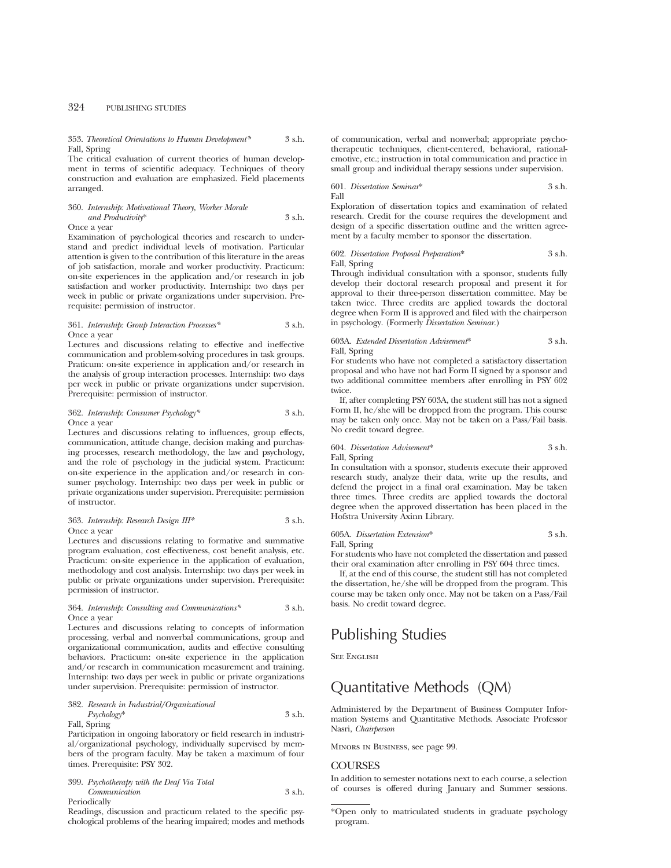#### 353. *Theoretical Orientations to Human Development\** 3 s.h. Fall, Spring

The critical evaluation of current theories of human development in terms of scientific adequacy. Techniques of theory construction and evaluation are emphasized. Field placements arranged.

## 360. *Internship: Motivational Theory, Worker Morale and Productivity*\* 3 s.h.

Once a year

Examination of psychological theories and research to understand and predict individual levels of motivation. Particular attention is given to the contribution of this literature in the areas of job satisfaction, morale and worker productivity. Practicum: on-site experiences in the application and/or research in job satisfaction and worker productivity. Internship: two days per week in public or private organizations under supervision. Prerequisite: permission of instructor.

361. *Internship: Group Interaction Processes\** 3 s.h. Once a year

Lectures and discussions relating to effective and ineffective communication and problem-solving procedures in task groups. Praticum: on-site experience in application and/or research in the analysis of group interaction processes. Internship: two days per week in public or private organizations under supervision. Prerequisite: permission of instructor.

#### 362. *Internship: Consumer Psychology\** 3 s.h. Once a year

Lectures and discussions relating to influences, group effects, communication, attitude change, decision making and purchasing processes, research methodology, the law and psychology, and the role of psychology in the judicial system. Practicum: on-site experience in the application and/or research in consumer psychology. Internship: two days per week in public or private organizations under supervision. Prerequisite: permission of instructor.

#### 363. *Internship: Research Design III\** 3 s.h. Once a year

Lectures and discussions relating to formative and summative program evaluation, cost effectiveness, cost benefit analysis, etc. Practicum: on-site experience in the application of evaluation, methodology and cost analysis. Internship: two days per week in public or private organizations under supervision. Prerequisite: permission of instructor.

#### 364. *Internship: Consulting and Communications\** 3 s.h. Once a year

Lectures and discussions relating to concepts of information processing, verbal and nonverbal communications, group and organizational communication, audits and effective consulting behaviors. Practicum: on-site experience in the application and/or research in communication measurement and training. Internship: two days per week in public or private organizations under supervision. Prerequisite: permission of instructor.

#### 382. *Research in Industrial/Organizational Psychology*\* 3 s.h. Fall, Spring

Participation in ongoing laboratory or field research in industrial/organizational psychology, individually supervised by members of the program faculty. May be taken a maximum of four times. Prerequisite: PSY 302.

399. *Psychotherapy with the Deaf Via Total Communication* 3 s.h. Periodically

Readings, discussion and practicum related to the specific psychological problems of the hearing impaired; modes and methods of communication, verbal and nonverbal; appropriate psychotherapeutic techniques, client-centered, behavioral, rationalemotive, etc.; instruction in total communication and practice in small group and individual therapy sessions under supervision.

#### 601. *Dissertation Seminar*\* 3 s.h. Fall

Exploration of dissertation topics and examination of related research. Credit for the course requires the development and design of a specific dissertation outline and the written agreement by a faculty member to sponsor the dissertation.

602. *Dissertation Proposal Preparation*\* 3 s.h. Fall, Spring

Through individual consultation with a sponsor, students fully develop their doctoral research proposal and present it for approval to their three-person dissertation committee. May be taken twice. Three credits are applied towards the doctoral degree when Form II is approved and filed with the chairperson in psychology. (Formerly *Dissertation Seminar.*)

## 603A. *Extended Dissertation Advisement*\* 3 s.h. Fall, Spring

For students who have not completed a satisfactory dissertation proposal and who have not had Form II signed by a sponsor and two additional committee members after enrolling in PSY 602 twice.

If, after completing PSY 603A, the student still has not a signed Form II, he/she will be dropped from the program. This course may be taken only once. May not be taken on a Pass/Fail basis. No credit toward degree.

## 604. *Dissertation Advisement*\* 3 s.h. Fall, Spring

In consultation with a sponsor, students execute their approved research study, analyze their data, write up the results, and defend the project in a final oral examination. May be taken three times. Three credits are applied towards the doctoral degree when the approved dissertation has been placed in the Hofstra University Axinn Library.

## 605A. *Dissertation Extension*\* 3 s.h. Fall, Spring

For students who have not completed the dissertation and passed their oral examination after enrolling in PSY 604 three times.

If, at the end of this course, the student still has not completed the dissertation, he/she will be dropped from the program. This course may be taken only once. May not be taken on a Pass/Fail basis. No credit toward degree.

# Publishing Studies

SEE ENGLISH

# Quantitative Methods (QM)

Administered by the Department of Business Computer Information Systems and Quantitative Methods. Associate Professor Nasri, *Chairperson*

Minors in Business, see page 99.

## **COURSES**

In addition to semester notations next to each course, a selection of courses is offered during January and Summer sessions.

<sup>\*</sup>Open only to matriculated students in graduate psychology program.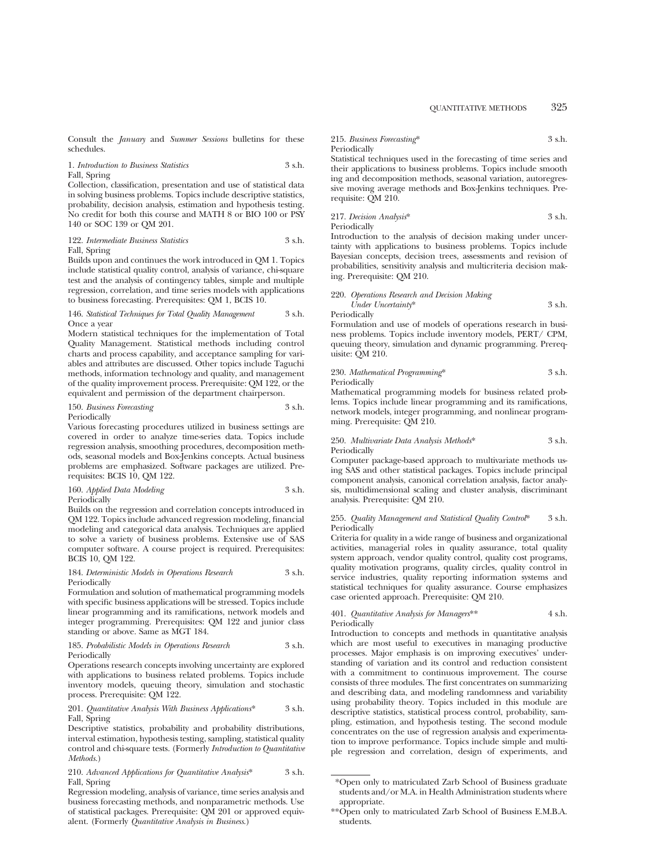Consult the *January* and *Summer Sessions* bulletins for these schedules.

1. *Introduction to Business Statistics* 3 s.h. Fall, Spring

Collection, classification, presentation and use of statistical data in solving business problems. Topics include descriptive statistics, probability, decision analysis, estimation and hypothesis testing. No credit for both this course and MATH 8 or BIO 100 or PSY 140 or SOC 139 or QM 201.

122. *Intermediate Business Statistics* 3 s.h.

Fall, Spring

Builds upon and continues the work introduced in QM 1. Topics include statistical quality control, analysis of variance, chi-square test and the analysis of contingency tables, simple and multiple regression, correlation, and time series models with applications to business forecasting. Prerequisites: QM 1, BCIS 10.

#### 146. *Statistical Techniques for Total Quality Management* 3 s.h. Once a year

Modern statistical techniques for the implementation of Total Quality Management. Statistical methods including control charts and process capability, and acceptance sampling for variables and attributes are discussed. Other topics include Taguchi methods, information technology and quality, and management of the quality improvement process. Prerequisite: QM 122, or the equivalent and permission of the department chairperson.

150. *Business Forecasting* 3 s.h.

Periodically

Various forecasting procedures utilized in business settings are covered in order to analyze time-series data. Topics include regression analysis, smoothing procedures, decomposition methods, seasonal models and Box-Jenkins concepts. Actual business problems are emphasized. Software packages are utilized. Prerequisites: BCIS 10, QM 122.

160. *Applied Data Modeling* 3 s.h. Periodically

Builds on the regression and correlation concepts introduced in QM 122. Topics include advanced regression modeling, financial modeling and categorical data analysis. Techniques are applied to solve a variety of business problems. Extensive use of SAS computer software. A course project is required. Prerequisites: BCIS 10, QM 122.

#### 184. *Deterministic Models in Operations Research* 3 s.h. Periodically

Formulation and solution of mathematical programming models with specific business applications will be stressed. Topics include linear programming and its ramifications, network models and integer programming. Prerequisites: QM 122 and junior class standing or above. Same as MGT 184.

#### 185. *Probabilistic Models in Operations Research* 3 s.h. Periodically

Operations research concepts involving uncertainty are explored with applications to business related problems. Topics include inventory models, queuing theory, simulation and stochastic process. Prerequisite: QM 122.

#### 201. *Quantitative Analysis With Business Applications*\* 3 s.h. Fall, Spring

Descriptive statistics, probability and probability distributions, interval estimation, hypothesis testing, sampling, statistical quality control and chi-square tests. (Formerly *Introduction to Quantitative Methods.*)

210. *Advanced Applications for Quantitative Analysis*\* 3 s.h. Fall, Spring

Regression modeling, analysis of variance, time series analysis and business forecasting methods, and nonparametric methods. Use of statistical packages. Prerequisite: QM 201 or approved equivalent. (Formerly *Quantitative Analysis in Business*.)

215. *Business Forecasting*\* 3 s.h. Periodically

Statistical techniques used in the forecasting of time series and their applications to business problems. Topics include smooth ing and decomposition methods, seasonal variation, autoregressive moving average methods and Box-Jenkins techniques. Prerequisite: QM 210.

217. *Decision Analysis*\* 3 s.h. Periodically

Introduction to the analysis of decision making under uncertainty with applications to business problems. Topics include Bayesian concepts, decision trees, assessments and revision of probabilities, sensitivity analysis and multicriteria decision making. Prerequisite: QM 210.

## 220. *Operations Research and Decision Making*

*Under Uncertainty*\* 3 s.h. Periodically

Formulation and use of models of operations research in business problems. Topics include inventory models, PERT/ CPM, queuing theory, simulation and dynamic programming. Prerequisite: QM 210.

230. *Mathematical Programming*\* 3 s.h. Periodically

Mathematical programming models for business related problems. Topics include linear programming and its ramifications, network models, integer programming, and nonlinear programming. Prerequisite: QM 210.

#### 250. *Multivariate Data Analysis Methods*\* 3 s.h. Periodically

Computer package-based approach to multivariate methods using SAS and other statistical packages. Topics include principal component analysis, canonical correlation analysis, factor analysis, multidimensional scaling and cluster analysis, discriminant analysis. Prerequisite: QM 210.

#### 255. *Quality Management and Statistical Quality Control*\* 3 s.h. Periodically

Criteria for quality in a wide range of business and organizational activities, managerial roles in quality assurance, total quality system approach, vendor quality control, quality cost programs, quality motivation programs, quality circles, quality control in service industries, quality reporting information systems and statistical techniques for quality assurance. Course emphasizes case oriented approach. Prerequisite: QM 210.

401. *Quantitative Analysis for Managers*\*\* 4 s.h. Periodically

Introduction to concepts and methods in quantitative analysis which are most useful to executives in managing productive processes. Major emphasis is on improving executives' understanding of variation and its control and reduction consistent with a commitment to continuous improvement. The course consists of three modules. The first concentrates on summarizing and describing data, and modeling randomness and variability using probability theory. Topics included in this module are descriptive statistics, statistical process control, probability, sampling, estimation, and hypothesis testing. The second module concentrates on the use of regression analysis and experimentation to improve performance. Topics include simple and multiple regression and correlation, design of experiments, and

<sup>\*</sup>Open only to matriculated Zarb School of Business graduate students and/or M.A. in Health Administration students where appropriate.

<sup>\*\*</sup>Open only to matriculated Zarb School of Business E.M.B.A. students.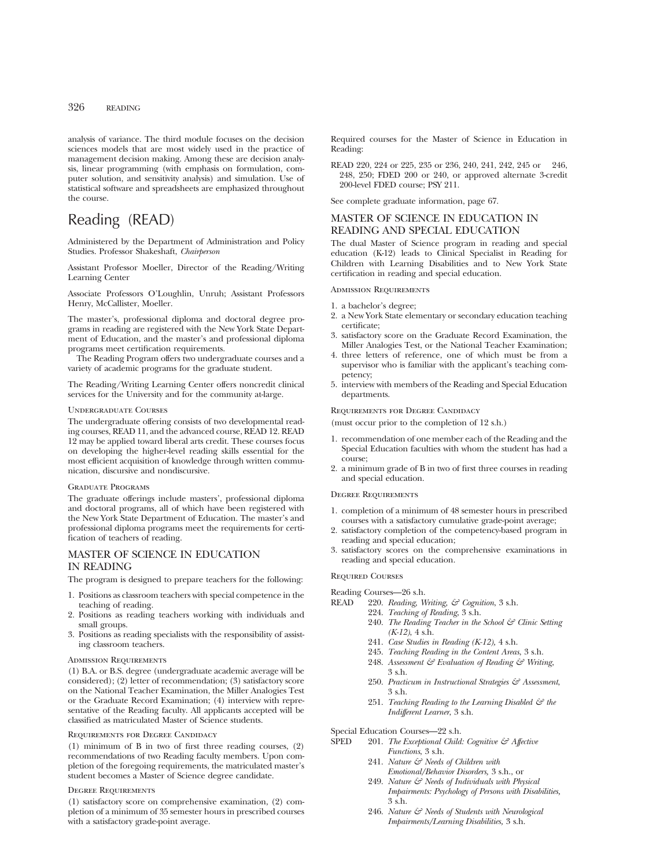## 326 READING

analysis of variance. The third module focuses on the decision sciences models that are most widely used in the practice of management decision making. Among these are decision analysis, linear programming (with emphasis on formulation, computer solution, and sensitivity analysis) and simulation. Use of statistical software and spreadsheets are emphasized throughout the course.

# Reading (READ)

Administered by the Department of Administration and Policy Studies. Professor Shakeshaft, *Chairperson*

Assistant Professor Moeller, Director of the Reading/Writing Learning Center

Associate Professors O'Loughlin, Unruh; Assistant Professors Henry, McCallister, Moeller.

The master's, professional diploma and doctoral degree programs in reading are registered with the New York State Department of Education, and the master's and professional diploma programs meet certification requirements.

The Reading Program offers two undergraduate courses and a variety of academic programs for the graduate student.

The Reading/Writing Learning Center offers noncredit clinical services for the University and for the community at-large.

#### Undergraduate Courses

The undergraduate offering consists of two developmental reading courses, READ 11, and the advanced course, READ 12. READ 12 may be applied toward liberal arts credit. These courses focus on developing the higher-level reading skills essential for the most efficient acquisition of knowledge through written communication, discursive and nondiscursive.

#### Graduate Programs

The graduate offerings include masters', professional diploma and doctoral programs, all of which have been registered with the New York State Department of Education. The master's and professional diploma programs meet the requirements for certification of teachers of reading.

## MASTER OF SCIENCE IN EDUCATION IN READING

The program is designed to prepare teachers for the following:

- 1. Positions as classroom teachers with special competence in the teaching of reading.
- 2. Positions as reading teachers working with individuals and small groups.
- 3. Positions as reading specialists with the responsibility of assisting classroom teachers.

#### Admission Requirements

(1) B.A. or B.S. degree (undergraduate academic average will be considered); (2) letter of recommendation; (3) satisfactory score on the National Teacher Examination, the Miller Analogies Test or the Graduate Record Examination; (4) interview with representative of the Reading faculty. All applicants accepted will be classified as matriculated Master of Science students.

#### Requirements for Degree Candidacy

(1) minimum of B in two of first three reading courses, (2) recommendations of two Reading faculty members. Upon completion of the foregoing requirements, the matriculated master's student becomes a Master of Science degree candidate.

## Degree Requirements

(1) satisfactory score on comprehensive examination, (2) completion of a minimum of 35 semester hours in prescribed courses with a satisfactory grade-point average.

Required courses for the Master of Science in Education in Reading:

READ 220, 224 or 225, 235 or 236, 240, 241, 242, 245 or 246, 248, 250; FDED 200 or 240, or approved alternate 3-credit 200-level FDED course; PSY 211.

See complete graduate information, page 67.

## MASTER OF SCIENCE IN EDUCATION IN READING AND SPECIAL EDUCATION

The dual Master of Science program in reading and special education (K-12) leads to Clinical Specialist in Reading for Children with Learning Disabilities and to New York State certification in reading and special education.

Admission Requirements

- 1. a bachelor's degree;
- 2. a New York State elementary or secondary education teaching certificate;
- 3. satisfactory score on the Graduate Record Examination, the Miller Analogies Test, or the National Teacher Examination;
- 4. three letters of reference, one of which must be from a supervisor who is familiar with the applicant's teaching competency;
- 5. interview with members of the Reading and Special Education departments.

#### Requirements for Degree Candidacy

(must occur prior to the completion of 12 s.h.)

- 1. recommendation of one member each of the Reading and the Special Education faculties with whom the student has had a course;
- 2. a minimum grade of B in two of first three courses in reading and special education.

#### Degree Requirements

- 1. completion of a minimum of 48 semester hours in prescribed courses with a satisfactory cumulative grade-point average;
- 2. satisfactory completion of the competency-based program in reading and special education;
- 3. satisfactory scores on the comprehensive examinations in reading and special education.

## Required Courses

- Reading Courses—26 s.h.<br>READ 220. Reading, W 220. *Reading, Writing, & Cognition*, 3 s.h.
	- 224. *Teaching of Reading*, 3 s.h.
		- 240. *The Reading Teacher in the School & Clinic Setting (K-12)*, 4 s.h.
		- 241. *Case Studies in Reading (K-12),* 4 s.h.
		- 245. *Teaching Reading in the Content Areas*, 3 s.h.
		- 248. *Assessment & Evaluation of Reading & Writing*, 3 s.h.
		- 250. *Practicum in Instructional Strategies & Assessment*, 3 s.h.
		- 251. *Teaching Reading to the Learning Disabled & the Indifferent Learner*, 3 s.h.

Special Education Courses—22 s.h.<br>SPED 201. The Exceptional Child.

- 201. *The Exceptional Child: Cognitive & Affective Functions*, 3 s.h.
	- 241. *Nature & Needs of Children with Emotional/Behavior Disorders,* 3 s.h., or
	- 249. *Nature & Needs of Individuals with Physical Impairments: Psychology of Persons with Disabilities,* 3 s.h.
	- 246. *Nature & Needs of Students with Neurological Impairments/Learning Disabilities,* 3 s.h.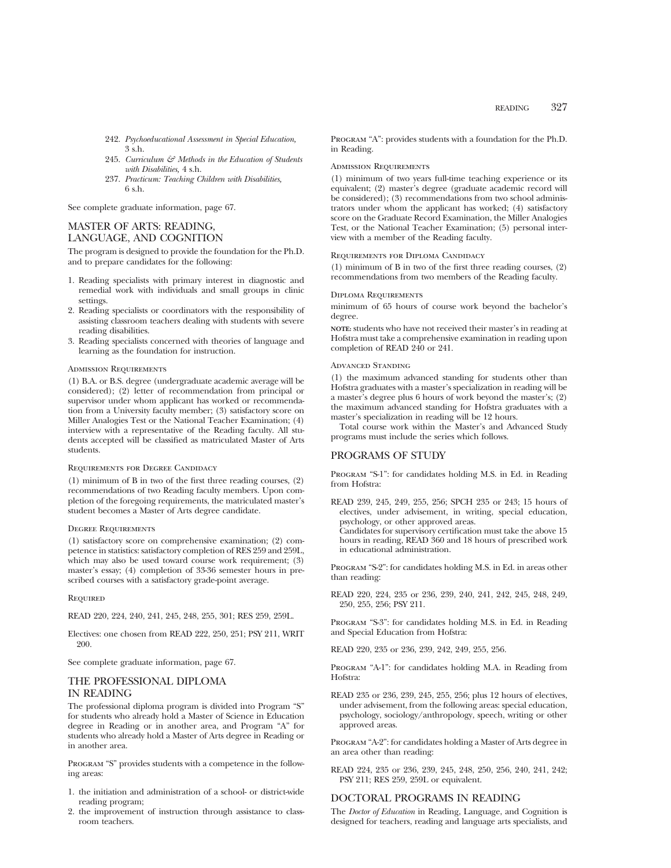- 242. *Psychoeducational Assessment in Special Education,* 3 s.h.
- 245. *Curriculum & Methods in the Education of Students with Disabilities,* 4 s.h.
- 237. *Practicum: Teaching Children with Disabilities,* 6 s.h.

See complete graduate information, page 67.

## MASTER OF ARTS: READING, LANGUAGE, AND COGNITION

The program is designed to provide the foundation for the Ph.D. and to prepare candidates for the following:

- 1. Reading specialists with primary interest in diagnostic and remedial work with individuals and small groups in clinic settings.
- 2. Reading specialists or coordinators with the responsibility of assisting classroom teachers dealing with students with severe reading disabilities.
- 3. Reading specialists concerned with theories of language and learning as the foundation for instruction.

#### Admission Requirements

(1) B.A. or B.S. degree (undergraduate academic average will be considered); (2) letter of recommendation from principal or supervisor under whom applicant has worked or recommendation from a University faculty member; (3) satisfactory score on Miller Analogies Test or the National Teacher Examination; (4) interview with a representative of the Reading faculty. All students accepted will be classified as matriculated Master of Arts students.

#### Requirements for Degree Candidacy

(1) minimum of B in two of the first three reading courses, (2) recommendations of two Reading faculty members. Upon completion of the foregoing requirements, the matriculated master's student becomes a Master of Arts degree candidate.

#### DEGREE REQUIREMENTS

(1) satisfactory score on comprehensive examination; (2) competence in statistics: satisfactory completion of RES 259 and 259L, which may also be used toward course work requirement; (3) master's essay; (4) completion of 33-36 semester hours in prescribed courses with a satisfactory grade-point average.

#### **REQUIRED**

READ 220, 224, 240, 241, 245, 248, 255, 301; RES 259, 259L.

Electives: one chosen from READ 222, 250, 251; PSY 211, WRIT 200.

See complete graduate information, page 67.

## THE PROFESSIONAL DIPLOMA IN READING

The professional diploma program is divided into Program "S" for students who already hold a Master of Science in Education degree in Reading or in another area, and Program "A" for students who already hold a Master of Arts degree in Reading or in another area.

PROGRAM "S" provides students with a competence in the following areas:

- 1. the initiation and administration of a school- or district-wide reading program;
- 2. the improvement of instruction through assistance to classroom teachers.

Program "A": provides students with a foundation for the Ph.D. in Reading.

#### Admission Requirements

(1) minimum of two years full-time teaching experience or its equivalent; (2) master's degree (graduate academic record will be considered); (3) recommendations from two school administrators under whom the applicant has worked; (4) satisfactory score on the Graduate Record Examination, the Miller Analogies Test, or the National Teacher Examination; (5) personal interview with a member of the Reading faculty.

#### Requirements for Diploma Candidacy

(1) minimum of B in two of the first three reading courses, (2) recommendations from two members of the Reading faculty.

#### Diploma Requirements

minimum of 65 hours of course work beyond the bachelor's degree.

**NOTE:** students who have not received their master's in reading at Hofstra must take a comprehensive examination in reading upon completion of READ 240 or 241.

#### Advanced Standing

(1) the maximum advanced standing for students other than Hofstra graduates with a master's specialization in reading will be a master's degree plus 6 hours of work beyond the master's; (2) the maximum advanced standing for Hofstra graduates with a master's specialization in reading will be 12 hours.

Total course work within the Master's and Advanced Study programs must include the series which follows.

## PROGRAMS OF STUDY

Program "S-1": for candidates holding M.S. in Ed. in Reading from Hofstra:

READ 239, 245, 249, 255, 256; SPCH 235 or 243; 15 hours of electives, under advisement, in writing, special education, psychology, or other approved areas.

Candidates for supervisory certification must take the above 15 hours in reading, READ 360 and 18 hours of prescribed work in educational administration.

Program "S-2": for candidates holding M.S. in Ed. in areas other than reading:

READ 220, 224, 235 or 236, 239, 240, 241, 242, 245, 248, 249, 250, 255, 256; PSY 211.

Program "S-3": for candidates holding M.S. in Ed. in Reading and Special Education from Hofstra:

READ 220, 235 or 236, 239, 242, 249, 255, 256.

Program "A-1": for candidates holding M.A. in Reading from Hofstra:

READ 235 or 236, 239, 245, 255, 256; plus 12 hours of electives, under advisement, from the following areas: special education, psychology, sociology/anthropology, speech, writing or other approved areas.

Program "A-2": for candidates holding a Master of Arts degree in an area other than reading:

READ 224, 235 or 236, 239, 245, 248, 250, 256, 240, 241, 242; PSY 211; RES 259, 259L or equivalent.

#### DOCTORAL PROGRAMS IN READING

The *Doctor of Education* in Reading, Language, and Cognition is designed for teachers, reading and language arts specialists, and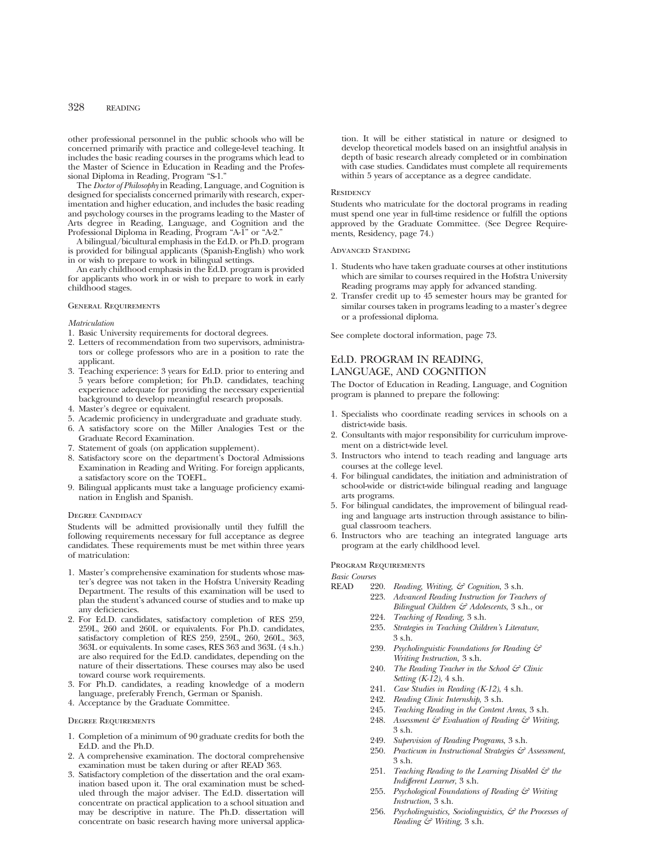## 328 READING

other professional personnel in the public schools who will be concerned primarily with practice and college-level teaching. It includes the basic reading courses in the programs which lead to the Master of Science in Education in Reading and the Professional Diploma in Reading, Program "S-1."

The *Doctor of Philosophy* in Reading, Language, and Cognition is designed for specialists concerned primarily with research, experimentation and higher education, and includes the basic reading and psychology courses in the programs leading to the Master of Arts degree in Reading, Language, and Cognition and the Professional Diploma in Reading, Program "A-1" or "A-2."

A bilingual/bicultural emphasis in the Ed.D. or Ph.D. program is provided for bilingual applicants (Spanish-English) who work in or wish to prepare to work in bilingual settings.

An early childhood emphasis in the Ed.D. program is provided for applicants who work in or wish to prepare to work in early childhood stages.

#### General Requirements

#### *Matriculation*

- 1. Basic University requirements for doctoral degrees.
- 2. Letters of recommendation from two supervisors, administrators or college professors who are in a position to rate the applicant.
- 3. Teaching experience: 3 years for Ed.D. prior to entering and 5 years before completion; for Ph.D. candidates, teaching experience adequate for providing the necessary experiential background to develop meaningful research proposals.
- 4. Master's degree or equivalent.
- 5. Academic proficiency in undergraduate and graduate study.
- 6. A satisfactory score on the Miller Analogies Test or the Graduate Record Examination.
- 7. Statement of goals (on application supplement).
- 8. Satisfactory score on the department's Doctoral Admissions Examination in Reading and Writing. For foreign applicants, a satisfactory score on the TOEFL.
- 9. Bilingual applicants must take a language proficiency examination in English and Spanish.

#### Degree Candidacy

Students will be admitted provisionally until they fulfill the following requirements necessary for full acceptance as degree candidates. These requirements must be met within three years of matriculation:

- 1. Master's comprehensive examination for students whose master's degree was not taken in the Hofstra University Reading Department. The results of this examination will be used to plan the student's advanced course of studies and to make up any deficiencies.
- 2. For Ed.D. candidates, satisfactory completion of RES 259, 259L, 260 and 260L or equivalents. For Ph.D. candidates, satisfactory completion of RES 259, 259L, 260, 260L, 363, 363L or equivalents. In some cases, RES 363 and 363L (4 s.h.) are also required for the Ed.D. candidates, depending on the nature of their dissertations. These courses may also be used toward course work requirements.
- 3. For Ph.D. candidates, a reading knowledge of a modern language, preferably French, German or Spanish.
- 4. Acceptance by the Graduate Committee.

#### Degree Requirements

- 1. Completion of a minimum of 90 graduate credits for both the Ed.D. and the Ph.D.
- 2. A comprehensive examination. The doctoral comprehensive examination must be taken during or after READ 363.
- 3. Satisfactory completion of the dissertation and the oral examination based upon it. The oral examination must be scheduled through the major adviser. The Ed.D. dissertation will concentrate on practical application to a school situation and may be descriptive in nature. The Ph.D. dissertation will concentrate on basic research having more universal applica-

tion. It will be either statistical in nature or designed to develop theoretical models based on an insightful analysis in depth of basic research already completed or in combination with case studies. Candidates must complete all requirements within 5 years of acceptance as a degree candidate.

#### **RESIDENCY**

Students who matriculate for the doctoral programs in reading must spend one year in full-time residence or fulfill the options approved by the Graduate Committee. (See Degree Requirements, Residency, page 74.)

Advanced Standing

- 1. Students who have taken graduate courses at other institutions which are similar to courses required in the Hofstra University Reading programs may apply for advanced standing.
- 2. Transfer credit up to 45 semester hours may be granted for similar courses taken in programs leading to a master's degree or a professional diploma.

See complete doctoral information, page 73.

## Ed.D. PROGRAM IN READING, LANGUAGE, AND COGNITION

The Doctor of Education in Reading, Language, and Cognition program is planned to prepare the following:

- 1. Specialists who coordinate reading services in schools on a district-wide basis.
- 2. Consultants with major responsibility for curriculum improvement on a district-wide level.
- 3. Instructors who intend to teach reading and language arts courses at the college level.
- 4. For bilingual candidates, the initiation and administration of school-wide or district-wide bilingual reading and language arts programs.
- 5. For bilingual candidates, the improvement of bilingual reading and language arts instruction through assistance to bilingual classroom teachers.
- 6. Instructors who are teaching an integrated language arts program at the early childhood level.

#### Program Requirements

*Basic Courses*

- 220. *Reading, Writing, & Cognition, 3 s.h.* 
	- 223. *Advanced Reading Instruction for Teachers of Bilingual Children & Adolescents*, 3 s.h., or
	- 224. *Teaching of Reading*, 3 s.h.
	- 235. *Strategies in Teaching Children's Literature*,  $3$  sh.
	- 239. *Psycholinguistic Foundations for Reading & Writing Instruction,* 3 s.h.
	- 240. *The Reading Teacher in the School & Clinic Setting (K-12)*, 4 s.h.
	- 241. *Case Studies in Reading (K-12)*, 4 s.h.
	- 242. *Reading Clinic Internship*, 3 s.h.
	- 245. *Teaching Reading in the Content Areas*, 3 s.h.
	- 248. *Assessment & Evaluation of Reading & Writing*, 3 s.h.
	- 249. *Supervision of Reading Programs*, 3 s.h.
	- 250. *Practicum in Instructional Strategies & Assessment*, 3 s.h.
	- 251. *Teaching Reading to the Learning Disabled & the Indifferent Learner*, 3 s.h.
	- 255. *Psychological Foundations of Reading & Writing Instruction*, 3 s.h.
	- 256. *Psycholinguistics, Sociolinguistics, & the Processes of Reading & Writing*, 3 s.h.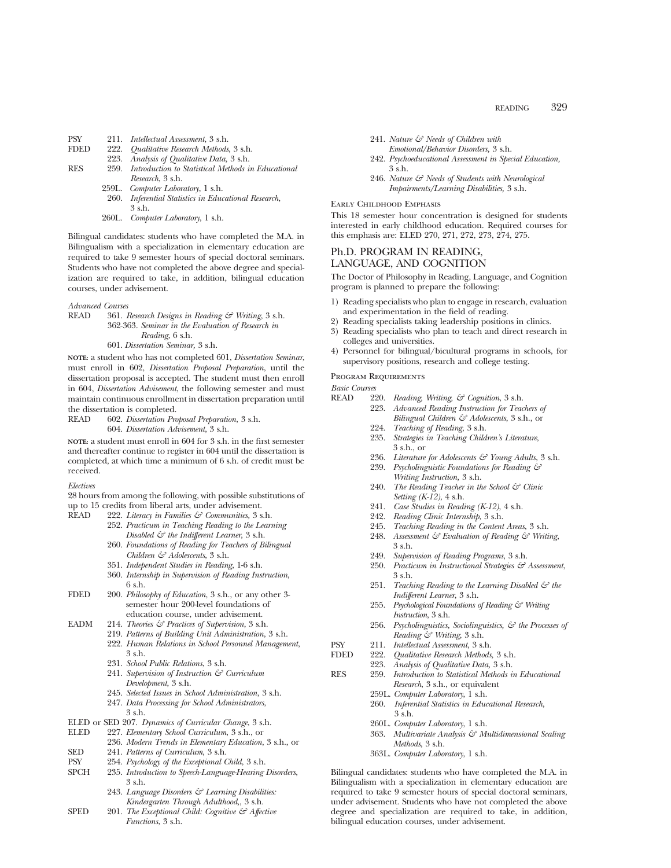| <b>PSY</b>  |       | 211. Intellectual Assessment, 3 s.h.                    |
|-------------|-------|---------------------------------------------------------|
| <b>FDED</b> | 222.  | <i>Qualitative Research Methods, 3 s.h.</i>             |
|             |       | 223. Analysis of Qualitative Data, 3 s.h.               |
| <b>RES</b>  |       | 259. Introduction to Statistical Methods in Educational |
|             |       | Research, 3 s.h.                                        |
|             |       | 259L. Computer Laboratory, 1 s.h.                       |
|             | 260.  | Inferential Statistics in Educational Research,         |
|             |       | 3 s.h.                                                  |
|             | 260L. | Computer Laboratory, 1 s.h.                             |
|             |       |                                                         |

Bilingual candidates: students who have completed the M.A. in Bilingualism with a specialization in elementary education are required to take 9 semester hours of special doctoral seminars. Students who have not completed the above degree and specialization are required to take, in addition, bilingual education courses, under advisement.

*Advanced Courses*

READ 361. *Research Designs in Reading & Writing*, 3 s.h. 362-363. *Seminar in the Evaluation of Research in Reading*, 6 s.h. 601. *Dissertation Seminar,* 3 s.h.

**NOTE:** a student who has not completed 601, *Dissertation Seminar*, must enroll in 602, *Dissertation Proposal Preparation*, until the dissertation proposal is accepted. The student must then enroll in 604, *Dissertation Advisement*, the following semester and must maintain continuous enrollment in dissertation preparation until the dissertation is completed.

READ 602. *Dissertation Proposal Preparation*, 3 s.h. 604. *Dissertation Advisement*, 3 s.h.

**NOTE:** a student must enroll in 604 for 3 s.h. in the first semester and thereafter continue to register in 604 until the dissertation is completed, at which time a minimum of 6 s.h. of credit must be received.

*Electives*

28 hours from among the following, with possible substitutions of up to 15 credits from liberal arts, under advisement.

- READ 222. *Literacy in Families & Communities,* 3 s.h.
	- 252. *Practicum in Teaching Reading to the Learning Disabled & the Indifferent Learner*, 3 s.h.
	- 260. *Foundations of Reading for Teachers of Bilingual Children & Adolescents*, 3 s.h.
	- 351. *Independent Studies in Reading*, 1-6 s.h.
	- 360. *Internship in Supervision of Reading Instruction*, 6 s.h.
- FDED 200. *Philosophy of Education*, 3 s.h., or any other 3 semester hour 200-level foundations of education course, under advisement.
- EADM 214. *Theories & Practices of Supervision*, 3 s.h.
	- 219. *Patterns of Building Unit Administration*, 3 s.h.
	- 222. *Human Relations in School Personnel Management*, 3 s.h.
	- 231. *School Public Relations*, 3 s.h.
	- 241. *Supervision of Instruction & Curriculum Development*, 3 s.h.
	- 245. *Selected Issues in School Administration*, 3 s.h.
	- 247. *Data Processing for School Administrators*, 3 s.h.
- 
- ELED or SED 207. *Dynamics of Curricular Change*, 3 s.h. 227. *Elementary School Curriculum*, 3 s.h., or
- 236. *Modern Trends in Elementary Education*, 3 s.h., or
- SED 241. *Patterns of Curriculum*, 3 s.h.
- 
- PSY 254. *Psychology of the Exceptional Child*, 3 s.h.<br>SPCH 235. *Introduction to Speech-Language-Hearing*. 235. *Introduction to Speech-Language-Hearing Disorders*, 3 s.h.
	- 243. *Language Disorders & Learning Disabilities: Kindergarten Through Adulthood,*, 3 s.h.
- SPED 201. *The Exceptional Child: Cognitive & Affective Functions*, 3 s.h.
- 241. *Nature & Needs of Children with*
- *Emotional/Behavior Disorders,* 3 s.h.
- 242. *Psychoeducational Assessment in Special Education,* 3 s.h.
- 246. *Nature & Needs of Students with Neurological Impairments/Learning Disabilities,* 3 s.h.

Early Childhood Emphasis

This 18 semester hour concentration is designed for students interested in early childhood education. Required courses for this emphasis are: ELED 270, 271, 272, 273, 274, 275.

## Ph.D. PROGRAM IN READING, LANGUAGE, AND COGNITION

The Doctor of Philosophy in Reading, Language, and Cognition program is planned to prepare the following:

- 1) Reading specialists who plan to engage in research, evaluation and experimentation in the field of reading.
- 2) Reading specialists taking leadership positions in clinics.
- 3) Reading specialists who plan to teach and direct research in colleges and universities.
- 4) Personnel for bilingual/bicultural programs in schools, for supervisory positions, research and college testing.

Program Requirements

*Basic Courses*

- READ 220. *Reading, Writing, & Cognition*, 3 s.h.  $Advanced Reading Instruction for Teachers of$ 
	- *Bilingual Children & Adolescents*, 3 s.h., or 224. *Teaching of Reading*, 3 s.h.
	- 235. *Strategies in Teaching Children's Literature*, 3 s.h., or
	- 236. *Literature for Adolescents & Young Adults*, 3 s.h.<br>239. *Psycholinguistic Foundations for Reading &* 239. *Psycholinguistic Foundations for Reading &*
	- *Writing Instruction,* 3 s.h. 240. *The Reading Teacher in the School & Clinic*
	- *Setting (K-12)*, 4 s.h.
	- 241. *Case Studies in Reading (K-12)*, 4 s.h.
	- 242. *Reading Clinic Internship*, 3 s.h.
	- 245. *Teaching Reading in the Content Areas*, 3 s.h. 248. *Assessment & Evaluation of Reading & Writing*, 3 s.h.
	- 249. *Supervision of Reading Programs*, 3 s.h.
	- 250. *Practicum in Instructional Strategies & Assessment*, 3 s.h.
	- 251. *Teaching Reading to the Learning Disabled & the Indifferent Learner*, 3 s.h.
	- 255. *Psychological Foundations of Reading & Writing Instruction*, 3 s.h.
	- 256. *Psycholinguistics, Sociolinguistics, & the Processes of Reading & Writing*, 3 s.h.
- PSY 211. *Intellectual Assessment*, 3 s.h.
	- FDED 222. *Qualitative Research Methods,* 3 s.h.
	- 223. *Analysis of Qualitative Data,* 3 s.h.
- RES 259. *Introduction to Statistical Methods in Educational Research*, 3 s.h., or equivalent
	- 259L. *Computer Laboratory*, 1 s.h.
	- 260. *Inferential Statistics in Educational Research*, 3 s.h.
	- 260L. *Computer Laboratory*, 1 s.h.
	- 363. *Multivariate Analysis & Multidimensional Scaling Methods*, 3 s.h.
	- 363L. *Computer Laboratory*, 1 s.h.

Bilingual candidates: students who have completed the M.A. in Bilingualism with a specialization in elementary education are required to take 9 semester hours of special doctoral seminars, under advisement. Students who have not completed the above degree and specialization are required to take, in addition, bilingual education courses, under advisement.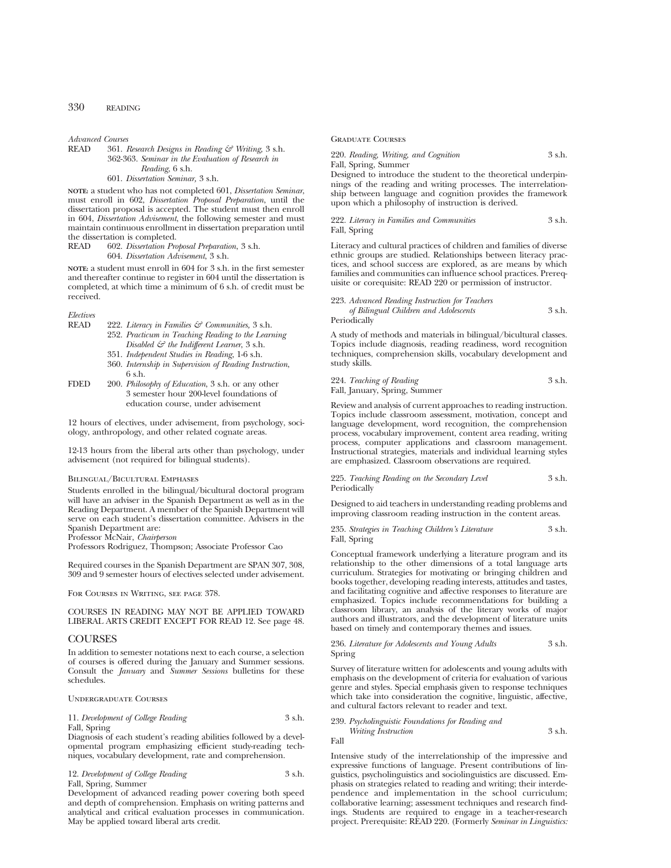*Advanced Courses*

READ 361. *Research Designs in Reading & Writing,* 3 s.h. 362-363. *Seminar in the Evaluation of Research in Reading*, 6 s.h.

601. *Dissertation Seminar,* 3 s.h.

**NOTE:** a student who has not completed 601, *Dissertation Seminar*, must enroll in 602, *Dissertation Proposal Preparation*, until the dissertation proposal is accepted. The student must then enroll in 604, *Dissertation Advisement*, the following semester and must maintain continuous enrollment in dissertation preparation until the dissertation is completed.<br>READ 602. Dissertation Pro

READ 602. *Dissertation Proposal Preparation*, 3 s.h. 604. *Dissertation Advisement*, 3 s.h.

**NOTE:** a student must enroll in 604 for 3 s.h. in the first semester and thereafter continue to register in 604 until the dissertation is completed, at which time a minimum of 6 s.h. of credit must be received.

# *Electives*

- READ 222. *Literacy in Families & Communities,* 3 s.h.
- 252. *Practicum in Teaching Reading to the Learning Disabled & the Indifferent Learner*, 3 s.h. 351. *Independent Studies in Reading*, 1-6 s.h.
- 360. *Internship in Supervision of Reading Instruction*,  $6 \,$ s.h.
- FDED 200. *Philosophy of Education*, 3 s.h. or any other 3 semester hour 200-level foundations of education course, under advisement

12 hours of electives, under advisement, from psychology, sociology, anthropology, and other related cognate areas.

12-13 hours from the liberal arts other than psychology, under advisement (not required for bilingual students).

#### Bilingual/Bicultural Emphases

Students enrolled in the bilingual/bicultural doctoral program will have an adviser in the Spanish Department as well as in the Reading Department. A member of the Spanish Department will serve on each student's dissertation committee. Advisers in the Spanish Department are:

Professor McNair, *Chairperson*

Professors Rodriguez, Thompson; Associate Professor Cao

Required courses in the Spanish Department are SPAN 307, 308, 309 and 9 semester hours of electives selected under advisement.

For Courses in Writing, see page 378.

#### COURSES IN READING MAY NOT BE APPLIED TOWARD LIBERAL ARTS CREDIT EXCEPT FOR READ 12. See page 48.

#### COURSES

In addition to semester notations next to each course, a selection of courses is offered during the January and Summer sessions. Consult the *January* and *Summer Sessions* bulletins for these schedules.

Undergraduate Courses

## 11. *Development of College Reading* 3 s.h.

#### Fall, Spring

Diagnosis of each student's reading abilities followed by a developmental program emphasizing efficient study-reading techniques, vocabulary development, rate and comprehension.

12. *Development of College Reading* 3 s.h. Fall, Spring, Summer

Development of advanced reading power covering both speed and depth of comprehension. Emphasis on writing patterns and analytical and critical evaluation processes in communication. May be applied toward liberal arts credit.

#### Graduate Courses

220. *Reading, Writing, and Cognition* 3 s.h. Fall, Spring, Summer

Designed to introduce the student to the theoretical underpinnings of the reading and writing processes. The interrelationship between language and cognition provides the framework upon which a philosophy of instruction is derived.

#### 222. *Literacy in Families and Communities* 3 s.h. Fall, Spring

Literacy and cultural practices of children and families of diverse ethnic groups are studied. Relationships between literacy practices, and school success are explored, as are means by which families and communities can influence school practices. Prerequisite or corequisite: READ 220 or permission of instructor.

#### 223. *Advanced Reading Instruction for Teachers of Bilingual Children and Adolescents* 3 s.h. Periodically

A study of methods and materials in bilingual/bicultural classes. Topics include diagnosis, reading readiness, word recognition techniques, comprehension skills, vocabulary development and study skills.

224. *Teaching of Reading* 3 s.h. Fall, January, Spring, Summer

Review and analysis of current approaches to reading instruction. Topics include classroom assessment, motivation, concept and language development, word recognition, the comprehension process, vocabulary improvement, content area reading, writing process, computer applications and classroom management. Instructional strategies, materials and individual learning styles are emphasized. Classroom observations are required.

#### 225. *Teaching Reading on the Secondary Level* 3 s.h. Periodically

Designed to aid teachers in understanding reading problems and improving classroom reading instruction in the content areas.

#### 235. *Strategies in Teaching Children's Literature* 3 s.h. Fall, Spring

Conceptual framework underlying a literature program and its relationship to the other dimensions of a total language arts curriculum. Strategies for motivating or bringing children and books together, developing reading interests, attitudes and tastes, and facilitating cognitive and affective responses to literature are emphasized. Topics include recommendations for building a classroom library, an analysis of the literary works of major authors and illustrators, and the development of literature units based on timely and contemporary themes and issues.

#### 236. *Literature for Adolescents and Young Adults* 3 s.h. Spring

Survey of literature written for adolescents and young adults with emphasis on the development of criteria for evaluation of various genre and styles. Special emphasis given to response techniques which take into consideration the cognitive, linguistic, affective, and cultural factors relevant to reader and text.

#### 239. *Psycholinguistic Foundations for Reading and Writing Instruction* 3 s.h.

Fall

Intensive study of the interrelationship of the impressive and expressive functions of language. Present contributions of linguistics, psycholinguistics and sociolinguistics are discussed. Emphasis on strategies related to reading and writing; their interdependence and implementation in the school curriculum; collaborative learning; assessment techniques and research findings. Students are required to engage in a teacher-research project. Prerequisite: READ 220. (Formerly *Seminar in Linguistics:*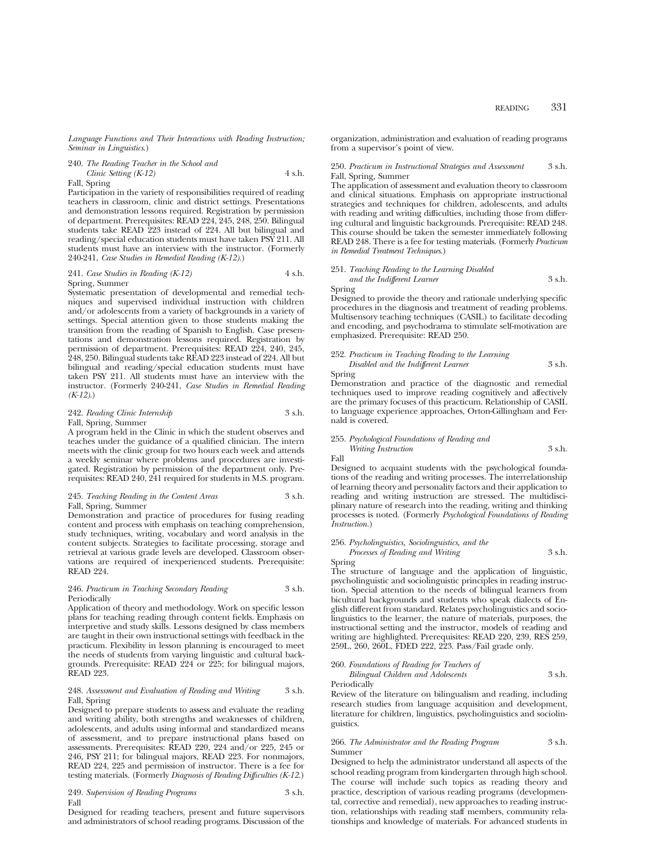240. *The Reading Teacher in the School and*

$$
Clinic Setting (K-12) \t\t 4 s.h.
$$

Fall, Spring

Participation in the variety of responsibilities required of reading teachers in classroom, clinic and district settings. Presentations and demonstration lessons required. Registration by permission of department. Prerequisites: READ 224, 245, 248, 250. Bilingual students take READ 223 instead of 224. All but bilingual and reading/special education students must have taken PSY 211. All students must have an interview with the instructor. (Formerly 240-241, *Case Studies in Remedial Reading (K-12)*.)

241. *Case Studies in Reading (K-12)* 4 s.h. Spring, Summer

Systematic presentation of developmental and remedial techniques and supervised individual instruction with children and/or adolescents from a variety of backgrounds in a variety of settings. Special attention given to those students making the transition from the reading of Spanish to English. Case presentations and demonstration lessons required. Registration by permission of department. Prerequisites: READ 224, 240, 245, 248, 250. Bilingual students take READ 223 instead of 224. All but bilingual and reading/special education students must have taken PSY 211. All students must have an interview with the instructor. (Formerly 240-241, *Case Studies in Remedial Reading (K-12)*.)

#### 242. *Reading Clinic Internship* 3 s.h. Fall, Spring, Summer

A program held in the Clinic in which the student observes and teaches under the guidance of a qualified clinician. The intern meets with the clinic group for two hours each week and attends a weekly seminar where problems and procedures are investigated. Registration by permission of the department only. Prerequisites: READ 240, 241 required for students in M.S. program.

#### 245. *Teaching Reading in the Content Areas* 3 s.h. Fall, Spring, Summer

Demonstration and practice of procedures for fusing reading content and process with emphasis on teaching comprehension, study techniques, writing, vocabulary and word analysis in the content subjects. Strategies to facilitate processing, storage and retrieval at various grade levels are developed. Classroom observations are required of inexperienced students. Prerequisite: READ 224.

#### 246. *Practicum in Teaching Secondary Reading* 3 s.h. Periodically

Application of theory and methodology. Work on specific lesson plans for teaching reading through content fields. Emphasis on interpretive and study skills. Lessons designed by class members are taught in their own instructional settings with feedback in the practicum. Flexibility in lesson planning is encouraged to meet the needs of students from varying linguistic and cultural backgrounds. Prerequisite: READ 224 or 225; for bilingual majors, READ 223.

#### 248. *Assessment and Evaluation of Reading and Writing* 3 s.h. Fall, Spring

Designed to prepare students to assess and evaluate the reading and writing ability, both strengths and weaknesses of children, adolescents, and adults using informal and standardized means of assessment, and to prepare instructional plans based on assessments. Prerequisites: READ 220, 224 and/or 225, 245 or 246, PSY 211; for bilingual majors, READ 223. For nonmajors, READ 224, 225 and permission of instructor. There is a fee for testing materials. (Formerly *Diagnosis of Reading Difficulties (K-12.*)

#### 249. *Supervision of Reading Programs* 3 s.h. Fall

Designed for reading teachers, present and future supervisors and administrators of school reading programs. Discussion of the organization, administration and evaluation of reading programs from a supervisor's point of view.

#### 250. *Practicum in Instructional Strategies and Assessment* 3 s.h. Fall, Spring, Summer

The application of assessment and evaluation theory to classroom and clinical situations. Emphasis on appropriate instructional strategies and techniques for children, adolescents, and adults with reading and writing difficulties, including those from differing cultural and linguistic backgrounds. Prerequisite: READ 248. This course should be taken the semester immediately following READ 248. There is a fee for testing materials. (Formerly *Practicum in Remedial Treatment Techniques.*)

## 251. *Teaching Reading to the Learning Disabled and the Indifferent Learner* 3 s.h.

Spring Designed to provide the theory and rationale underlying specific procedures in the diagnosis and treatment of reading problems. Multisensory teaching techniques (CASIL) to facilitate decoding and encoding, and psychodrama to stimulate self-motivation are emphasized. Prerequisite: READ 250.

## 252. *Practicum in Teaching Reading to the Learning Disabled and the Indifferent Learner* 3 s.h.

Spring

Demonstration and practice of the diagnostic and remedial techniques used to improve reading cognitively and affectively are the primary focuses of this practicum. Relationship of CASIL to language experience approaches, Orton-Gillingham and Fernald is covered.

#### 255. *Psychological Foundations of Reading and*

*Writing Instruction* 3 s.h. Fall

Designed to acquaint students with the psychological foundations of the reading and writing processes. The interrelationship of learning theory and personality factors and their application to reading and writing instruction are stressed. The multidisciplinary nature of research into the reading, writing and thinking processes is noted. (Formerly *Psychological Foundations of Reading Instruction.*)

#### 256. *Psycholinguistics, Sociolinguistics, and the Processes of Reading and Writing* 3 s.h.

Spring The structure of language and the application of linguistic, psycholinguistic and sociolinguistic principles in reading instruction. Special attention to the needs of bilingual learners from bicultural backgrounds and students who speak dialects of English different from standard. Relates psycholinguistics and sociolinguistics to the learner, the nature of materials, purposes, the instructional setting and the instructor, models of reading and writing are highlighted. Prerequisites: READ 220, 239, RES 259, 259L, 260, 260L, FDED 222, 223. Pass/Fail grade only.

| 260. Foundations of Reading for Teachers of |        |
|---------------------------------------------|--------|
| Bilingual Children and Adolescents          | 3 s.h. |
|                                             |        |

Periodically Review of the literature on bilingualism and reading, including research studies from language acquisition and development, literature for children, linguistics, psycholinguistics and sociolinguistics.

#### 266. *The Administrator and the Reading Program* 3 s.h. Summer

Designed to help the administrator understand all aspects of the school reading program from kindergarten through high school. The course will include such topics as reading theory and practice, description of various reading programs (developmental, corrective and remedial), new approaches to reading instruction, relationships with reading staff members, community relationships and knowledge of materials. For advanced students in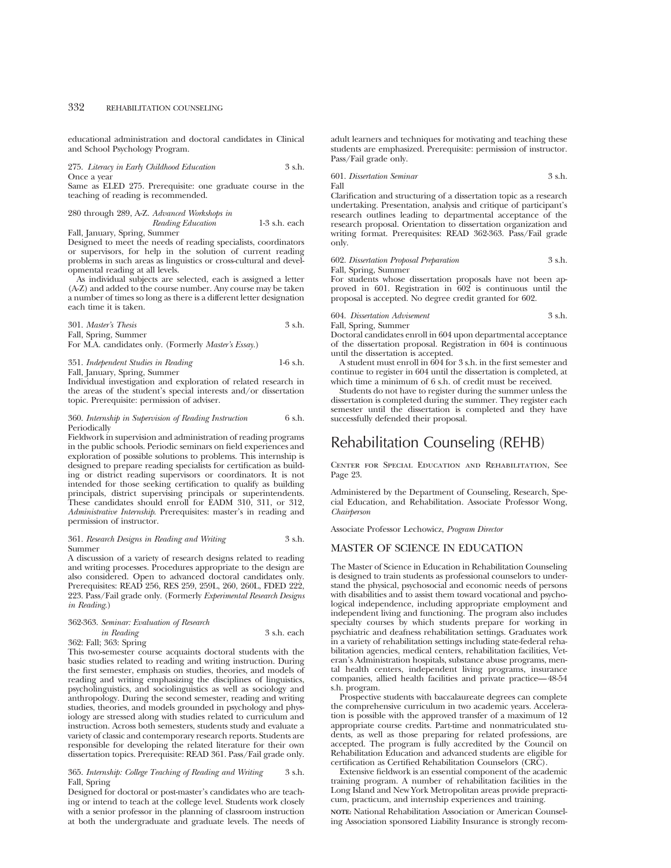educational administration and doctoral candidates in Clinical and School Psychology Program.

275. *Literacy in Early Childhood Education* 3 s.h. Once a year

Same as ELED 275. Prerequisite: one graduate course in the teaching of reading is recommended.

280 through 289, A-Z. *Advanced Workshops in Reading Education* 1-3 s.h. each

Fall, January, Spring, Summer

Designed to meet the needs of reading specialists, coordinators or supervisors, for help in the solution of current reading problems in such areas as linguistics or cross-cultural and developmental reading at all levels.

As individual subjects are selected, each is assigned a letter (A-Z) and added to the course number. Any course may be taken a number of times so long as there is a different letter designation each time it is taken.

| 301. Master's Thesis | 3 s.h. |
|----------------------|--------|
| Fall, Spring, Summer |        |

For M.A. candidates only. (Formerly *Master's Essay.*)

351. *Independent Studies in Reading* 1-6 s.h. Fall, January, Spring, Summer

Individual investigation and exploration of related research in the areas of the student's special interests and/or dissertation topic. Prerequisite: permission of adviser.

#### 360. *Internship in Supervision of Reading Instruction* 6 s.h. Periodically

Fieldwork in supervision and administration of reading programs in the public schools. Periodic seminars on field experiences and exploration of possible solutions to problems. This internship is designed to prepare reading specialists for certification as building or district reading supervisors or coordinators. It is not intended for those seeking certification to qualify as building principals, district supervising principals or superintendents. These candidates should enroll for EADM 310, 311, or 312, *Administrative Internship*. Prerequisites: master's in reading and permission of instructor.

#### 361. *Research Designs in Reading and Writing* 3 s.h. Summer

A discussion of a variety of research designs related to reading and writing processes. Procedures appropriate to the design are also considered. Open to advanced doctoral candidates only. Prerequisites: READ 256, RES 259, 259L, 260, 260L, FDED 222, 223. Pass/Fail grade only. (Formerly *Experimental Research Designs in Reading*.)

# 362-363. *Seminar: Evaluation of Research*

*in Reading* 3 s.h. each

362: Fall; 363: Spring

This two-semester course acquaints doctoral students with the basic studies related to reading and writing instruction. During the first semester, emphasis on studies, theories, and models of reading and writing emphasizing the disciplines of linguistics, psycholinguistics, and sociolinguistics as well as sociology and anthropology. During the second semester, reading and writing studies, theories, and models grounded in psychology and physiology are stressed along with studies related to curriculum and instruction. Across both semesters, students study and evaluate a variety of classic and contemporary research reports. Students are responsible for developing the related literature for their own dissertation topics. Prerequisite: READ 361. Pass/Fail grade only.

365. Internship: College Teaching of Reading and Writing Fall, Spring

Designed for doctoral or post-master's candidates who are teaching or intend to teach at the college level. Students work closely with a senior professor in the planning of classroom instruction at both the undergraduate and graduate levels. The needs of adult learners and techniques for motivating and teaching these students are emphasized. Prerequisite: permission of instructor. Pass/Fail grade only.

$$
601. \ Discentration\ Seminar \hspace{2.5cm} 3\ \mathrm{s.h.}
$$
 Fall

Clarification and structuring of a dissertation topic as a research undertaking. Presentation, analysis and critique of participant's research outlines leading to departmental acceptance of the research proposal. Orientation to dissertation organization and writing format. Prerequisites: READ 362-363. Pass/Fail grade only.

602. *Dissertation Proposal Preparation* 3 s.h. Fall, Spring, Summer

For students whose dissertation proposals have not been approved in 601. Registration in 602 is continuous until the proposal is accepted. No degree credit granted for 602.

604. *Dissertation Advisement* 3 s.h.

Fall, Spring, Summer

Doctoral candidates enroll in 604 upon departmental acceptance of the dissertation proposal. Registration in 604 is continuous until the dissertation is accepted.

A student must enroll in 604 for 3 s.h. in the first semester and continue to register in 604 until the dissertation is completed, at which time a minimum of 6 s.h. of credit must be received.

Students do not have to register during the summer unless the dissertation is completed during the summer. They register each semester until the dissertation is completed and they have successfully defended their proposal.

# Rehabilitation Counseling (REHB)

Center for Special Education and Rehabilitation, See Page 23.

Administered by the Department of Counseling, Research, Special Education, and Rehabilitation. Associate Professor Wong, *Chairperson*

Associate Professor Lechowicz, *Program Director*

## MASTER OF SCIENCE IN EDUCATION

The Master of Science in Education in Rehabilitation Counseling is designed to train students as professional counselors to understand the physical, psychosocial and economic needs of persons with disabilities and to assist them toward vocational and psychological independence, including appropriate employment and independent living and functioning. The program also includes specialty courses by which students prepare for working in psychiatric and deafness rehabilitation settings. Graduates work in a variety of rehabilitation settings including state-federal rehabilitation agencies, medical centers, rehabilitation facilities, Veteran's Administration hospitals, substance abuse programs, mental health centers, independent living programs, insurance companies, allied health facilities and private practice—48-54 s.h. program.

Prospective students with baccalaureate degrees can complete the comprehensive curriculum in two academic years. Acceleration is possible with the approved transfer of a maximum of 12 appropriate course credits. Part-time and nonmatriculated students, as well as those preparing for related professions, are accepted. The program is fully accredited by the Council on Rehabilitation Education and advanced students are eligible for certification as Certified Rehabilitation Counselors (CRC).

Extensive fieldwork is an essential component of the academic training program. A number of rehabilitation facilities in the Long Island and New York Metropolitan areas provide prepracticum, practicum, and internship experiences and training.

**NOTE:** National Rehabilitation Association or American Counseling Association sponsored Liability Insurance is strongly recom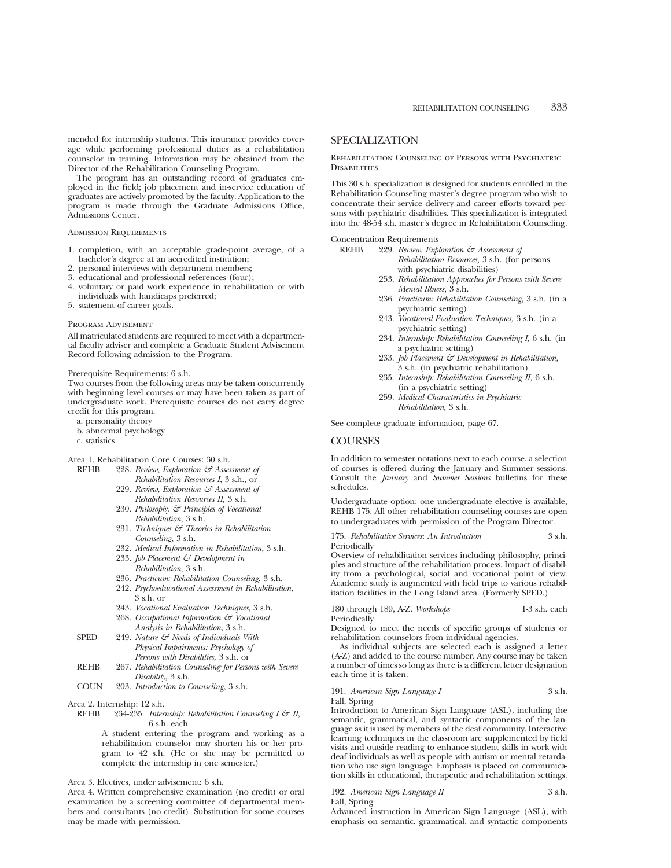mended for internship students. This insurance provides coverage while performing professional duties as a rehabilitation counselor in training. Information may be obtained from the Director of the Rehabilitation Counseling Program.

The program has an outstanding record of graduates employed in the field; job placement and in-service education of graduates are actively promoted by the faculty. Application to the program is made through the Graduate Admissions Office, Admissions Center.

#### Admission Requirements

- 1. completion, with an acceptable grade-point average, of a bachelor's degree at an accredited institution;
- 2. personal interviews with department members;
- 3. educational and professional references (four);
- 4. voluntary or paid work experience in rehabilitation or with individuals with handicaps preferred;
- 5. statement of career goals.

#### Program Advisement

All matriculated students are required to meet with a departmental faculty adviser and complete a Graduate Student Advisement Record following admission to the Program.

#### Prerequisite Requirements: 6 s.h.

Two courses from the following areas may be taken concurrently with beginning level courses or may have been taken as part of undergraduate work. Prerequisite courses do not carry degree credit for this program.

- a. personality theory
- b. abnormal psychology
- c. statistics

Area 1. Rehabilitation Core Courses: 30 s.h.

- REHB 228. *Review, Exploration & Assessment of Rehabilitation Resources I*, 3 s.h., or
	- 229. *Review, Exploration & Assessment of Rehabilitation Resources II,* 3 s.h.
	- 230. *Philosophy & Principles of Vocational Rehabilitation*, 3 s.h.
	- 231. *Techniques & Theories in Rehabilitation Counseling*, 3 s.h.
	- 232. *Medical Information in Rehabilitation*, 3 s.h. 233. *Job Placement & Development in*
	- *Rehabilitation*, 3 s.h. 236. *Practicum: Rehabilitation Counseling*, 3 s.h.
	- 242. *Psychoeducational Assessment in Rehabilitation*, 3 s.h. or
	- 243. *Vocational Evaluation Techniques*, 3 s.h.
	- 268. *Occupational Information & Vocational Analysis in Rehabilitation*, 3 s.h.
- SPED 249. *Nature & Needs of Individuals With Physical Impairments: Psychology of Persons with Disabilities,* 3 s.h. or
- REHB 267. *Rehabilitation Counseling for Persons with Severe Disability*, 3 s.h.
- COUN 203. *Introduction to Counseling*, 3 s.h.
- Area 2. Internship: 12 s.h.
- REHB 234-235. *Internship: Rehabilitation Counseling I & II*, 6 s.h. each

A student entering the program and working as a rehabilitation counselor may shorten his or her program to 42 s.h. (He or she may be permitted to complete the internship in one semester.)

Area 3. Electives, under advisement: 6 s.h.

Area 4. Written comprehensive examination (no credit) or oral examination by a screening committee of departmental members and consultants (no credit). Substitution for some courses may be made with permission.

## SPECIALIZATION

Rehabilitation Counseling of Persons with Psychiatric **DISABILITIES** 

This 30 s.h. specialization is designed for students enrolled in the Rehabilitation Counseling master's degree program who wish to concentrate their service delivery and career efforts toward persons with psychiatric disabilities. This specialization is integrated into the 48-54 s.h. master's degree in Rehabilitation Counseling.

Concentration Requirements<br>REHB 229. Review. Exp

- 229. Review, Exploration & Assessment of *Rehabilitation Resources,* 3 s.h. (for persons with psychiatric disabilities)
- 253. *Rehabilitation Approaches for Persons with Severe Mental Illness,* 3 s.h.
- 236. *Practicum: Rehabilitation Counseling,* 3 s.h. (in a psychiatric setting)
- 243. *Vocational Evaluation Techniques,* 3 s.h. (in a psychiatric setting)
- 234. *Internship: Rehabilitation Counseling I,* 6 s.h. (in a psychiatric setting)
- 233. *Job Placement & Development in Rehabilitation,* 3 s.h. (in psychiatric rehabilitation)
- 235. *Internship: Rehabilitation Counseling II,* 6 s.h. (in a psychiatric setting)
- 259. *Medical Characteristics in Psychiatric Rehabilitation,* 3 s.h.

See complete graduate information, page 67.

## **COURSES**

Periodically

In addition to semester notations next to each course, a selection of courses is offered during the January and Summer sessions. Consult the *January* and *Summer Sessions* bulletins for these schedules.

Undergraduate option: one undergraduate elective is available, REHB 175. All other rehabilitation counseling courses are open to undergraduates with permission of the Program Director.

175. *Rehabilitative Services*: *An Introduction* 3 s.h.

Overview of rehabilitation services including philosophy, principles and structure of the rehabilitation process. Impact of disability from a psychological, social and vocational point of view. Academic study is augmented with field trips to various rehabilitation facilities in the Long Island area. (Formerly SPED.)

180 through 189, A-Z. *Workshops* 1-3 s.h. each Periodically

Designed to meet the needs of specific groups of students or rehabilitation counselors from individual agencies.

As individual subjects are selected each is assigned a letter (A-Z) and added to the course number. Any course may be taken a number of times so long as there is a different letter designation each time it is taken.

191. *American Sign Language I* 3 s.h. Fall, Spring

Introduction to American Sign Language (ASL), including the semantic, grammatical, and syntactic components of the language as it is used by members of the deaf community. Interactive learning techniques in the classroom are supplemented by field visits and outside reading to enhance student skills in work with deaf individuals as well as people with autism or mental retardation who use sign language. Emphasis is placed on communication skills in educational, therapeutic and rehabilitation settings.

192. *American Sign Language II* 3 s.h. Fall, Spring

Advanced instruction in American Sign Language (ASL), with emphasis on semantic, grammatical, and syntactic components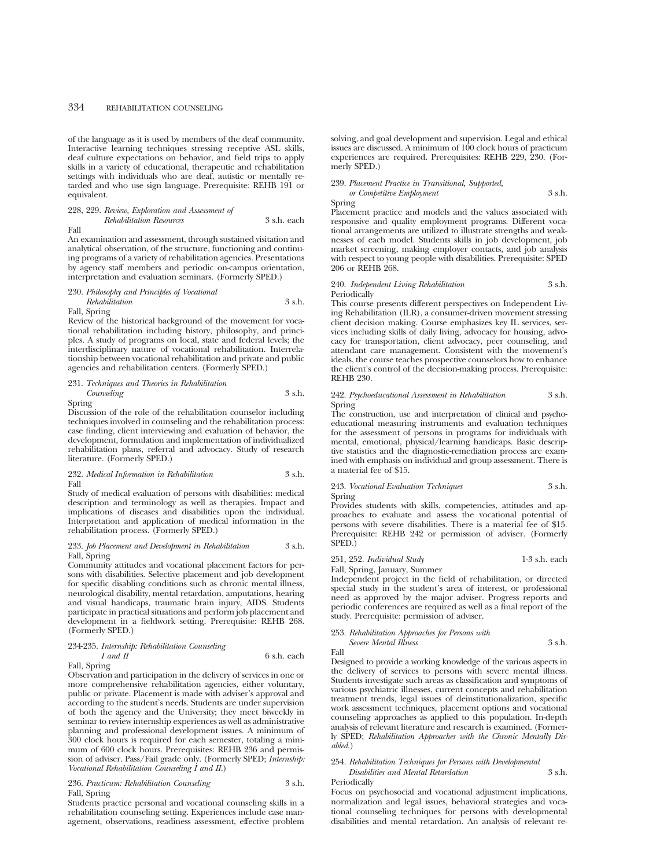## 334 REHABILITATION COUNSELING

of the language as it is used by members of the deaf community. Interactive learning techniques stressing receptive ASL skills, deaf culture expectations on behavior, and field trips to apply skills in a variety of educational, therapeutic and rehabilitation settings with individuals who are deaf, autistic or mentally retarded and who use sign language. Prerequisite: REHB 191 or equivalent.

#### 228, 229. *Review, Exploration and Assessment of Rehabilitation Resources* 3 s.h. each Fall

An examination and assessment, through sustained visitation and analytical observation, of the structure, functioning and continuing programs of a variety of rehabilitation agencies. Presentations by agency staff members and periodic on-campus orientation, interpretation and evaluation seminars. (Formerly SPED.)

### 230. *Philosophy and Principles of Vocational*

*Rehabilitation* 3 s.h. Fall, Spring

Review of the historical background of the movement for vocational rehabilitation including history, philosophy, and principles. A study of programs on local, state and federal levels; the interdisciplinary nature of vocational rehabilitation. Interrelationship between vocational rehabilitation and private and public agencies and rehabilitation centers. (Formerly SPED.)

## 231. *Techniques and Theories in Rehabilitation Counseling* 3 s.h.

Spring

Discussion of the role of the rehabilitation counselor including techniques involved in counseling and the rehabilitation process: case finding, client interviewing and evaluation of behavior, the development, formulation and implementation of individualized rehabilitation plans, referral and advocacy. Study of research literature. (Formerly SPED.)

232. *Medical Information in Rehabilitation* 3 s.h. Fall

Study of medical evaluation of persons with disabilities: medical description and terminology as well as therapies. Impact and implications of diseases and disabilities upon the individual. Interpretation and application of medical information in the rehabilitation process. (Formerly SPED.)

## 233. *Job Placement and Development in Rehabilitation* 3 s.h. Fall, Spring

Community attitudes and vocational placement factors for persons with disabilities. Selective placement and job development for specific disabling conditions such as chronic mental illness, neurological disability, mental retardation, amputations, hearing and visual handicaps, traumatic brain injury, AIDS. Students participate in practical situations and perform job placement and development in a fieldwork setting. Prerequisite: REHB 268. (Formerly SPED.)

# 234-235. *Internship: Rehabilitation Counseling*

Fall, Spring

Observation and participation in the delivery of services in one or more comprehensive rehabilitation agencies, either voluntary, public or private. Placement is made with adviser's approval and according to the student's needs. Students are under supervision of both the agency and the University; they meet biweekly in seminar to review internship experiences as well as administrative planning and professional development issues. A minimum of 300 clock hours is required for each semester, totaling a minimum of 600 clock hours. Prerequisites: REHB 236 and permission of adviser. Pass/Fail grade only. (Formerly SPED; *Internship: Vocational Rehabilitation Counseling I and II*.)

236. *Practicum: Rehabilitation Counseling* 3 s.h. Fall, Spring

Students practice personal and vocational counseling skills in a rehabilitation counseling setting. Experiences include case management, observations, readiness assessment, effective problem

solving, and goal development and supervision. Legal and ethical issues are discussed. A minimum of 100 clock hours of practicum experiences are required. Prerequisites: REHB 229, 230. (Formerly SPED.)

#### 239. *Placement Practice in Transitional, Supported,*

*or Competitive Employment* 3 s.h. Spring

Placement practice and models and the values associated with responsive and quality employment programs. Different vocational arrangements are utilized to illustrate strengths and weaknesses of each model. Students skills in job development, job market screening, making employer contacts, and job analysis with respect to young people with disabilities. Prerequisite: SPED 206 or REHB 268.

240. *Independent Living Rehabilitation* 3 s.h. Periodically

This course presents different perspectives on Independent Living Rehabilitation (ILR), a consumer-driven movement stressing client decision making. Course emphasizes key IL services, services including skills of daily living, advocacy for housing, advocacy for transportation, client advocacy, peer counseling, and attendant care management. Consistent with the movement's ideals, the course teaches prospective counselors how to enhance the client's control of the decision-making process. Prerequisite: REHB 230.

#### 242. *Psychoeducational Assessment in Rehabilitation* 3 s.h. Spring

The construction, use and interpretation of clinical and psychoeducational measuring instruments and evaluation techniques for the assessment of persons in programs for individuals with mental, emotional, physical/learning handicaps. Basic descriptive statistics and the diagnostic-remediation process are examined with emphasis on individual and group assessment. There is a material fee of \$15.

243. *Vocational Evaluation Techniques* 3 s.h. Spring

Provides students with skills, competencies, attitudes and approaches to evaluate and assess the vocational potential of persons with severe disabilities. There is a material fee of \$15. Prerequisite: REHB 242 or permission of adviser. (Formerly SPED.)

251, 252. *Individual Study* 1-3 s.h. each Fall, Spring, January, Summer

Independent project in the field of rehabilitation, or directed special study in the student's area of interest, or professional need as approved by the major adviser. Progress reports and periodic conferences are required as well as a final report of the study. Prerequisite: permission of adviser.

253. *Rehabilitation Approaches for Persons with Severe Mental Illness* 3 s.h.

Fall

 $6$  s.h. each

Designed to provide a working knowledge of the various aspects in the delivery of services to persons with severe mental illness. Students investigate such areas as classification and symptoms of various psychiatric illnesses, current concepts and rehabilitation treatment trends, legal issues of deinstitutionalization, specific work assessment techniques, placement options and vocational counseling approaches as applied to this population. In-depth analysis of relevant literature and research is examined. (Formerly SPED; *Rehabilitation Approaches with the Chronic Mentally Disabled*.)

#### 254. *Rehabilitation Techniques for Persons with Developmental Disabilities and Mental Retardation* 3 s.h.

Periodically Focus on psychosocial and vocational adjustment implications, normalization and legal issues, behavioral strategies and vocational counseling techniques for persons with developmental disabilities and mental retardation. An analysis of relevant re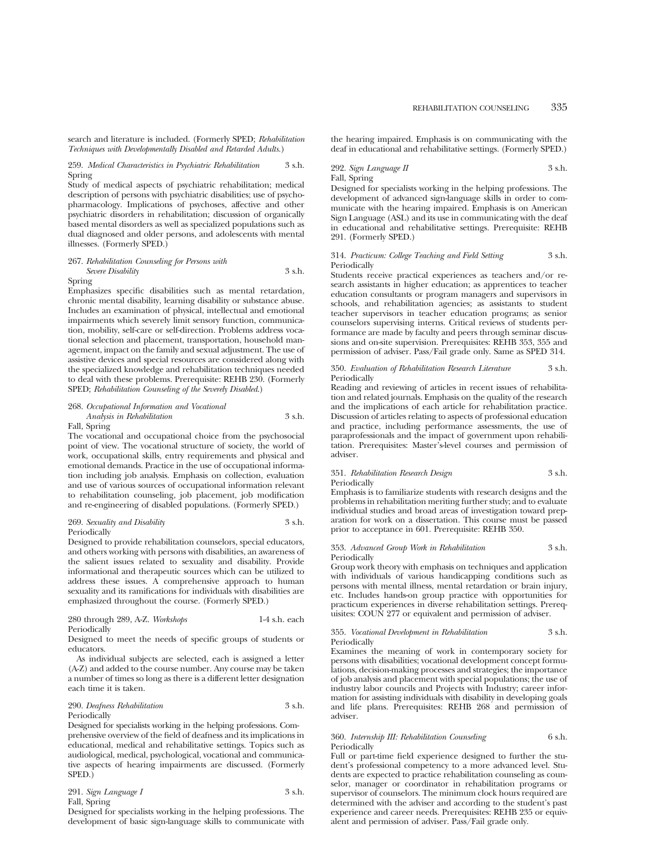search and literature is included. (Formerly SPED; *Rehabilitation Techniques with Developmentally Disabled and Retarded Adults.*)

#### 259. *Medical Characteristics in Psychiatric Rehabilitation* 3 s.h. Spring

Study of medical aspects of psychiatric rehabilitation; medical description of persons with psychiatric disabilities; use of psychopharmacology. Implications of psychoses, affective and other psychiatric disorders in rehabilitation; discussion of organically based mental disorders as well as specialized populations such as dual diagnosed and older persons, and adolescents with mental illnesses. (Formerly SPED.)

#### 267. *Rehabilitation Counseling for Persons with Severe Disability* 3 s.h.

#### Spring

Emphasizes specific disabilities such as mental retardation, chronic mental disability, learning disability or substance abuse. Includes an examination of physical, intellectual and emotional impairments which severely limit sensory function, communication, mobility, self-care or self-direction. Problems address vocational selection and placement, transportation, household management, impact on the family and sexual adjustment. The use of assistive devices and special resources are considered along with the specialized knowledge and rehabilitation techniques needed to deal with these problems. Prerequisite: REHB 230. (Formerly SPED; *Rehabilitation Counseling of the Severely Disabled*.)

#### 268. *Occupational Information and Vocational Analysis in Rehabilitation* 3 s.h.

## Fall, Spring

The vocational and occupational choice from the psychosocial point of view. The vocational structure of society, the world of work, occupational skills, entry requirements and physical and emotional demands. Practice in the use of occupational information including job analysis. Emphasis on collection, evaluation and use of various sources of occupational information relevant to rehabilitation counseling, job placement, job modification and re-engineering of disabled populations. (Formerly SPED.)

#### 269. *Sexuality and Disability* 3 s.h. Periodically

Designed to provide rehabilitation counselors, special educators, and others working with persons with disabilities, an awareness of the salient issues related to sexuality and disability. Provide informational and therapeutic sources which can be utilized to address these issues. A comprehensive approach to human sexuality and its ramifications for individuals with disabilities are emphasized throughout the course. (Formerly SPED.)

280 through 289, A-Z. *Workshops* 1-4 s.h. each Periodically

Designed to meet the needs of specific groups of students or educators.

As individual subjects are selected, each is assigned a letter (A-Z) and added to the course number. Any course may be taken a number of times so long as there is a different letter designation each time it is taken.

#### 290. *Deafness Rehabilitation* 3 s.h. Periodically

Designed for specialists working in the helping professions. Comprehensive overview of the field of deafness and its implications in educational, medical and rehabilitative settings. Topics such as audiological, medical, psychological, vocational and communicative aspects of hearing impairments are discussed. (Formerly SPED.)

291. *Sign Language I* 3 s.h.

Fall, Spring

ng professions. The development of basic sign-language skills to communicate with

the hearing impaired. Emphasis is on communicating with the deaf in educational and rehabilitative settings. (Formerly SPED.)

292. *Sign Language II* 3 s.h. Fall, Spring

Designed for specialists working in the helping professions. The development of advanced sign-language skills in order to communicate with the hearing impaired. Emphasis is on American Sign Language (ASL) and its use in communicating with the deaf in educational and rehabilitative settings. Prerequisite: REHB 291. (Formerly SPED.)

#### 314. *Practicum: College Teaching and Field Setting* 3 s.h. Periodically

Students receive practical experiences as teachers and/or research assistants in higher education; as apprentices to teacher education consultants or program managers and supervisors in schools, and rehabilitation agencies; as assistants to student teacher supervisors in teacher education programs; as senior counselors supervising interns. Critical reviews of students performance are made by faculty and peers through seminar discussions and on-site supervision. Prerequisites: REHB 353, 355 and permission of adviser. Pass/Fail grade only. Same as SPED 314.

#### 350. *Evaluation of Rehabilitation Research Literature* 3 s.h. Periodically

Reading and reviewing of articles in recent issues of rehabilitation and related journals. Emphasis on the quality of the research and the implications of each article for rehabilitation practice. Discussion of articles relating to aspects of professional education and practice, including performance assessments, the use of paraprofessionals and the impact of government upon rehabilitation. Prerequisites: Master's-level courses and permission of adviser.

### 351. *Rehabilitation Research Design* 3 s.h. Periodically

Emphasis is to familiarize students with research designs and the problems in rehabilitation meriting further study; and to evaluate individual studies and broad areas of investigation toward preparation for work on a dissertation. This course must be passed prior to acceptance in 601. Prerequisite: REHB 350.

#### 353. *Advanced Group Work in Rehabilitation* 3 s.h. Periodically

Group work theory with emphasis on techniques and application with individuals of various handicapping conditions such as persons with mental illness, mental retardation or brain injury, etc. Includes hands-on group practice with opportunities for practicum experiences in diverse rehabilitation settings. Prerequisites: COUN 277 or equivalent and permission of adviser.

355. *Vocational Development in Rehabilitation* 3 s.h. Periodically

Examines the meaning of work in contemporary society for persons with disabilities; vocational development concept formulations, decision-making processes and strategies; the importance of job analysis and placement with special populations; the use of industry labor councils and Projects with Industry; career information for assisting individuals with disability in developing goals and life plans. Prerequisites: REHB 268 and permission of adviser.

#### 360. *Internship III: Rehabilitation Counseling* 6 s.h. Periodically

Full or part-time field experience designed to further the student's professional competency to a more advanced level. Students are expected to practice rehabilitation counseling as counselor, manager or coordinator in rehabilitation programs or supervisor of counselors. The minimum clock hours required are determined with the adviser and according to the student's past experience and career needs. Prerequisites: REHB 235 or equivalent and permission of adviser. Pass/Fail grade only.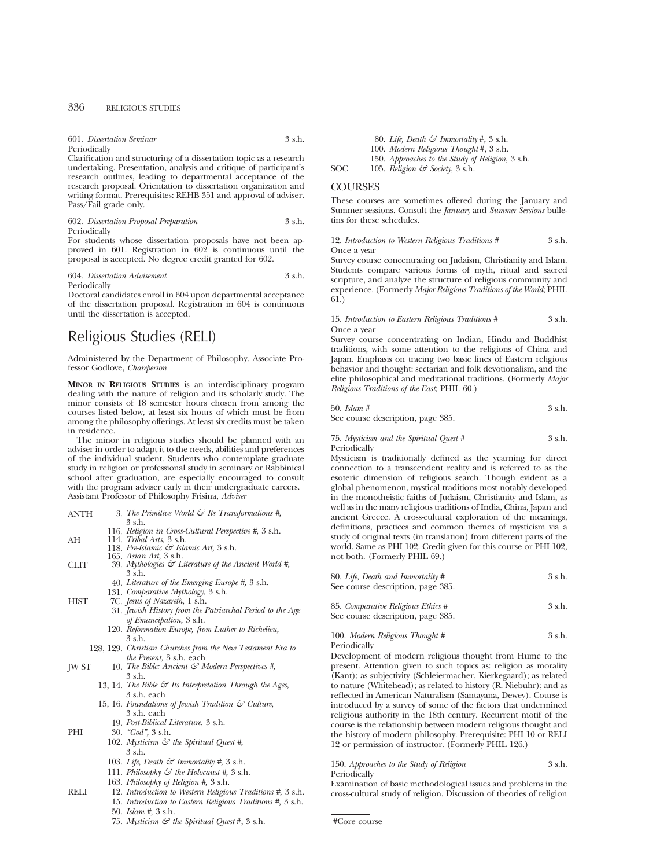## 336 RELIGIOUS STUDIES

### 601. *Dissertation Seminar* 3 s.h.

#### Periodically

Clarification and structuring of a dissertation topic as a research undertaking. Presentation, analysis and critique of participant's research outlines, leading to departmental acceptance of the research proposal. Orientation to dissertation organization and writing format. Prerequisites: REHB 351 and approval of adviser. Pass/Fail grade only.

#### 602. *Dissertation Proposal Preparation* 3 s.h. Periodically

For students whose dissertation proposals have not been approved in 601. Registration in 602 is continuous until the proposal is accepted. No degree credit granted for 602.

#### 604. *Dissertation Advisement* 3 s.h. Periodically

Doctoral candidates enroll in 604 upon departmental acceptance of the dissertation proposal. Registration in 604 is continuous until the dissertation is accepted.

# Religious Studies (RELI)

Administered by the Department of Philosophy. Associate Professor Godlove, *Chairperson*

**MINOR IN RELIGIOUS STUDIES** is an interdisciplinary program dealing with the nature of religion and its scholarly study. The minor consists of 18 semester hours chosen from among the courses listed below, at least six hours of which must be from among the philosophy offerings. At least six credits must be taken in residence.

The minor in religious studies should be planned with an adviser in order to adapt it to the needs, abilities and preferences of the individual student. Students who contemplate graduate study in religion or professional study in seminary or Rabbinical school after graduation, are especially encouraged to consult with the program adviser early in their undergraduate careers. Assistant Professor of Philosophy Frisina, *Adviser*

- ANTH 3. *The Primitive World & Its Transformations #,* 3 s.h.
- 116. *Religion in Cross-Cultural Perspective #,* 3 s.h. AH 114. *Tribal Arts,* 3 s.h. 118. *Pre-Islamic & Islamic Art,* 3 s.h.
	- 165. *Asian Art,* 3 s.h.
- CLIT 39. *Mythologies & Literature of the Ancient World #,* 3 s.h.
	- 40. *Literature of the Emerging Europe #,* 3 s.h.
	- 131. *Comparative Mythology,* 3 s.h.
- HIST 7C. *Jesus of Nazareth,* 1 s.h.
	- 31. *Jewish History from the Patriarchal Period to the Age of Emancipation,* 3 s.h.
	- 120. *Reformation Europe, from Luther to Richelieu,* 3 s.h.
	- 128, 129. *Christian Churches from the New Testament Era to the Present,* 3 s.h. each
- JW ST 10. *The Bible: Ancient & Modern Perspectives #,* 3 s.h.
	- 13, 14. *The Bible & Its Interpretation Through the Ages,* 3 s.h. each
	- 15, 16. *Foundations of Jewish Tradition & Culture,* 3 s.h. each
	- 19. *Post-Biblical Literature,* 3 s.h.

PHI 30. *"God",* 3 s.h.

- 102. *Mysticism & the Spiritual Quest #,* 3 s.h.
- 103. *Life, Death & Immortality #,* 3 s.h.
- 111. *Philosophy & the Holocaust #,* 3 s.h.
- 163. *Philosophy of Religion #,* 3 s.h.
- RELI 12. *Introduction to Western Religious Traditions #,* 3 s.h. 15. *Introduction to Eastern Religious Traditions #,* 3 s.h.
	- 50. *Islam #,* 3 s.h.
	- 75. *Mysticism & the Spiritual Quest* #, 3 s.h.

80. *Life, Death & Immortality* #, 3 s.h. 100. *Modern Religious Thought* #, 3 s.h.

150. *Approaches to the Study of Religion*, 3 s.h.

SOC 105. *Religion & Society*, 3 s.h.

## **COURSES**

These courses are sometimes offered during the January and Summer sessions. Consult the *January* and *Summer Sessions* bulletins for these schedules.

12. *Introduction to Western Religious Traditions #* 3 s.h. Once a year

Survey course concentrating on Judaism, Christianity and Islam. Students compare various forms of myth, ritual and sacred scripture, and analyze the structure of religious community and experience. (Formerly *Major Religious Traditions of the World*; PHIL 61.)

#### 15. *Introduction to Eastern Religious Traditions #* 3 s.h. Once a year

Survey course concentrating on Indian, Hindu and Buddhist traditions, with some attention to the religions of China and Japan. Emphasis on tracing two basic lines of Eastern religious behavior and thought: sectarian and folk devotionalism, and the elite philosophical and meditational traditions. (Formerly *Major Religious Traditions of the East*; PHIL 60.)

$$
50. \; \textit{Islam #} \qquad \qquad 3 \text{ s.h.}
$$

See course description, page 385.

75. *Mysticism and the Spiritual Quest #* 3 s.h. Periodically

Mysticism is traditionally defined as the yearning for direct connection to a transcendent reality and is referred to as the esoteric dimension of religious search. Though evident as a global phenomenon, mystical traditions most notably developed in the monotheistic faiths of Judaism, Christianity and Islam, as well as in the many religious traditions of India, China, Japan and ancient Greece. A cross-cultural exploration of the meanings, definitions, practices and common themes of mysticism via a study of original texts (in translation) from different parts of the world. Same as PHI 102. Credit given for this course or PHI 102, not both. (Formerly PHIL 69.)

| 80. Life, Death and Immortality # | 3 s.h. |
|-----------------------------------|--------|
| See course description, page 385. |        |
|                                   |        |

85. *Comparative Religious Ethics* # 3 s.h. See course description, page 385.

100. *Modern Religious Thought #* 3 s.h. Periodically

Development of modern religious thought from Hume to the present. Attention given to such topics as: religion as morality (Kant); as subjectivity (Schleiermacher, Kierkegaard); as related to nature (Whitehead); as related to history (R. Niebuhr); and as reflected in American Naturalism (Santayana, Dewey). Course is introduced by a survey of some of the factors that undermined religious authority in the 18th century. Recurrent motif of the course is the relationship between modern religious thought and the history of modern philosophy. Prerequisite: PHI 10 or RELI 12 or permission of instructor. (Formerly PHIL 126.)

150. *Approaches to the Study of Religion* 3 s.h. Periodically

Examination of basic methodological issues and problems in the cross-cultural study of religion. Discussion of theories of religion

#Core course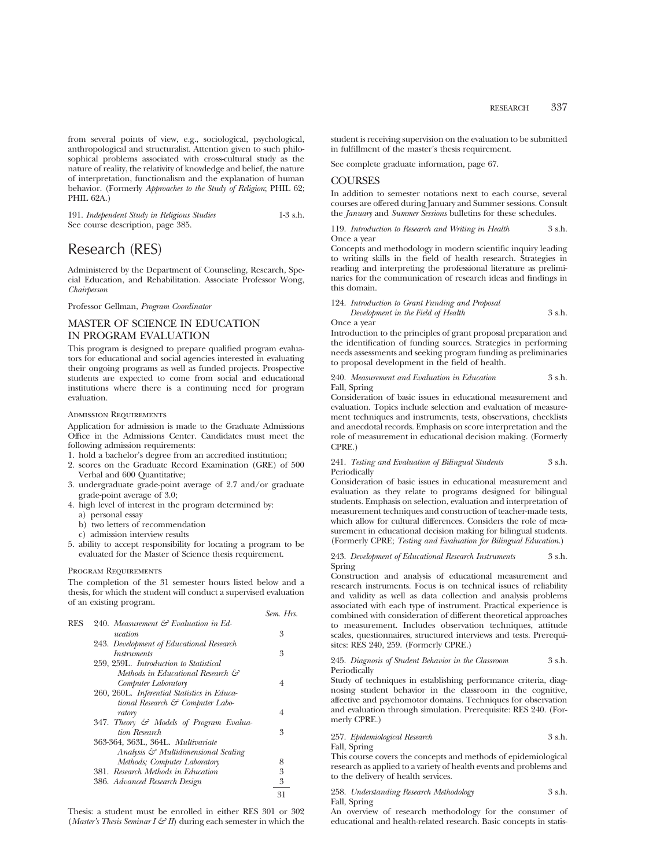from several points of view, e.g., sociological, psychological, anthropological and structuralist. Attention given to such philosophical problems associated with cross-cultural study as the nature of reality, the relativity of knowledge and belief, the nature of interpretation, functionalism and the explanation of human behavior. (Formerly *Approaches to the Study of Religion*; PHIL 62; PHIL 62A.)

| 191. Independent Study in Religious Studies | $1-3$ s.h. |
|---------------------------------------------|------------|
| See course description, page 385.           |            |

# Research (RES)

Administered by the Department of Counseling, Research, Special Education, and Rehabilitation. Associate Professor Wong, *Chairperson*

Professor Gellman, *Program Coordinator*

## MASTER OF SCIENCE IN EDUCATION IN PROGRAM EVALUATION

This program is designed to prepare qualified program evaluators for educational and social agencies interested in evaluating their ongoing programs as well as funded projects. Prospective students are expected to come from social and educational institutions where there is a continuing need for program evaluation.

#### Admission Requirements

Application for admission is made to the Graduate Admissions Office in the Admissions Center. Candidates must meet the following admission requirements:

- 1. hold a bachelor's degree from an accredited institution;
- 2. scores on the Graduate Record Examination (GRE) of 500 Verbal and 600 Quantitative;
- 3. undergraduate grade-point average of 2.7 and/or graduate grade-point average of 3.0;
- 4. high level of interest in the program determined by:
	- a) personal essay
	- b) two letters of recommendation c) admission interview results
- 5. ability to accept responsibility for locating a program to be evaluated for the Master of Science thesis requirement.

#### PROGRAM REQUIREMENTS

The completion of the 31 semester hours listed below and a thesis, for which the student will conduct a supervised evaluation of an existing program.

*Sem. Hrs.*

|     |                                                 | OUNG 1110. |
|-----|-------------------------------------------------|------------|
| RES | 240. Measurement $\mathcal G$ Evaluation in Ed- |            |
|     | ucation                                         | 3          |
|     | 243. Development of Educational Research        |            |
|     | <i>Instruments</i>                              | 3          |
|     | 259, 259L. Introduction to Statistical          |            |
|     | Methods in Educational Research &               |            |
|     | Computer Laboratory                             | 4          |
|     | 260, 260L. Inferential Statistics in Educa-     |            |
|     | tional Research & Computer Labo-                |            |
|     | ratory                                          | 4          |
|     | 347. Theory & Models of Program Evalua-         |            |
|     | tion Research                                   | 3          |
|     | 363-364, 363L, 364L, Multivariate               |            |
|     | Analysis & Multidimensional Scaling             |            |
|     | Methods; Computer Laboratory                    | 8          |
|     | 381. Research Methods in Education              | 3          |
|     | 386. Advanced Research Design                   | 3          |
|     |                                                 | 31         |
|     |                                                 |            |

Thesis: a student must be enrolled in either RES 301 or 302 (*Master's Thesis Seminar I*  $\mathcal{F}$  *II*) during each semester in which the student is receiving supervision on the evaluation to be submitted in fulfillment of the master's thesis requirement.

See complete graduate information, page 67.

## **COURSES**

In addition to semester notations next to each course, several courses are offered during January and Summer sessions. Consult the *January* and *Summer Sessions* bulletins for these schedules.

119. *Introduction to Research and Writing in Health* 3 s.h. Once a year

Concepts and methodology in modern scientific inquiry leading to writing skills in the field of health research. Strategies in reading and interpreting the professional literature as preliminaries for the communication of research ideas and findings in this domain.

## 124. *Introduction to Grant Funding and Proposal Development in the Field of Health* 3 s.h.

Once a year

Introduction to the principles of grant proposal preparation and the identification of funding sources. Strategies in performing needs assessments and seeking program funding as preliminaries to proposal development in the field of health.

240. *Measurement and Evaluation in Education* 3 s.h. Fall, Spring

Consideration of basic issues in educational measurement and evaluation. Topics include selection and evaluation of measurement techniques and instruments, tests, observations, checklists and anecdotal records. Emphasis on score interpretation and the role of measurement in educational decision making. (Formerly CPRE.)

241. *Testing and Evaluation of Bilingual Students* 3 s.h. Periodically

Consideration of basic issues in educational measurement and evaluation as they relate to programs designed for bilingual students. Emphasis on selection, evaluation and interpretation of measurement techniques and construction of teacher-made tests, which allow for cultural differences. Considers the role of measurement in educational decision making for bilingual students. (Formerly CPRE; *Testing and Evaluation for Bilingual Education*.)

#### 243. *Development of Educational Research Instruments* 3 s.h. Spring

Construction and analysis of educational measurement and research instruments. Focus is on technical issues of reliability and validity as well as data collection and analysis problems associated with each type of instrument. Practical experience is combined with consideration of different theoretical approaches to measurement. Includes observation techniques, attitude scales, questionnaires, structured interviews and tests. Prerequisites: RES 240, 259. (Formerly CPRE.)

245. *Diagnosis of Student Behavior in the Classroom* 3 s.h. Periodically

Study of techniques in establishing performance criteria, diagnosing student behavior in the classroom in the cognitive, affective and psychomotor domains. Techniques for observation and evaluation through simulation. Prerequisite: RES 240. (Formerly CPRE.)

257. *Epidemiological Research* 3 s.h.

Fall, Spring

This course covers the concepts and methods of epidemiological research as applied to a variety of health events and problems and to the delivery of health services.

| 258. Understanding Research Methodology | 3 s.h. |
|-----------------------------------------|--------|
| Fall, Spring                            |        |

An overview of research methodology for the consumer of educational and health-related research. Basic concepts in statis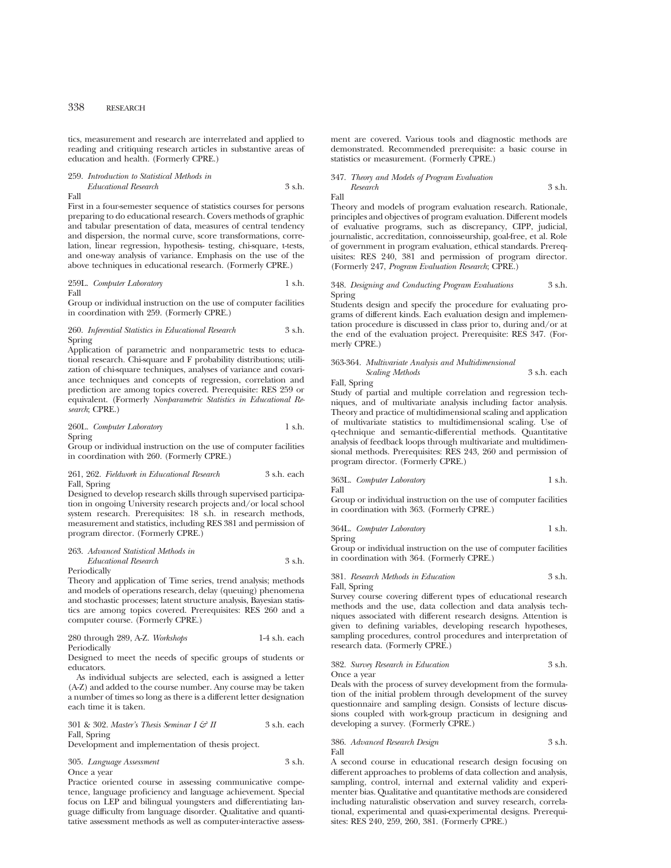tics, measurement and research are interrelated and applied to reading and critiquing research articles in substantive areas of education and health. (Formerly CPRE.)

259. *Introduction to Statistical Methods in Educational Research* 3 s.h.

Fall

First in a four-semester sequence of statistics courses for persons preparing to do educational research. Covers methods of graphic and tabular presentation of data, measures of central tendency and dispersion, the normal curve, score transformations, correlation, linear regression, hypothesis- testing, chi-square, t-tests, and one-way analysis of variance. Emphasis on the use of the above techniques in educational research. (Formerly CPRE.)

259L. *Computer Laboratory* 1 s.h. Fall

Group or individual instruction on the use of computer facilities in coordination with 259. (Formerly CPRE.)

260. *Inferential Statistics in Educational Research* 3 s.h. Spring

Application of parametric and nonparametric tests to educational research. Chi-square and F probability distributions; utilization of chi-square techniques, analyses of variance and covariance techniques and concepts of regression, correlation and prediction are among topics covered. Prerequisite: RES 259 or equivalent. (Formerly *Nonparametric Statistics in Educational Research*; CPRE.)

#### 260L. *Computer Laboratory* 1 s.h. Spring

Group or individual instruction on the use of computer facilities in coordination with 260. (Formerly CPRE.)

261, 262. *Fieldwork in Educational Research* 3 s.h. each Fall, Spring

Designed to develop research skills through supervised participation in ongoing University research projects and/or local school system research. Prerequisites: 18 s.h. in research methods, measurement and statistics, including RES 381 and permission of program director. (Formerly CPRE.)

| 263. Advanced Statistical Methods in |                  |  |  |
|--------------------------------------|------------------|--|--|
| Educational Research                 | $3 \text{ s.h.}$ |  |  |
| Periodically                         |                  |  |  |

Theory and application of Time series, trend analysis; methods and models of operations research, delay (queuing) phenomena and stochastic processes; latent structure analysis, Bayesian statistics are among topics covered. Prerequisites: RES 260 and a computer course. (Formerly CPRE.)

280 through 289, A-Z. *Workshops* 1-4 s.h. each Periodically

Designed to meet the needs of specific groups of students or educators.

As individual subjects are selected, each is assigned a letter (A-Z) and added to the course number. Any course may be taken a number of times so long as there is a different letter designation each time it is taken.

301 & 302. *Master's Thesis Seminar I & II* 3 s.h. each Fall, Spring

Development and implementation of thesis project.

305. *Language Assessment* 3 s.h. Once a year

Practice oriented course in assessing communicative competence, language proficiency and language achievement. Special focus on LEP and bilingual youngsters and differentiating language difficulty from language disorder. Qualitative and quantitative assessment methods as well as computer-interactive assessment are covered. Various tools and diagnostic methods are demonstrated. Recommended prerequisite: a basic course in statistics or measurement. (Formerly CPRE.)

## 347. *Theory and Models of Program Evaluation Research* 3 s.h.

Fall

Theory and models of program evaluation research. Rationale, principles and objectives of program evaluation. Different models of evaluative programs, such as discrepancy, CIPP, judicial, journalistic, accreditation, connoisseurship, goal-free, et al. Role of government in program evaluation, ethical standards. Prerequisites: RES 240, 381 and permission of program director. (Formerly 247, *Program Evaluation Research*; CPRE.)

#### 348. *Designing and Conducting Program Evaluations* 3 s.h. Spring

Students design and specify the procedure for evaluating programs of different kinds. Each evaluation design and implementation procedure is discussed in class prior to, during and/or at the end of the evaluation project. Prerequisite: RES 347. (Formerly CPRE.)

#### 363-364. *Multivariate Analysis and Multidimensional Scaling Methods* 3 s.h. each

Fall, Spring

Study of partial and multiple correlation and regression techniques, and of multivariate analysis including factor analysis. Theory and practice of multidimensional scaling and application of multivariate statistics to multidimensional scaling. Use of q-technique and semantic-differential methods. Quantitative analysis of feedback loops through multivariate and multidimensional methods. Prerequisites: RES 243, 260 and permission of program director. (Formerly CPRE.)

363L. *Computer Laboratory* 1 s.h.

Fall Group or individual instruction on the use of computer facilities in coordination with 363. (Formerly CPRE.)

364L. *Computer Laboratory* 1 s.h. Spring

Group or individual instruction on the use of computer facilities in coordination with 364. (Formerly CPRE.)

381. *Research Methods in Education* 3 s.h. Fall, Spring

Survey course covering different types of educational research methods and the use, data collection and data analysis techniques associated with different research designs. Attention is given to defining variables, developing research hypotheses, sampling procedures, control procedures and interpretation of research data. (Formerly CPRE.)

382. *Survey Research in Education* 3 s.h. Once a year

Deals with the process of survey development from the formulation of the initial problem through development of the survey questionnaire and sampling design. Consists of lecture discussions coupled with work-group practicum in designing and developing a survey. (Formerly CPRE.)

386. *Advanced Research Design* 3 s.h. Fall

A second course in educational research design focusing on different approaches to problems of data collection and analysis, sampling, control, internal and external validity and experimenter bias. Qualitative and quantitative methods are considered including naturalistic observation and survey research, correlational, experimental and quasi-experimental designs. Prerequisites: RES 240, 259, 260, 381. (Formerly CPRE.)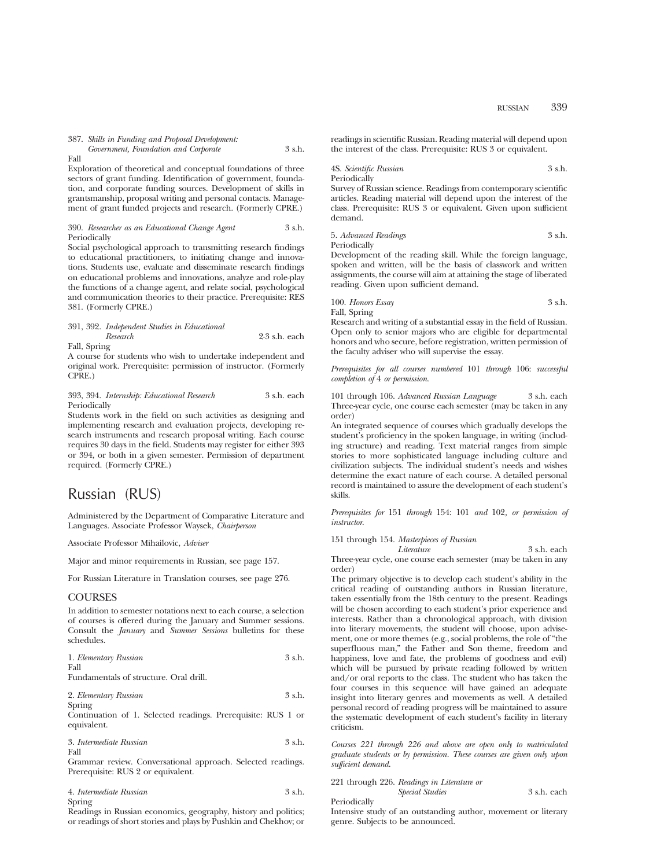RUSSIAN 339

387. *Skills in Funding and Proposal Development:*

|      | Government, Foundation and Corporate |  | 3 s.h. |
|------|--------------------------------------|--|--------|
| Fall |                                      |  |        |

Exploration of theoretical and conceptual foundations of three sectors of grant funding. Identification of government, foundation, and corporate funding sources. Development of skills in grantsmanship, proposal writing and personal contacts. Management of grant funded projects and research. (Formerly CPRE.)

390. *Researcher as an Educational Change Agent* 3 s.h. Periodically

Social psychological approach to transmitting research findings to educational practitioners, to initiating change and innovations. Students use, evaluate and disseminate research findings on educational problems and innovations, analyze and role-play the functions of a change agent, and relate social, psychological and communication theories to their practice. Prerequisite: RES 381. (Formerly CPRE.)

|              | 391, 392. Independent Studies in Educational |                 |
|--------------|----------------------------------------------|-----------------|
|              | Research                                     | $2-3$ s.h. each |
| Fall, Spring |                                              |                 |

A course for students who wish to undertake independent and original work. Prerequisite: permission of instructor. (Formerly CPRE.)

393, 394. *Internship: Educational Research* 3 s.h. each Periodically

Students work in the field on such activities as designing and implementing research and evaluation projects, developing research instruments and research proposal writing. Each course requires 30 days in the field. Students may register for either 393 or 394, or both in a given semester. Permission of department required. (Formerly CPRE.)

## Russian (RUS)

Administered by the Department of Comparative Literature and Languages. Associate Professor Waysek, *Chairperson*

Associate Professor Mihailovic, *Adviser*

Major and minor requirements in Russian, see page 157.

For Russian Literature in Translation courses, see page 276.

## **COURSES**

In addition to semester notations next to each course, a selection of courses is offered during the January and Summer sessions. Consult the *January* and *Summer Sessions* bulletins for these schedules.

| 1. Elementary Russian | 3 s.h. |
|-----------------------|--------|
| Fall                  |        |
|                       |        |

Fundamentals of structure. Oral drill.

| 2. Elementary Russian | 3 s.h. |
|-----------------------|--------|
| Spring                |        |

Continuation of 1. Selected readings. Prerequisite: RUS 1 or equivalent.

| 3. Intermediate Russian | 3 s.h. |
|-------------------------|--------|
| Fall                    |        |

Grammar review. Conversational approach. Selected readings. Prerequisite: RUS 2 or equivalent.

| 4. Intermediate Russian | 3 s.h. |
|-------------------------|--------|
| Spring                  |        |

Readings in Russian economics, geography, history and politics; or readings of short stories and plays by Pushkin and Chekhov; or

readings in scientific Russian. Reading material will depend upon the interest of the class. Prerequisite: RUS 3 or equivalent.

4S. *Scientific Russian* 3 s.h. Periodically

Survey of Russian science. Readings from contemporary scientific articles. Reading material will depend upon the interest of the class. Prerequisite: RUS 3 or equivalent. Given upon sufficient demand.

5. *Advanced Readings* 3 s.h. Periodically

Development of the reading skill. While the foreign language, spoken and written, will be the basis of classwork and written assignments, the course will aim at attaining the stage of liberated reading. Given upon sufficient demand.

100. *Honors Essay* 3 s.h. Fall, Spring

Research and writing of a substantial essay in the field of Russian. Open only to senior majors who are eligible for departmental honors and who secure, before registration, written permission of the faculty adviser who will supervise the essay.

*Prerequisites for all courses numbered* 101 *through* 106: *successful completion of* 4 *or permission*.

101 through 106. *Advanced Russian Language* 3 s.h. each Three-year cycle, one course each semester (may be taken in any order)

An integrated sequence of courses which gradually develops the student's proficiency in the spoken language, in writing (including structure) and reading. Text material ranges from simple stories to more sophisticated language including culture and civilization subjects. The individual student's needs and wishes determine the exact nature of each course. A detailed personal record is maintained to assure the development of each student's skills.

*Prerequisites for* 151 *through* 154: 101 *and* 102*, or permission of instructor*.

151 through 154. *Masterpieces of Russian*

*Literature* 3 s.h. each Three-year cycle, one course each semester (may be taken in any order)

The primary objective is to develop each student's ability in the critical reading of outstanding authors in Russian literature, taken essentially from the 18th century to the present. Readings will be chosen according to each student's prior experience and interests. Rather than a chronological approach, with division into literary movements, the student will choose, upon advisement, one or more themes (e.g., social problems, the role of "the superfluous man," the Father and Son theme, freedom and happiness, love and fate, the problems of goodness and evil) which will be pursued by private reading followed by written and/or oral reports to the class. The student who has taken the four courses in this sequence will have gained an adequate insight into literary genres and movements as well. A detailed personal record of reading progress will be maintained to assure the systematic development of each student's facility in literary criticism.

*Courses 221 through 226 and above are open only to matriculated graduate students or by permission. These courses are given only upon sufficient demand*.

221 through 226. *Readings in Literature or Special Studies* 3 s.h. each

Periodically

Intensive study of an outstanding author, movement or literary genre. Subjects to be announced.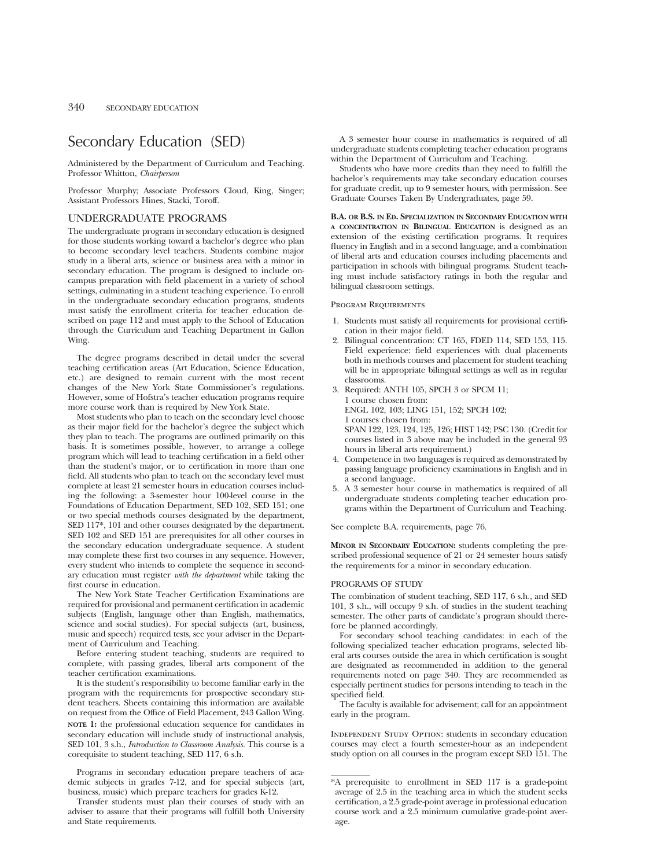# Secondary Education (SED)

Administered by the Department of Curriculum and Teaching. Professor Whitton, *Chairperson*

Professor Murphy; Associate Professors Cloud, King, Singer; Assistant Professors Hines, Stacki, Toroff.

## UNDERGRADUATE PROGRAMS

The undergraduate program in secondary education is designed for those students working toward a bachelor's degree who plan to become secondary level teachers. Students combine major study in a liberal arts, science or business area with a minor in secondary education. The program is designed to include oncampus preparation with field placement in a variety of school settings, culminating in a student teaching experience. To enroll in the undergraduate secondary education programs, students must satisfy the enrollment criteria for teacher education described on page 112 and must apply to the School of Education through the Curriculum and Teaching Department in Gallon Wing.

The degree programs described in detail under the several teaching certification areas (Art Education, Science Education, etc.) are designed to remain current with the most recent changes of the New York State Commissioner's regulations. However, some of Hofstra's teacher education programs require more course work than is required by New York State.

Most students who plan to teach on the secondary level choose as their major field for the bachelor's degree the subject which they plan to teach. The programs are outlined primarily on this basis. It is sometimes possible, however, to arrange a college program which will lead to teaching certification in a field other than the student's major, or to certification in more than one field. All students who plan to teach on the secondary level must complete at least 21 semester hours in education courses including the following: a 3-semester hour 100-level course in the Foundations of Education Department, SED 102, SED 151; one or two special methods courses designated by the department, SED 117\*, 101 and other courses designated by the department. SED 102 and SED 151 are prerequisites for all other courses in the secondary education undergraduate sequence. A student may complete these first two courses in any sequence. However, every student who intends to complete the sequence in secondary education must register *with the department* while taking the first course in education.

The New York State Teacher Certification Examinations are required for provisional and permanent certification in academic subjects (English, language other than English, mathematics, science and social studies). For special subjects (art, business, music and speech) required tests, see your adviser in the Department of Curriculum and Teaching.

Before entering student teaching, students are required to complete, with passing grades, liberal arts component of the teacher certification examinations.

It is the student's responsibility to become familiar early in the program with the requirements for prospective secondary student teachers. Sheets containing this information are available on request from the Office of Field Placement, 243 Gallon Wing. **NOTE 1:** the professional education sequence for candidates in secondary education will include study of instructional analysis, SED 101, 3 s.h., *Introduction to Classroom Analysis*. This course is a corequisite to student teaching, SED 117, 6 s.h.

Programs in secondary education prepare teachers of academic subjects in grades 7-12, and for special subjects (art, business, music) which prepare teachers for grades K-12.

Transfer students must plan their courses of study with an adviser to assure that their programs will fulfill both University and State requirements.

A 3 semester hour course in mathematics is required of all undergraduate students completing teacher education programs within the Department of Curriculum and Teaching.

Students who have more credits than they need to fulfill the bachelor's requirements may take secondary education courses for graduate credit, up to 9 semester hours, with permission. See Graduate Courses Taken By Undergraduates, page 59.

**B.A. OR B.S. IN ED. SPECIALIZATION IN SECONDARY EDUCATION WITH A CONCENTRATION IN BILINGUAL EDUCATION** is designed as an extension of the existing certification programs. It requires fluency in English and in a second language, and a combination of liberal arts and education courses including placements and participation in schools with bilingual programs. Student teaching must include satisfactory ratings in both the regular and bilingual classroom settings.

#### Program Requirements

- 1. Students must satisfy all requirements for provisional certification in their major field.
- 2. Bilingual concentration: CT 165, FDED 114, SED 153, 115. Field experience: field experiences with dual placements both in methods courses and placement for student teaching will be in appropriate bilingual settings as well as in regular classrooms.
- 3. Required: ANTH 105, SPCH 3 or SPCM 11; 1 course chosen from: ENGL 102, 103; LING 151, 152; SPCH 102; 1 courses chosen from:

SPAN 122, 123, 124, 125, 126; HIST 142; PSC 130. (Credit for courses listed in 3 above may be included in the general 93 hours in liberal arts requirement.)

- 4. Competence in two languages is required as demonstrated by passing language proficiency examinations in English and in a second language.
- 5. A 3 semester hour course in mathematics is required of all undergraduate students completing teacher education programs within the Department of Curriculum and Teaching.

See complete B.A. requirements, page 76.

**MINOR IN SECONDARY EDUCATION:** students completing the prescribed professional sequence of 21 or 24 semester hours satisfy the requirements for a minor in secondary education.

### PROGRAMS OF STUDY

The combination of student teaching, SED 117, 6 s.h., and SED 101, 3 s.h., will occupy 9 s.h. of studies in the student teaching semester. The other parts of candidate's program should therefore be planned accordingly.

For secondary school teaching candidates: in each of the following specialized teacher education programs, selected liberal arts courses outside the area in which certification is sought are designated as recommended in addition to the general requirements noted on page 340. They are recommended as especially pertinent studies for persons intending to teach in the specified field.

The faculty is available for advisement; call for an appointment early in the program.

INDEPENDENT STUDY OPTION: students in secondary education courses may elect a fourth semester-hour as an independent study option on all courses in the program except SED 151. The

<sup>\*</sup>A prerequisite to enrollment in SED 117 is a grade-point average of 2.5 in the teaching area in which the student seeks certification, a 2.5 grade-point average in professional education course work and a 2.5 minimum cumulative grade-point average.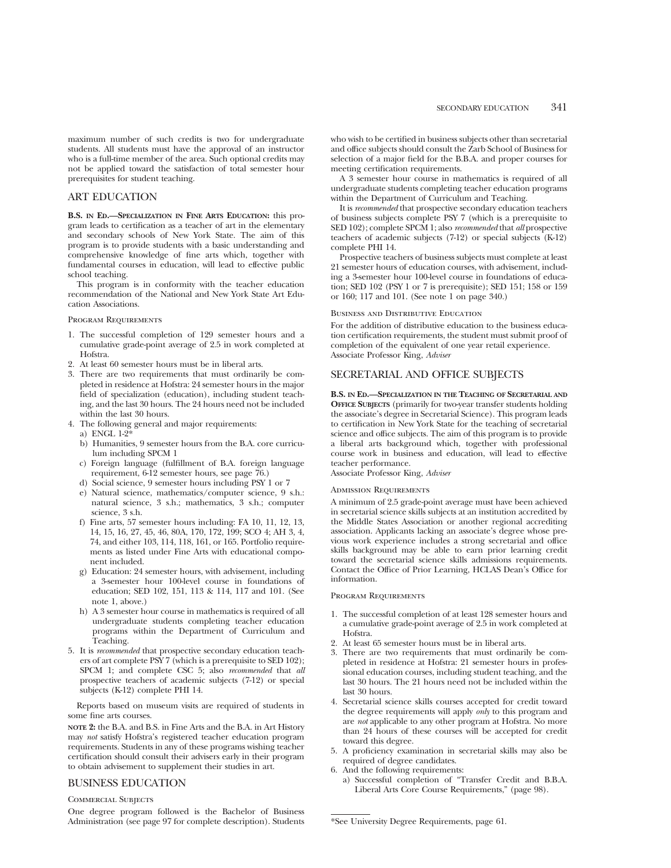maximum number of such credits is two for undergraduate students. All students must have the approval of an instructor who is a full-time member of the area. Such optional credits may not be applied toward the satisfaction of total semester hour prerequisites for student teaching.

## ART EDUCATION

**B.S. IN ED.—SPECIALIZATION IN FINE ARTS EDUCATION:** this program leads to certification as a teacher of art in the elementary and secondary schools of New York State. The aim of this program is to provide students with a basic understanding and comprehensive knowledge of fine arts which, together with fundamental courses in education, will lead to effective public school teaching.

This program is in conformity with the teacher education recommendation of the National and New York State Art Education Associations.

#### PROGRAM REQUIREMENTS

- 1. The successful completion of 129 semester hours and a cumulative grade-point average of 2.5 in work completed at Hofstra.
- 2. At least 60 semester hours must be in liberal arts.
- 3. There are two requirements that must ordinarily be completed in residence at Hofstra: 24 semester hours in the major field of specialization (education), including student teaching, and the last 30 hours. The 24 hours need not be included within the last 30 hours.
- 4. The following general and major requirements:
	- a) ENGL 1-2\*
	- b) Humanities, 9 semester hours from the B.A. core curriculum including SPCM 1
	- c) Foreign language (fulfillment of B.A. foreign language requirement, 6-12 semester hours, see page 76.)
	- d) Social science, 9 semester hours including PSY 1 or 7
	- e) Natural science, mathematics/computer science, 9 s.h.: natural science, 3 s.h.; mathematics, 3 s.h.; computer science, 3 s.h.
	- f) Fine arts, 57 semester hours including: FA 10, 11, 12, 13, 14, 15, 16, 27, 45, 46, 80A, 170, 172, 199; SCO 4; AH 3, 4, 74, and either 103, 114, 118, 161, or 165. Portfolio requirements as listed under Fine Arts with educational component included.
	- g) Education: 24 semester hours, with advisement, including a 3-semester hour 100-level course in foundations of education; SED 102, 151, 113 & 114, 117 and 101. (See note 1, above.)
	- h) A 3 semester hour course in mathematics is required of all undergraduate students completing teacher education programs within the Department of Curriculum and Teaching.
- 5. It is *recommended* that prospective secondary education teachers of art complete PSY 7 (which is a prerequisite to SED 102); SPCM 1; and complete CSC 5; also *recommended* that *all* prospective teachers of academic subjects (7-12) or special subjects (K-12) complete PHI 14.

Reports based on museum visits are required of students in some fine arts courses.

**NOTE 2:** the B.A. and B.S. in Fine Arts and the B.A. in Art History may *not* satisfy Hofstra's registered teacher education program requirements. Students in any of these programs wishing teacher certification should consult their advisers early in their program to obtain advisement to supplement their studies in art.

## BUSINESS EDUCATION

Commercial Subjects

One degree program followed is the Bachelor of Business Administration (see page 97 for complete description). Students

who wish to be certified in business subjects other than secretarial and office subjects should consult the Zarb School of Business for selection of a major field for the B.B.A. and proper courses for meeting certification requirements.

A 3 semester hour course in mathematics is required of all undergraduate students completing teacher education programs within the Department of Curriculum and Teaching.

It is *recommended* that prospective secondary education teachers of business subjects complete PSY 7 (which is a prerequisite to SED 102); complete SPCM 1; also *recommended* that *all* prospective teachers of academic subjects (7-12) or special subjects (K-12) complete PHI 14.

Prospective teachers of business subjects must complete at least 21 semester hours of education courses, with advisement, including a 3-semester hour 100-level course in foundations of education; SED 102 (PSY 1 or 7 is prerequisite); SED 151; 158 or 159 or 160; 117 and 101. (See note 1 on page 340.)

#### Business and Distributive Education

For the addition of distributive education to the business education certification requirements, the student must submit proof of completion of the equivalent of one year retail experience. Associate Professor King, *Adviser*

## SECRETARIAL AND OFFICE SUBJECTS

**B.S. IN ED.—SPECIALIZATION IN THE TEACHING OF SECRETARIAL AND OFFICE SUBJECTS** (primarily for two-year transfer students holding the associate's degree in Secretarial Science). This program leads to certification in New York State for the teaching of secretarial science and office subjects. The aim of this program is to provide a liberal arts background which, together with professional course work in business and education, will lead to effective teacher performance.

Associate Professor King, *Adviser*

#### Admission Requirements

A minimum of 2.5 grade-point average must have been achieved in secretarial science skills subjects at an institution accredited by the Middle States Association or another regional accrediting association. Applicants lacking an associate's degree whose previous work experience includes a strong secretarial and office skills background may be able to earn prior learning credit toward the secretarial science skills admissions requirements. Contact the Office of Prior Learning, HCLAS Dean's Office for information.

#### Program Requirements

- 1. The successful completion of at least 128 semester hours and a cumulative grade-point average of 2.5 in work completed at Hofstra.
- 2. At least 65 semester hours must be in liberal arts.
- 3. There are two requirements that must ordinarily be completed in residence at Hofstra: 21 semester hours in professional education courses, including student teaching, and the last 30 hours. The 21 hours need not be included within the last 30 hours.
- 4. Secretarial science skills courses accepted for credit toward the degree requirements will apply *only* to this program and are *not* applicable to any other program at Hofstra. No more than 24 hours of these courses will be accepted for credit toward this degree.
- 5. A proficiency examination in secretarial skills may also be required of degree candidates.
- 6. And the following requirements:
	- a) Successful completion of "Transfer Credit and B.B.A. Liberal Arts Core Course Requirements," (page 98).

\*See University Degree Requirements, page 61.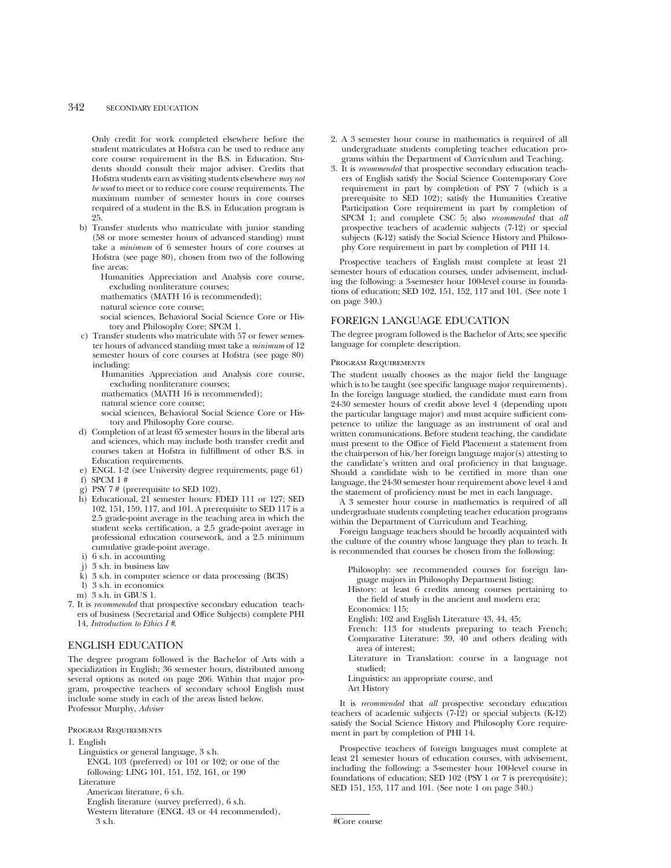## 342 SECONDARY EDUCATION

Only credit for work completed elsewhere before the student matriculates at Hofstra can be used to reduce any core course requirement in the B.S. in Education. Students should consult their major adviser. Credits that Hofstra students earn as visiting students elsewhere *may not be used* to meet or to reduce core course requirements. The maximum number of semester hours in core courses required of a student in the B.S. in Education program is 25.

- b) Transfer students who matriculate with junior standing (58 or more semester hours of advanced standing) must take a *minimum* of 6 semester hours of core courses at Hofstra (see page 80), chosen from two of the following five areas:
	- Humanities Appreciation and Analysis core course, excluding nonliterature courses;

mathematics (MATH 16 is recommended);

natural science core course;

social sciences, Behavioral Social Science Core or History and Philosophy Core; SPCM 1.

c) Transfer students who matriculate with 57 or fewer semester hours of advanced standing must take a *minimum* of 12 semester hours of core courses at Hofstra (see page 80) including:

Humanities Appreciation and Analysis core course, excluding nonliterature courses; mathematics (MATH 16 is recommended);

- natural science core course;
- social sciences, Behavioral Social Science Core or History and Philosophy Core course.
- d) Completion of at least 65 semester hours in the liberal arts and sciences, which may include both transfer credit and courses taken at Hofstra in fulfillment of other B.S. in Education requirements.

e) ENGL 1-2 (see University degree requirements, page 61)

- f) SPCM 1 #
- g) PSY 7 # (prerequisite to SED 102).
- h) Educational, 21 semester hours: FDED 111 or 127; SED 102, 151, 159, 117, and 101. A prerequisite to SED 117 is a 2.5 grade-point average in the teaching area in which the student seeks certification, a 2.5 grade-point average in professional education coursework, and a 2.5 minimum cumulative grade-point average.
- i) 6 s.h. in accounting
- j) 3 s.h. in business law
- k) 3 s.h. in computer science or data processing (BCIS)
- l) 3 s.h. in economics
- m) 3 s.h. in GBUS 1.
- 7. It is *recommended* that prospective secondary education teachers of business (Secretarial and Office Subjects) complete PHI 14, *Introduction to Ethics I #*.

## ENGLISH EDUCATION

The degree program followed is the Bachelor of Arts with a specialization in English; 36 semester hours, distributed among several options as noted on page 206. Within that major program, prospective teachers of secondary school English must include some study in each of the areas listed below. Professor Murphy, *Adviser*

#### Program Requirements

- 1. English
	- Linguistics or general language, 3 s.h.
	- ENGL 103 (preferred) or 101 or 102; or one of the following: LING 101, 151, 152, 161, or 190 **Literature**

American literature, 6 s.h.

- English literature (survey preferred), 6 s.h.
- Western literature (ENGL 43 or 44 recommended),
- 3 s.h.
- 2. A 3 semester hour course in mathematics is required of all undergraduate students completing teacher education programs within the Department of Curriculum and Teaching.
- 3. It is *recommended* that prospective secondary education teachers of English satisfy the Social Science Contemporary Core requirement in part by completion of PSY 7 (which is a prerequisite to SED 102); satisfy the Humanities Creative Participation Core requirement in part by completion of SPCM 1; and complete CSC 5; also *recommended* that *all* prospective teachers of academic subjects (7-12) or special subjects (K-12) satisfy the Social Science History and Philosophy Core requirement in part by completion of PHI 14.

Prospective teachers of English must complete at least 21 semester hours of education courses, under advisement, including the following: a 3-semester hour 100-level course in foundations of education; SED 102, 151, 152, 117 and 101. (See note 1 on page 340.)

## FOREIGN LANGUAGE EDUCATION

The degree program followed is the Bachelor of Arts; see specific language for complete description.

#### Program Requirements

The student usually chooses as the major field the language which is to be taught (see specific language major requirements). In the foreign language studied, the candidate must earn from 24-30 semester hours of credit above level 4 (depending upon the particular language major) and must acquire sufficient competence to utilize the language as an instrument of oral and written communications. Before student teaching, the candidate must present to the Office of Field Placement a statement from the chairperson of his/her foreign language major(s) attesting to the candidate's written and oral proficiency in that language. Should a candidate wish to be certified in more than one language, the 24-30 semester hour requirement above level 4 and the statement of proficiency must be met in each language.

A 3 semester hour course in mathematics is required of all undergraduate students completing teacher education programs within the Department of Curriculum and Teaching.

Foreign language teachers should be broadly acquainted with the culture of the country whose language they plan to teach. It is recommended that courses be chosen from the following:

Philosophy: see recommended courses for foreign language majors in Philosophy Department listing;

- History: at least 6 credits among courses pertaining to the field of study in the ancient and modern era; Economics: 115;
- English: 102 and English Literature 43, 44, 45;
- French: 113 for students preparing to teach French; Comparative Literature: 39, 40 and others dealing with area of interest;
- Literature in Translation: course in a language not studied;

Linguistics: an appropriate course, and

Art History

It is *recommended* that *all* prospective secondary education teachers of academic subjects (7-12) or special subjects (K-12) satisfy the Social Science History and Philosophy Core requirement in part by completion of PHI 14.

Prospective teachers of foreign languages must complete at least 21 semester hours of education courses, with advisement, including the following: a 3-semester hour 100-level course in foundations of education; SED 102 (PSY 1 or 7 is prerequisite); SED 151, 153, 117 and 101. (See note 1 on page 340.)

#Core course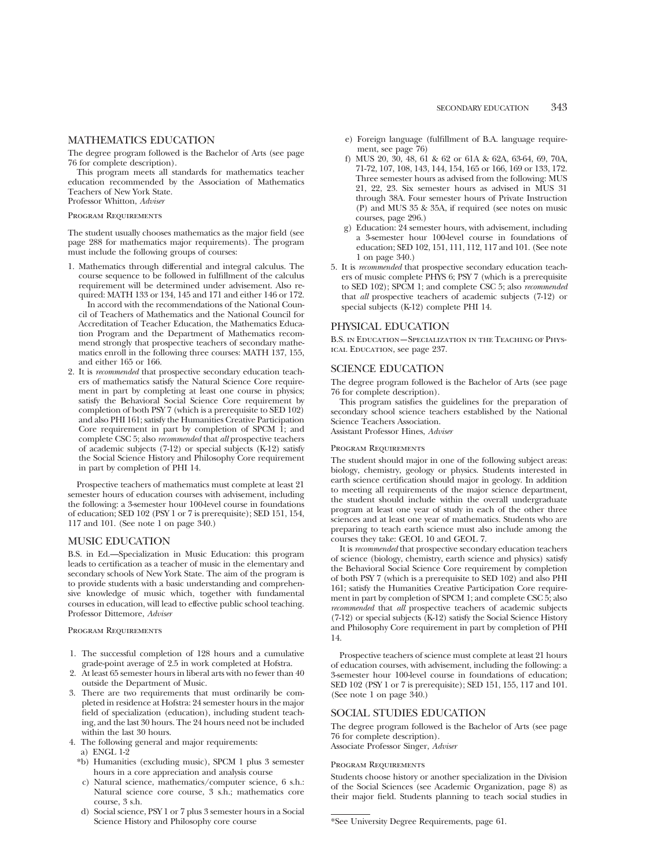# MATHEMATICS EDUCATION

The degree program followed is the Bachelor of Arts (see page 76 for complete description).

This program meets all standards for mathematics teacher education recommended by the Association of Mathematics Teachers of New York State. Professor Whitton, *Adviser*

Program Requirements

The student usually chooses mathematics as the major field (see page 288 for mathematics major requirements). The program must include the following groups of courses:

- 1. Mathematics through differential and integral calculus. The course sequence to be followed in fulfillment of the calculus requirement will be determined under advisement. Also required: MATH 133 or 134, 145 and 171 and either 146 or 172. In accord with the recommendations of the National Council of Teachers of Mathematics and the National Council for Accreditation of Teacher Education, the Mathematics Education Program and the Department of Mathematics recommend strongly that prospective teachers of secondary mathematics enroll in the following three courses: MATH 137, 155, and either 165 or 166.
- 2. It is *recommended* that prospective secondary education teachers of mathematics satisfy the Natural Science Core requirement in part by completing at least one course in physics; satisfy the Behavioral Social Science Core requirement by completion of both PSY 7 (which is a prerequisite to SED 102) and also PHI 161; satisfy the Humanities Creative Participation Core requirement in part by completion of SPCM 1; and complete CSC 5; also *recommended* that *all* prospective teachers of academic subjects (7-12) or special subjects (K-12) satisfy the Social Science History and Philosophy Core requirement in part by completion of PHI 14.

Prospective teachers of mathematics must complete at least 21 semester hours of education courses with advisement, including the following: a 3-semester hour 100-level course in foundations of education; SED 102 (PSY 1 or 7 is prerequisite); SED 151, 154, 117 and 101. (See note 1 on page 340.)

# MUSIC EDUCATION

B.S. in Ed.—Specialization in Music Education: this program leads to certification as a teacher of music in the elementary and secondary schools of New York State. The aim of the program is to provide students with a basic understanding and comprehensive knowledge of music which, together with fundamental courses in education, will lead to effective public school teaching. Professor Dittemore, *Adviser*

# Program Requirements

- 1. The successful completion of 128 hours and a cumulative grade-point average of 2.5 in work completed at Hofstra.
- 2. At least 65 semester hours in liberal arts with no fewer than 40 outside the Department of Music.
- 3. There are two requirements that must ordinarily be completed in residence at Hofstra: 24 semester hours in the major field of specialization (education), including student teaching, and the last 30 hours. The 24 hours need not be included within the last 30 hours.
- 4. The following general and major requirements:
- a) ENGL 1-2
- \*b) Humanities (excluding music), SPCM 1 plus 3 semester hours in a core appreciation and analysis course
- c) Natural science, mathematics/computer science, 6 s.h.: Natural science core course, 3 s.h.; mathematics core course, 3 s.h.
- d) Social science, PSY 1 or 7 plus 3 semester hours in a Social Science History and Philosophy core course
- e) Foreign language (fulfillment of B.A. language requirement, see page 76)
- f) MUS 20, 30, 48, 61 & 62 or 61A & 62A, 63-64, 69, 70A, 71-72, 107, 108, 143, 144, 154, 165 or 166, 169 or 133, 172. Three semester hours as advised from the following: MUS 21, 22, 23. Six semester hours as advised in MUS 31 through 38A. Four semester hours of Private Instruction (P) and MUS 35 & 35A, if required (see notes on music courses, page 296.)
- g) Education: 24 semester hours, with advisement, including a 3-semester hour 100-level course in foundations of education; SED 102, 151, 111, 112, 117 and 101. (See note 1 on page 340.)
- 5. It is *recommended* that prospective secondary education teachers of music complete PHYS 6; PSY 7 (which is a prerequisite to SED 102); SPCM 1; and complete CSC 5; also *recommended* that *all* prospective teachers of academic subjects (7-12) or special subjects (K-12) complete PHI 14.

## PHYSICAL EDUCATION

B.S. in Education—Specialization in the Teaching of Physical Education, see page 237.

# SCIENCE EDUCATION

The degree program followed is the Bachelor of Arts (see page 76 for complete description).

This program satisfies the guidelines for the preparation of secondary school science teachers established by the National Science Teachers Association. Assistant Professor Hines, *Adviser*

# Program Requirements

The student should major in one of the following subject areas: biology, chemistry, geology or physics. Students interested in earth science certification should major in geology. In addition to meeting all requirements of the major science department, the student should include within the overall undergraduate program at least one year of study in each of the other three sciences and at least one year of mathematics. Students who are preparing to teach earth science must also include among the courses they take: GEOL 10 and GEOL 7.

It is *recommended* that prospective secondary education teachers of science (biology, chemistry, earth science and physics) satisfy the Behavioral Social Science Core requirement by completion of both PSY 7 (which is a prerequisite to SED 102) and also PHI 161; satisfy the Humanities Creative Participation Core requirement in part by completion of SPCM 1; and complete CSC 5; also *recommended* that *all* prospective teachers of academic subjects (7-12) or special subjects (K-12) satisfy the Social Science History and Philosophy Core requirement in part by completion of PHI 14.

Prospective teachers of science must complete at least 21 hours of education courses, with advisement, including the following: a 3-semester hour 100-level course in foundations of education; SED 102 (PSY 1 or 7 is prerequisite); SED 151, 155, 117 and 101. (See note 1 on page 340.)

### SOCIAL STUDIES EDUCATION

The degree program followed is the Bachelor of Arts (see page 76 for complete description). Associate Professor Singer, *Adviser*

# Program Requirements

Students choose history or another specialization in the Division of the Social Sciences (see Academic Organization, page 8) as their major field. Students planning to teach social studies in

\*See University Degree Requirements, page 61.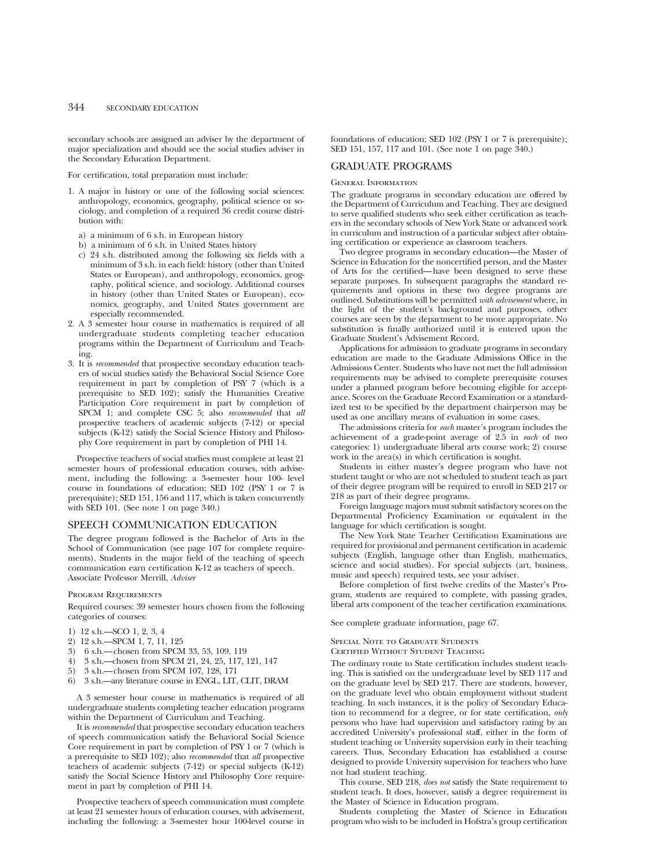# 344 SECONDARY EDUCATION

secondary schools are assigned an adviser by the department of major specialization and should see the social studies adviser in the Secondary Education Department.

#### For certification, total preparation must include:

- 1. A major in history or one of the following social sciences: anthropology, economics, geography, political science or sociology, and completion of a required 36 credit course distribution with:
	- a) a minimum of 6 s.h. in European history
	- b) a minimum of 6 s.h. in United States history
	- c) 24 s.h. distributed among the following six fields with a minimum of 3 s.h. in each field: history (other than United States or European), and anthropology, economics, geography, political science, and sociology. Additional courses in history (other than United States or European), economics, geography, and United States government are especially recommended.
- 2. A 3 semester hour course in mathematics is required of all undergraduate students completing teacher education programs within the Department of Curriculum and Teaching.
- 3. It is *recommended* that prospective secondary education teachers of social studies satisfy the Behavioral Social Science Core requirement in part by completion of PSY 7 (which is a prerequisite to SED 102); satisfy the Humanities Creative Participation Core requirement in part by completion of SPCM 1; and complete CSC 5; also *recommended* that *all* prospective teachers of academic subjects (7-12) or special subjects (K-12) satisfy the Social Science History and Philosophy Core requirement in part by completion of PHI 14.

Prospective teachers of social studies must complete at least 21 semester hours of professional education courses, with advisement, including the following: a 3-semester hour 100- level course in foundations of education; SED 102 (PSY 1 or 7 is prerequisite); SED 151, 156 and 117, which is taken concurrently with SED 101. (See note 1 on page 340.)

### SPEECH COMMUNICATION EDUCATION

The degree program followed is the Bachelor of Arts in the School of Communication (see page 107 for complete requirements). Students in the major field of the teaching of speech communication earn certification K-12 as teachers of speech. Associate Professor Merrill, *Adviser*

#### Program Requirements

Required courses: 39 semester hours chosen from the following categories of courses:

- 1) 12 s.h.—SCO 1, 2, 3, 4
- 2) 12 s.h.—SPCM 1, 7, 11, 125
- 3) 6 s.h.—chosen from SPCM 33, 53, 109, 119
- 4) 3 s.h.—chosen from SPCM 21, 24, 25, 117, 121, 147<br>5) 3 s.h.—chosen from SPCM 107, 128, 171
- 5) 3 s.h.—chosen from SPCM 107, 128, 171
- 6) 3 s.h.—any literature course in ENGL, LIT, CLIT, DRAM

A 3 semester hour course in mathematics is required of all undergraduate students completing teacher education programs within the Department of Curriculum and Teaching.

It is *recommended* that prospective secondary education teachers of speech communication satisfy the Behavioral Social Science Core requirement in part by completion of PSY 1 or 7 (which is a prerequisite to SED 102); also *recommended* that *all* prospective teachers of academic subjects (7-12) or special subjects (K-12) satisfy the Social Science History and Philosophy Core requirement in part by completion of PHI 14.

Prospective teachers of speech communication must complete at least 21 semester hours of education courses, with advisement, including the following: a 3-semester hour 100-level course in

foundations of education; SED 102 (PSY 1 or 7 is prerequisite); SED 151, 157, 117 and 101. (See note 1 on page 340.)

# GRADUATE PROGRAMS

#### General Information

The graduate programs in secondary education are offered by the Department of Curriculum and Teaching. They are designed to serve qualified students who seek either certification as teachers in the secondary schools of New York State or advanced work in curriculum and instruction of a particular subject after obtaining certification or experience as classroom teachers.

Two degree programs in secondary education—the Master of Science in Education for the noncertified person, and the Master of Arts for the certified—have been designed to serve these separate purposes. In subsequent paragraphs the standard requirements and options in these two degree programs are outlined. Substitutions will be permitted *with advisement* where, in the light of the student's background and purposes, other courses are seen by the department to be more appropriate. No substitution is finally authorized until it is entered upon the Graduate Student's Advisement Record.

Applications for admission to graduate programs in secondary education are made to the Graduate Admissions Office in the Admissions Center. Students who have not met the full admission requirements may be advised to complete prerequisite courses under a planned program before becoming eligible for acceptance. Scores on the Graduate Record Examination or a standardized test to be specified by the department chairperson may be used as one ancillary means of evaluation in some cases.

The admissions criteria for *each* master's program includes the achievement of a grade-point average of 2.5 in *each* of two categories: 1) undergraduate liberal arts course work; 2) course work in the area(s) in which certification is sought.

Students in either master's degree program who have not student taught or who are not scheduled to student teach as part of their degree program will be required to enroll in SED 217 or 218 as part of their degree programs.

Foreign language majors must submit satisfactory scores on the Departmental Proficiency Examination or equivalent in the language for which certification is sought.

The New York State Teacher Certification Examinations are required for provisional and permanent certification in academic subjects (English, language other than English, mathematics, science and social studies). For special subjects (art, business, music and speech) required tests, see your adviser.

Before completion of first twelve credits of the Master's Program, students are required to complete, with passing grades, liberal arts component of the teacher certification examinations.

See complete graduate information, page 67.

#### Special Note to Graduate Students

Certified Without Student Teaching

The ordinary route to State certification includes student teaching. This is satisfied on the undergraduate level by SED 117 and on the graduate level by SED 217. There are students, however, on the graduate level who obtain employment without student teaching. In such instances, it is the policy of Secondary Education to recommend for a degree, or for state certification, *only* persons who have had supervision and satisfactory rating by an accredited University's professional staff, either in the form of student teaching or University supervision early in their teaching careers. Thus, Secondary Education has established a course designed to provide University supervision for teachers who have not had student teaching.

This course, SED 218, *does not* satisfy the State requirement to student teach. It does, however, satisfy a degree requirement in the Master of Science in Education program.

Students completing the Master of Science in Education program who wish to be included in Hofstra's group certification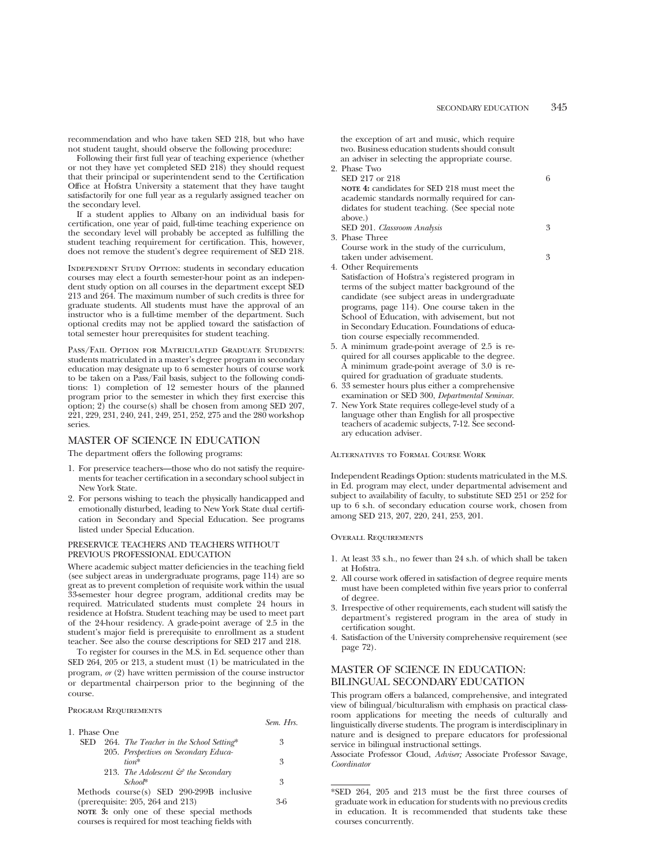recommendation and who have taken SED 218, but who have not student taught, should observe the following procedure:

Following their first full year of teaching experience (whether or not they have yet completed SED 218) they should request that their principal or superintendent send to the Certification Office at Hofstra University a statement that they have taught satisfactorily for one full year as a regularly assigned teacher on the secondary level.

If a student applies to Albany on an individual basis for certification, one year of paid, full-time teaching experience on the secondary level will probably be accepted as fulfilling the student teaching requirement for certification. This, however, does not remove the student's degree requirement of SED 218.

INDEPENDENT STUDY OPTION: students in secondary education courses may elect a fourth semester-hour point as an independent study option on all courses in the department except SED 213 and 264. The maximum number of such credits is three for graduate students. All students must have the approval of an instructor who is a full-time member of the department. Such optional credits may not be applied toward the satisfaction of total semester hour prerequisites for student teaching.

Pass/Fail Option for Matriculated Graduate Students: students matriculated in a master's degree program in secondary education may designate up to 6 semester hours of course work to be taken on a Pass/Fail basis, subject to the following conditions: 1) completion of 12 semester hours of the planned program prior to the semester in which they first exercise this option; 2) the course(s) shall be chosen from among SED 207, 221, 229, 231, 240, 241, 249, 251, 252, 275 and the 280 workshop series.

# MASTER OF SCIENCE IN EDUCATION

The department offers the following programs:

- 1. For preservice teachers—those who do not satisfy the requirements for teacher certification in a secondary school subject in New York State.
- 2. For persons wishing to teach the physically handicapped and emotionally disturbed, leading to New York State dual certification in Secondary and Special Education. See programs listed under Special Education.

### PRESERVICE TEACHERS AND TEACHERS WITHOUT PREVIOUS PROFESSIONAL EDUCATION

Where academic subject matter deficiencies in the teaching field (see subject areas in undergraduate programs, page 114) are so great as to prevent completion of requisite work within the usual 33-semester hour degree program, additional credits may be required. Matriculated students must complete 24 hours in residence at Hofstra. Student teaching may be used to meet part of the 24-hour residency. A grade-point average of 2.5 in the student's major field is prerequisite to enrollment as a student teacher. See also the course descriptions for SED 217 and 218.

To register for courses in the M.S. in Ed. sequence other than SED 264, 205 or 213, a student must (1) be matriculated in the program, *or* (2) have written permission of the course instructor or departmental chairperson prior to the beginning of the course.

# Program Requirements

|              | Sem. Hrs. |  |
|--------------|-----------|--|
| 1. Phase One |           |  |

| 3 |
|---|
|   |
| 3 |
|   |
| 3 |
|   |

Methods course(s) SED 290-299B inclusive (prerequisite: 205, 264 and 213) 3-6

**NOTE 3:** only one of these special methods courses is required for most teaching fields with

the exception of art and music, which require two. Business education students should consult an adviser in selecting the appropriate course. 2. Phase Two

- SED 217 or 218 6 **NOTE 4:** candidates for SED 218 must meet the academic standards normally required for candidates for student teaching. (See special note above.) SED 201. *Classroom Analysis* 3 3. Phase Three
	- Course work in the study of the curriculum, taken under advisement. 3
- 4. Other Requirements

Satisfaction of Hofstra's registered program in terms of the subject matter background of the candidate (see subject areas in undergraduate programs, page 114). One course taken in the School of Education, with advisement, but not in Secondary Education. Foundations of education course especially recommended.

- 5. A minimum grade-point average of 2.5 is required for all courses applicable to the degree. A minimum grade-point average of 3.0 is required for graduation of graduate students.
- 6. 33 semester hours plus either a comprehensive examination or SED 300, *Departmental Seminar*.
- 7. New York State requires college-level study of a language other than English for all prospective teachers of academic subjects, 7-12. See secondary education adviser.

Alternatives to Formal Course Work

Independent Readings Option: students matriculated in the M.S. in Ed. program may elect, under departmental advisement and subject to availability of faculty, to substitute SED 251 or 252 for up to 6 s.h. of secondary education course work, chosen from among SED 213, 207, 220, 241, 253, 201.

#### Overall Requirements

- 1. At least 33 s.h., no fewer than 24 s.h. of which shall be taken at Hofstra.
- 2. All course work offered in satisfaction of degree require ments must have been completed within five years prior to conferral of degree.
- 3. Irrespective of other requirements, each student will satisfy the department's registered program in the area of study in certification sought.
- 4. Satisfaction of the University comprehensive requirement (see page 72).

# MASTER OF SCIENCE IN EDUCATION: BILINGUAL SECONDARY EDUCATION

This program offers a balanced, comprehensive, and integrated view of bilingual/biculturalism with emphasis on practical classroom applications for meeting the needs of culturally and linguistically diverse students. The program is interdisciplinary in nature and is designed to prepare educators for professional service in bilingual instructional settings.

Associate Professor Cloud, *Adviser;* Associate Professor Savage, *Coordinator*

<sup>\*</sup>SED 264, 205 and 213 must be the first three courses of graduate work in education for students with no previous credits in education. It is recommended that students take these courses concurrently.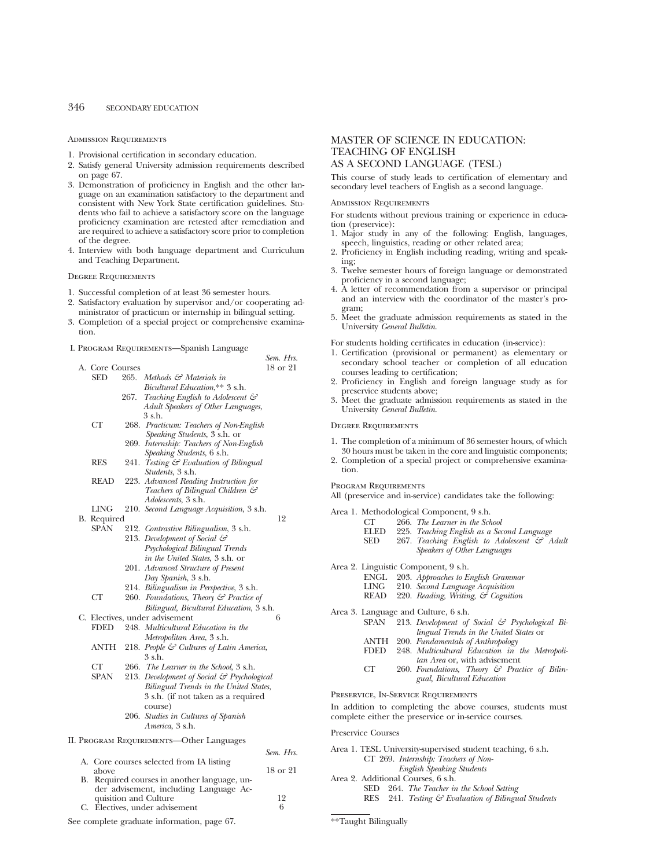# 346 SECONDARY EDUCATION

Admission Requirements

- 1. Provisional certification in secondary education.
- 2. Satisfy general University admission requirements described on page 67.
- 3. Demonstration of proficiency in English and the other language on an examination satisfactory to the department and consistent with New York State certification guidelines. Students who fail to achieve a satisfactory score on the language proficiency examination are retested after remediation and are required to achieve a satisfactory score prior to completion of the degree.
- and Teaching Department.

Degree Requirements

- 1. Successful completion of at least 36 semester hours.
- 2. Satisfactory evaluation by supervisor and/or cooperating ad-
- 3. Completion of a special project or comprehensive examina-
- 

|  | A. Core Courses |      |                                                                | 18 or 21     |
|--|-----------------|------|----------------------------------------------------------------|--------------|
|  | SED             |      | 265. Methods & Materials in                                    |              |
|  |                 |      | Bicultural Education,** 3 s.h.                                 |              |
|  |                 | 267. | Teaching English to Adolescent &                               |              |
|  |                 |      | Adult Speakers of Other Languages,                             |              |
|  |                 |      | 3 s.h.                                                         |              |
|  | СT              |      | 268. Practicum: Teachers of Non-English                        |              |
|  |                 |      | Speaking Students, 3 s.h. or                                   |              |
|  |                 |      | 269. Internship: Teachers of Non-English                       |              |
|  |                 |      | Speaking Students, 6 s.h.                                      |              |
|  | <b>RES</b>      | 241. | Testing & Evaluation of Bilingual                              |              |
|  |                 |      | <i>Students</i> , 3 s.h.                                       |              |
|  | READ            |      | 223. Advanced Reading Instruction for                          |              |
|  |                 |      | Teachers of Bilingual Children &<br><i>Adolescents, 3 s.h.</i> |              |
|  | LING            |      | 210. Second Language Acquisition, 3 s.h.                       |              |
|  | B. Required     |      |                                                                | 12           |
|  | SPAN            |      | 212. Contrastive Bilingualism, 3 s.h.                          |              |
|  |                 |      | 213. Development of Social &                                   |              |
|  |                 |      | Psychological Bilingual Trends                                 |              |
|  |                 |      | in the United States, 3 s.h. or                                |              |
|  |                 |      | 201. Advanced Structure of Present                             |              |
|  |                 |      | Day Spanish, 3 s.h.                                            |              |
|  |                 |      | 214. Bilingualism in Perspective, 3 s.h.                       |              |
|  | CT              |      | 260. Foundations, Theory & Practice of                         |              |
|  |                 |      | Bilingual, Bicultural Education, 3 s.h.                        |              |
|  |                 |      | C. Electives, under advisement                                 | 6            |
|  | FDED            |      | 248. Multicultural Education in the                            |              |
|  |                 |      | Metropolitan Area, 3 s.h.                                      |              |
|  | ANTH            |      | 218. People $\mathcal{C}$ Cultures of Latin America,           |              |
|  |                 |      | 3 s.h.                                                         |              |
|  | CT              |      | 266. The Learner in the School, 3 s.h.                         |              |
|  | <b>SPAN</b>     |      | 213. Development of Social & Psychological                     |              |
|  |                 |      | Bilingual Trends in the United States,                         |              |
|  |                 |      | 3 s.h. (if not taken as a required                             |              |
|  |                 |      | course)                                                        |              |
|  |                 |      | 206. Studies in Cultures of Spanish                            |              |
|  |                 |      | America, 3 s.h.                                                |              |
|  |                 |      | II. PROGRAM REQUIREMENTS—Other Languages                       |              |
|  |                 |      |                                                                |              |
|  |                 |      | A. Core courses selected from IA listing                       | Sem. Hrs.    |
|  | above           |      |                                                                | 18 or 21     |
|  |                 |      | B. Required courses in another language, un-                   |              |
|  |                 |      | der advisement, including Language Ac-                         |              |
|  |                 |      |                                                                | $1^{\Omega}$ |

quisition and Culture 12<br>Electives under advisement 12 0 16 C. Electives, under advisement

*Sem. Hrs.*

4. Interview with both language department and Curriculum

- 
- ministrator of practicum or internship in bilingual setting.
- tion.
- I. Program Requirements—Spanish Language

| A. Core Courses |      |                                                      | 18 or 21  |
|-----------------|------|------------------------------------------------------|-----------|
| SED             |      | 265. Methods & Materials in                          |           |
|                 |      | Bicultural Education,** 3 s.h.                       |           |
|                 | 267. | Teaching English to Adolescent $\mathcal{C}$         |           |
|                 |      | Adult Speakers of Other Languages,                   |           |
|                 |      | 3 s.h.                                               |           |
| CT              |      | 268. Practicum: Teachers of Non-English              |           |
|                 |      | Speaking Students, 3 s.h. or                         |           |
|                 |      | 269. Internship: Teachers of Non-English             |           |
|                 |      | Speaking Students, 6 s.h.                            |           |
| <b>RES</b>      |      | 241. Testing & Evaluation of Bilingual               |           |
|                 |      | <i>Students</i> , 3 s.h.                             |           |
| <b>READ</b>     |      | 223. Advanced Reading Instruction for                |           |
|                 |      | Teachers of Bilingual Children &                     |           |
|                 |      | <i>Adolescents</i> , 3 s.h.                          |           |
| <b>LING</b>     |      | 210. Second Language Acquisition, 3 s.h.             |           |
| B. Required     |      |                                                      | 12        |
| SPAN            |      | 212. Contrastive Bilingualism, 3 s.h.                |           |
|                 |      | 213. Development of Social &                         |           |
|                 |      | Psychological Bilingual Trends                       |           |
|                 |      | in the United States, 3 s.h. or                      |           |
|                 |      | 201. Advanced Structure of Present                   |           |
|                 |      | Day Spanish, 3 s.h.                                  |           |
|                 |      | 214. Bilingualism in Perspective, 3 s.h.             |           |
| CT              |      | 260. Foundations, Theory & Practice of               |           |
|                 |      | Bilingual, Bicultural Education, 3 s.h.              |           |
|                 |      | C. Electives, under advisement                       | 6         |
| <b>FDED</b>     |      | 248. Multicultural Education in the                  |           |
|                 |      | Metropolitan Area, 3 s.h.                            |           |
| ANTH            |      | 218. People $\mathcal{C}$ Cultures of Latin America, |           |
|                 |      | 3 s.h.                                               |           |
| CT              |      | 266. The Learner in the School, 3 s.h.               |           |
| SPAN            |      | 213. Development of Social & Psychological           |           |
|                 |      | Bilingual Trends in the United States,               |           |
|                 |      | 3 s.h. (if not taken as a required                   |           |
|                 |      | course)                                              |           |
|                 |      | 206. Studies in Cultures of Spanish                  |           |
|                 |      | America, 3 s.h.                                      |           |
|                 |      | PROGRAM REQUIREMENTS-Other Languages                 |           |
|                 |      |                                                      | Sem. Hrs. |
|                 |      | A. Core courses selected from IA listing             |           |
| above           |      |                                                      | 18 or 21  |

# AS A SECOND LANGUAGE (TESL) This course of study leads to certification of elementary and secondary level teachers of English as a second language.

TEACHING OF ENGLISH

#### Admission Requirements

For students without previous training or experience in education (preservice):

MASTER OF SCIENCE IN EDUCATION:

- 1. Major study in any of the following: English, languages, speech, linguistics, reading or other related area;
- 2. Proficiency in English including reading, writing and speaking;
- 3. Twelve semester hours of foreign language or demonstrated proficiency in a second language;
- 4. A letter of recommendation from a supervisor or principal and an interview with the coordinator of the master's program;
- 5. Meet the graduate admission requirements as stated in the University *General Bulletin*.

For students holding certificates in education (in-service):

- 1. Certification (provisional or permanent) as elementary or secondary school teacher or completion of all education courses leading to certification;
- 2. Proficiency in English and foreign language study as for preservice students above;
- 3. Meet the graduate admission requirements as stated in the University *General Bulletin*.

# Degree Requirements

- 1. The completion of a minimum of 36 semester hours, of which 30 hours must be taken in the core and linguistic components;
- 2. Completion of a special project or comprehensive examination.

#### Program Requirements

All (preservice and in-service) candidates take the following:

Area 1. Methodological Component, 9 s.h.

- CT. 266. *The Learner in the School*
- ELED 225. *Teaching English as a Second Language*
- SED 267. Teaching English to Adolescent & Adult *Speakers of Other Languages*

Area 2. Linguistic Component, 9 s.h.

- ENGL 203. *Approaches to English Grammar*
- LING 210. *Second Language Acquisition*
- READ 220. *Reading, Writing, & Cognition*
- Area 3. Language and Culture, 6 s.h.

| SPAN | 213. Development of Social & Psychological Bi- |
|------|------------------------------------------------|
|      | <i>lingual Trends in the United States or</i>  |
|      |                                                |

- ANTH 200. *Fundamentals of Anthropology*
- FDED 248. *Multicultural Education in the Metropolitan Area* or, with advisement
- CT 260. *Foundations, Theory & Practice of Bilingual, Bicultural Education*

Preservice, In-Service Requirements

In addition to completing the above courses, students must complete either the preservice or in-service courses.

#### Preservice Courses

| Area 1. TESL University-supervised student teaching, 6 s.h.    |
|----------------------------------------------------------------|
| CT 269. Internship: Teachers of Non-                           |
| <b>English Speaking Students</b>                               |
| Area 2. Additional Courses, 6 s.h.                             |
| 264. The Teacher in the School Setting<br>SED.                 |
| RES 241. Testing $\mathcal G$ Evaluation of Bilingual Students |
|                                                                |
| **Taught Bilingually                                           |

See complete graduate information, page 67.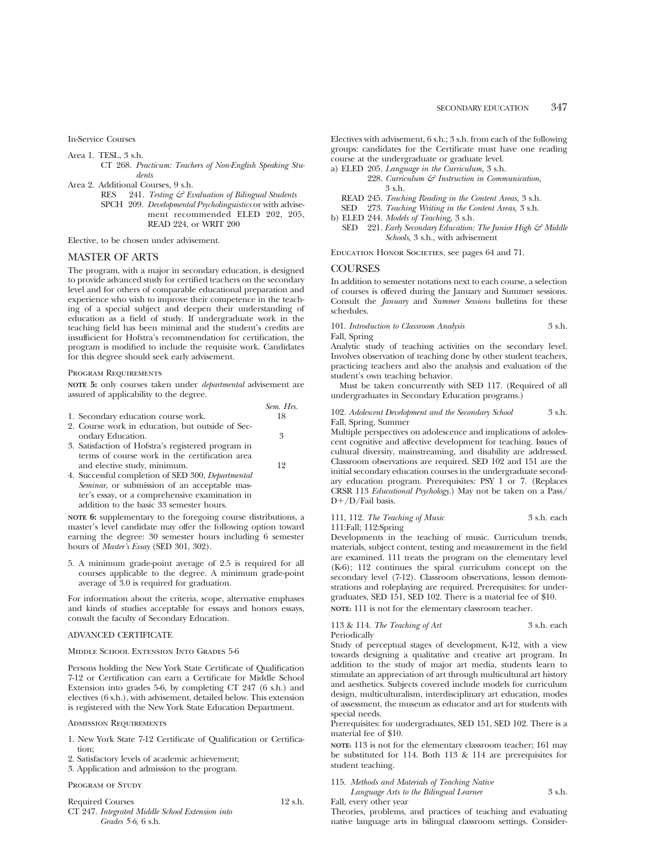In-Service Courses

- Area 1. TESL, 3 s.h.
	- CT 268. *Practicum: Teachers of Non-English Speaking Students*
- Area 2. Additional Courses, 9 s.h.
	- RES 241. *Testing & Evaluation of Bilingual Students* SPCH 209. *Developmental Psycholinguistics* or with advisement recommended ELED 202, 205, READ 224, or WRIT 200

Elective, to be chosen under advisement.

## MASTER OF ARTS

The program, with a major in secondary education, is designed to provide advanced study for certified teachers on the secondary level and for others of comparable educational preparation and experience who wish to improve their competence in the teaching of a special subject and deepen their understanding of education as a field of study. If undergraduate work in the teaching field has been minimal and the student's credits are insufficient for Hofstra's recommendation for certification, the program is modified to include the requisite work. Candidates for this degree should seek early advisement.

# Program Requirements

**NOTE 5:** only courses taken under *departmental* advisement are assured of applicability to the degree.

|                                                    | Sem. Hrs. |
|----------------------------------------------------|-----------|
| 1. Secondary education course work.                | 18        |
| 2. Course work in education, but outside of Sec-   |           |
| ondary Education.                                  | 3         |
| 3. Satisfaction of Hofstra's registered program in |           |
| terms of course work in the certification area     |           |
| and elective study, minimum.                       | 19        |
| 4. Successful completion of SED 300, Departmental  |           |
|                                                    |           |

*Seminar*, or submission of an acceptable master's essay, or a comprehensive examination in addition to the basic 33 semester hours.

**NOTE 6:** supplementary to the foregoing course distributions, a master's level candidate may offer the following option toward earning the degree: 30 semester hours including 6 semester hours of *Master's Essay* (SED 301, 302).

5. A minimum grade-point average of 2.5 is required for all courses applicable to the degree. A minimum grade-point average of 3.0 is required for graduation.

For information about the criteria, scope, alternative emphases and kinds of studies acceptable for essays and honors essays, consult the faculty of Secondary Education.

# ADVANCED CERTIFICATE

# Middle School Extension Into Grades 5-6

Persons holding the New York State Certificate of Qualification 7-12 or Certification can earn a Certificate for Middle School Extension into grades 5-6, by completing CT 247 (6 s.h.) and electives (6 s.h.), with advisement, detailed below. This extension is registered with the New York State Education Department.

# Admission Requirements

- 1. New York State 7-12 Certificate of Qualification or Certification;
- 2. Satisfactory levels of academic achievement;

3. Application and admission to the program.

#### PROGRAM OF STUDY

| <b>Required Courses</b>                         | $12$ s.h. |
|-------------------------------------------------|-----------|
| CT 247. Integrated Middle School Extension into |           |
| <i>Grades</i> 5-6, 6 s.h.                       |           |

Electives with advisement, 6 s.h.; 3 s.h. from each of the following groups: candidates for the Certificate must have one reading course at the undergraduate or graduate level.

- a) ELED 205. *Language in the Curriculum,* 3 s.h.
	- 228. *Curriculum & Instruction in Communication,* 3 s.h.
	- READ 245. *Teaching Reading in the Content Areas,* 3 s.h.
	- SED 273. *Teaching Writing in the Content Areas,* 3 s.h.
- b) ELED 244. *Models of Teaching,* 3 s.h.
- SED 221. *Early Secondary Education: The Junior High & Middle Schools,* 3 s.h., with advisement

Education Honor Societies, see pages 64 and 71.

# **COURSES**

In addition to semester notations next to each course, a selection of courses is offered during the January and Summer sessions. Consult the *January* and *Summer Sessions* bulletins for these schedules.

101. *Introduction to Classroom Analysis* 3 s.h. Fall, Spring

Analytic study of teaching activities on the secondary level. Involves observation of teaching done by other student teachers, practicing teachers and also the analysis and evaluation of the student's own teaching behavior.

Must be taken concurrently with SED 117. (Required of all undergraduates in Secondary Education programs.)

102. *Adolescent Development and the Secondary School* 3 s.h. Fall, Spring, Summer

Multiple perspectives on adolescence and implications of adolescent cognitive and affective development for teaching. Issues of cultural diversity, mainstreaming, and disability are addressed. Classroom observations are required. SED 102 and 151 are the initial secondary education courses in the undergraduate secondary education program. Prerequisites: PSY 1 or 7. (Replaces CRSR 113 *Educational Psychology*.) May not be taken on a Pass/  $D+/D/Fail$  basis.

# 111, 112. *The Teaching of Music* 3 s.h. each 111:Fall; 112:Spring

Developments in the teaching of music. Curriculum trends, materials, subject content, testing and measurement in the field are examined. 111 treats the program on the elementary level (K-6); 112 continues the spiral curriculum concept on the secondary level (7-12). Classroom observations, lesson demonstrations and roleplaying are required. Prerequisites: for undergraduates, SED 151, SED 102. There is a material fee of \$10.

**NOTE:** 111 is not for the elementary classroom teacher.

#### 113 & 114. *The Teaching of Art* 3 s.h. each Periodically

Study of perceptual stages of development, K-12, with a view towards designing a qualitative and creative art program. In addition to the study of major art media, students learn to stimulate an appreciation of art through multicultural art history and aesthetics. Subjects covered include models for curriculum design, multiculturalism, interdisciplinary art education, modes of assessment, the museum as educator and art for students with special needs.

Prerequisites: for undergraduates, SED 151, SED 102. There is a material fee of \$10.

**NOTE:** 113 is not for the elementary classroom teacher; 161 may be substituted for 114. Both 113 & 114 are prerequisites for student teaching.

115. *Methods and Materials of Teaching Native Language Arts to the Bilingual Learner* 3 s.h.

Fall, every other year

Theories, problems, and practices of teaching and evaluating native language arts in bilingual classroom settings. Consider-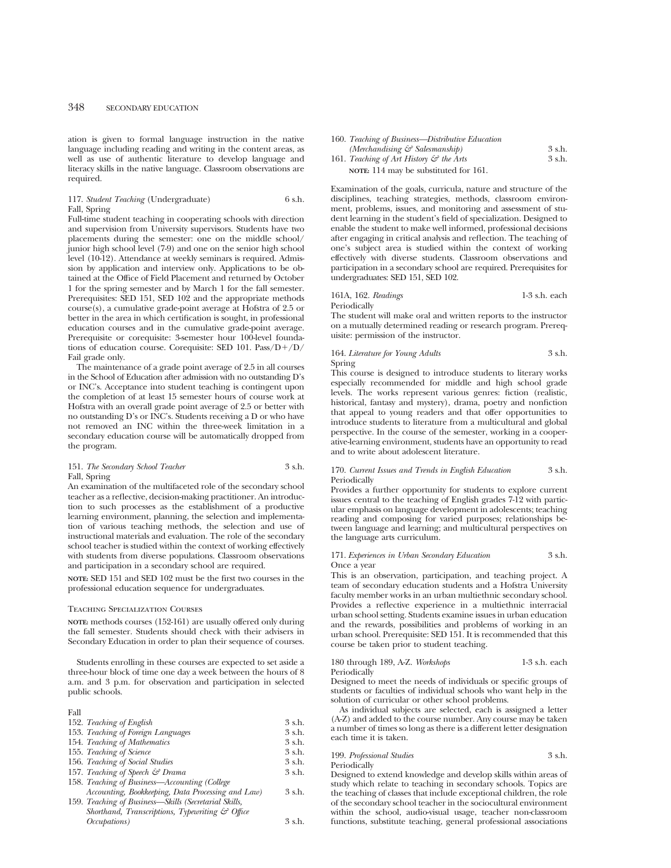# 348 SECONDARY EDUCATION

ation is given to formal language instruction in the native language including reading and writing in the content areas, as well as use of authentic literature to develop language and literacy skills in the native language. Classroom observations are required.

117. *Student Teaching* (Undergraduate) 6 s.h. Fall, Spring

Full-time student teaching in cooperating schools with direction and supervision from University supervisors. Students have two placements during the semester: one on the middle school/ junior high school level (7-9) and one on the senior high school level (10-12). Attendance at weekly seminars is required. Admission by application and interview only. Applications to be obtained at the Office of Field Placement and returned by October 1 for the spring semester and by March 1 for the fall semester. Prerequisites: SED 151, SED 102 and the appropriate methods course(s), a cumulative grade-point average at Hofstra of 2.5 or better in the area in which certification is sought, in professional education courses and in the cumulative grade-point average. Prerequisite or corequisite: 3-semester hour 100-level foundations of education course. Corequisite: SED 101. Pass/ $D+/D/$ Fail grade only.

The maintenance of a grade point average of 2.5 in all courses in the School of Education after admission with no outstanding D's or INC's. Acceptance into student teaching is contingent upon the completion of at least 15 semester hours of course work at Hofstra with an overall grade point average of 2.5 or better with no outstanding D's or INC's. Students receiving a D or who have not removed an INC within the three-week limitation in a secondary education course will be automatically dropped from the program.

### 151. *The Secondary School Teacher* 3 s.h. Fall, Spring

An examination of the multifaceted role of the secondary school teacher as a reflective, decision-making practitioner. An introduction to such processes as the establishment of a productive learning environment, planning, the selection and implementation of various teaching methods, the selection and use of instructional materials and evaluation. The role of the secondary school teacher is studied within the context of working effectively with students from diverse populations. Classroom observations and participation in a secondary school are required.

**NOTE:** SED 151 and SED 102 must be the first two courses in the professional education sequence for undergraduates.

#### Teaching Specialization Courses

**NOTE:** methods courses (152-161) are usually offered only during the fall semester. Students should check with their advisers in Secondary Education in order to plan their sequence of courses.

Students enrolling in these courses are expected to set aside a three-hour block of time one day a week between the hours of 8 a.m. and 3 p.m. for observation and participation in selected public schools.

| Fall                                                  |         |
|-------------------------------------------------------|---------|
| 152. Teaching of English                              | 3 s.h.  |
| 153. Teaching of Foreign Languages                    | 3 s.h.  |
| 154. Teaching of Mathematics                          | 3 s.h.  |
| 155. Teaching of Science                              | 3 s.h.  |
| 156. Teaching of Social Studies                       | 3 s.h.  |
| 157. Teaching of Speech & Drama                       | 3 s.h.  |
| 158. Teaching of Business—Accounting (College         |         |
| Accounting, Bookkeeping, Data Processing and Law)     | 3 s.h.  |
| 159. Teaching of Business—Skills (Secretarial Skills, |         |
| Shorthand, Transcriptions, Typewriting & Office       |         |
| <i>Occupations</i> )                                  | $3$ s h |
|                                                       |         |

| 160. Teaching of Business—Distributive Education   |        |
|----------------------------------------------------|--------|
| (Merchandising $\mathcal{C}$ Salesmanship)         | 3 s.h. |
| 161. Teaching of Art History $\mathcal G$ the Arts | 3 s.h. |
| NOTE: 114 may be substituted for 161.              |        |

Examination of the goals, curricula, nature and structure of the disciplines, teaching strategies, methods, classroom environment, problems, issues, and monitoring and assessment of student learning in the student's field of specialization. Designed to enable the student to make well informed, professional decisions after engaging in critical analysis and reflection. The teaching of one's subject area is studied within the context of working effectively with diverse students. Classroom observations and participation in a secondary school are required. Prerequisites for undergraduates: SED 151, SED 102.

161A, 162. *Readings* 1-3 s.h. each Periodically

The student will make oral and written reports to the instructor on a mutually determined reading or research program. Prerequisite: permission of the instructor.

164. *Literature for Young Adults* 3 s.h.

Spring

This course is designed to introduce students to literary works especially recommended for middle and high school grade levels. The works represent various genres: fiction (realistic, historical, fantasy and mystery), drama, poetry and nonfiction that appeal to young readers and that offer opportunities to introduce students to literature from a multicultural and global perspective. In the course of the semester, working in a cooperative-learning environment, students have an opportunity to read and to write about adolescent literature.

170. *Current Issues and Trends in English Education* 3 s.h. Periodically

Provides a further opportunity for students to explore current issues central to the teaching of English grades 7-12 with particular emphasis on language development in adolescents; teaching reading and composing for varied purposes; relationships between language and learning; and multicultural perspectives on the language arts curriculum.

#### 171. *Experiences in Urban Secondary Education* 3 s.h. Once a year

This is an observation, participation, and teaching project. A team of secondary education students and a Hofstra University faculty member works in an urban multiethnic secondary school. Provides a reflective experience in a multiethnic interracial urban school setting. Students examine issues in urban education and the rewards, possibilities and problems of working in an urban school. Prerequisite: SED 151. It is recommended that this course be taken prior to student teaching.

| 180 through 189, A-Z. Workshops | 1-3 s.h. each |
|---------------------------------|---------------|
| Periodically                    |               |

Designed to meet the needs of individuals or specific groups of students or faculties of individual schools who want help in the solution of curricular or other school problems.

As individual subjects are selected, each is assigned a letter (A-Z) and added to the course number. Any course may be taken a number of times so long as there is a different letter designation each time it is taken.

| 199. Professional Studies | 3 s.h. |
|---------------------------|--------|
|---------------------------|--------|

Periodically

Designed to extend knowledge and develop skills within areas of study which relate to teaching in secondary schools. Topics are the teaching of classes that include exceptional children, the role of the secondary school teacher in the sociocultural environment within the school, audio-visual usage, teacher non-classroom functions, substitute teaching, general professional associations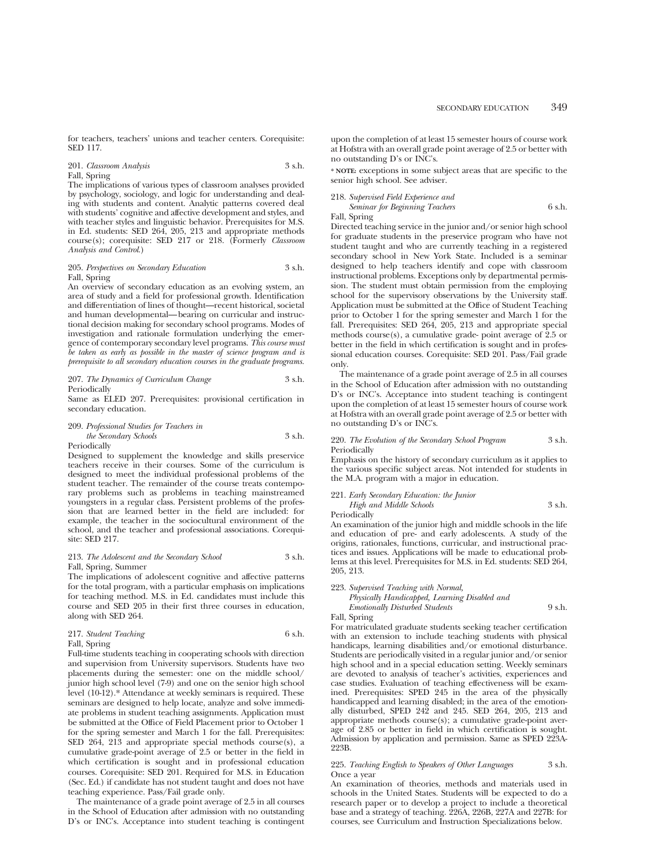for teachers, teachers' unions and teacher centers. Corequisite: SED 117.

# 201. *Classroom Analysis* 3 s.h.

Fall, Spring

The implications of various types of classroom analyses provided by psychology, sociology, and logic for understanding and dealing with students and content. Analytic patterns covered deal with students' cognitive and affective development and styles, and with teacher styles and linguistic behavior. Prerequisites for M.S. in Ed. students: SED 264, 205, 213 and appropriate methods course(s); corequisite: SED 217 or 218. (Formerly *Classroom Analysis and Control*.)

#### 205. *Perspectives on Secondary Education* 3 s.h. Fall, Spring

An overview of secondary education as an evolving system, an area of study and a field for professional growth. Identification and differentiation of lines of thought—recent historical, societal and human developmental—bearing on curricular and instructional decision making for secondary school programs. Modes of investigation and rationale formulation underlying the emergence of contemporary secondary level programs. *This course must be taken as early as possible in the master of science program and is prerequisite to all secondary education courses in the graduate programs.*

207. *The Dynamics of Curriculum Change* 3 s.h. Periodically

Same as ELED 207. Prerequisites: provisional certification in secondary education.

#### 209. *Professional Studies for Teachers in the Secondary Schools* 3 s.h. Periodically

Designed to supplement the knowledge and skills preservice teachers receive in their courses. Some of the curriculum is designed to meet the individual professional problems of the student teacher. The remainder of the course treats contemporary problems such as problems in teaching mainstreamed youngsters in a regular class. Persistent problems of the profession that are learned better in the field are included: for example, the teacher in the sociocultural environment of the school, and the teacher and professional associations. Corequisite: SED 217.

#### 213. *The Adolescent and the Secondary School* 3 s.h. Fall, Spring, Summer

The implications of adolescent cognitive and affective patterns for the total program, with a particular emphasis on implications for teaching method. M.S. in Ed. candidates must include this course and SED 205 in their first three courses in education, along with SED 264.

217. *Student Teaching* 6 s.h.

Fall, Spring

Full-time students teaching in cooperating schools with direction and supervision from University supervisors. Students have two placements during the semester: one on the middle school/ junior high school level (7-9) and one on the senior high school level (10-12).\* Attendance at weekly seminars is required. These seminars are designed to help locate, analyze and solve immediate problems in student teaching assignments. Application must be submitted at the Office of Field Placement prior to October 1 for the spring semester and March 1 for the fall. Prerequisites: SED 264, 213 and appropriate special methods course(s), a cumulative grade-point average of 2.5 or better in the field in which certification is sought and in professional education courses. Corequisite: SED 201. Required for M.S. in Education (Sec. Ed.) if candidate has not student taught and does not have teaching experience. Pass/Fail grade only.

The maintenance of a grade point average of 2.5 in all courses in the School of Education after admission with no outstanding D's or INC's. Acceptance into student teaching is contingent upon the completion of at least 15 semester hours of course work at Hofstra with an overall grade point average of 2.5 or better with no outstanding D's or INC's.

**\* NOTE:** exceptions in some subject areas that are specific to the senior high school. See adviser.

# 218. *Supervised Field Experience and Seminar for Beginning Teachers* 6 s.h.

Fall, Spring

Directed teaching service in the junior and/or senior high school for graduate students in the preservice program who have not student taught and who are currently teaching in a registered secondary school in New York State. Included is a seminar designed to help teachers identify and cope with classroom instructional problems. Exceptions only by departmental permission. The student must obtain permission from the employing school for the supervisory observations by the University staff. Application must be submitted at the Office of Student Teaching prior to October 1 for the spring semester and March 1 for the fall. Prerequisites: SED 264, 205, 213 and appropriate special methods course(s), a cumulative grade- point average of 2.5 or better in the field in which certification is sought and in professional education courses. Corequisite: SED 201. Pass/Fail grade only.

The maintenance of a grade point average of 2.5 in all courses in the School of Education after admission with no outstanding D's or INC's. Acceptance into student teaching is contingent upon the completion of at least 15 semester hours of course work at Hofstra with an overall grade point average of 2.5 or better with no outstanding D's or INC's.

220. *The Evolution of the Secondary School Program* 3 s.h. Periodically Emphasis on the history of secondary curriculum as it applies to

the various specific subject areas. Not intended for students in the M.A. program with a major in education.

221. *Early Secondary Education: the Junior*

*High and Middle Schools* 3 s.h.

Periodically

An examination of the junior high and middle schools in the life and education of pre- and early adolescents. A study of the origins, rationales, functions, curricular, and instructional practices and issues. Applications will be made to educational problems at this level. Prerequisites for M.S. in Ed. students: SED 264, 205, 213.

223. *Supervised Teaching with Normal,*

*Physically Handicapped, Learning Disabled and Emotionally Disturbed Students* 9 s.h.

Fall, Spring

For matriculated graduate students seeking teacher certification with an extension to include teaching students with physical handicaps, learning disabilities and/or emotional disturbance. Students are periodically visited in a regular junior and/or senior high school and in a special education setting. Weekly seminars are devoted to analysis of teacher's activities, experiences and case studies. Evaluation of teaching effectiveness will be examined. Prerequisites: SPED 245 in the area of the physically handicapped and learning disabled; in the area of the emotionally disturbed, SPED 242 and 245. SED 264, 205, 213 and appropriate methods course(s); a cumulative grade-point average of 2.85 or better in field in which certification is sought. Admission by application and permission. Same as SPED 223A-223B.

#### 225. *Teaching English to Speakers of Other Languages* 3 s.h. Once a year

An examination of theories, methods and materials used in schools in the United States. Students will be expected to do a research paper or to develop a project to include a theoretical base and a strategy of teaching. 226A, 226B, 227A and 227B: for courses, see Curriculum and Instruction Specializations below.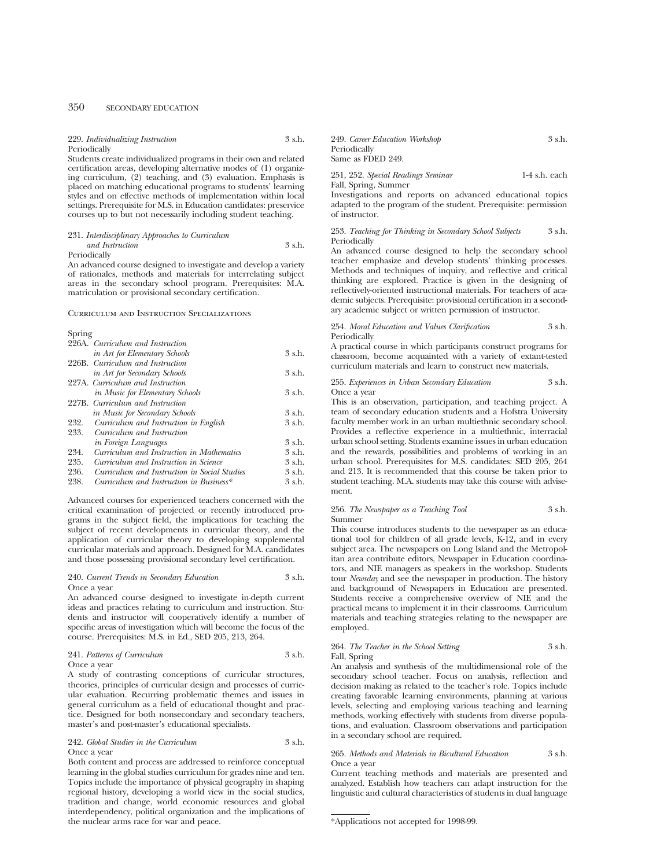# 350 SECONDARY EDUCATION

| 229. Individualizing Instruction                                                                                                       | 3 s.h. | 249. Career Education Workshop     | 3 s.h.          |
|----------------------------------------------------------------------------------------------------------------------------------------|--------|------------------------------------|-----------------|
| Periodically                                                                                                                           |        | Periodically                       |                 |
| Students create individualized programs in their own and related                                                                       |        | Same as FDED 249.                  |                 |
| certification areas, developing alternative modes of (1) organiz-<br>ing curriculum, $(2)$ teaching, and $(3)$ evaluation. Emphasis is |        | 251, 252. Special Readings Seminar | $1-4$ s.h. each |

ing curriculum, (2) teaching, and (3) evaluation. Emphasis is placed on matching educational programs to students' learning styles and on effective methods of implementation within local settings. Prerequisite for M.S. in Education candidates: preservice courses up to but not necessarily including student teaching.

# 231. *Interdisciplinary Approaches to Curriculum and Instruction* 3 s.h.

Periodically

An advanced course designed to investigate and develop a variety of rationales, methods and materials for interrelating subject areas in the secondary school program. Prerequisites: M.A. matriculation or provisional secondary certification.

#### Curriculum and Instruction Specializations

| Spring |                                              |          |
|--------|----------------------------------------------|----------|
|        | 226A. Curriculum and Instruction             |          |
|        | in Art for Elementary Schools                | 3 s.h.   |
|        | 226B. Curriculum and Instruction             |          |
|        | in Art for Secondary Schools                 | 3 s.h.   |
|        | 227A. Curriculum and Instruction             |          |
|        | in Music for Elementary Schools              | 3 s.h.   |
|        | 227B. Curriculum and Instruction             |          |
|        | in Music for Secondary Schools               | 3 s.h.   |
| 232.   | Curriculum and Instruction in English        | 3 s.h.   |
| 233.   | Curriculum and Instruction                   |          |
|        | in Foreign Languages                         | 3 s.h.   |
| 234.   | Curriculum and Instruction in Mathematics    | $3$ s.h. |
| 235.   | Curriculum and Instruction in Science        | 3 s.h.   |
| 236.   | Curriculum and Instruction in Social Studies | 3 s.h.   |
| 238.   | Curriculum and Instruction in Business*      | 3 s.h.   |

Advanced courses for experienced teachers concerned with the critical examination of projected or recently introduced programs in the subject field, the implications for teaching the subject of recent developments in curricular theory, and the application of curricular theory to developing supplemental curricular materials and approach. Designed for M.A. candidates and those possessing provisional secondary level certification.

#### 240. *Current Trends in Secondary Education* 3 s.h. Once a year

An advanced course designed to investigate in-depth current ideas and practices relating to curriculum and instruction. Students and instructor will cooperatively identify a number of specific areas of investigation which will become the focus of the course. Prerequisites: M.S. in Ed., SED 205, 213, 264.

# 241. *Patterns of Curriculum* 3 s.h.

Once a year

A study of contrasting conceptions of curricular structures, theories, principles of curricular design and processes of curricular evaluation. Recurring problematic themes and issues in general curriculum as a field of educational thought and practice. Designed for both nonsecondary and secondary teachers, master's and post-master's educational specialists.

242. *Global Studies in the Curriculum* 3 s.h. Once a year

Both content and process are addressed to reinforce conceptual learning in the global studies curriculum for grades nine and ten. Topics include the importance of physical geography in shaping regional history, developing a world view in the social studies, tradition and change, world economic resources and global interdependency, political organization and the implications of the nuclear arms race for war and peace.

| Same as FDED 249.                  |                 |
|------------------------------------|-----------------|
| 251, 252. Special Readings Seminar | $1-4$ s.h. each |
| Fall, Spring, Summer               |                 |

Investigations and reports on advanced educational topics adapted to the program of the student. Prerequisite: permission of instructor.

#### 253. *Teaching for Thinking in Secondary School Subjects* 3 s.h. Periodically

An advanced course designed to help the secondary school teacher emphasize and develop students' thinking processes. Methods and techniques of inquiry, and reflective and critical thinking are explored. Practice is given in the designing of reflectively-oriented instructional materials. For teachers of academic subjects. Prerequisite: provisional certification in a secondary academic subject or written permission of instructor.

254. *Moral Education and Values Clarification* 3 s.h. Periodically

A practical course in which participants construct programs for classroom, become acquainted with a variety of extant-tested curriculum materials and learn to construct new materials.

#### 255. *Experiences in Urban Secondary Education* 3 s.h. Once a year

This is an observation, participation, and teaching project. A team of secondary education students and a Hofstra University faculty member work in an urban multiethnic secondary school. Provides a reflective experience in a multiethnic, interracial urban school setting. Students examine issues in urban education and the rewards, possibilities and problems of working in an urban school. Prerequisites for M.S. candidates: SED 205, 264 and 213. It is recommended that this course be taken prior to student teaching. M.A. students may take this course with advisement.

256. *The Newspaper as a Teaching Tool* 3 s.h. Summer

This course introduces students to the newspaper as an educational tool for children of all grade levels, K-12, and in every subject area. The newspapers on Long Island and the Metropolitan area contribute editors, Newspaper in Education coordinators, and NIE managers as speakers in the workshop. Students tour *Newsday* and see the newspaper in production. The history and background of Newspapers in Education are presented. Students receive a comprehensive overview of NIE and the practical means to implement it in their classrooms. Curriculum materials and teaching strategies relating to the newspaper are employed.

# 264. *The Teacher in the School Setting* 3 s.h. Fall, Spring

An analysis and synthesis of the multidimensional role of the secondary school teacher. Focus on analysis, reflection and decision making as related to the teacher's role. Topics include creating favorable learning environments, planning at various levels, selecting and employing various teaching and learning methods, working effectively with students from diverse populations, and evaluation. Classroom observations and participation in a secondary school are required.

#### 265. *Methods and Materials in Bicultural Education* 3 s.h. Once a year

Current teaching methods and materials are presented and analyzed. Establish how teachers can adapt instruction for the linguistic and cultural characteristics of students in dual language

<sup>\*</sup>Applications not accepted for 1998-99.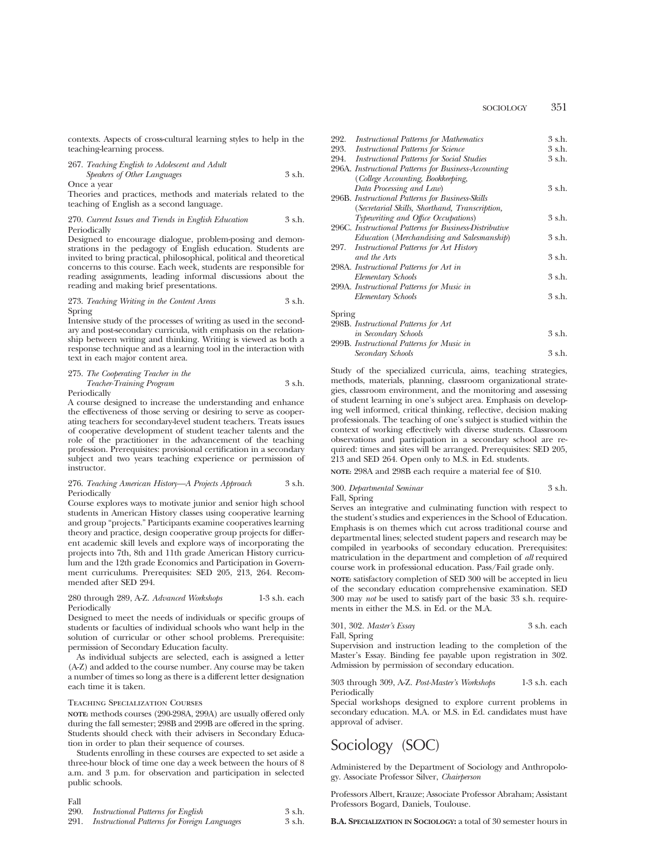contexts. Aspects of cross-cultural learning styles to help in the teaching-learning process.

267. *Teaching English to Adolescent and Adult Speakers of Other Languages* 3 s.h.

Once a year

Theories and practices, methods and materials related to the teaching of English as a second language.

#### 270. *Current Issues and Trends in English Education* 3 s.h. Periodically

Designed to encourage dialogue, problem-posing and demonstrations in the pedagogy of English education. Students are invited to bring practical, philosophical, political and theoretical concerns to this course. Each week, students are responsible for reading assignments, leading informal discussions about the reading and making brief presentations.

273. *Teaching Writing in the Content Areas* 3 s.h. Spring

Intensive study of the processes of writing as used in the secondary and post-secondary curricula, with emphasis on the relationship between writing and thinking. Writing is viewed as both a response technique and as a learning tool in the interaction with text in each major content area.

275. *The Cooperating Teacher in the Teacher-Training Program* 3 s.h.

Periodically

A course designed to increase the understanding and enhance the effectiveness of those serving or desiring to serve as cooperating teachers for secondary-level student teachers. Treats issues of cooperative development of student teacher talents and the role of the practitioner in the advancement of the teaching profession. Prerequisites: provisional certification in a secondary subject and two years teaching experience or permission of instructor.

#### 276. *Teaching American History—A Projects Approach* 3 s.h. Periodically

Course explores ways to motivate junior and senior high school students in American History classes using cooperative learning and group "projects." Participants examine cooperatives learning theory and practice, design cooperative group projects for different academic skill levels and explore ways of incorporating the projects into 7th, 8th and 11th grade American History curriculum and the 12th grade Economics and Participation in Government curriculums. Prerequisites: SED 205, 213, 264. Recommended after SED 294.

#### 280 through 289, A-Z. *Advanced Workshops* 1-3 s.h. each Periodically

Designed to meet the needs of individuals or specific groups of students or faculties of individual schools who want help in the solution of curricular or other school problems. Prerequisite: permission of Secondary Education faculty.

As individual subjects are selected, each is assigned a letter (A-Z) and added to the course number. Any course may be taken a number of times so long as there is a different letter designation each time it is taken.

#### Teaching Specialization Courses

**NOTE:** methods courses (290-298A, 299A) are usually offered only during the fall semester; 298B and 299B are offered in the spring. Students should check with their advisers in Secondary Education in order to plan their sequence of courses.

Students enrolling in these courses are expected to set aside a three-hour block of time one day a week between the hours of 8 a.m. and 3 p.m. for observation and participation in selected public schools.

## Fall

| 290. | Instructional Patterns for English                  | 3 s.h. |
|------|-----------------------------------------------------|--------|
| 291. | <i>Instructional Patterns for Foreign Languages</i> | 3 s.h. |

| 292.   | <i>Instructional Patterns for Mathematics</i>          | 3 s.h. |
|--------|--------------------------------------------------------|--------|
| 293.   | <b>Instructional Patterns for Science</b>              | 3 s.h. |
| 294.   | <b>Instructional Patterns for Social Studies</b>       | 3 s.h. |
|        | 296A. Instructional Patterns for Business-Accounting   |        |
|        | (College Accounting, Bookkeeping,                      |        |
|        | Data Processing and Law)                               | 3 s.h. |
|        | 296B. Instructional Patterns for Business-Skills       |        |
|        | (Secretarial Skills, Shorthand, Transcription,         |        |
|        | Typewriting and Office Occupations)                    | 3 s.h. |
|        | 296C. Instructional Patterns for Business-Distributive |        |
|        | Education (Merchandising and Salesmanship)             | 3 s.h. |
| 297.   | <b>Instructional Patterns for Art History</b>          |        |
|        | and the Arts                                           | 3 s.h. |
|        | 298A. Instructional Patterns for Art in                |        |
|        | Elementary Schools                                     | 3 s.h. |
|        | 299A. Instructional Patterns for Music in              |        |
|        | Elementary Schools                                     | 3 s.h. |
|        |                                                        |        |
| Spring |                                                        |        |
|        | 298B. Instructional Patterns for Art                   |        |
|        |                                                        |        |

| <i>in Secondary Schools</i>               | 3 s.h. |
|-------------------------------------------|--------|
| 299B. Instructional Patterns for Music in |        |
| Secondary Schools                         | 3 s.h. |

Study of the specialized curricula, aims, teaching strategies, methods, materials, planning, classroom organizational strategies, classroom environment, and the monitoring and assessing of student learning in one's subject area. Emphasis on developing well informed, critical thinking, reflective, decision making professionals. The teaching of one's subject is studied within the context of working effectively with diverse students. Classroom observations and participation in a secondary school are required: times and sites will be arranged. Prerequisites: SED 205, 213 and SED 264. Open only to M.S. in Ed. students.

**NOTE:** 298A and 298B each require a material fee of \$10.

300. *Departmental Seminar* 3 s.h.

Fall, Spring

Serves an integrative and culminating function with respect to the student's studies and experiences in the School of Education. Emphasis is on themes which cut across traditional course and departmental lines; selected student papers and research may be compiled in yearbooks of secondary education. Prerequisites: matriculation in the department and completion of *all* required course work in professional education. Pass/Fail grade only.

**NOTE:** satisfactory completion of SED 300 will be accepted in lieu of the secondary education comprehensive examination. SED 300 may *not* be used to satisfy part of the basic 33 s.h. requirements in either the M.S. in Ed. or the M.A.

| 301, 302. Master's Essay |  |  | 3 s.h. each                                                  |  |
|--------------------------|--|--|--------------------------------------------------------------|--|
| Fall, Spring             |  |  |                                                              |  |
|                          |  |  | Supervision and instruction leading to the completion of the |  |

Master's Essay. Binding fee payable upon registration in 302. Admission by permission of secondary education.

303 through 309, A-Z. *Post-Master's Workshops* 1-3 s.h. each Periodically

Special workshops designed to explore current problems in secondary education. M.A. or M.S. in Ed. candidates must have approval of adviser.

# Sociology (SOC)

Administered by the Department of Sociology and Anthropology. Associate Professor Silver, *Chairperson*

Professors Albert, Krauze; Associate Professor Abraham; Assistant Professors Bogard, Daniels, Toulouse.

**B.A. SPECIALIZATION IN SOCIOLOGY:** a total of 30 semester hours in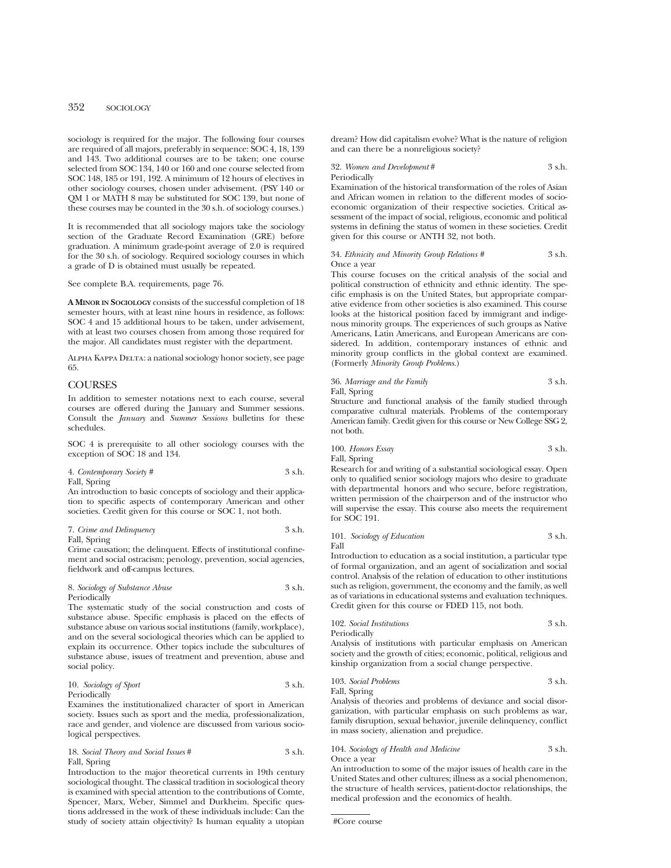# 352 SOCIOLOGY

sociology is required for the major. The following four courses are required of all majors, preferably in sequence: SOC 4, 18, 139 and 143. Two additional courses are to be taken; one course selected from SOC 134, 140 or 160 and one course selected from SOC 148, 185 or 191, 192. A minimum of 12 hours of electives in other sociology courses, chosen under advisement. (PSY 140 or QM 1 or MATH 8 may be substituted for SOC 139, but none of these courses may be counted in the 30 s.h. of sociology courses.)

It is recommended that all sociology majors take the sociology section of the Graduate Record Examination (GRE) before graduation. A minimum grade-point average of 2.0 is required for the 30 s.h. of sociology. Required sociology courses in which a grade of D is obtained must usually be repeated.

See complete B.A. requirements, page 76.

**A MINOR IN SOCIOLOGY** consists of the successful completion of 18 semester hours, with at least nine hours in residence, as follows: SOC 4 and 15 additional hours to be taken, under advisement, with at least two courses chosen from among those required for the major. All candidates must register with the department.

ALPHA KAPPA DELTA: a national sociology honor society, see page 65.

# **COURSES**

In addition to semester notations next to each course, several courses are offered during the January and Summer sessions. Consult the *January* and *Summer Sessions* bulletins for these schedules.

SOC 4 is prerequisite to all other sociology courses with the exception of SOC 18 and 134.

| 4. Contemporary Society # | 3 s.h. |
|---------------------------|--------|
| Fall, Spring              |        |

An introduction to basic concepts of sociology and their application to specific aspects of contemporary American and other societies. Credit given for this course or SOC 1, not both.

```
7. Crime and Delinquency 3 s.h.
```
Fall, Spring

Crime causation; the delinquent. Effects of institutional confinement and social ostracism; penology, prevention, social agencies, fieldwork and off-campus lectures.

8. *Sociology of Substance Abuse* 3 s.h. Periodically

The systematic study of the social construction and costs of substance abuse. Specific emphasis is placed on the effects of substance abuse on various social institutions (family, workplace), and on the several sociological theories which can be applied to explain its occurrence. Other topics include the subcultures of substance abuse, issues of treatment and prevention, abuse and social policy.

10. *Sociology of Sport* 3 s.h. Periodically

Examines the institutionalized character of sport in American society. Issues such as sport and the media, professionalization, race and gender, and violence are discussed from various sociological perspectives.

18. *Social Theory and Social Issues* # 3 s.h. Fall, Spring

Introduction to the major theoretical currents in 19th century sociological thought. The classical tradition in sociological theory is examined with special attention to the contributions of Comte, Spencer, Marx, Weber, Simmel and Durkheim. Specific questions addressed in the work of these individuals include: Can the study of society attain objectivity? Is human equality a utopian dream? How did capitalism evolve? What is the nature of religion and can there be a nonreligious society?

32. *Women and Development* # 3 s.h. Periodically

Examination of the historical transformation of the roles of Asian and African women in relation to the different modes of socioeconomic organization of their respective societies. Critical assessment of the impact of social, religious, economic and political systems in defining the status of women in these societies. Credit given for this course or ANTH 32, not both.

#### 34. *Ethnicity and Minority Group Relations #* 3 s.h. Once a year

This course focuses on the critical analysis of the social and political construction of ethnicity and ethnic identity. The specific emphasis is on the United States, but appropriate comparative evidence from other societies is also examined. This course looks at the historical position faced by immigrant and indigenous minority groups. The experiences of such groups as Native Americans, Latin Americans, and European Americans are considered. In addition, contemporary instances of ethnic and minority group conflicts in the global context are examined. (Formerly *Minority Group Problems*.)

36. *Marriage and the Family* 3 s.h. Fall, Spring

Structure and functional analysis of the family studied through comparative cultural materials. Problems of the contemporary American family. Credit given for this course or New College SSG 2, not both.

100. *Honors Essay* 3 s.h. Fall, Spring

Research for and writing of a substantial sociological essay. Open only to qualified senior sociology majors who desire to graduate with departmental honors and who secure, before registration, written permission of the chairperson and of the instructor who will supervise the essay. This course also meets the requirement for SOC 191.

101. *Sociology of Education* 3 s.h. Fall

Introduction to education as a social institution, a particular type of formal organization, and an agent of socialization and social control. Analysis of the relation of education to other institutions such as religion, government, the economy and the family, as well as of variations in educational systems and evaluation techniques. Credit given for this course or FDED 115, not both.

| 102. Social Institutions | 3 s.h. |
|--------------------------|--------|
| Periodically             |        |

Analysis of institutions with particular emphasis on American society and the growth of cities; economic, political, religious and kinship organization from a social change perspective.

103. *Social Problems* 3 s.h. Fall, Spring

Analysis of theories and problems of deviance and social disorganization, with particular emphasis on such problems as war, family disruption, sexual behavior, juvenile delinquency, conflict in mass society, alienation and prejudice.

104. *Sociology of Health and Medicine* 3 s.h. Once a year

An introduction to some of the major issues of health care in the United States and other cultures; illness as a social phenomenon, the structure of health services, patient-doctor relationships, the medical profession and the economics of health.

#Core course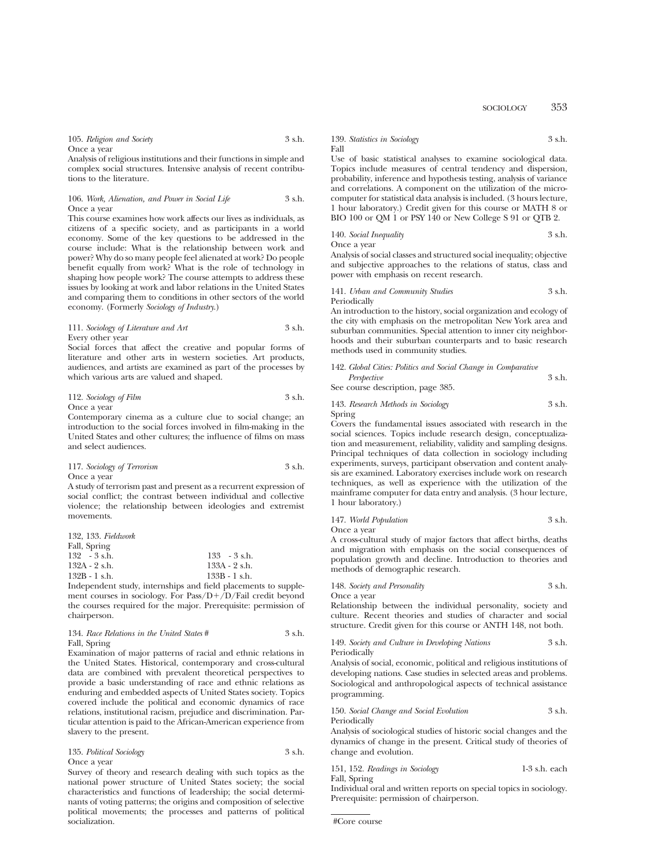105. *Religion and Society* 3 s.h.

Once a year

Analysis of religious institutions and their functions in simple and complex social structures. Intensive analysis of recent contributions to the literature.

106. *Work, Alienation, and Power in Social Life* 3 s.h. Once a year

This course examines how work affects our lives as individuals, as citizens of a specific society, and as participants in a world economy. Some of the key questions to be addressed in the course include: What is the relationship between work and power? Why do so many people feel alienated at work? Do people benefit equally from work? What is the role of technology in shaping how people work? The course attempts to address these issues by looking at work and labor relations in the United States and comparing them to conditions in other sectors of the world economy. (Formerly *Sociology of Industry*.)

111. *Sociology of Literature and Art* 3 s.h. Every other year

Social forces that affect the creative and popular forms of literature and other arts in western societies. Art products, audiences, and artists are examined as part of the processes by which various arts are valued and shaped.

112. *Sociology of Film* 3 s.h. Once a year

Contemporary cinema as a culture clue to social change; an introduction to the social forces involved in film-making in the United States and other cultures; the influence of films on mass and select audiences.

117. *Sociology of Terrorism* 3 s.h. Once a year

A study of terrorism past and present as a recurrent expression of social conflict; the contrast between individual and collective violence; the relationship between ideologies and extremist movements.

| 132, 133. Fieldwork |                 |
|---------------------|-----------------|
| Fall, Spring        |                 |
| $132 - 3$ s.h.      | $133 - 3$ s.h.  |
| 132A - 2 s.h.       | 133A - 2 s.h.   |
| $132B - 1$ s.h.     | $133B - 1 s.h.$ |
| .                   |                 |

Independent study, internships and field placements to supplement courses in sociology. For Pass/D $+\overline{D}/F$ ail credit beyond the courses required for the major. Prerequisite: permission of chairperson.

134. *Race Relations in the United States* # 3 s.h. Fall, Spring

Examination of major patterns of racial and ethnic relations in the United States. Historical, contemporary and cross-cultural data are combined with prevalent theoretical perspectives to provide a basic understanding of race and ethnic relations as enduring and embedded aspects of United States society. Topics covered include the political and economic dynamics of race relations, institutional racism, prejudice and discrimination. Particular attention is paid to the African-American experience from slavery to the present.

135. *Political Sociology* 3 s.h. Once a year

Survey of theory and research dealing with such topics as the national power structure of United States society; the social characteristics and functions of leadership; the social determinants of voting patterns; the origins and composition of selective political movements; the processes and patterns of political socialization.

139. *Statistics in Sociology* 3 s.h. Fall

Use of basic statistical analyses to examine sociological data. Topics include measures of central tendency and dispersion, probability, inference and hypothesis testing, analysis of variance and correlations. A component on the utilization of the microcomputer for statistical data analysis is included. (3 hours lecture, 1 hour laboratory.) Credit given for this course or MATH 8 or BIO 100 or QM 1 or PSY 140 or New College S 91 or QTB 2.

140. *Social Inequality* 3 s.h. Once a year

Analysis of social classes and structured social inequality; objective and subjective approaches to the relations of status, class and power with emphasis on recent research.

141. *Urban and Community Studies* 3 s.h. Periodically

An introduction to the history, social organization and ecology of the city with emphasis on the metropolitan New York area and suburban communities. Special attention to inner city neighborhoods and their suburban counterparts and to basic research methods used in community studies.

| 142. Global Cities: Politics and Social Change in Comparative |        |
|---------------------------------------------------------------|--------|
| Perspective                                                   | 3 s.h. |
| See course description, page 385.                             |        |

143. *Research Methods in Sociology* 3 s.h. Spring

Covers the fundamental issues associated with research in the social sciences. Topics include research design, conceptualization and measurement, reliability, validity and sampling designs. Principal techniques of data collection in sociology including experiments, surveys, participant observation and content analysis are examined. Laboratory exercises include work on research techniques, as well as experience with the utilization of the mainframe computer for data entry and analysis. (3 hour lecture, 1 hour laboratory.)

147. *World Population* 3 s.h. Once a year

A cross-cultural study of major factors that affect births, deaths and migration with emphasis on the social consequences of population growth and decline. Introduction to theories and methods of demographic research.

148. *Society and Personality* 3 s.h. Once a year

Relationship between the individual personality, society and culture. Recent theories and studies of character and social structure. Credit given for this course or ANTH 148, not both.

149. *Society and Culture in Developing Nations* 3 s.h. Periodically

Analysis of social, economic, political and religious institutions of developing nations. Case studies in selected areas and problems. Sociological and anthropological aspects of technical assistance programming.

150. *Social Change and Social Evolution* 3 s.h. Periodically

Analysis of sociological studies of historic social changes and the dynamics of change in the present. Critical study of theories of change and evolution.

151, 152. *Readings in Sociology* 1-3 s.h. each Fall, Spring

Individual oral and written reports on special topics in sociology. Prerequisite: permission of chairperson.

#Core course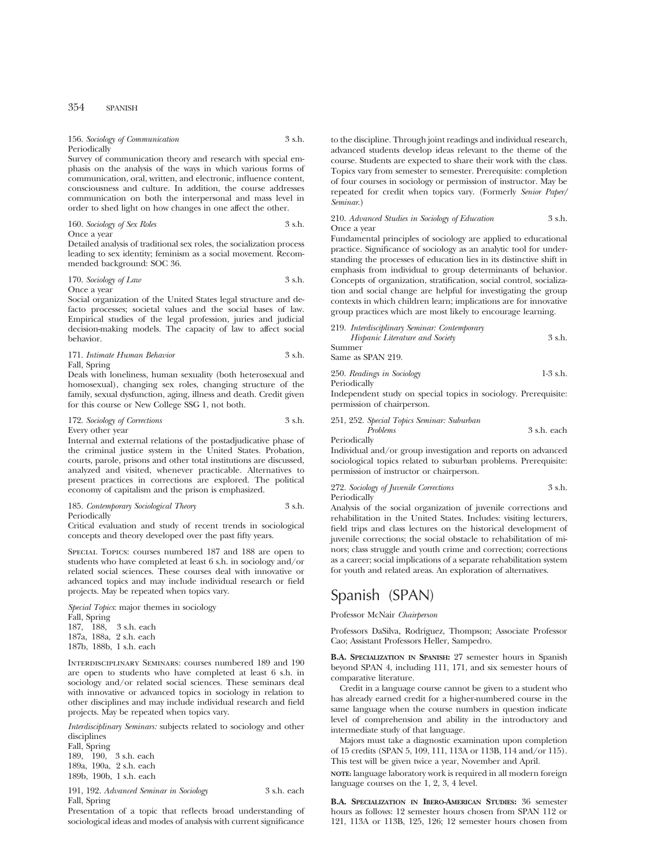#### 156. *Sociology of Communication* 3 s.h. Periodically

Survey of communication theory and research with special emphasis on the analysis of the ways in which various forms of communication, oral, written, and electronic, influence content, consciousness and culture. In addition, the course addresses communication on both the interpersonal and mass level in order to shed light on how changes in one affect the other.

160. *Sociology of Sex Roles* 3 s.h.

Once a year

Detailed analysis of traditional sex roles, the socialization process leading to sex identity; feminism as a social movement. Recommended background: SOC 36.

170. *Sociology of Law* 3 s.h. Once a year

Social organization of the United States legal structure and defacto processes; societal values and the social bases of law. Empirical studies of the legal profession, juries and judicial decision-making models. The capacity of law to affect social behavior.

| 171. Intimate Human Behavior | 3 s.h. |
|------------------------------|--------|
|------------------------------|--------|

Fall, Spring

Deals with loneliness, human sexuality (both heterosexual and homosexual), changing sex roles, changing structure of the family, sexual dysfunction, aging, illness and death. Credit given for this course or New College SSG 1, not both.

172. *Sociology of Corrections* 3 s.h.

Every other year

Internal and external relations of the postadjudicative phase of the criminal justice system in the United States. Probation, courts, parole, prisons and other total institutions are discussed, analyzed and visited, whenever practicable. Alternatives to present practices in corrections are explored. The political economy of capitalism and the prison is emphasized.

185. *Contemporary Sociological Theory* 3 s.h. Periodically

Critical evaluation and study of recent trends in sociological concepts and theory developed over the past fifty years.

Special Topics: courses numbered 187 and 188 are open to students who have completed at least 6 s.h. in sociology and/or related social sciences. These courses deal with innovative or advanced topics and may include individual research or field projects. May be repeated when topics vary.

*Special Topics*: major themes in sociology Fall, Spring 187, 188, 3 s.h. each 187a, 188a, 2 s.h. each 187b, 188b, 1 s.h. each

Interdisciplinary Seminars: courses numbered 189 and 190 are open to students who have completed at least 6 s.h. in sociology and/or related social sciences. These seminars deal with innovative or advanced topics in sociology in relation to other disciplines and may include individual research and field projects. May be repeated when topics vary.

*Interdisciplinary Seminars:* subjects related to sociology and other disciplines

Fall, Spring 189, 190, 3 s.h. each 189a, 190a, 2 s.h. each 189b, 190b, 1 s.h. each

191, 192. *Advanced Seminar in Sociology* 3 s.h. each Fall, Spring

Presentation of a topic that reflects broad understanding of sociological ideas and modes of analysis with current significance

to the discipline. Through joint readings and individual research, advanced students develop ideas relevant to the theme of the course. Students are expected to share their work with the class. Topics vary from semester to semester. Prerequisite: completion of four courses in sociology or permission of instructor. May be repeated for credit when topics vary. (Formerly *Senior Paper/ Seminar*.)

210. *Advanced Studies in Sociology of Education* 3 s.h. Once a year

Fundamental principles of sociology are applied to educational practice. Significance of sociology as an analytic tool for understanding the processes of education lies in its distinctive shift in emphasis from individual to group determinants of behavior. Concepts of organization, stratification, social control, socialization and social change are helpful for investigating the group contexts in which children learn; implications are for innovative group practices which are most likely to encourage learning.

| 219. Interdisciplinary Seminar: Contemporary                    |            |
|-----------------------------------------------------------------|------------|
| Hispanic Literature and Society                                 | 3 s.h.     |
| Summer                                                          |            |
| Same as SPAN 219.                                               |            |
| 250. Readings in Sociology                                      | $1-3$ s.h. |
| Periodically                                                    |            |
| Independent study on special topics in sociology. Prerequisite: |            |
| permission of chairperson.                                      |            |

|              | 251, 252. Special Topics Seminar: Suburban |             |
|--------------|--------------------------------------------|-------------|
|              | Problems                                   | 3 s.h. each |
| Periodically |                                            |             |

Individual and/or group investigation and reports on advanced sociological topics related to suburban problems. Prerequisite: permission of instructor or chairperson.

272. *Sociology of Juvenile Corrections* 3 s.h. Periodically

Analysis of the social organization of juvenile corrections and rehabilitation in the United States. Includes: visiting lecturers, field trips and class lectures on the historical development of juvenile corrections; the social obstacle to rehabilitation of minors; class struggle and youth crime and correction; corrections as a career; social implications of a separate rehabilitation system for youth and related areas. An exploration of alternatives.

# Spanish (SPAN)

Professor McNair *Chairperson*

Professors DaSilva, Rodriguez, Thompson; Associate Professor Cao; Assistant Professors Heller, Sampedro.

**B.A. SPECIALIZATION IN SPANISH:** 27 semester hours in Spanish beyond SPAN 4, including 111, 171, and six semester hours of comparative literature.

Credit in a language course cannot be given to a student who has already earned credit for a higher-numbered course in the same language when the course numbers in question indicate level of comprehension and ability in the introductory and intermediate study of that language.

Majors must take a diagnostic examination upon completion of 15 credits (SPAN 5, 109, 111, 113A or 113B, 114 and/or 115). This test will be given twice a year, November and April.

**NOTE:** language laboratory work is required in all modern foreign language courses on the 1, 2, 3, 4 level.

**B.A. SPECIALIZATION IN IBERO-AMERICAN STUDIES:** 36 semester hours as follows: 12 semester hours chosen from SPAN 112 or 121, 113A or 113B, 125, 126; 12 semester hours chosen from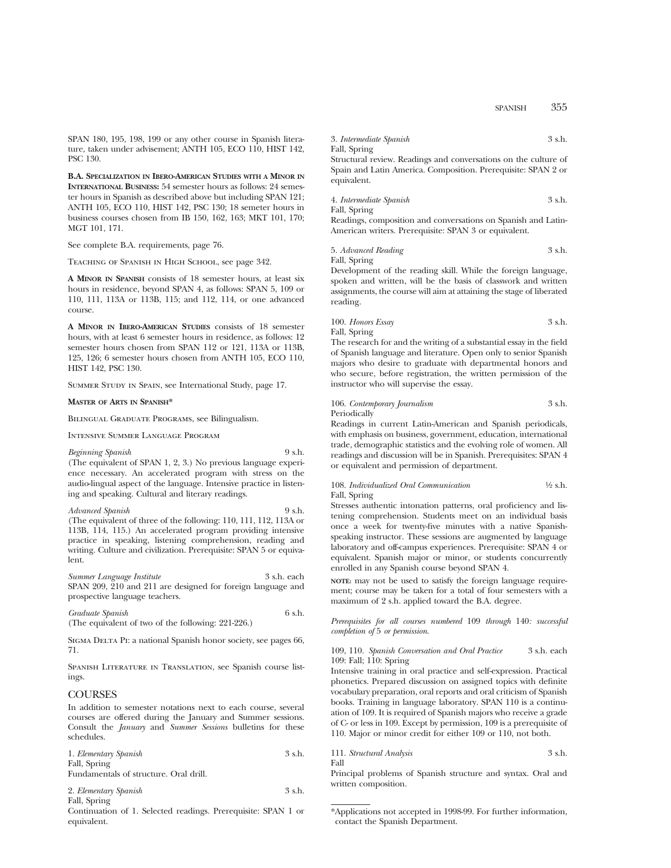SPANISH 355

SPAN 180, 195, 198, 199 or any other course in Spanish literature, taken under advisement; ANTH 105, ECO 110, HIST 142, PSC 130.

**B.A. SPECIALIZATION IN IBERO-AMERICAN STUDIES WITH A MINOR IN INTERNATIONAL BUSINESS:** 54 semester hours as follows: 24 semester hours in Spanish as described above but including SPAN 121; ANTH 105, ECO 110, HIST 142, PSC 130; 18 semeter hours in business courses chosen from IB 150, 162, 163; MKT 101, 170; MGT 101, 171.

See complete B.A. requirements, page 76.

Teaching of Spanish in High School, see page 342.

**A MINOR IN SPANISH** consists of 18 semester hours, at least six hours in residence, beyond SPAN 4, as follows: SPAN 5, 109 or 110, 111, 113A or 113B, 115; and 112, 114, or one advanced course.

**A MINOR IN IBERO-AMERICAN STUDIES** consists of 18 semester hours, with at least 6 semester hours in residence, as follows: 12 semester hours chosen from SPAN 112 or 121, 113A or 113B, 125, 126; 6 semester hours chosen from ANTH 105, ECO 110, HIST 142, PSC 130.

Summer Study in Spain, see International Study, page 17.

#### **MASTER OF ARTS IN SPANISH\***

Bilingual Graduate Programs, see Bilingualism.

Intensive Summer Language Program

*Beginning Spanish* 9 s.h. (The equivalent of SPAN 1, 2, 3.) No previous language experience necessary. An accelerated program with stress on the audio-lingual aspect of the language. Intensive practice in listening and speaking. Cultural and literary readings.

*Advanced Spanish* 9 s.h. (The equivalent of three of the following: 110, 111, 112, 113A or 113B, 114, 115.) An accelerated program providing intensive practice in speaking, listening comprehension, reading and writing. Culture and civilization. Prerequisite: SPAN 5 or equivalent.

*Summer Language Institute* 3 s.h. each SPAN 209, 210 and 211 are designed for foreign language and prospective language teachers.

*Graduate Spanish* 6 s.h. (The equivalent of two of the following: 221-226.)

Sigma Delta Pi: a national Spanish honor society, see pages 66, 71.

Spanish Literature in Translation, see Spanish course listings.

# **COURSES**

In addition to semester notations next to each course, several courses are offered during the January and Summer sessions. Consult the *January* and *Summer Sessions* bulletins for these schedules.

| 1. Elementary Spanish                  | 3 s.h. |
|----------------------------------------|--------|
| Fall, Spring                           |        |
| Fundamentals of structure. Oral drill. |        |
| 2. Elementary Spanish                  | 3 s.h. |

Fall, Spring Continuation of 1. Selected readings. Prerequisite: SPAN 1 or

equivalent.

3. *Intermediate Spanish* 3 s.h.

Fall, Spring Structural review. Readings and conversations on the culture of Spain and Latin America. Composition. Prerequisite: SPAN 2 or equivalent.

4. *Intermediate Spanish* 3 s.h. Fall, Spring

Readings, composition and conversations on Spanish and Latin-American writers. Prerequisite: SPAN 3 or equivalent.

5. *Advanced Reading* 3 s.h. Fall, Spring

Development of the reading skill. While the foreign language, spoken and written, will be the basis of classwork and written assignments, the course will aim at attaining the stage of liberated reading.

100. *Honors Essay* 3 s.h. Fall, Spring

The research for and the writing of a substantial essay in the field of Spanish language and literature. Open only to senior Spanish majors who desire to graduate with departmental honors and who secure, before registration, the written permission of the instructor who will supervise the essay.

106. *Contemporary Journalism* 3 s.h. Periodically

Readings in current Latin-American and Spanish periodicals, with emphasis on business, government, education, international trade, demographic statistics and the evolving role of women. All readings and discussion will be in Spanish. Prerequisites: SPAN 4 or equivalent and permission of department.

108. *Individualized Oral Communication* <sup>1</sup>/<sub>2</sub> s.h. Fall, Spring

Stresses authentic intonation patterns, oral proficiency and listening comprehension. Students meet on an individual basis once a week for twenty-five minutes with a native Spanishspeaking instructor. These sessions are augmented by language laboratory and off-campus experiences. Prerequisite: SPAN 4 or equivalent. Spanish major or minor, or students concurrently enrolled in any Spanish course beyond SPAN 4.

**NOTE:** may not be used to satisfy the foreign language requirement; course may be taken for a total of four semesters with a maximum of 2 s.h. applied toward the B.A. degree.

*Prerequisites for all courses numbered* 109 *through* 140*: successful completion of* 5 *or permission*.

109, 110. *Spanish Conversation and Oral Practice* 3 s.h. each 109: Fall; 110: Spring

Intensive training in oral practice and self-expression. Practical phonetics. Prepared discussion on assigned topics with definite vocabulary preparation, oral reports and oral criticism of Spanish books. Training in language laboratory. SPAN 110 is a continuation of 109. It is required of Spanish majors who receive a grade of C- or less in 109. Except by permission, 109 is a prerequisite of 110. Major or minor credit for either 109 or 110, not both.

```
111. Structural Analysis 3 s.h.
```
Principal problems of Spanish structure and syntax. Oral and written composition.

Fall

<sup>\*</sup>Applications not accepted in 1998-99. For further information, contact the Spanish Department.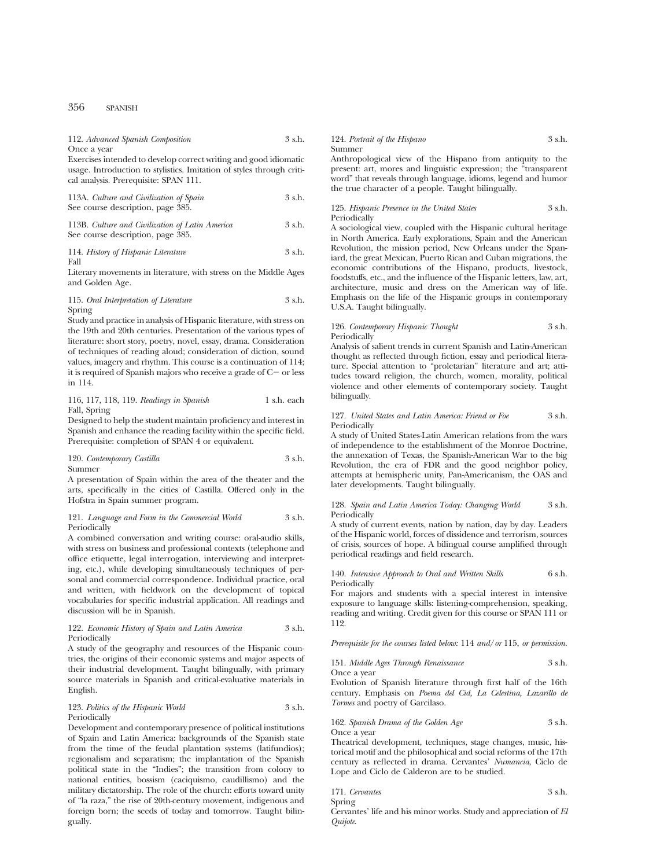# 356 SPANISH

# 112. *Advanced Spanish Composition* 3 s.h.

Once a year

Exercises intended to develop correct writing and good idiomatic usage. Introduction to stylistics. Imitation of styles through critical analysis. Prerequisite: SPAN 111.

| 113A. Culture and Civilization of Spain | 3 s.h. |
|-----------------------------------------|--------|
| See course description, page 385.       |        |

113B. *Culture and Civilization of Latin America* 3 s.h. See course description, page 385.

114. *History of Hispanic Literature* 3 s.h. Fall

Literary movements in literature, with stress on the Middle Ages and Golden Age.

115. *Oral Interpretation of Literature* 3 s.h. Spring

Study and practice in analysis of Hispanic literature, with stress on the 19th and 20th centuries. Presentation of the various types of literature: short story, poetry, novel, essay, drama. Consideration of techniques of reading aloud; consideration of diction, sound values, imagery and rhythm. This course is a continuation of 114; it is required of Spanish majors who receive a grade of  $C-$  or less in 114.

#### 116, 117, 118, 119. *Readings in Spanish* 1 s.h. each Fall, Spring

Designed to help the student maintain proficiency and interest in Spanish and enhance the reading facility within the specific field. Prerequisite: completion of SPAN 4 or equivalent.

120. *Contemporary Castilla* 3 s.h.

Summer

A presentation of Spain within the area of the theater and the arts, specifically in the cities of Castilla. Offered only in the Hofstra in Spain summer program.

#### 121. *Language and Form in the Commercial World* 3 s.h. Periodically

A combined conversation and writing course: oral-audio skills, with stress on business and professional contexts (telephone and office etiquette, legal interrogation, interviewing and interpreting, etc.), while developing simultaneously techniques of personal and commercial correspondence. Individual practice, oral and written, with fieldwork on the development of topical vocabularies for specific industrial application. All readings and discussion will be in Spanish.

#### 122. *Economic History of Spain and Latin America* 3 s.h. Periodically

A study of the geography and resources of the Hispanic countries, the origins of their economic systems and major aspects of their industrial development. Taught bilingually, with primary source materials in Spanish and critical-evaluative materials in English.

#### 123. *Politics of the Hispanic World* 3 s.h. Periodically

Development and contemporary presence of political institutions of Spain and Latin America: backgrounds of the Spanish state from the time of the feudal plantation systems (latifundios); regionalism and separatism; the implantation of the Spanish political state in the "Indies"; the transition from colony to national entities, bossism (caciquismo, caudillismo) and the military dictatorship. The role of the church: efforts toward unity of "la raza," the rise of 20th-century movement, indigenous and foreign born; the seeds of today and tomorrow. Taught bilingually.

#### 124. *Portrait of the Hispano* 3 s.h. Summer

Anthropological view of the Hispano from antiquity to the present: art, mores and linguistic expression; the "transparent word" that reveals through language, idioms, legend and humor the true character of a people. Taught bilingually.

125. *Hispanic Presence in the United States* 3 s.h. Periodically

A sociological view, coupled with the Hispanic cultural heritage in North America. Early explorations, Spain and the American Revolution, the mission period, New Orleans under the Spaniard, the great Mexican, Puerto Rican and Cuban migrations, the economic contributions of the Hispano, products, livestock, foodstuffs, etc., and the influence of the Hispanic letters, law, art, architecture, music and dress on the American way of life. Emphasis on the life of the Hispanic groups in contemporary U.S.A. Taught bilingually.

# 126. *Contemporary Hispanic Thought* 3 s.h. Periodically

Analysis of salient trends in current Spanish and Latin-American thought as reflected through fiction, essay and periodical literature. Special attention to "proletarian" literature and art; attitudes toward religion, the church, women, morality, political violence and other elements of contemporary society. Taught bilingually.

127. *United States and Latin America: Friend or Foe* 3 s.h. Periodically

A study of United States-Latin American relations from the wars of independence to the establishment of the Monroe Doctrine, the annexation of Texas, the Spanish-American War to the big Revolution, the era of FDR and the good neighbor policy, attempts at hemispheric unity, Pan-Americanism, the OAS and later developments. Taught bilingually.

128. *Spain and Latin America Today: Changing World* 3 s.h. Periodically

A study of current events, nation by nation, day by day. Leaders of the Hispanic world, forces of dissidence and terrorism, sources of crisis, sources of hope. A bilingual course amplified through periodical readings and field research.

140. *Intensive Approach to Oral and Written Skills* 6 s.h. Periodically

For majors and students with a special interest in intensive exposure to language skills: listening-comprehension, speaking, reading and writing. Credit given for this course or SPAN 111 or 112.

*Prerequisite for the courses listed below:* 114 *and*/*or* 115, *or permission*.

151. *Middle Ages Through Renaissance* 3 s.h. Once a year

Evolution of Spanish literature through first half of the 16th century. Emphasis on *Poema del Cid, La Celestina, Lazarillo de Tormes* and poetry of Garcilaso.

162. *Spanish Drama of the Golden Age* 3 s.h. Once a year

Theatrical development, techniques, stage changes, music, historical motif and the philosophical and social reforms of the 17th century as reflected in drama. Cervantes' *Numancia*, Ciclo de Lope and Ciclo de Calderon are to be studied.

| 171. Cervantes | 3 s.h. |
|----------------|--------|
| Spring         |        |

Cervantes' life and his minor works. Study and appreciation of *El Quijote*.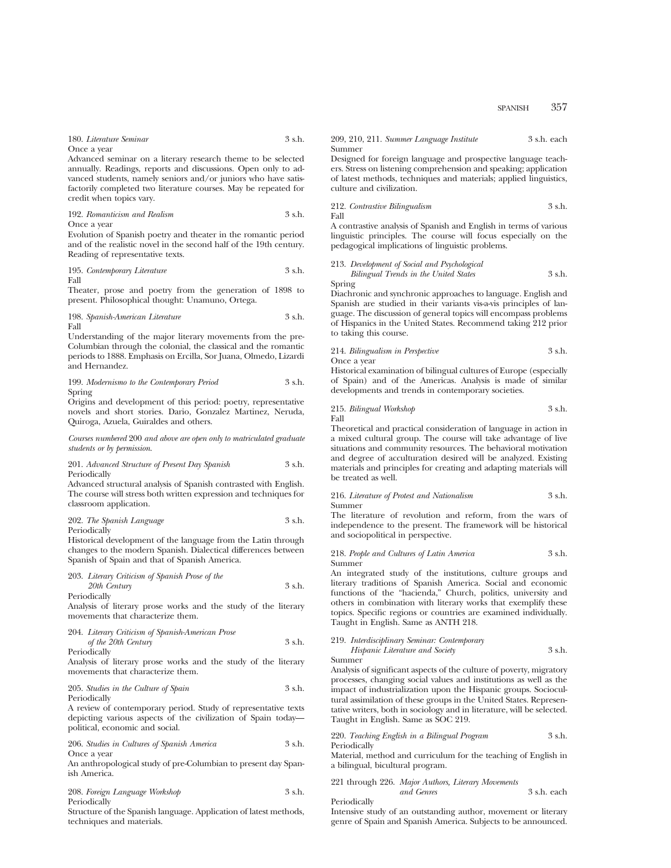180. *Literature Seminar* 3 s.h.

Once a year

Advanced seminar on a literary research theme to be selected annually. Readings, reports and discussions. Open only to advanced students, namely seniors and/or juniors who have satisfactorily completed two literature courses. May be repeated for credit when topics vary.

| 192. Romanticism and Realism | 3 s.h. |
|------------------------------|--------|
| Once a vear                  |        |

Evolution of Spanish poetry and theater in the romantic period and of the realistic novel in the second half of the 19th century. Reading of representative texts.

195. *Contemporary Literature* 3 s.h. Fall

Theater, prose and poetry from the generation of 1898 to present. Philosophical thought: Unamuno, Ortega.

198. *Spanish-American Literature* 3 s.h. Fall

Understanding of the major literary movements from the pre-Columbian through the colonial, the classical and the romantic periods to 1888. Emphasis on Ercilla, Sor Juana, Olmedo, Lizardi and Hernandez.

199. *Modernismo to the Contemporary Period* 3 s.h. Spring

Origins and development of this period: poetry, representative novels and short stories. Dario, Gonzalez Martinez, Neruda, Quiroga, Azuela, Guiraldes and others.

*Courses numbered* 200 *and above are open only to matriculated graduate students or by permission*.

201. *Advanced Structure of Present Day Spanish* 3 s.h. Periodically

Advanced structural analysis of Spanish contrasted with English. The course will stress both written expression and techniques for classroom application.

#### 202. *The Spanish Language* 3 s.h. Periodically

Historical development of the language from the Latin through changes to the modern Spanish. Dialectical differences between Spanish of Spain and that of Spanish America.

203. *Literary Criticism of Spanish Prose of the 20th Century* 3 s.h.

Periodically

Analysis of literary prose works and the study of the literary movements that characterize them.

204. *Literary Criticism of Spanish-American Prose of the 20th Century* 3 s.h.

Periodically

Analysis of literary prose works and the study of the literary movements that characterize them.

205. *Studies in the Culture of Spain* 3 s.h. Periodically

A review of contemporary period. Study of representative texts depicting various aspects of the civilization of Spain today political, economic and social.

|             | 206. Studies in Cultures of Spanish America | 3 s.h. |
|-------------|---------------------------------------------|--------|
| Once a year |                                             |        |

An anthropological study of pre-Columbian to present day Spanish America.

|  | 208. Foreign Language Workshop |  |  | 3 s.h. |
|--|--------------------------------|--|--|--------|
|--|--------------------------------|--|--|--------|

Periodically

Structure of the Spanish language. Application of latest methods, techniques and materials.

209, 210, 211. *Summer Language Institute* 3 s.h. each Summer

Designed for foreign language and prospective language teachers. Stress on listening comprehension and speaking; application of latest methods, techniques and materials; applied linguistics, culture and civilization.

212. *Contrastive Bilingualism* 3 s.h. Fall

A contrastive analysis of Spanish and English in terms of various linguistic principles. The course will focus especially on the pedagogical implications of linguistic problems.

213. *Development of Social and Psychological Bilingual Trends in the United States* 3 s.h.

Spring

Diachronic and synchronic approaches to language. English and Spanish are studied in their variants vis-a-vis principles of language. The discussion of general topics will encompass problems of Hispanics in the United States. Recommend taking 212 prior to taking this course.

214. *Bilingualism in Perspective* 3 s.h. Once a year

Historical examination of bilingual cultures of Europe (especially of Spain) and of the Americas. Analysis is made of similar developments and trends in contemporary societies.

215. *Bilingual Workshop* 3 s.h. Fall

Theoretical and practical consideration of language in action in a mixed cultural group. The course will take advantage of live situations and community resources. The behavioral motivation and degree of acculturation desired will be analyzed. Existing materials and principles for creating and adapting materials will be treated as well.

#### 216. *Literature of Protest and Nationalism* 3 s.h. Summer

The literature of revolution and reform, from the wars of independence to the present. The framework will be historical and sociopolitical in perspective.

218. *People and Cultures of Latin America* 3 s.h. Summer

An integrated study of the institutions, culture groups and literary traditions of Spanish America. Social and economic functions of the "hacienda," Church, politics, university and others in combination with literary works that exemplify these topics. Specific regions or countries are examined individually. Taught in English. Same as ANTH 218.

#### 219. *Interdisciplinary Seminar: Contemporary Hispanic Literature and Society* 3 s.h.

Summer

Analysis of significant aspects of the culture of poverty, migratory processes, changing social values and institutions as well as the impact of industrialization upon the Hispanic groups. Sociocultural assimilation of these groups in the United States. Representative writers, both in sociology and in literature, will be selected. Taught in English. Same as SOC 219.

220. *Teaching English in a Bilingual Program* 3 s.h. Periodically

Material, method and curriculum for the teaching of English in a bilingual, bicultural program.

221 through 226. *Major Authors, Literary Movements and Genres* 3 s.h. each Periodically

Intensive study of an outstanding author, movement or literary genre of Spain and Spanish America. Subjects to be announced.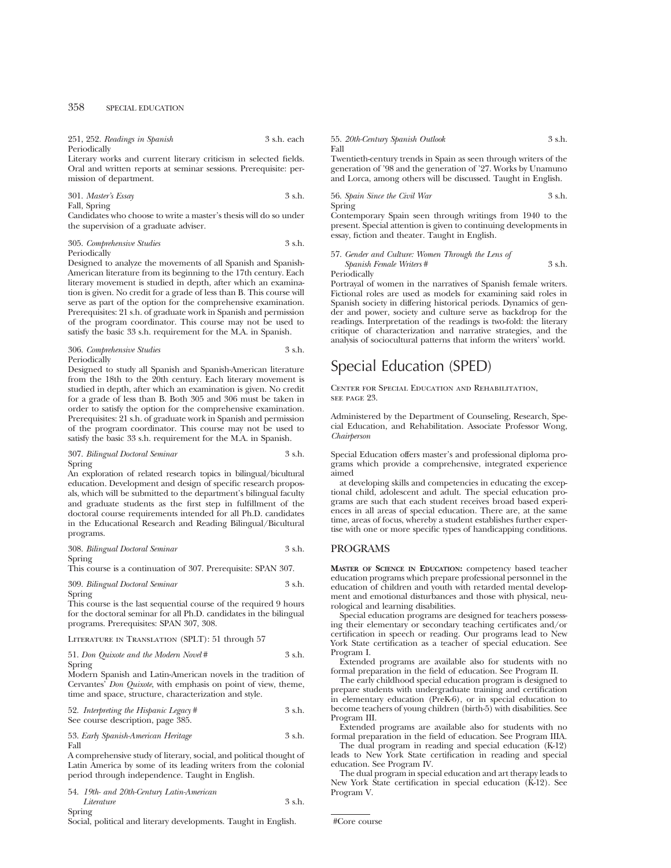| 251, 252. Readings in Spanish |  |  | 3 s.h. each |
|-------------------------------|--|--|-------------|
| Periodically                  |  |  |             |

Literary works and current literary criticism in selected fields. Oral and written reports at seminar sessions. Prerequisite: permission of department.

301. *Master's Essay* 3 s.h.

Fall, Spring

Candidates who choose to write a master's thesis will do so under the supervision of a graduate adviser.

| 305. Comprehensive Studies                                        | 3 s.h. |
|-------------------------------------------------------------------|--------|
| $\mathbf{D}_{\alpha}$ $\mathbf{D}_{\alpha}$ $\mathbf{D}_{\alpha}$ |        |

Periodically

Designed to analyze the movements of all Spanish and Spanish-American literature from its beginning to the 17th century. Each literary movement is studied in depth, after which an examination is given. No credit for a grade of less than B. This course will serve as part of the option for the comprehensive examination. Prerequisites: 21 s.h. of graduate work in Spanish and permission of the program coordinator. This course may not be used to satisfy the basic 33 s.h. requirement for the M.A. in Spanish.

| 306. Comprehensive Studies | 3 s.h. |
|----------------------------|--------|
| Periodically               |        |

Designed to study all Spanish and Spanish-American literature from the 18th to the 20th century. Each literary movement is studied in depth, after which an examination is given. No credit for a grade of less than B. Both 305 and 306 must be taken in order to satisfy the option for the comprehensive examination. Prerequisites: 21 s.h. of graduate work in Spanish and permission of the program coordinator. This course may not be used to satisfy the basic 33 s.h. requirement for the M.A. in Spanish.

| 307. Bilingual Doctoral Seminar | 3 s.h. |
|---------------------------------|--------|
| Spring                          |        |

An exploration of related research topics in bilingual/bicultural education. Development and design of specific research proposals, which will be submitted to the department's bilingual faculty and graduate students as the first step in fulfillment of the doctoral course requirements intended for all Ph.D. candidates in the Educational Research and Reading Bilingual/Bicultural programs.

| 308. Bilingual Doctoral Seminar | 3 s.h. |
|---------------------------------|--------|
| Spring                          |        |

This course is a continuation of 307. Prerequisite: SPAN 307.

```
309. Bilingual Doctoral Seminar 3 s.h.
Spring
```
This course is the last sequential course of the required 9 hours for the doctoral seminar for all Ph.D. candidates in the bilingual programs. Prerequisites: SPAN 307, 308.

### Literature in Translation (SPLT): 51 through 57

51. *Don Quixote and the Modern Novel* # 3 s.h. Spring

Modern Spanish and Latin-American novels in the tradition of Cervantes' *Don Quixote*, with emphasis on point of view, theme, time and space, structure, characterization and style.

52. *Interpreting the Hispanic Legacy* # 3 s.h. See course description, page 385.

53. *Early Spanish-American Heritage* 3 s.h. Fall

A comprehensive study of literary, social, and political thought of Latin America by some of its leading writers from the colonial period through independence. Taught in English.

54. *19th- and 20th-Century Latin-American Literature* 3 s.h. Spring

Social, political and literary developments. Taught in English.

#### 55. *20th-Century Spanish Outlook* 3 s.h. Fall

Twentieth-century trends in Spain as seen through writers of the generation of '98 and the generation of '27. Works by Unamuno and Lorca, among others will be discussed. Taught in English.

56. *Spain Since the Civil War* 3 s.h. Spring

Contemporary Spain seen through writings from 1940 to the present. Special attention is given to continuing developments in essay, fiction and theater. Taught in English.

#### 57. *Gender and Culture: Women Through the Lens of Spanish Female Writers* # 3 s.h.

Periodically

Portrayal of women in the narratives of Spanish female writers. Fictional roles are used as models for examining said roles in Spanish society in differing historical periods. Dynamics of gender and power, society and culture serve as backdrop for the readings. Interpretation of the readings is two-fold: the literary critique of characterization and narrative strategies, and the analysis of sociocultural patterns that inform the writers' world.

# Special Education (SPED)

Center for Special Education and Rehabilitation, SEE PACE 93.

Administered by the Department of Counseling, Research, Special Education, and Rehabilitation. Associate Professor Wong, *Chairperson*

Special Education offers master's and professional diploma programs which provide a comprehensive, integrated experience aimed

at developing skills and competencies in educating the exceptional child, adolescent and adult. The special education programs are such that each student receives broad based experiences in all areas of special education. There are, at the same time, areas of focus, whereby a student establishes further expertise with one or more specific types of handicapping conditions.

# PROGRAMS

**MASTER OF SCIENCE IN EDUCATION:** competency based teacher education programs which prepare professional personnel in the education of children and youth with retarded mental development and emotional disturbances and those with physical, neurological and learning disabilities.

Special education programs are designed for teachers possessing their elementary or secondary teaching certificates and/or certification in speech or reading. Our programs lead to New York State certification as a teacher of special education. See Program I.

Extended programs are available also for students with no formal preparation in the field of education. See Program II.

The early childhood special education program is designed to prepare students with undergraduate training and certification in elementary education (PreK-6), or in special education to become teachers of young children (birth-5) with disabilities. See Program III.

Extended programs are available also for students with no formal preparation in the field of education. See Program IIIA.

The dual program in reading and special education (K-12) leads to New York State certification in reading and special education. See Program IV.

The dual program in special education and art therapy leads to New York State certification in special education (K-12). See Program V.

#Core course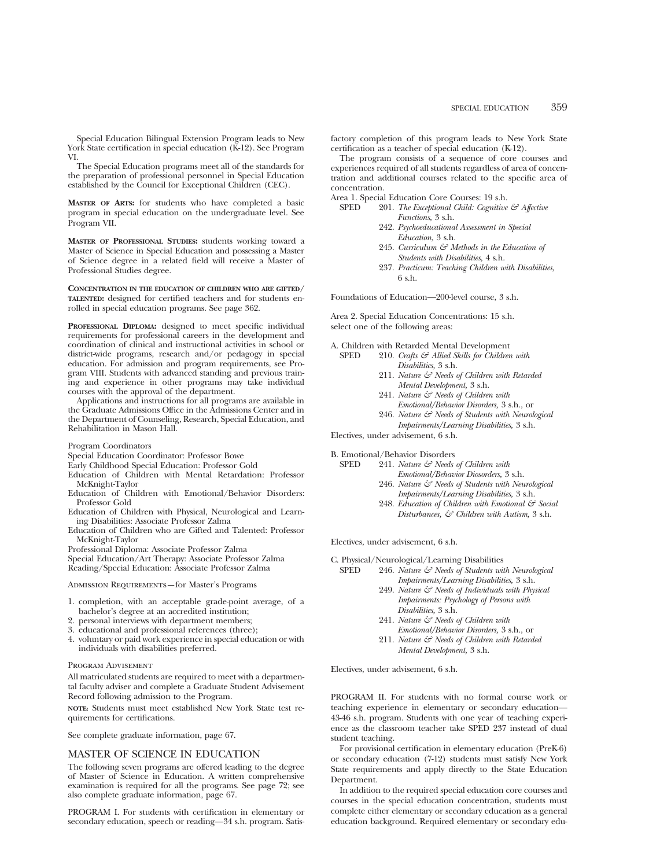Special Education Bilingual Extension Program leads to New York State certification in special education (K-12). See Program VI.

The Special Education programs meet all of the standards for the preparation of professional personnel in Special Education established by the Council for Exceptional Children (CEC).

**MASTER OF ARTS:** for students who have completed a basic program in special education on the undergraduate level. See Program VII.

**MASTER OF PROFESSIONAL STUDIES:** students working toward a Master of Science in Special Education and possessing a Master of Science degree in a related field will receive a Master of Professional Studies degree.

**CONCENTRATION IN THE EDUCATION OF CHILDREN WHO ARE GIFTED/ TALENTED:** designed for certified teachers and for students enrolled in special education programs. See page 362.

**PROFESSIONAL DIPLOMA:** designed to meet specific individual requirements for professional careers in the development and coordination of clinical and instructional activities in school or district-wide programs, research and/or pedagogy in special education. For admission and program requirements, see Program VIII. Students with advanced standing and previous training and experience in other programs may take individual courses with the approval of the department.

Applications and instructions for all programs are available in the Graduate Admissions Office in the Admissions Center and in the Department of Counseling, Research, Special Education, and Rehabilitation in Mason Hall.

Program Coordinators

Special Education Coordinator: Professor Bowe

Early Childhood Special Education: Professor Gold

- Education of Children with Mental Retardation: Professor McKnight-Taylor
- Education of Children with Emotional/Behavior Disorders: Professor Gold
- Education of Children with Physical, Neurological and Learning Disabilities: Associate Professor Zalma
- Education of Children who are Gifted and Talented: Professor McKnight-Taylor

Professional Diploma: Associate Professor Zalma

Special Education/Art Therapy: Associate Professor Zalma Reading/Special Education: Associate Professor Zalma

Admission Requirements—for Master's Programs

- 1. completion, with an acceptable grade-point average, of a bachelor's degree at an accredited institution;
- 2. personal interviews with department members;
- 3. educational and professional references (three);
- 4. voluntary or paid work experience in special education or with individuals with disabilities preferred.

#### Program Advisement

All matriculated students are required to meet with a departmental faculty adviser and complete a Graduate Student Advisement Record following admission to the Program.

**NOTE:** Students must meet established New York State test requirements for certifications.

See complete graduate information, page 67.

# MASTER OF SCIENCE IN EDUCATION

The following seven programs are offered leading to the degree of Master of Science in Education. A written comprehensive examination is required for all the programs. See page 72; see also complete graduate information, page 67.

PROGRAM I. For students with certification in elementary or secondary education, speech or reading—34 s.h. program. Satisfactory completion of this program leads to New York State certification as a teacher of special education (K-12).

The program consists of a sequence of core courses and experiences required of all students regardless of area of concentration and additional courses related to the specific area of concentration.

Area 1. Special Education Core Courses: 19 s.h.

- SPED 201. *The Exceptional Child: Cognitive & Affective Functions,* 3 s.h.
	- 242. *Psychoeducational Assessment in Special Education,* 3 s.h.
	- 245. *Curriculum & Methods in the Education of Students with Disabilities,* 4 s.h.
	- 237. *Practicum: Teaching Children with Disabilities,* 6 s.h.

Foundations of Education—200-level course, 3 s.h.

Area 2. Special Education Concentrations: 15 s.h. select one of the following areas:

A. Children with Retarded Mental Development<br>SPED 210. Crafts  $\mathcal{F}$  Allied Skills for Children 210. *Crafts*  $G$  Allied Skills for Children with

- *Disabilities,* 3 s.h. 211. *Nature & Needs of Children with Retarded*
	- *Mental Development,* 3 s.h.
	- 241. *Nature & Needs of Children with Emotional/Behavior Disorders,* 3 s.h., or
	- 246. *Nature & Needs of Students with Neurological Impairments/Learning Disabilities,* 3 s.h.

Electives, under advisement, 6 s.h.

B. Emotional/Behavior Disorders<br>SPED 241 Nature  $\xi \vec{\tau}$  Needs

- 241. *Nature & Needs of Children with Emotional/Behavior Diosorders,* 3 s.h.
	- 246. *Nature & Needs of Students with Neurological Impairments/Learning Disabilities,* 3 s.h.
	- 248. *Education of Children with Emotional & Social Disturbances, & Children with Autism,* 3 s.h.

Electives, under advisement, 6 s.h.

C. Physical/Neurological/Learning Disabilities<br>SPED 246 Nature  $\xi \xi$  Needs of Students with

- 246. *Nature & Needs of Students with Neurological Impairments/Learning Disabilities,* 3 s.h.
	- 249. *Nature & Needs of Individuals with Physical Impairments: Psychology of Persons with Disabilities,* 3 s.h.
	- 241. *Nature & Needs of Children with Emotional/Behavior Disorders,* 3 s.h., or
	- 211. *Nature & Needs of Children with Retarded Mental Development,* 3 s.h.

Electives, under advisement, 6 s.h.

PROGRAM II. For students with no formal course work or teaching experience in elementary or secondary education— 43-46 s.h. program. Students with one year of teaching experience as the classroom teacher take SPED 237 instead of dual student teaching.

For provisional certification in elementary education (PreK-6) or secondary education (7-12) students must satisfy New York State requirements and apply directly to the State Education Department.

In addition to the required special education core courses and courses in the special education concentration, students must complete either elementary or secondary education as a general education background. Required elementary or secondary edu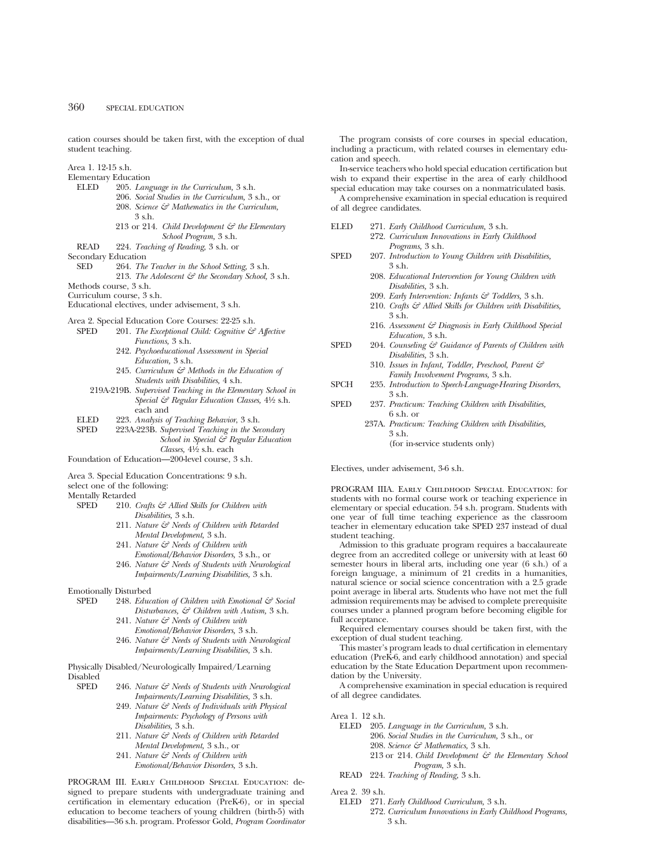cation courses should be taken first, with the exception of dual student teaching.

Area 1. 12-15 s.h.

- Elementary Education<br>ELED 205. Lang
	- ELED 205. *Language in the Curriculum,* 3 s.h. 206. *Social Studies in the Curriculum,* 3 s.h., or
		- 208. *Science & Mathematics in the Curriculum,* 3 s.h.
		- 213 or 214. *Child Development & the Elementary School Program,* 3 s.h.
	- READ 224. *Teaching of Reading,* 3 s.h. or

- Secondary Education<br>SED 264. The 264. *The Teacher in the School Setting*, 3 s.h.
	- 213. *The Adolescent & the Secondary School,* 3 s.h.
- Methods course, 3 s.h.
- Curriculum course, 3 s.h.
- Educational electives, under advisement, 3 s.h.
- 
- Area 2. Special Education Core Courses: 22-25 s.h.<br>SPED 201. The Exceptional Child: Coenitive  $\mathcal{F}^2$ 201. *The Exceptional Child: Cognitive & Affective Functions,* 3 s.h.
	- 242. *Psychoeducational Assessment in Special Education,* 3 s.h.
	- 245. *Curriculum & Methods in the Education of Students with Disabilities,* 4 s.h.
	- 219A-219B. *Supervised Teaching in the Elementary School in Special & Regular Education Classes,* 41⁄2 s.h. each and
	- ELED 223. *Analysis of Teaching Behavior*, 3 s.h.
	- 223A-223B. Supervised Teaching in the Secondary

*School in Special & Regular Education Classes,* 41⁄2 s.h. each

Foundation of Education—200-level course, 3 s.h.

Area 3. Special Education Concentrations: 9 s.h.

select one of the following:

Mentally Retarded<br>SPED 210

- 210. *Crafts & Allied Skills for Children with Disabilities,* 3 s.h.
	- 211. *Nature & Needs of Children with Retarded Mental Development,* 3 s.h.
	- 241. *Nature & Needs of Children with Emotional/Behavior Disorders,* 3 s.h., or
	- 246. *Nature & Needs of Students with Neurological Impairments/Learning Disabilities,* 3 s.h.
- Emotionally Disturbed<br>SPED 248 *Educ* 
	- 248. *Education of Children with Emotional & Social Disturbances, & Children with Autism,* 3 s.h.
		- 241. *Nature & Needs of Children with*
		- *Emotional/Behavior Disorders,* 3 s.h. 246. *Nature & Needs of Students with Neurological*
- *Impairments/Learning Disabilities,* 3 s.h. Physically Disabled/Neurologically Impaired/Learning

Disabled

- 246. *Nature & Needs of Students with Neurological Impairments/Learning Disabilities,* 3 s.h.
	- 249. *Nature & Needs of Individuals with Physical Impairments: Psychology of Persons with Disabilities,* 3 s.h.
	- 211. *Nature & Needs of Children with Retarded Mental Development,* 3 s.h., or
	- 241. *Nature & Needs of Children with*
		- *Emotional/Behavior Disorders,* 3 s.h.

PROGRAM III. Early Childhood Special Education: designed to prepare students with undergraduate training and certification in elementary education (PreK-6), or in special education to become teachers of young children (birth-5) with disabilities—36 s.h. program. Professor Gold, *Program Coordinator*

The program consists of core courses in special education, including a practicum, with related courses in elementary education and speech.

In-service teachers who hold special education certification but wish to expand their expertise in the area of early childhood special education may take courses on a nonmatriculated basis. A comprehensive examination in special education is required of all degree candidates.

- ELED 271. *Early Childhood Curriculum,* 3 s.h.
	- 272. *Curriculum Innovations in Early Childhood Programs,* 3 s.h.
- SPED 207. *Introduction to Young Children with Disabilities,* 3 s.h.
	- 208. *Educational Intervention for Young Children with Disabilities,* 3 s.h.
	- 209. *Early Intervention: Infants & Toddlers,* 3 s.h.
	- 210. *Crafts & Allied Skills for Children with Disabilities,* 3 s.h.
	- 216. *Assessment & Diagnosis in Early Childhood Special Education,* 3 s.h.
- SPED 204. *Counseling & Guidance of Parents of Children with Disabilities,* 3 s.h.
	- 310. *Issues in Infant, Toddler, Preschool, Parent & Family Involvement Programs,* 3 s.h.
- SPCH 235. *Introduction to Speech-Language-Hearing Disorders*, 3 s.h.
- SPED 237. *Practicum: Teaching Children with Disabilities,* 6 s.h. or
	- 237A. *Practicum: Teaching Children with Disabilities,* 3 s.h.
		- (for in-service students only)

Electives, under advisement, 3-6 s.h.

PROGRAM IIIA. Early Childhood Special Education: for students with no formal course work or teaching experience in elementary or special education. 54 s.h. program. Students with one year of full time teaching experience as the classroom teacher in elementary education take SPED 237 instead of dual student teaching.

Admission to this graduate program requires a baccalaureate degree from an accredited college or university with at least 60 semester hours in liberal arts, including one year (6 s.h.) of a foreign language, a minimum of 21 credits in a humanities, natural science or social science concentration with a 2.5 grade point average in liberal arts. Students who have not met the full admission requirements may be advised to complete prerequisite courses under a planned program before becoming eligible for full acceptance.

Required elementary courses should be taken first, with the exception of dual student teaching.

This master's program leads to dual certification in elementary education (PreK-6, and early childhood annotation) and special education by the State Education Department upon recommendation by the University.

A comprehensive examination in special education is required of all degree candidates.

Area 1. 12 s.h.

- ELED 205. *Language in the Curriculum,* 3 s.h.
	- 206. *Social Studies in the Curriculum,* 3 s.h., or
	- 208. *Science & Mathematics,* 3 s.h.
	- 213 or 214. *Child Development & the Elementary School Program,* 3 s.h.
- READ 224. *Teaching of Reading,* 3 s.h.
- Area 2. 39 s.h.
	- ELED 271. *Early Childhood Curriculum,* 3 s.h.
		- 272. *Curriculum Innovations in Early Childhood Programs,* 3 s.h.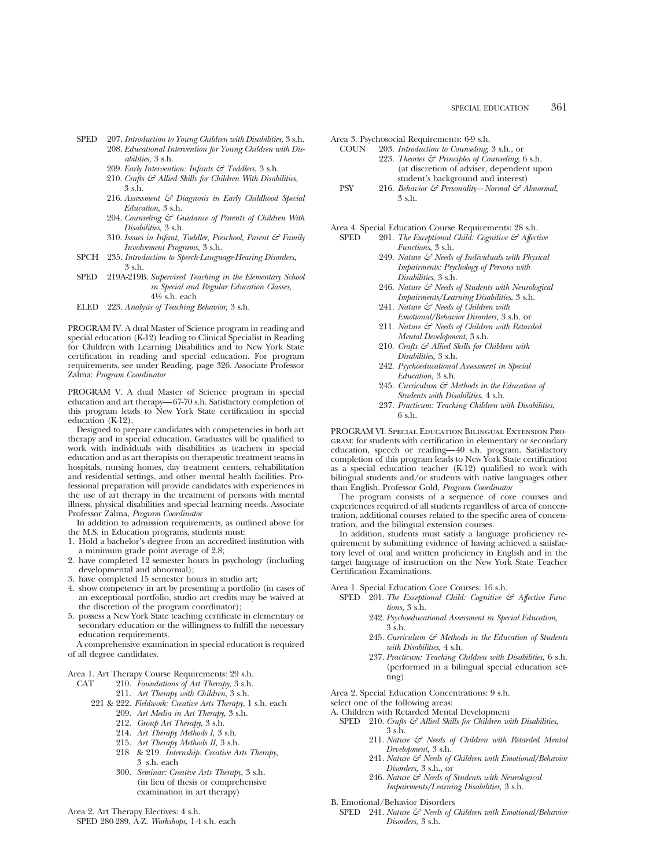- SPED 207. *Introduction to Young Children with Disabilities,* 3 s.h. 208. *Educational Intervention for Young Children with Disabilities,* 3 s.h.
	- 209. *Early Intervention: Infants & Toddlers,* 3 s.h.
	- 210. *Crafts & Allied Skills for Children With Disabilities,* 3 s.h.
	- 216. *Assessment & Diagnosis in Early Childhood Special Education,* 3 s.h.
	- 204. *Counseling & Guidance of Parents of Children With Disabilities,* 3 s.h.
	- 310. *Issues in Infant, Toddler, Preschool, Parent & Family Involvement Programs,* 3 s.h.
- SPCH 235. *Introduction to Speech-Language-Hearing Disorders,* 3 s.h.
- SPED 219A-219B. *Supervised Teaching in the Elementary School in Special and Regular Education Classes,* 41⁄2 s.h. each
- ELED 223. *Analysis of Teaching Behavior,* 3 s.h.

PROGRAM IV. A dual Master of Science program in reading and special education (K-12) leading to Clinical Specialist in Reading for Children with Learning Disabilities and to New York State certification in reading and special education. For program requirements, see under Reading, page 326. Associate Professor Zalma: *Program Coordinator*

PROGRAM V. A dual Master of Science program in special education and art therapy—67-70 s.h. Satisfactory completion of this program leads to New York State certification in special education (K-12).

Designed to prepare candidates with competencies in both art therapy and in special education. Graduates will be qualified to work with individuals with disabilities as teachers in special education and as art therapists on therapeutic treatment teams in hospitals, nursing homes, day treatment centers, rehabilitation and residential settings, and other mental health facilities. Professional preparation will provide candidates with experiences in the use of art therapy in the treatment of persons with mental illness, physical disabilities and special learning needs. Associate Professor Zalma, *Program Coordinator*

In addition to admission requirements, as outlined above for the M.S. in Education programs, students must:

- 1. Hold a bachelor's degree from an accredited institution with a minimum grade point average of 2.8;
- 2. have completed 12 semester hours in psychology (including developmental and abnormal);
- 3. have completed 15 semester hours in studio art;
- 4. show competency in art by presenting a portfolio (in cases of an exceptional portfolio, studio art credits may be waived at the discretion of the program coordinator);
- 5. possess a New York State teaching certificate in elementary or secondary education or the willingness to fulfill the necessary education requirements.

A comprehensive examination in special education is required of all degree candidates.

Area 1. Art Therapy Course Requirements: 29 s.h.<br>CAT 210. Foundations of Art Therapy. 3 s.h.

- 210. Foundations of Art Therapy, 3 s.h.
	- 211. *Art Therapy with Children*, 3 s.h.
- 221 & 222. *Fieldwork: Creative Arts Therapy*, 1 s.h. each 209. *Art Media in Art Therapy*, 3 s.h.
	- 212. *Group Art Therapy*, 3 s.h.
	- 214. *Art Therapy Methods I,* 3 s.h.
	- 215. *Art Therapy Methods II,* 3 s.h.
	- 218 & 219. *Internship: Creative Arts Therapy,* 3 s.h. each
	- 300. *Seminar: Creative Arts Therapy*, 3 s.h. (in lieu of thesis or comprehensive examination in art therapy)

Area 2. Art Therapy Electives: 4 s.h. SPED 280-289, A-Z. *Workshops*, 1-4 s.h. each Area 3. Psychosocial Requirements: 6-9 s.h.

- COUN 203. *Introduction to Counseling*, 3 s.h., or 223. *Theories & Principles of Counseling*, 6 s.h. (at discretion of adviser, dependent upon student's background and interest)
- PSY 216. *Behavior & Personality—Normal & Abnormal*, 3 s.h.

Area 4. Special Education Course Requirements: 28 s.h.<br>SPED 201. The Exceptional Child: Cognitive & Affect

- 201. *The Exceptional Child: Cognitive & Affective Functions*, 3 s.h.
	- 249. *Nature & Needs of Individuals with Physical Impairments: Psychology of Persons with Disabilities*, 3 s.h.
	- 246. *Nature & Needs of Students with Neurological Impairments/Learning Disabilities*, 3 s.h.
	- 241. *Nature & Needs of Children with Emotional/Behavior Disorders*, 3 s.h. or
	- 211. *Nature & Needs of Children with Retarded Mental Development*, 3 s.h.
	- 210. *Crafts & Allied Skills for Children with Disabilities,* 3 s.h.
	- 242. *Psychoeducational Assessment in Special Education,* 3 s.h.
	- 245. *Curriculum & Methods in the Education of Students with Disabilities*, 4 s.h.
	- 237. *Practicum: Teaching Children with Disabilities*, 6 s.h.

PROGRAM VI. Special Education Bilingual Extension Pro-GRAM: for students with certification in elementary or secondary education, speech or reading—40 s.h. program. Satisfactory completion of this program leads to New York State certification as a special education teacher (K-12) qualified to work with bilingual students and/or students with native languages other than English. Professor Gold, *Program Coordinator*

The program consists of a sequence of core courses and experiences required of all students regardless of area of concentration, additional courses related to the specific area of concentration, and the bilingual extension courses.

In addition, students must satisfy a language proficiency requirement by submitting evidence of having achieved a satisfactory level of oral and written proficiency in English and in the target language of instruction on the New York State Teacher Certification Examinations.

Area 1. Special Education Core Courses: 16 s.h.

- SPED 201. The Exceptional Child: Cognitive & Affective Func*tions,* 3 s.h.
	- 242. *Psychoeducational Assessment in Special Education,* 3 s.h.
	- 245. *Curriculum & Methods in the Education of Students with Disabilities,* 4 s.h.
	- 237. *Practicum: Teaching Children with Disabilities,* 6 s.h. (performed in a bilingual special education setting)

Area 2. Special Education Concentrations: 9 s.h.

select one of the following areas:

- A. Children with Retarded Mental Development
	- SPED 210. *Crafts*  $G^2$  Allied Skills for Children with Disabilities, 3 s.h.
		- 211. *Nature & Needs of Children with Retarded Mental Development,* 3 s.h.
		- 241. *Nature & Needs of Children with Emotional/Behavior Disorders,* 3 s.h., or
		- 246. *Nature & Needs of Students with Neurological Impairments/Learning Disabilities,* 3 s.h.

B. Emotional/Behavior Disorders

SPED 241. *Nature & Needs of Children with Emotional/Behavior Disorders,* 3 s.h.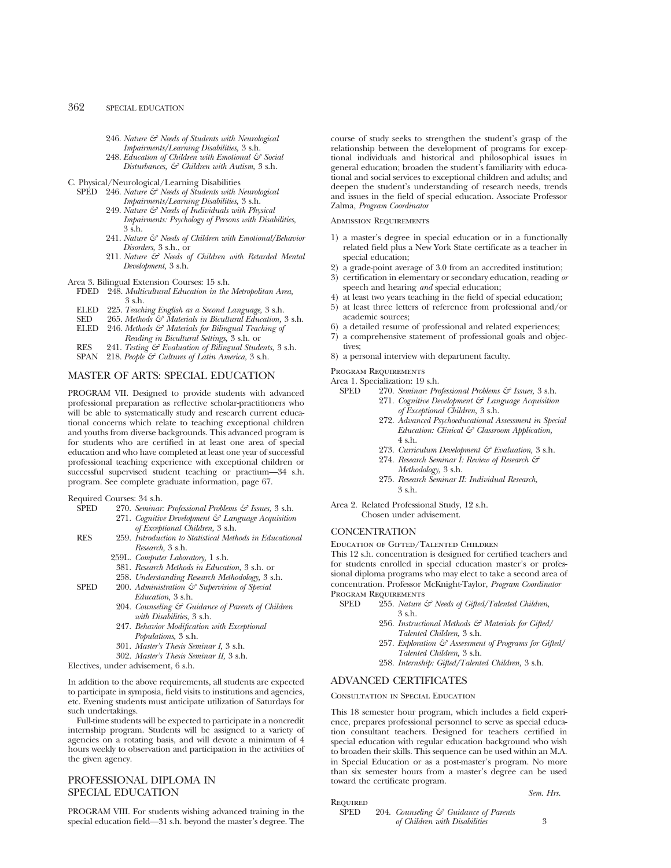# 362 SPECIAL EDUCATION

- 246. *Nature & Needs of Students with Neurological*
	- *Impairments/Learning Disabilities,* 3 s.h.
- 248. *Education of Children with Emotional & Social Disturbances, & Children with Autism,* 3 s.h.

C. Physical/Neurological/Learning Disabilities

- SPED 246. *Nature & Needs of Students with Neurological Impairments/Learning Disabilities,* 3 s.h.
	- 249. *Nature & Needs of Individuals with Physical Impairments: Psychology of Persons with Disabilities,* 3 s.h.
	- 241. *Nature & Needs of Children with Emotional/Behavior Disorders,* 3 s.h., or
	- 211. *Nature & Needs of Children with Retarded Mental Development,* 3 s.h.

Area 3. Bilingual Extension Courses: 15 s.h.

- FDED 248. *Multicultural Education in the Metropolitan Area,* 3 s.h.
- ELED 225. *Teaching English as a Second Language,* 3 s.h.
- SED 265. *Methods & Materials in Bicultural Education,* 3 s.h.
- ELED 246. *Methods & Materials for Bilingual Teaching of Reading in Bicultural Settings,* 3 s.h. or
- RES 241. *Testing & Evaluation of Bilingual Students,* 3 s.h.
- SPAN 218. People & Cultures of Latin America, 3 s.h.

# MASTER OF ARTS: SPECIAL EDUCATION

PROGRAM VII. Designed to provide students with advanced professional preparation as reflective scholar-practitioners who will be able to systematically study and research current educational concerns which relate to teaching exceptional children and youths from diverse backgrounds. This advanced program is for students who are certified in at least one area of special education and who have completed at least one year of successful professional teaching experience with exceptional children or successful supervised student teaching or practium—34 s.h. program. See complete graduate information, page 67.

Required Courses: 34 s.h.

- SPED 270. *Seminar: Professional Problems & Issues,* 3 s.h. 271. *Cognitive Development & Language Acquisition of Exceptional Children,* 3 s.h.
- RES 259. *Introduction to Statistical Methods in Educational Research,* 3 s.h.
	- 259L. *Computer Laboratory,* 1 s.h.
	- 381. *Research Methods in Education,* 3 s.h. or
	- 258. *Understanding Research Methodology,* 3 s.h.
- SPED 200. *Administration*  $\mathcal{C}$  Supervision of Special *Education,* 3 s.h.
	- 204. *Counseling & Guidance of Parents of Children with Disabilities,* 3 s.h.
	- 247. *Behavior Modification with Exceptional Populations,* 3 s.h.
	- 301. *Master's Thesis Seminar I,* 3 s.h.
	- 302. *Master's Thesis Seminar II,* 3 s.h.

Electives, under advisement, 6 s.h.

In addition to the above requirements, all students are expected to participate in symposia, field visits to institutions and agencies, etc. Evening students must anticipate utilization of Saturdays for such undertakings.

Full-time students will be expected to participate in a noncredit internship program. Students will be assigned to a variety of agencies on a rotating basis, and will devote a minimum of 4 hours weekly to observation and participation in the activities of the given agency.

# PROFESSIONAL DIPLOMA IN SPECIAL EDUCATION

PROGRAM VIII. For students wishing advanced training in the special education field—31 s.h. beyond the master's degree. The course of study seeks to strengthen the student's grasp of the relationship between the development of programs for exceptional individuals and historical and philosophical issues in general education; broaden the student's familiarity with educational and social services to exceptional children and adults; and deepen the student's understanding of research needs, trends and issues in the field of special education. Associate Professor Zalma, *Program Coordinator*

### Admission Requirements

- 1) a master's degree in special education or in a functionally related field plus a New York State certificate as a teacher in special education;
- 2) a grade-point average of 3.0 from an accredited institution;
- 3) certification in elementary or secondary education, reading *or* speech and hearing *and* special education;
- 4) at least two years teaching in the field of special education;
- 5) at least three letters of reference from professional and/or academic sources;
- 6) a detailed resume of professional and related experiences;
- 7) a comprehensive statement of professional goals and objectives;
- 8) a personal interview with department faculty.

PROGRAM REQUIREMENTS

# Area 1. Specialization: 19 s.h.<br>SPED 270 Seminar Pro

- 270. *Seminar: Professional Problems & Issues*, 3 s.h.
	- 271. *Cognitive Development & Language Acquisition of Exceptional Children,* 3 s.h.
	- 272. *Advanced Psychoeducational Assessment in Special Education: Clinical & Classroom Application,* 4 s.h.
	- 273. *Curriculum Development & Evaluation,* 3 s.h.
	- 274. *Research Seminar I: Review of Research & Methodology,* 3 s.h.
	- 275. *Research Seminar II: Individual Research,* 3 s.h.
- Area 2. Related Professional Study, 12 s.h. Chosen under advisement.

#### **CONCENTRATION**

Education of Gifted/Talented Children

This 12 s.h. concentration is designed for certified teachers and for students enrolled in special education master's or professional diploma programs who may elect to take a second area of concentration. Professor McKnight-Taylor, *Program Coordinator* PROGRAM REQUIREMENTS

- SPED 255. *Nature & Needs of Gifted/Talented Children,* 3 s.h.
	- 256. *Instructional Methods & Materials for Gifted/ Talented Children,* 3 s.h.
	- 257. *Exploration & Assessment of Programs for Gifted/ Talented Children,* 3 s.h.
	- 258. *Internship: Gifted/Talented Children,* 3 s.h.

# ADVANCED CERTIFICATES

#### Consultation in Special Education

This 18 semester hour program, which includes a field experience, prepares professional personnel to serve as special education consultant teachers. Designed for teachers certified in special education with regular education background who wish to broaden their skills. This sequence can be used within an M.A. in Special Education or as a post-master's program. No more than six semester hours from a master's degree can be used toward the certificate program.

*Sem. Hrs.*

| REQUIRED    |                                                   |  |
|-------------|---------------------------------------------------|--|
| <b>SPED</b> | 204. Counseling $\mathcal{C}$ Guidance of Parents |  |
|             | of Children with Disabilities                     |  |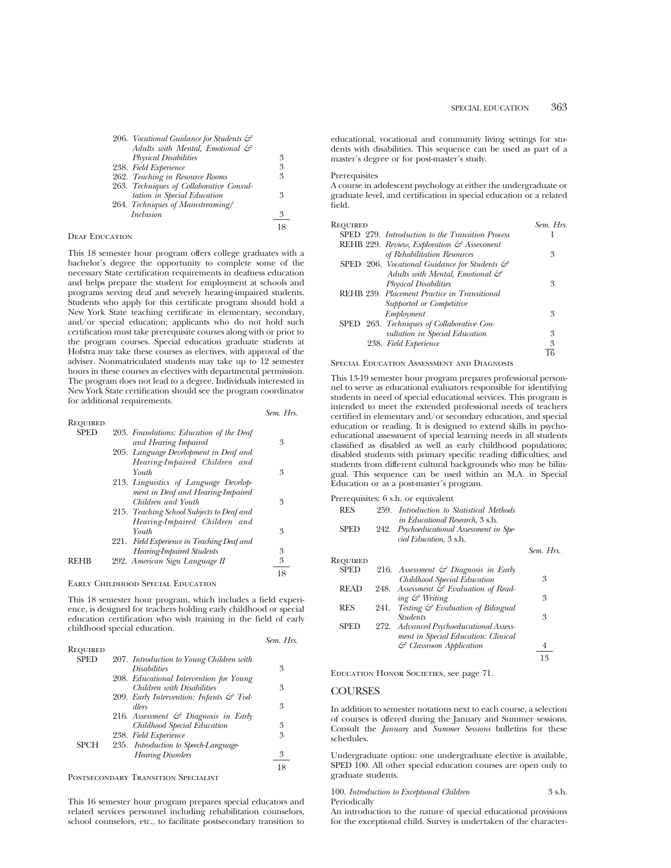206. *Vocational Guidance for Students & Adults with Mental, Emotional & Physical Disabilities* 3 238. *Field Experience* 3 262. *Teaching in Resource Rooms* 3 263. *Techniques of Collaborative Consultation in Special Education* 3 264. *Techniques of Mainstreaming/ Inclusion* 3 18

## DEAF EDUCATION

This 18 semester hour program offers college graduates with a bachelor's degree the opportunity to complete some of the necessary State certification requirements in deafness education and helps prepare the student for employment at schools and programs serving deaf and severely hearing-impaired students. Students who apply for this certificate program should hold a New York State teaching certificate in elementary, secondary, and/or special education; applicants who do not hold such certification must take prerequisite courses along with or prior to the program courses. Special education graduate students at Hofstra may take these courses as electives, with approval of the adviser. Nonmatriculated students may take up to 12 semester hours in these courses as electives with departmental permission. The program does not lead to a degree. Individuals interested in New York State certification should see the program coordinator for additional requirements.

*Sem. Hrs.*

| REQUIRED    |                                            |    |
|-------------|--------------------------------------------|----|
| <b>SPED</b> | 203. Foundations: Education of the Deaf    |    |
|             | and Hearing Impaired                       | 3  |
|             | 205. Language Development in Deaf and      |    |
|             | Hearing-Impaired Children and              |    |
|             | Youth                                      | 3  |
|             | 213. Linguistics of Language Develop-      |    |
|             | ment in Deaf and Hearing-Impaired          |    |
|             | Children and Youth                         | 3  |
|             | 215. Teaching School Subjects to Deaf and  |    |
|             | Hearing-Impaired Children and              |    |
|             | Youth                                      | 3  |
|             | 221. Field Experience in Teaching Deaf and |    |
|             | <b>Hearing-Impaired Students</b>           | 3  |
| <b>REHB</b> | 292. American Sign Language II             | 3  |
|             |                                            | 18 |
|             |                                            |    |

Early Childhood Special Education

This 18 semester hour program, which includes a field experience, is designed for teachers holding early childhood or special education certification who wish training in the field of early childhood special education.

|                 |                                                     | Sem. Hrs. |
|-----------------|-----------------------------------------------------|-----------|
| <b>REQUIRED</b> |                                                     |           |
| <b>SPED</b>     | 207. Introduction to Young Children with            |           |
|                 | <i>Disabilities</i>                                 | 3         |
|                 | 208. Educational Intervention for Young             |           |
|                 | Children with Disabilities                          | 3         |
|                 | 209. Early Intervention: Infants $\mathcal{F}$ Tod- |           |
|                 | dlers                                               | 3         |
|                 | 216. Assessment $\mathcal{C}$ Diagnosis in Early    |           |
|                 | Childhood Special Education                         | 3         |
|                 | 238. Field Experience                               | 3         |
| <b>SPCH</b>     | 235. Introduction to Speech-Language-               |           |
|                 | <b>Hearing Disorders</b>                            | 3         |
|                 |                                                     | 18        |



This 16 semester hour program prepares special educators and related services personnel including rehabilitation counselors, school counselors, etc., to facilitate postsecondary transition to

educational, vocational and community living settings for students with disabilities. This sequence can be used as part of a master's degree or for post-master's study.

#### Prerequisites

A course in adolescent psychology at either the undergraduate or graduate level, and certification in special education or a related field.

| Required                                                   | Sem. Hrs. |
|------------------------------------------------------------|-----------|
| SPED 279. Introduction to the Transition Process           |           |
| REHB 229. Review, Exploration & Assessment                 |           |
| of Rehabilitation Resources                                | 3         |
| SPED 206. Vocational Guidance for Students $\mathcal{C}^2$ |           |
| Adults with Mental, Emotional &                            |           |
| <b>Physical Disabilities</b>                               | 3         |
| REHB 239. Placement Practice in Transitional               |           |
| Supported or Competitive                                   |           |
| Employment                                                 | 3         |
| SPED 263. Techniques of Collaborative Con-                 |           |
| sultation in Special Education                             | 3         |
| 238. Field Experience                                      | 3         |
|                                                            |           |

# Special Education Assessment and Diagnosis

This 13-19 semester hour program prepares professional personnel to serve as educational evaluators responsible for identifying students in need of special educational services. This program is intended to meet the extended professional needs of teachers certified in elementary and/or secondary education, and special education or reading. It is designed to extend skills in psychoeducational assessment of special learning needs in all students classified as disabled as well as early childhood populations; disabled students with primary specific reading difficulties; and students from different cultural backgrounds who may be bilingual. This sequence can be used within an M.A. in Special Education or as a post-master's program.

| Prerequisites: 6 s.h. or equivalent |  |                                                                                     |  |
|-------------------------------------|--|-------------------------------------------------------------------------------------|--|
| <b>RES</b>                          |  | 259. Introduction to Statistical Methods<br><i>in Educational Research</i> , 3 s.h. |  |
| <b>SPED</b>                         |  | 242. Psychoeducational Assessment in Spe-<br><i>cial Education</i> , 3 s.h.         |  |

| Required    |      |                                                 |    |
|-------------|------|-------------------------------------------------|----|
| <b>SPED</b> |      | 216. Assessment $\mathcal O$ Diagnosis in Early |    |
|             |      | Childhood Special Education                     | 3  |
| <b>READ</b> |      | 248. Assessment & Evaluation of Read-           |    |
|             |      | ing & Writing                                   | 3  |
| <b>RES</b>  | 241. | Testing & Evaluation of Bilingual               |    |
|             |      | <i><u><b>Students</b></u></i>                   | 3  |
| <b>SPED</b> |      | 272. Advanced Psychoeducational Assess-         |    |
|             |      | ment in Special Education: Clinical             |    |
|             |      | $\mathcal{C}$ Classroom Application             |    |
|             |      |                                                 | 13 |
|             |      |                                                 |    |

*Sem. Hrs.*

Education Honor Societies, see page 71.

#### **COURSES**

In addition to semester notations next to each course, a selection of courses is offered during the January and Summer sessions. Consult the *January* and *Summer Sessions* bulletins for these schedules.

Undergraduate option: one undergraduate elective is available, SPED 100. All other special education courses are open only to graduate students.

| 100. Introduction to Exceptional Children | 3 s.h. |
|-------------------------------------------|--------|
| Periodically                              |        |

An introduction to the nature of special educational provisions for the exceptional child. Survey is undertaken of the character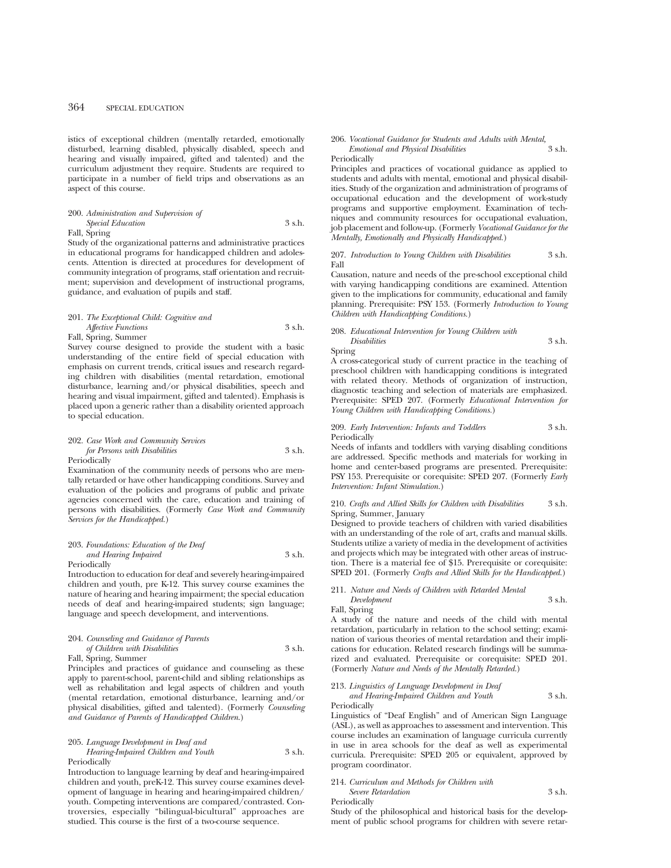istics of exceptional children (mentally retarded, emotionally disturbed, learning disabled, physically disabled, speech and hearing and visually impaired, gifted and talented) and the curriculum adjustment they require. Students are required to participate in a number of field trips and observations as an aspect of this course.

# 200. *Administration and Supervision of Special Education* 3 s.h.

Fall, Spring

Study of the organizational patterns and administrative practices in educational programs for handicapped children and adolescents. Attention is directed at procedures for development of community integration of programs, staff orientation and recruitment; supervision and development of instructional programs, guidance, and evaluation of pupils and staff.

# 201. *The Exceptional Child: Cognitive and Affective Functions* 3 s.h. Fall, Spring, Summer

Survey course designed to provide the student with a basic understanding of the entire field of special education with emphasis on current trends, critical issues and research regarding children with disabilities (mental retardation, emotional disturbance, learning and/or physical disabilities, speech and hearing and visual impairment, gifted and talented). Emphasis is placed upon a generic rather than a disability oriented approach to special education.

#### 202. *Case Work and Community Services for Persons with Disabilities* 3 s.h. Periodically

Examination of the community needs of persons who are mentally retarded or have other handicapping conditions. Survey and evaluation of the policies and programs of public and private agencies concerned with the care, education and training of persons with disabilities. (Formerly *Case Work and Community Services for the Handicapped.*)

#### 203. *Foundations: Education of the Deaf and Hearing Impaired* 3 s.h. Periodically

Introduction to education for deaf and severely hearing-impaired

children and youth, pre K-12. This survey course examines the nature of hearing and hearing impairment; the special education needs of deaf and hearing-impaired students; sign language; language and speech development, and interventions.

#### 204. *Counseling and Guidance of Parents of Children with Disabilities* 3 s.h.

Fall, Spring, Summer

Principles and practices of guidance and counseling as these apply to parent-school, parent-child and sibling relationships as well as rehabilitation and legal aspects of children and youth (mental retardation, emotional disturbance, learning and/or physical disabilities, gifted and talented). (Formerly *Counseling and Guidance of Parents of Handicapped Children*.)

#### 205. *Language Development in Deaf and Hearing-Impaired Children and Youth* 3 s.h. Periodically

Introduction to language learning by deaf and hearing-impaired children and youth, preK-12. This survey course examines development of language in hearing and hearing-impaired children/ youth. Competing interventions are compared/contrasted. Controversies, especially "bilingual-bicultural" approaches are studied. This course is the first of a two-course sequence.

#### 206. *Vocational Guidance for Students and Adults with Mental, Emotional and Physical Disabilities* 3 s.h.

Periodically

Principles and practices of vocational guidance as applied to students and adults with mental, emotional and physical disabilities. Study of the organization and administration of programs of occupational education and the development of work-study programs and supportive employment. Examination of techniques and community resources for occupational evaluation, job placement and follow-up. (Formerly *Vocational Guidance for the Mentally, Emotionally and Physically Handicapped.*)

#### 207. *Introduction to Young Children with Disabilities* 3 s.h. Fall

Causation, nature and needs of the pre-school exceptional child with varying handicapping conditions are examined. Attention given to the implications for community, educational and family planning. Prerequisite: PSY 153. (Formerly *Introduction to Young Children with Handicapping Conditions.*)

#### 208. *Educational Intervention for Young Children with Disabilities* 3 s.h. Spring

A cross-categorical study of current practice in the teaching of preschool children with handicapping conditions is integrated with related theory. Methods of organization of instruction, diagnostic teaching and selection of materials are emphasized. Prerequisite: SPED 207. (Formerly *Educational Intervention for Young Children with Handicapping Conditions.*)

#### 209. *Early Intervention: Infants and Toddlers* 3 s.h. Periodically

Needs of infants and toddlers with varying disabling conditions are addressed. Specific methods and materials for working in home and center-based programs are presented. Prerequisite: PSY 153. Prerequisite or corequisite: SPED 207. (Formerly *Early Intervention: Infant Stimulation.*)

#### 210. *Crafts and Allied Skills for Children with Disabilities* 3 s.h. Spring, Summer, January

Designed to provide teachers of children with varied disabilities with an understanding of the role of art, crafts and manual skills. Students utilize a variety of media in the development of activities and projects which may be integrated with other areas of instruction. There is a material fee of \$15. Prerequisite or corequisite: SPED 201. (Formerly *Crafts and Allied Skills for the Handicapped.*)

# 211. *Nature and Needs of Children with Retarded Mental Development* 3 s.h.

Fall, Spring

A study of the nature and needs of the child with mental retardation, particularly in relation to the school setting; examination of various theories of mental retardation and their implications for education. Related research findings will be summarized and evaluated. Prerequisite or corequisite: SPED 201. (Formerly *Nature and Needs of the Mentally Retarded.*)

### 213. *Linguistics of Language Development in Deaf*

*and Hearing-Impaired Children and Youth* 3 s.h. Periodically

Periodically

Linguistics of "Deaf English" and of American Sign Language (ASL), as well as approaches to assessment and intervention. This course includes an examination of language curricula currently in use in area schools for the deaf as well as experimental curricula. Prerequisite: SPED 205 or equivalent, approved by program coordinator.

#### 214. *Curriculum and Methods for Children with Severe Retardation* 3 s.h.

Study of the philosophical and historical basis for the development of public school programs for children with severe retar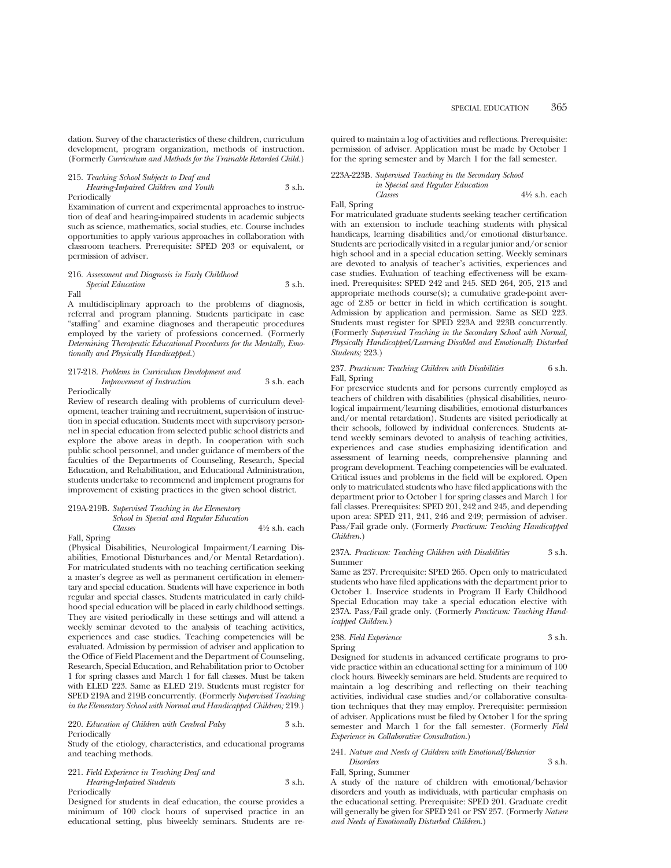dation. Survey of the characteristics of these children, curriculum development, program organization, methods of instruction. (Formerly *Curriculum and Methods for the Trainable Retarded Child.*)

215. *Teaching School Subjects to Deaf and Hearing-Impaired Children and Youth* 3 s.h.

Periodically

Examination of current and experimental approaches to instruction of deaf and hearing-impaired students in academic subjects such as science, mathematics, social studies, etc. Course includes opportunities to apply various approaches in collaboration with classroom teachers. Prerequisite: SPED 203 or equivalent, or permission of adviser.

#### 216. *Assessment and Diagnosis in Early Childhood Special Education* 3 s.h. Fall

A multidisciplinary approach to the problems of diagnosis, referral and program planning. Students participate in case "staffing" and examine diagnoses and therapeutic procedures employed by the variety of professions concerned. (Formerly *Determining Therapeutic Educational Procedures for the Mentally, Emotionally and Physically Handicapped*.)

#### 217-218. *Problems in Curriculum Development and Improvement of Instruction* 3 s.h. each Periodically

Review of research dealing with problems of curriculum development, teacher training and recruitment, supervision of instruction in special education. Students meet with supervisory personnel in special education from selected public school districts and explore the above areas in depth. In cooperation with such public school personnel, and under guidance of members of the faculties of the Departments of Counseling, Research, Special Education, and Rehabilitation, and Educational Administration, students undertake to recommend and implement programs for improvement of existing practices in the given school district.

#### 219A-219B. *Supervised Teaching in the Elementary School in Special and Regular Education Classes* 41⁄2 s.h. each

Fall, Spring

(Physical Disabilities, Neurological Impairment/Learning Disabilities, Emotional Disturbances and/or Mental Retardation). For matriculated students with no teaching certification seeking a master's degree as well as permanent certification in elementary and special education. Students will have experience in both regular and special classes. Students matriculated in early childhood special education will be placed in early childhood settings. They are visited periodically in these settings and will attend a weekly seminar devoted to the analysis of teaching activities, experiences and case studies. Teaching competencies will be evaluated. Admission by permission of adviser and application to the Office of Field Placement and the Department of Counseling, Research, Special Education, and Rehabilitation prior to October 1 for spring classes and March 1 for fall classes. Must be taken with ELED 223. Same as ELED 219. Students must register for SPED 219A and 219B concurrently. (Formerly *Supervised Teaching in the Elementary School with Normal and Handicapped Children;* 219.)

220. *Education of Children with Cerebral Palsy* 3 s.h. Periodically

Study of the etiology, characteristics, and educational programs and teaching methods.

221. *Field Experience in Teaching Deaf and Hearing-Impaired Students* 3 s.h.

Periodically

Designed for students in deaf education, the course provides a minimum of 100 clock hours of supervised practice in an educational setting, plus biweekly seminars. Students are required to maintain a log of activities and reflections. Prerequisite: permission of adviser. Application must be made by October 1 for the spring semester and by March 1 for the fall semester.

#### 223A-223B. *Supervised Teaching in the Secondary School in Special and Regular Education*

*Classes* 41⁄2 s.h. each

Fall, Spring

For matriculated graduate students seeking teacher certification with an extension to include teaching students with physical handicaps, learning disabilities and/or emotional disturbance. Students are periodically visited in a regular junior and/or senior high school and in a special education setting. Weekly seminars are devoted to analysis of teacher's activities, experiences and case studies. Evaluation of teaching effectiveness will be examined. Prerequisites: SPED 242 and 245. SED 264, 205, 213 and appropriate methods course(s); a cumulative grade-point average of 2.85 or better in field in which certification is sought. Admission by application and permission. Same as SED 223. Students must register for SPED 223A and 223B concurrently. (Formerly *Supervised Teaching in the Secondary School with Normal, Physically Handicapped/Learning Disabled and Emotionally Disturbed Students;* 223.)

#### 237. *Practicum: Teaching Children with Disabilities* 6 s.h. Fall, Spring

For preservice students and for persons currently employed as teachers of children with disabilities (physical disabilities, neurological impairment/learning disabilities, emotional disturbances and/or mental retardation). Students are visited periodically at their schools, followed by individual conferences. Students attend weekly seminars devoted to analysis of teaching activities, experiences and case studies emphasizing identification and assessment of learning needs, comprehensive planning and program development. Teaching competencies will be evaluated. Critical issues and problems in the field will be explored. Open only to matriculated students who have filed applications with the department prior to October 1 for spring classes and March 1 for fall classes. Prerequisites: SPED 201, 242 and 245, and depending upon area: SPED 211, 241, 246 and 249; permission of adviser. Pass/Fail grade only. (Formerly *Practicum: Teaching Handicapped Children.*)

#### 237A. *Practicum: Teaching Children with Disabilities* 3 s.h. Summer

Same as 237. Prerequisite: SPED 265. Open only to matriculated students who have filed applications with the department prior to October 1. Inservice students in Program II Early Childhood Special Education may take a special education elective with 237A. Pass/Fail grade only. (Formerly *Practicum: Teaching Handicapped Children.*)

#### 238. *Field Experience* 3 s.h. Spring

Designed for students in advanced certificate programs to provide practice within an educational setting for a minimum of 100 clock hours. Biweekly seminars are held. Students are required to maintain a log describing and reflecting on their teaching activities, individual case studies and/or collaborative consultation techniques that they may employ. Prerequisite: permission of adviser. Applications must be filed by October 1 for the spring semester and March 1 for the fall semester. (Formerly *Field Experience in Collaborative Consultation*.)

#### 241. *Nature and Needs of Children with Emotional/Behavior Disorders* 3 s.h.

Fall, Spring, Summer

A study of the nature of children with emotional/behavior disorders and youth as individuals, with particular emphasis on the educational setting. Prerequisite: SPED 201. Graduate credit will generally be given for SPED 241 or PSY 257. (Formerly *Nature and Needs of Emotionally Disturbed Children.*)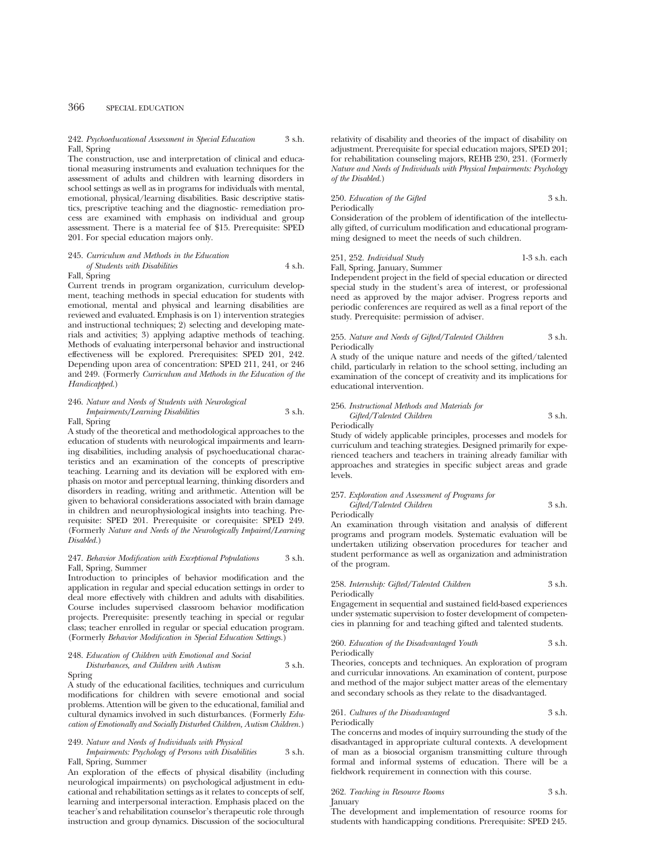# 366 SPECIAL EDUCATION

#### 242. *Psychoeducational Assessment in Special Education* 3 s.h. Fall, Spring

The construction, use and interpretation of clinical and educational measuring instruments and evaluation techniques for the assessment of adults and children with learning disorders in school settings as well as in programs for individuals with mental, emotional, physical/learning disabilities. Basic descriptive statistics, prescriptive teaching and the diagnostic- remediation process are examined with emphasis on individual and group assessment. There is a material fee of \$15. Prerequisite: SPED 201. For special education majors only.

#### 245. *Curriculum and Methods in the Education of Students with Disabilities* 4 s.h.

# Fall, Spring

Current trends in program organization, curriculum development, teaching methods in special education for students with emotional, mental and physical and learning disabilities are reviewed and evaluated. Emphasis is on 1) intervention strategies and instructional techniques; 2) selecting and developing materials and activities; 3) applying adaptive methods of teaching. Methods of evaluating interpersonal behavior and instructional effectiveness will be explored. Prerequisites: SPED 201, 242. Depending upon area of concentration: SPED 211, 241, or 246 and 249. (Formerly *Curriculum and Methods in the Education of the Handicapped.*)

# 246. *Nature and Needs of Students with Neurological Impairments/Learning Disabilities* 3 s.h.

Fall, Spring

A study of the theoretical and methodological approaches to the education of students with neurological impairments and learning disabilities, including analysis of psychoeducational characteristics and an examination of the concepts of prescriptive teaching. Learning and its deviation will be explored with emphasis on motor and perceptual learning, thinking disorders and disorders in reading, writing and arithmetic. Attention will be given to behavioral considerations associated with brain damage in children and neurophysiological insights into teaching. Prerequisite: SPED 201. Prerequisite or corequisite: SPED 249. (Formerly *Nature and Needs of the Neurologically Impaired/Learning Disabled.*)

# 247. *Behavior Modification with Exceptional Populations* 3 s.h. Fall, Spring, Summer

Introduction to principles of behavior modification and the application in regular and special education settings in order to deal more effectively with children and adults with disabilities. Course includes supervised classroom behavior modification projects. Prerequisite: presently teaching in special or regular class; teacher enrolled in regular or special education program. (Formerly *Behavior Modification in Special Education Settings.*)

# 248. *Education of Children with Emotional and Social Disturbances, and Children with Autism* 3 s.h.

Spring A study of the educational facilities, techniques and curriculum modifications for children with severe emotional and social problems. Attention will be given to the educational, familial and

# *cation of Emotionally and Socially Disturbed Children, Autism Children.*)

249. *Nature and Needs of Individuals with Physical Impairments: Psychology of Persons with Disabilities* 3 s.h. Fall, Spring, Summer

cultural dynamics involved in such disturbances. (Formerly *Edu-*

An exploration of the effects of physical disability (including neurological impairments) on psychological adjustment in educational and rehabilitation settings as it relates to concepts of self, learning and interpersonal interaction. Emphasis placed on the teacher's and rehabilitation counselor's therapeutic role through instruction and group dynamics. Discussion of the sociocultural

relativity of disability and theories of the impact of disability on adjustment. Prerequisite for special education majors, SPED 201; for rehabilitation counseling majors, REHB 230, 231. (Formerly *Nature and Needs of Individuals with Physical Impairments: Psychology of the Disabled.*)

#### 250. *Education of the Gifted* 3 s.h. Periodically

Consideration of the problem of identification of the intellectually gifted, of curriculum modification and educational programming designed to meet the needs of such children.

251, 252. *Individual Study* 1-3 s.h. each Fall, Spring, January, Summer

Independent project in the field of special education or directed special study in the student's area of interest, or professional need as approved by the major adviser. Progress reports and periodic conferences are required as well as a final report of the study. Prerequisite: permission of adviser.

#### 255. *Nature and Needs of Gifted/Talented Children* 3 s.h. Periodically

A study of the unique nature and needs of the gifted/talented child, particularly in relation to the school setting, including an examination of the concept of creativity and its implications for educational intervention.

#### 256. *Instructional Methods and Materials for*

*Gifted/Talented Children* 3 s.h. Periodically

Study of widely applicable principles, processes and models for curriculum and teaching strategies. Designed primarily for experienced teachers and teachers in training already familiar with approaches and strategies in specific subject areas and grade levels.

#### 257. *Exploration and Assessment of Programs for Gifted/Talented Children* 3 s.h. Periodically

An examination through visitation and analysis of different programs and program models. Systematic evaluation will be undertaken utilizing observation procedures for teacher and student performance as well as organization and administration of the program.

# 258. *Internship: Gifted/Talented Children* 3 s.h. Periodically

Engagement in sequential and sustained field-based experiences under systematic supervision to foster development of competencies in planning for and teaching gifted and talented students.

260. *Education of the Disadvantaged Youth* 3 s.h. Periodically

Theories, concepts and techniques. An exploration of program and curricular innovations. An examination of content, purpose and method of the major subject matter areas of the elementary and secondary schools as they relate to the disadvantaged.

#### 261. *Cultures of the Disadvantaged* 3 s.h. Periodically

The concerns and modes of inquiry surrounding the study of the disadvantaged in appropriate cultural contexts. A development of man as a biosocial organism transmitting culture through formal and informal systems of education. There will be a fieldwork requirement in connection with this course.

|         | 262. Teaching in Resource Rooms | 3 s.h. |
|---------|---------------------------------|--------|
| January |                                 |        |

The development and implementation of resource rooms for students with handicapping conditions. Prerequisite: SPED 245.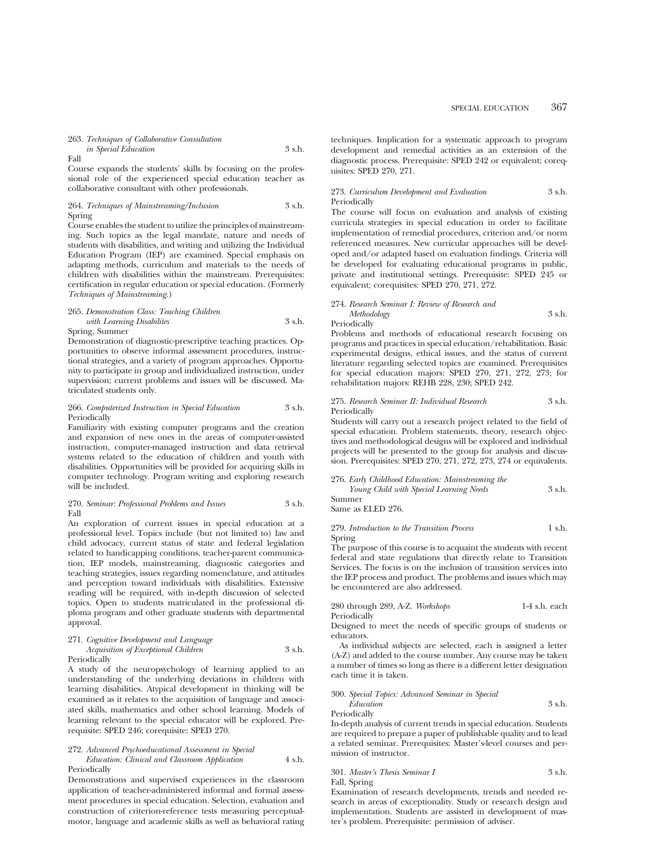SPECIAL EDUCATION 367

263. *Techniques of Collaborative Consultation*

*in Special Education* 3 s.h. Fall

Course expands the students' skills by focusing on the professional role of the experienced special education teacher as collaborative consultant with other professionals.

264. *Techniques of Mainstreaming/Inclusion* 3 s.h. Spring

Course enables the student to utilize the principles of mainstreaming. Such topics as the legal mandate, nature and needs of students with disabilities, and writing and utilizing the Individual Education Program (IEP) are examined. Special emphasis on adapting methods, curriculum and materials to the needs of children with disabilities within the mainstream. Prerequisites: certification in regular education or special education. (Formerly *Techniques of Mainstreaming.*)

### 265. *Demonstration Class: Teaching Children with Learning Disabilites* 3 s.h. Spring, Summer

Demonstration of diagnostic-prescriptive teaching practices. Opportunities to observe informal assessment procedures, instructional strategies, and a variety of program approaches. Opportu-

nity to participate in group and individualized instruction, under supervision; current problems and issues will be discussed. Matriculated students only.

## 266. *Computerized Instruction in Special Education* 3 s.h. Periodically

Familiarity with existing computer programs and the creation and expansion of new ones in the areas of computer-assisted instruction, computer-managed instruction and data retrieval systems related to the education of children and youth with disabilities. Opportunities will be provided for acquiring skills in computer technology. Program writing and exploring research will be included.

#### 270. *Seminar: Professional Problems and Issues* 3 s.h. Fall

An exploration of current issues in special education at a professional level. Topics include (but not limited to) law and child advocacy, current status of state and federal legislation related to handicapping conditions, teacher-parent communication, IEP models, mainstreaming, diagnostic categories and teaching strategies, issues regarding nomenclature, and attitudes and perception toward individuals with disabilities. Extensive reading will be required, with in-depth discussion of selected topics. Open to students matriculated in the professional diploma program and other graduate students with departmental approval.

# 271. *Cognitive Development and Language Acquisition of Exceptional Children* 3 s.h. Periodically

A study of the neuropsychology of learning applied to an understanding of the underlying deviations in children with learning disabilities. Atypical development in thinking will be examined as it relates to the acquisition of language and associated skills, mathematics and other school learning. Models of learning relevant to the special educator will be explored. Prerequisite: SPED 246; corequisite: SPED 270.

#### 272. *Advanced Psychoeducational Assessment in Special*

*Education: Clinical and Classroom Application* 4 s.h. Periodically

Demonstrations and supervised experiences in the classroom application of teacher-administered informal and formal assessment procedures in special education. Selection, evaluation and construction of criterion-reference tests measuring perceptualmotor, language and academic skills as well as behavioral rating techniques. Implication for a systematic approach to program development and remedial activities as an extension of the diagnostic process. Prerequisite: SPED 242 or equivalent; corequisites: SPED 270, 271.

# 273. *Curriculum Development and Evaluation* 3 s.h. Periodically

The course will focus on evaluation and analysis of existing curricula strategies in special education in order to facilitate implementation of remedial procedures, criterion and/or norm referenced measures. New curricular approaches will be developed and/or adapted based on evaluation findings. Criteria will be developed for evaluating educational programs in public, private and institutional settings. Prerequisite: SPED 245 or equivalent; corequisites: SPED 270, 271, 272.

### 274. *Research Seminar I: Review of Research and Methodology* 3 s.h.

Periodically

Problems and methods of educational research focusing on programs and practices in special education/rehabilitation. Basic experimental designs, ethical issues, and the status of current literature regarding selected topics are examined. Prerequisites for special education majors: SPED 270, 271, 272, 273; for rehabilitation majors: REHB 228, 230; SPED 242.

### 275. *Research Seminar II: Individual Research* 3 s.h. Periodically

Students will carry out a research project related to the field of special education. Problem statements, theory, research objectives and methodological designs will be explored and individual projects will be presented to the group for analysis and discussion. Prerequisites: SPED 270, 271, 272, 273, 274 or equivalents.

| 276. Early Childhood Education: Mainstreaming the |        |
|---------------------------------------------------|--------|
| Young Child with Special Learning Needs           | 3 s.h. |
| Summer                                            |        |

Same as ELED 276.

279. *Introduction to the Transition Process* 1 s.h. Spring

The purpose of this course is to acquaint the students with recent federal and state regulations that directly relate to Transition Services. The focus is on the inclusion of transition services into the IEP process and product. The problems and issues which may be encountered are also addressed.

| 280 through 289, A-Z. Workshops | 1-4 s.h. each |
|---------------------------------|---------------|
| Periodically                    |               |

Designed to meet the needs of specific groups of students or educators.

As individual subjects are selected, each is assigned a letter (A-Z) and added to the course number. Any course may be taken a number of times so long as there is a different letter designation each time it is taken.

#### 300. *Special Topics: Advanced Seminar in Special Education* 3 s.h. Periodically

In-depth analysis of current trends in special education. Students are required to prepare a paper of publishable quality and to lead a related seminar. Prerequisites: Master's-level courses and permission of instructor.

301. *Master's Thesis Seminar I* 3 s.h. Fall, Spring

Examination of research developments, trends and needed research in areas of exceptionality. Study or research design and implementation. Students are assisted in development of master's problem. Prerequisite: permission of adviser.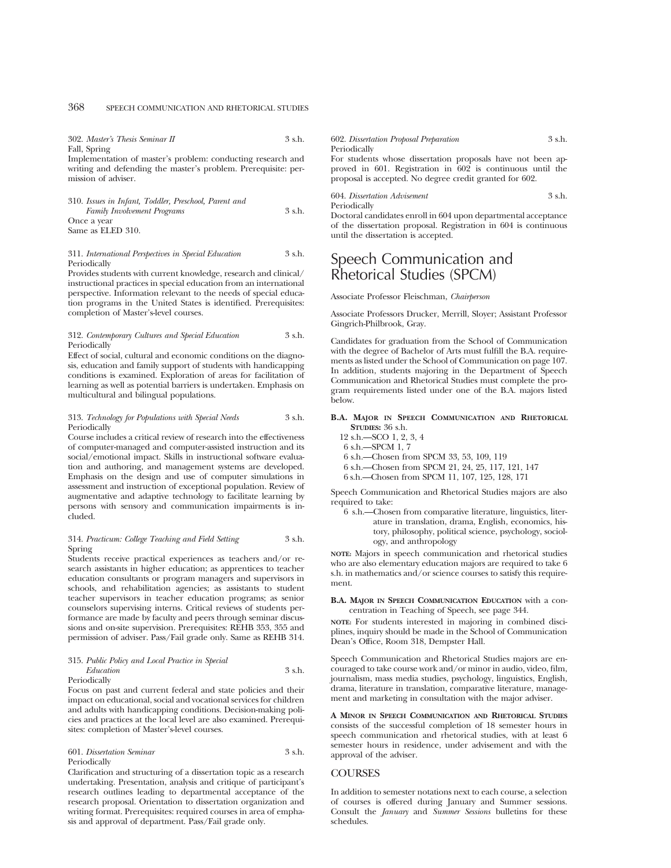| 302. Master's Thesis Seminar II                                | 3 s.h. | 602. Dissertation Proposal Preparation                      | 3 s.h. |
|----------------------------------------------------------------|--------|-------------------------------------------------------------|--------|
| Fall, Spring                                                   |        | Periodically                                                |        |
| Implementation of master's problem: conducting research and    |        | For students whose dissertation proposals have not been ap- |        |
| writing and defending the master's problem. Prerequisite: per- |        | proved in 601. Registration in 602 is continuous until the  |        |
| mission of adviser.                                            |        | proposal is accepted. No degree credit granted for 602.     |        |

| 310. Issues in Infant, Toddler, Preschool, Parent and |        |
|-------------------------------------------------------|--------|
| <b>Family Involvement Programs</b>                    | 3 s.h. |
| Once a year                                           |        |
| Same as ELED 310.                                     |        |

#### 311. *International Perspectives in Special Education* 3 s.h. Periodically

Provides students with current knowledge, research and clinical/ instructional practices in special education from an international perspective. Information relevant to the needs of special education programs in the United States is identified. Prerequisites: completion of Master's-level courses.

#### 312. *Contemporary Cultures and Special Education* 3 s.h. Periodically

Effect of social, cultural and economic conditions on the diagnosis, education and family support of students with handicapping conditions is examined. Exploration of areas for facilitation of learning as well as potential barriers is undertaken. Emphasis on multicultural and bilingual populations.

#### 313. *Technology for Populations with Special Needs* 3 s.h. Periodically

Course includes a critical review of research into the effectiveness of computer-managed and computer-assisted instruction and its social/emotional impact. Skills in instructional software evaluation and authoring, and management systems are developed. Emphasis on the design and use of computer simulations in assessment and instruction of exceptional population. Review of augmentative and adaptive technology to facilitate learning by persons with sensory and communication impairments is included.

# 314. *Practicum: College Teaching and Field Setting* 3 s.h. Spring

Students receive practical experiences as teachers and/or research assistants in higher education; as apprentices to teacher education consultants or program managers and supervisors in schools, and rehabilitation agencies; as assistants to student teacher supervisors in teacher education programs; as senior counselors supervising interns. Critical reviews of students performance are made by faculty and peers through seminar discussions and on-site supervision. Prerequisites: REHB 353, 355 and permission of adviser. Pass/Fail grade only. Same as REHB 314.

#### 315. *Public Policy and Local Practice in Special Education* 3 s.h. Periodically

Focus on past and current federal and state policies and their impact on educational, social and vocational services for children and adults with handicapping conditions. Decision-making policies and practices at the local level are also examined. Prerequisites: completion of Master's-level courses.

601. *Dissertation Seminar* 3 s.h. Periodically

Clarification and structuring of a dissertation topic as a research undertaking. Presentation, analysis and critique of participant's research outlines leading to departmental acceptance of the research proposal. Orientation to dissertation organization and writing format. Prerequisites: required courses in area of emphasis and approval of department. Pass/Fail grade only.

s have not been apcontinuous until the proposal is accepted. No degree credit granted for 602.

#### 604. *Dissertation Advisement* 3 s.h. Periodically

Doctoral candidates enroll in 604 upon departmental acceptance of the dissertation proposal. Registration in 604 is continuous until the dissertation is accepted.

# Speech Communication and Rhetorical Studies (SPCM)

#### Associate Professor Fleischman, *Chairperson*

Associate Professors Drucker, Merrill, Sloyer; Assistant Professor Gingrich-Philbrook, Gray.

Candidates for graduation from the School of Communication with the degree of Bachelor of Arts must fulfill the B.A. requirements as listed under the School of Communication on page 107. In addition, students majoring in the Department of Speech Communication and Rhetorical Studies must complete the program requirements listed under one of the B.A. majors listed below.

#### **B.A. MAJOR IN SPEECH COMMUNICATION AND RHETORICAL STUDIES:** 36 s.h.

- 12 s.h.—SCO 1, 2, 3, 4
- 6 s.h.—SPCM 1, 7
- 6 s.h.—Chosen from SPCM 33, 53, 109, 119
- 6 s.h.—Chosen from SPCM 21, 24, 25, 117, 121, 147
- 6 s.h.—Chosen from SPCM 11, 107, 125, 128, 171

Speech Communication and Rhetorical Studies majors are also required to take:

6 s.h.—Chosen from comparative literature, linguistics, literature in translation, drama, English, economics, history, philosophy, political science, psychology, sociology, and anthropology

**NOTE:** Majors in speech communication and rhetorical studies who are also elementary education majors are required to take 6 s.h. in mathematics and/or science courses to satisfy this requirement.

#### **B.A. MAJOR IN SPEECH COMMUNICATION EDUCATION** with a concentration in Teaching of Speech, see page 344.

**NOTE:** For students interested in majoring in combined disciplines, inquiry should be made in the School of Communication Dean's Office, Room 318, Dempster Hall.

Speech Communication and Rhetorical Studies majors are encouraged to take course work and/or minor in audio, video, film, journalism, mass media studies, psychology, linguistics, English, drama, literature in translation, comparative literature, management and marketing in consultation with the major adviser.

**A MINOR IN SPEECH COMMUNICATION AND RHETORICAL STUDIES** consists of the successful completion of 18 semester hours in speech communication and rhetorical studies, with at least 6 semester hours in residence, under advisement and with the approval of the adviser.

# **COURSES**

In addition to semester notations next to each course, a selection of courses is offered during January and Summer sessions. Consult the *January* and *Summer Sessions* bulletins for these schedules.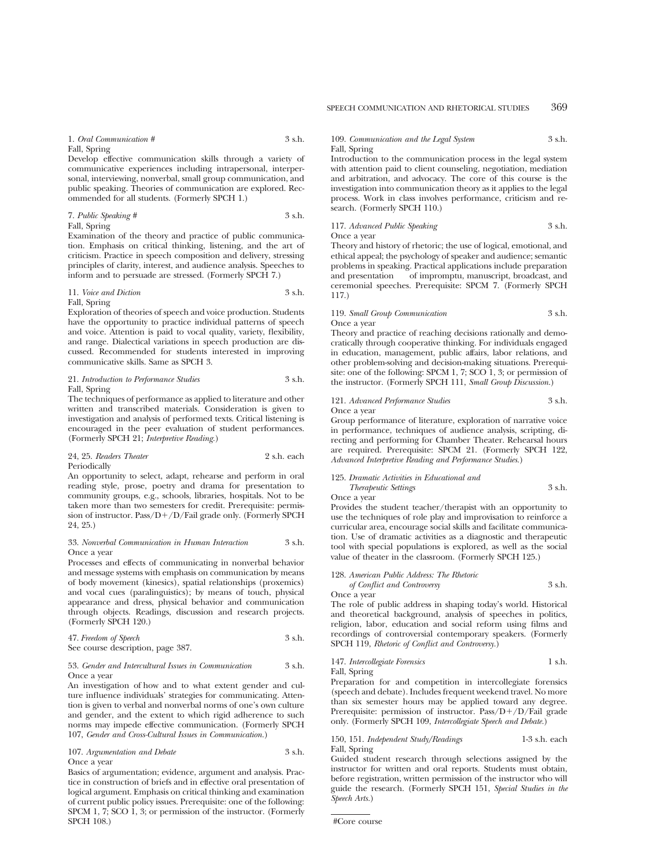#### 1. *Oral Communication #* 3 s.h.

Fall, Spring

Develop effective communication skills through a variety of communicative experiences including intrapersonal, interpersonal, interviewing, nonverbal, small group communication, and public speaking. Theories of communication are explored. Recommended for all students. (Formerly SPCH 1.)

7. *Public Speaking #* 3 s.h. Fall, Spring

Examination of the theory and practice of public communication. Emphasis on critical thinking, listening, and the art of criticism. Practice in speech composition and delivery, stressing principles of clarity, interest, and audience analysis. Speeches to inform and to persuade are stressed. (Formerly SPCH 7.)

11. *Voice and Diction* 3 s.h. Fall, Spring

Exploration of theories of speech and voice production. Students have the opportunity to practice individual patterns of speech and voice. Attention is paid to vocal quality, variety, flexibility, and range. Dialectical variations in speech production are discussed. Recommended for students interested in improving communicative skills. Same as SPCH 3.

21. *Introduction to Performance Studies* 3 s.h. Fall, Spring

The techniques of performance as applied to literature and other written and transcribed materials. Consideration is given to investigation and analysis of performed texts. Critical listening is encouraged in the peer evaluation of student performances. (Formerly SPCH 21; *Interpretive Reading.*)

24, 25. *Readers Theater* 2 s.h. each Periodically

An opportunity to select, adapt, rehearse and perform in oral reading style, prose, poetry and drama for presentation to community groups, e.g., schools, libraries, hospitals. Not to be taken more than two semesters for credit. Prerequisite: permission of instructor. Pass/ $D+/D$ /Fail grade only. (Formerly SPCH 24, 25.)

#### 33. *Nonverbal Communication in Human Interaction* 3 s.h. Once a year

Processes and effects of communicating in nonverbal behavior and message systems with emphasis on communication by means of body movement (kinesics), spatial relationships (proxemics) and vocal cues (paralinguistics); by means of touch, physical appearance and dress, physical behavior and communication through objects. Readings, discussion and research projects. (Formerly SPCH 120.)

47. *Freedom of Speech* 3 s.h. See course description, page 387.

#### 53. *Gender and Intercultural Issues in Communication* 3 s.h. Once a year

An investigation of how and to what extent gender and culture influence individuals' strategies for communicating. Attention is given to verbal and nonverbal norms of one's own culture and gender, and the extent to which rigid adherence to such norms may impede effective communication. (Formerly SPCH 107, *Gender and Cross-Cultural Issues in Communication.*)

107. *Argumentation and Debate* 3 s.h. Once a year

Basics of argumentation; evidence, argument and analysis. Practice in construction of briefs and in effective oral presentation of logical argument. Emphasis on critical thinking and examination of current public policy issues. Prerequisite: one of the following: SPCM 1, 7; SCO 1, 3; or permission of the instructor. (Formerly SPCH 108.)

# 109. *Communication and the Legal System* 3 s.h. Fall, Spring

Introduction to the communication process in the legal system with attention paid to client counseling, negotiation, mediation and arbitration, and advocacy. The core of this course is the investigation into communication theory as it applies to the legal process. Work in class involves performance, criticism and research. (Formerly SPCH 110.)

117. *Advanced Public Speaking* 3 s.h. Once a year

Theory and history of rhetoric; the use of logical, emotional, and ethical appeal; the psychology of speaker and audience; semantic problems in speaking. Practical applications include preparation and presentation of impromptu, manuscript, broadcast, and ceremonial speeches. Prerequisite: SPCM 7. (Formerly SPCH 117.)

# 119. *Small Group Communication* 3 s.h. Once a year

Theory and practice of reaching decisions rationally and democratically through cooperative thinking. For individuals engaged in education, management, public affairs, labor relations, and other problem-solving and decision-making situations. Prerequisite: one of the following: SPCM 1, 7; SCO 1, 3; or permission of the instructor. (Formerly SPCH 111, *Small Group Discussion.*)

#### 121. *Advanced Performance Studies* 3 s.h. Once a year

Group performance of literature, exploration of narrative voice in performance, techniques of audience analysis, scripting, directing and performing for Chamber Theater. Rehearsal hours are required. Prerequisite: SPCM 21. (Formerly SPCH 122, *Advanced Interpretive Reading and Performance Studies.*)

#### 125. *Dramatic Activities in Educational and*

# *Therapeutic Settings* 3 s.h.

Once a year

Provides the student teacher/therapist with an opportunity to use the techniques of role play and improvisation to reinforce a curricular area, encourage social skills and facilitate communication. Use of dramatic activities as a diagnostic and therapeutic tool with special populations is explored, as well as the social value of theater in the classroom. (Formerly SPCH 125.)

#### 128. *American Public Address: The Rhetoric*

*of Conflict and Controversy* 3 s.h. Once a year

The role of public address in shaping today's world. Historical and theoretical background, analysis of speeches in politics, religion, labor, education and social reform using films and recordings of controversial contemporary speakers. (Formerly SPCH 119, *Rhetoric of Conflict and Controversy.*)

### 147. *Intercollegiate Forensics* 1 s.h. Fall, Spring

Preparation for and competition in intercollegiate forensics (speech and debate). Includes frequent weekend travel. No more than six semester hours may be applied toward any degree. Prerequisite: permission of instructor.  $Pass/D+/D/Fall$  grade only. (Formerly SPCH 109, *Intercollegiate Speech and Debate.*)

150, 151. *Independent Study/Readings* 1-3 s.h. each Fall, Spring

Guided student research through selections assigned by the instructor for written and oral reports. Students must obtain, before registration, written permission of the instructor who will guide the research. (Formerly SPCH 151, *Special Studies in the Speech Arts.*)

#Core course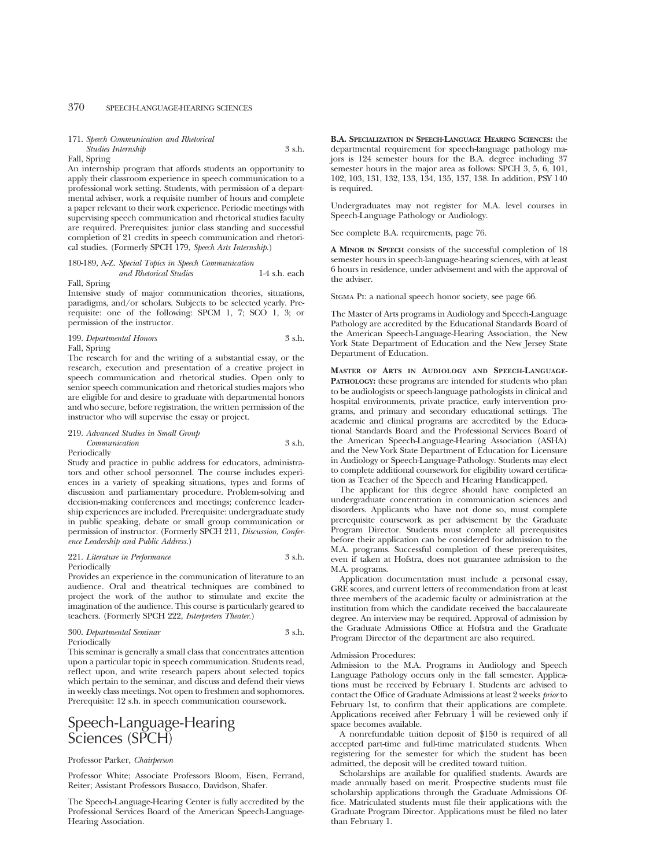# 370 SPEECH-LANGUAGE-HEARING SCIENCES

#### 171. *Speech Communication and Rhetorical*

#### *Studies Internship* 3 s.h. Fall, Spring

An internship program that affords students an opportunity to apply their classroom experience in speech communication to a professional work setting. Students, with permission of a departmental adviser, work a requisite number of hours and complete a paper relevant to their work experience. Periodic meetings with supervising speech communication and rhetorical studies faculty are required. Prerequisites: junior class standing and successful completion of 21 credits in speech communication and rhetorical studies. (Formerly SPCH 179, *Speech Arts Internship.*)

# 180-189, A-Z. *Special Topics in Speech Communication and Rhetorical Studies* 1-4 s.h. each

Fall, Spring

Intensive study of major communication theories, situations, paradigms, and/or scholars. Subjects to be selected yearly. Prerequisite: one of the following: SPCM 1, 7; SCO 1, 3; or permission of the instructor.

| 199. Departmental Honors | 3 s.h. |
|--------------------------|--------|
| Fall, Spring             |        |

The research for and the writing of a substantial essay, or the research, execution and presentation of a creative project in speech communication and rhetorical studies. Open only to senior speech communication and rhetorical studies majors who are eligible for and desire to graduate with departmental honors and who secure, before registration, the written permission of the instructor who will supervise the essay or project.

| 219. Advanced Studies in Small Group |        |
|--------------------------------------|--------|
| Communication                        | 3 s.h. |

Periodically

Study and practice in public address for educators, administrators and other school personnel. The course includes experiences in a variety of speaking situations, types and forms of discussion and parliamentary procedure. Problem-solving and decision-making conferences and meetings; conference leadership experiences are included. Prerequisite: undergraduate study in public speaking, debate or small group communication or permission of instructor. (Formerly SPCH 211, *Discussion, Conference Leadership and Public Address.*)

#### 221. *Literature in Performance* 3 s.h. Periodically

Provides an experience in the communication of literature to an audience. Oral and theatrical techniques are combined to project the work of the author to stimulate and excite the imagination of the audience. This course is particularly geared to teachers. (Formerly SPCH 222, *Interpreters Theater.*)

| 300. Departmental Seminar | 3 s.h. |
|---------------------------|--------|
| Periodically              |        |

This seminar is generally a small class that concentrates attention upon a particular topic in speech communication. Students read, reflect upon, and write research papers about selected topics which pertain to the seminar, and discuss and defend their views in weekly class meetings. Not open to freshmen and sophomores. Prerequisite: 12 s.h. in speech communication coursework.

# Speech-Language-Hearing Sciences (SPCH)

#### Professor Parker, *Chairperson*

Professor White; Associate Professors Bloom, Eisen, Ferrand, Reiter; Assistant Professors Busacco, Davidson, Shafer.

The Speech-Language-Hearing Center is fully accredited by the Professional Services Board of the American Speech-Language-Hearing Association.

**B.A. SPECIALIZATION IN SPEECH-LANGUAGE HEARING SCIENCES:** the departmental requirement for speech-language pathology majors is 124 semester hours for the B.A. degree including 37 semester hours in the major area as follows: SPCH 3, 5, 6, 101, 102, 103, 131, 132, 133, 134, 135, 137, 138. In addition, PSY 140 is required.

Undergraduates may not register for M.A. level courses in Speech-Language Pathology or Audiology.

See complete B.A. requirements, page 76.

**A MINOR IN SPEECH** consists of the successful completion of 18 semester hours in speech-language-hearing sciences, with at least 6 hours in residence, under advisement and with the approval of the adviser.

Sigma Pi: a national speech honor society, see page 66.

The Master of Arts programs in Audiology and Speech-Language Pathology are accredited by the Educational Standards Board of the American Speech-Language-Hearing Association, the New York State Department of Education and the New Jersey State Department of Education.

**MASTER OF ARTS IN AUDIOLOGY AND SPEECH-LANGUAGE-PATHOLOGY:** these programs are intended for students who plan to be audiologists or speech-language pathologists in clinical and hospital environments, private practice, early intervention programs, and primary and secondary educational settings. The academic and clinical programs are accredited by the Educational Standards Board and the Professional Services Board of the American Speech-Language-Hearing Association (ASHA) and the New York State Department of Education for Licensure in Audiology or Speech-Language-Pathology. Students may elect to complete additional coursework for eligibility toward certification as Teacher of the Speech and Hearing Handicapped.

The applicant for this degree should have completed an undergraduate concentration in communication sciences and disorders. Applicants who have not done so, must complete prerequisite coursework as per advisement by the Graduate Program Director. Students must complete all prerequisites before their application can be considered for admission to the M.A. programs. Successful completion of these prerequisites, even if taken at Hofstra, does not guarantee admission to the M.A. programs.

Application documentation must include a personal essay, GRE scores, and current letters of recommendation from at least three members of the academic faculty or administration at the institution from which the candidate received the baccalaureate degree. An interview may be required. Approval of admission by the Graduate Admissions Office at Hofstra and the Graduate Program Director of the department are also required.

#### Admission Procedures:

Admission to the M.A. Programs in Audiology and Speech Language Pathology occurs only in the fall semester. Applications must be received by February 1. Students are advised to contact the Office of Graduate Admissions at least 2 weeks *prior* to February 1st, to confirm that their applications are complete. Applications received after February 1 will be reviewed only if space becomes available.

A nonrefundable tuition deposit of \$150 is required of all accepted part-time and full-time matriculated students. When registering for the semester for which the student has been admitted, the deposit will be credited toward tuition.

Scholarships are available for qualified students. Awards are made annually based on merit. Prospective students must file scholarship applications through the Graduate Admissions Office. Matriculated students must file their applications with the Graduate Program Director. Applications must be filed no later than February 1.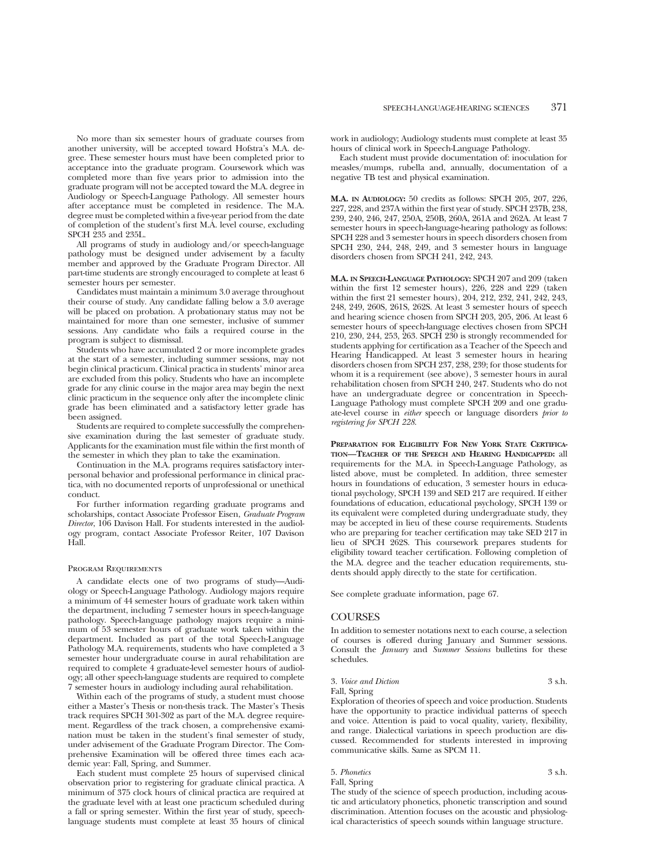No more than six semester hours of graduate courses from another university, will be accepted toward Hofstra's M.A. degree. These semester hours must have been completed prior to acceptance into the graduate program. Coursework which was completed more than five years prior to admission into the graduate program will not be accepted toward the M.A. degree in Audiology or Speech-Language Pathology. All semester hours after acceptance must be completed in residence. The M.A. degree must be completed within a five-year period from the date of completion of the student's first M.A. level course, excluding SPCH 235 and 235L.

All programs of study in audiology and/or speech-language pathology must be designed under advisement by a faculty member and approved by the Graduate Program Director. All part-time students are strongly encouraged to complete at least 6 semester hours per semester.

Candidates must maintain a minimum 3.0 average throughout their course of study. Any candidate falling below a 3.0 average will be placed on probation. A probationary status may not be maintained for more than one semester, inclusive of summer sessions. Any candidate who fails a required course in the program is subject to dismissal.

Students who have accumulated 2 or more incomplete grades at the start of a semester, including summer sessions, may not begin clinical practicum. Clinical practica in students' minor area are excluded from this policy. Students who have an incomplete grade for any clinic course in the major area may begin the next clinic practicum in the sequence only after the incomplete clinic grade has been eliminated and a satisfactory letter grade has been assigned.

Students are required to complete successfully the comprehensive examination during the last semester of graduate study. Applicants for the examination must file within the first month of the semester in which they plan to take the examination.

Continuation in the M.A. programs requires satisfactory interpersonal behavior and professional performance in clinical practica, with no documented reports of unprofessional or unethical conduct.

For further information regarding graduate programs and scholarships, contact Associate Professor Eisen, *Graduate Program Director*, 106 Davison Hall. For students interested in the audiology program, contact Associate Professor Reiter, 107 Davison Hall.

#### Program Requirements

A candidate elects one of two programs of study—Audiology or Speech-Language Pathology. Audiology majors require a minimum of 44 semester hours of graduate work taken within the department, including 7 semester hours in speech-language pathology. Speech-language pathology majors require a minimum of 53 semester hours of graduate work taken within the department. Included as part of the total Speech-Language Pathology M.A. requirements, students who have completed a 3 semester hour undergraduate course in aural rehabilitation are required to complete 4 graduate-level semester hours of audiology; all other speech-language students are required to complete 7 semester hours in audiology including aural rehabilitation.

Within each of the programs of study, a student must choose either a Master's Thesis or non-thesis track. The Master's Thesis track requires SPCH 301-302 as part of the M.A. degree requirement. Regardless of the track chosen, a comprehensive examination must be taken in the student's final semester of study, under advisement of the Graduate Program Director. The Comprehensive Examination will be offered three times each academic year: Fall, Spring, and Summer.

Each student must complete 25 hours of supervised clinical observation prior to registering for graduate clinical practica. A minimum of 375 clock hours of clinical practica are required at the graduate level with at least one practicum scheduled during a fall or spring semester. Within the first year of study, speechlanguage students must complete at least 35 hours of clinical work in audiology; Audiology students must complete at least 35 hours of clinical work in Speech-Language Pathology.

Each student must provide documentation of: inoculation for measles/mumps, rubella and, annually, documentation of a negative TB test and physical examination.

**M.A. IN AUDIOLOGY:** 50 credits as follows: SPCH 205, 207, 226, 227, 228, and 237A within the first year of study. SPCH 237B, 238, 239, 240, 246, 247, 250A, 250B, 260A, 261A and 262A. At least 7 semester hours in speech-language-hearing pathology as follows: SPCH 228 and 3 semester hours in speech disorders chosen from SPCH 230, 244, 248, 249, and 3 semester hours in language disorders chosen from SPCH 241, 242, 243.

**M.A. IN SPEECH-LANGUAGE PATHOLOGY:** SPCH 207 and 209 (taken within the first 12 semester hours), 226, 228 and 229 (taken within the first 21 semester hours), 204, 212, 232, 241, 242, 243, 248, 249, 260S, 261S, 262S. At least 3 semester hours of speech and hearing science chosen from SPCH 203, 205, 206. At least 6 semester hours of speech-language electives chosen from SPCH 210, 230, 244, 253, 263. SPCH 230 is strongly recommended for students applying for certification as a Teacher of the Speech and Hearing Handicapped. At least 3 semester hours in hearing disorders chosen from SPCH 237, 238, 239; for those students for whom it is a requirement (see above), 3 semester hours in aural rehabilitation chosen from SPCH 240, 247. Students who do not have an undergraduate degree or concentration in Speech-Language Pathology must complete SPCH 209 and one graduate-level course in *either* speech or language disorders *prior to registering for SPCH 228*.

**PREPARATION FOR ELIGIBILITY FOR NEW YORK STATE CERTIFICA-TION—TEACHER OF THE SPEECH AND HEARING HANDICAPPED:** all requirements for the M.A. in Speech-Language Pathology, as listed above, must be completed. In addition, three semester hours in foundations of education, 3 semester hours in educational psychology, SPCH 139 and SED 217 are required. If either foundations of education, educational psychology, SPCH 139 or its equivalent were completed during undergraduate study, they may be accepted in lieu of these course requirements. Students who are preparing for teacher certification may take SED 217 in lieu of SPCH 262S. This coursework prepares students for eligibility toward teacher certification. Following completion of the M.A. degree and the teacher education requirements, students should apply directly to the state for certification.

See complete graduate information, page 67.

#### **COURSES**

In addition to semester notations next to each course, a selection of courses is offered during January and Summer sessions. Consult the *January* and *Summer Sessions* bulletins for these schedules.

3. *Voice and Diction* 3 s.h. Fall, Spring

Exploration of theories of speech and voice production. Students have the opportunity to practice individual patterns of speech and voice. Attention is paid to vocal quality, variety, flexibility, and range. Dialectical variations in speech production are discussed. Recommended for students interested in improving communicative skills. Same as SPCM 11.

5. *Phonetics* 3 s.h. Fall, Spring

The study of the science of speech production, including acoustic and articulatory phonetics, phonetic transcription and sound discrimination. Attention focuses on the acoustic and physiological characteristics of speech sounds within language structure.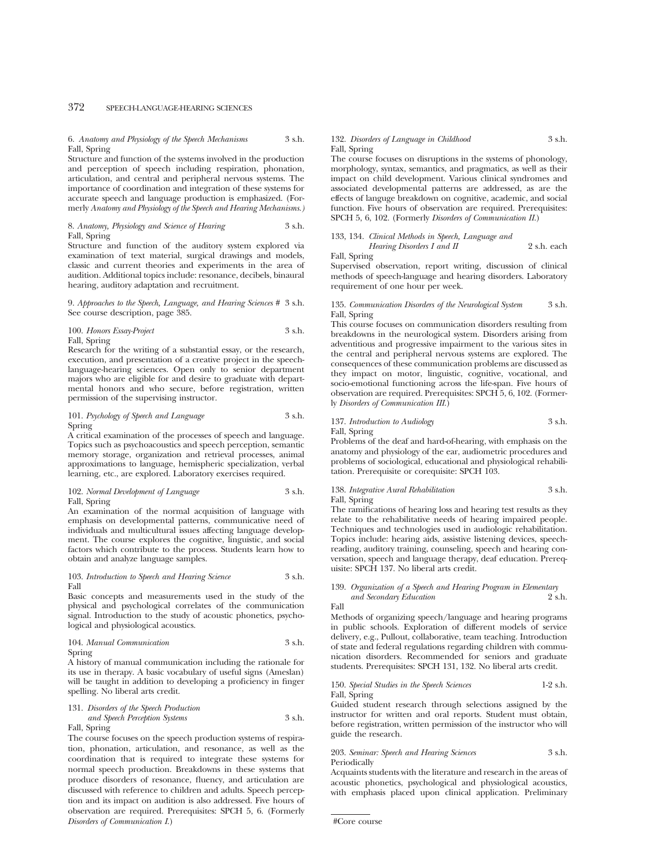# 372 SPEECH-LANGUAGE-HEARING SCIENCES

### 6. *Anatomy and Physiology of the Speech Mechanisms* 3 s.h. Fall, Spring

Structure and function of the systems involved in the production and perception of speech including respiration, phonation, articulation, and central and peripheral nervous systems. The importance of coordination and integration of these systems for accurate speech and language production is emphasized. (Formerly *Anatomy and Physiology of the Speech and Hearing Mechanisms.)*

#### 8. Anatomy, Physiology and Science of Hearing Fall, Spring

Structure and function of the auditory system explored via examination of text material, surgical drawings and models, classic and current theories and experiments in the area of audition. Additional topics include: resonance, decibels, binaural hearing, auditory adaptation and recruitment.

9. *Approaches to the Speech, Language, and Hearing Sciences #* 3 s.h. See course description, page 385.

100. *Honors Essay-Project* 3 s.h. Fall, Spring

Research for the writing of a substantial essay, or the research, execution, and presentation of a creative project in the speechlanguage-hearing sciences. Open only to senior department majors who are eligible for and desire to graduate with departmental honors and who secure, before registration, written permission of the supervising instructor.

#### 101. *Psychology of Speech and Language* 3 s.h. Spring

A critical examination of the processes of speech and language. Topics such as psychoacoustics and speech perception, semantic memory storage, organization and retrieval processes, animal approximations to language, hemispheric specialization, verbal learning, etc., are explored. Laboratory exercises required.

102. *Normal Development of Language* 3 s.h. Fall, Spring

An examination of the normal acquisition of language with emphasis on developmental patterns, communicative need of individuals and multicultural issues affecting language development. The course explores the cognitive, linguistic, and social factors which contribute to the process. Students learn how to obtain and analyze language samples.

#### 103. *Introduction to Speech and Hearing Science* 3 s.h. Fall

Basic concepts and measurements used in the study of the physical and psychological correlates of the communication signal. Introduction to the study of acoustic phonetics, psychological and physiological acoustics.

104. *Manual Communication* 3 s.h.

Spring

A history of manual communication including the rationale for its use in therapy. A basic vocabulary of useful signs (Ameslan) will be taught in addition to developing a proficiency in finger spelling. No liberal arts credit.

131. *Disorders of the Speech Production and Speech Perception Systems* 3 s.h. Fall, Spring

The course focuses on the speech production systems of respiration, phonation, articulation, and resonance, as well as the coordination that is required to integrate these systems for normal speech production. Breakdowns in these systems that produce disorders of resonance, fluency, and articulation are discussed with reference to children and adults. Speech perception and its impact on audition is also addressed. Five hours of observation are required. Prerequisites: SPCH 5, 6. (Formerly *Disorders of Communication I*.)

#### 132. *Disorders of Language in Childhood* 3 s.h. Fall, Spring

The course focuses on disruptions in the systems of phonology, morphology, syntax, semantics, and pragmatics, as well as their impact on child development. Various clinical syndromes and associated developmental patterns are addressed, as are the effects of languge breakdown on cognitive, academic, and social function. Five hours of observation are required. Prerequisites: SPCH 5, 6, 102. (Formerly *Disorders of Communication II*.)

133, 134. *Clinical Methods in Speech, Language and Hearing Disorders I and II* 2 s.h. each

Fall, Spring

Supervised observation, report writing, discussion of clinical methods of speech-language and hearing disorders. Laboratory requirement of one hour per week.

#### 135. *Communication Disorders of the Neurological System* 3 s.h. Fall, Spring

This course focuses on communication disorders resulting from breakdowns in the neurological system. Disorders arising from adventitious and progressive impairment to the various sites in the central and peripheral nervous systems are explored. The consequences of these communication problems are discussed as they impact on motor, linguistic, cognitive, vocational, and socio-emotional functioning across the life-span. Five hours of observation are required. Prerequisites: SPCH 5, 6, 102. (Formerly *Disorders of Communication III*.)

# 137. *Introduction to Audiology* 3 s.h. Fall, Spring

Problems of the deaf and hard-of-hearing, with emphasis on the anatomy and physiology of the ear, audiometric procedures and problems of sociological, educational and physiological rehabilitation. Prerequisite or corequisite: SPCH 103.

138. *Integrative Aural Rehabilitation* 3 s.h. Fall, Spring

The ramifications of hearing loss and hearing test results as they relate to the rehabilitative needs of hearing impaired people. Techniques and technologies used in audiologic rehabilitation. Topics include: hearing aids, assistive listening devices, speechreading, auditory training, counseling, speech and hearing conversation, speech and language therapy, deaf education. Prerequisite: SPCH 137. No liberal arts credit.

#### 139. *Organization of a Speech and Hearing Program in Elementary*  $and$  Secondary Education Fall

Methods of organizing speech/language and hearing programs in public schools. Exploration of different models of service delivery, e.g., Pullout, collaborative, team teaching. Introduction of state and federal regulations regarding children with communication disorders. Recommended for seniors and graduate students. Prerequisites: SPCH 131, 132. No liberal arts credit.

150. *Special Studies in the Speech Sciences* 1-2 s.h. Fall, Spring

Guided student research through selections assigned by the instructor for written and oral reports. Student must obtain, before registration, written permission of the instructor who will guide the research.

### 203. *Seminar: Speech and Hearing Sciences* 3 s.h. Periodically

Acquaints students with the literature and research in the areas of acoustic phonetics, psychological and physiological acoustics, with emphasis placed upon clinical application. Preliminary

#Core course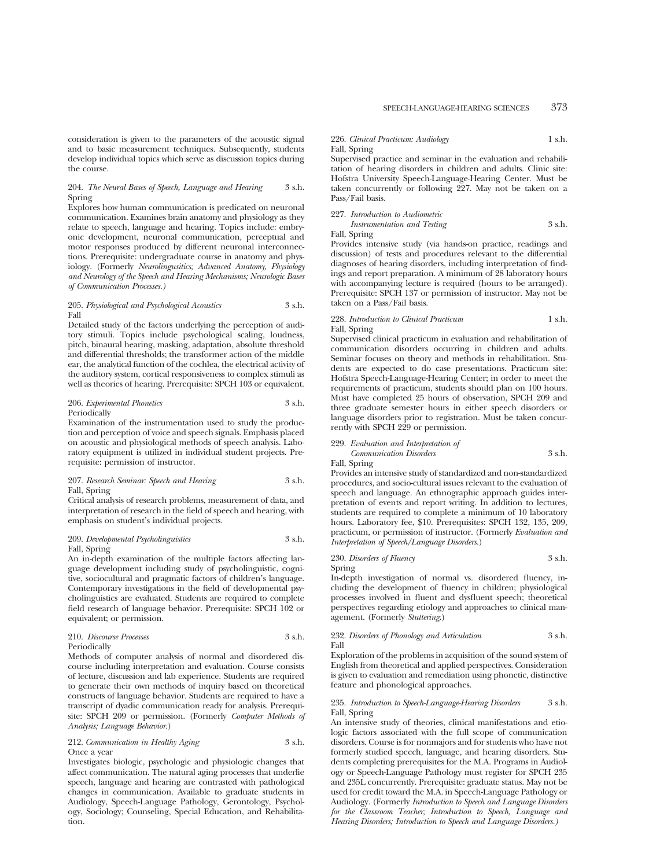consideration is given to the parameters of the acoustic signal and to basic measurement techniques. Subsequently, students develop individual topics which serve as discussion topics during the course.

### 204. *The Neural Bases of Speech, Language and Hearing* 3 s.h. Spring

Explores how human communication is predicated on neuronal communication. Examines brain anatomy and physiology as they relate to speech, language and hearing. Topics include: embryonic development, neuronal communication, perceptual and motor responses produced by different neuronal interconnections. Prerequisite: undergraduate course in anatomy and physiology. (Formerly *Neurolingusitics; Advanced Anatomy, Physiology and Neurology of the Speech and Hearing Mechanisms; Neurologic Bases of Communication Processes.)*

#### 205. *Physiological and Psychological Acoustics* 3 s.h. Fall

Detailed study of the factors underlying the perception of auditory stimuli. Topics include psychological scaling, loudness, pitch, binaural hearing, masking, adaptation, absolute threshold and differential thresholds; the transformer action of the middle ear, the analytical function of the cochlea, the electrical activity of the auditory system, cortical responsiveness to complex stimuli as well as theories of hearing. Prerequisite: SPCH 103 or equivalent.

#### 206. *Experimental Phonetics* 3 s.h. Periodically

Examination of the instrumentation used to study the production and perception of voice and speech signals. Emphasis placed on acoustic and physiological methods of speech analysis. Laboratory equipment is utilized in individual student projects. Prerequisite: permission of instructor.

### 207. *Research Seminar: Speech and Hearing* 3 s.h. Fall, Spring

Critical analysis of research problems, measurement of data, and interpretation of research in the field of speech and hearing, with emphasis on student's individual projects.

# 209. *Developmental Psycholinguistics* 3 s.h. Fall, Spring

An in-depth examination of the multiple factors affecting language development including study of psycholinguistic, cognitive, sociocultural and pragmatic factors of children's language. Contemporary investigations in the field of developmental psycholinguistics are evaluated. Students are required to complete field research of language behavior. Prerequisite: SPCH 102 or equivalent; or permission.

210. *Discourse Processes* 3 s.h. Periodically

Methods of computer analysis of normal and disordered discourse including interpretation and evaluation. Course consists of lecture, discussion and lab experience. Students are required to generate their own methods of inquiry based on theoretical constructs of language behavior. Students are required to have a transcript of dyadic communication ready for analysis. Prerequisite: SPCH 209 or permission. (Formerly *Computer Methods of Analysis; Language Behavior.*)

212. *Communication in Healthy Aging* 3 s.h. Once a year

Investigates biologic, psychologic and physiologic changes that affect communication. The natural aging processes that underlie speech, language and hearing are contrasted with pathological changes in communication. Available to graduate students in Audiology, Speech-Language Pathology, Gerontology, Psychology, Sociology; Counseling, Special Education, and Rehabilitation.

# 226. *Clinical Practicum: Audiology* 1 s.h.

Fall, Spring Supervised practice and seminar in the evaluation and rehabili-

tation of hearing disorders in children and adults. Clinic site: Hofstra University Speech-Language-Hearing Center. Must be taken concurrently or following 227. May not be taken on a Pass/Fail basis.

#### 227. *Introduction to Audiometric*

*Instrumentation and Testing* 3 s.h.

Fall, Spring

Provides intensive study (via hands-on practice, readings and discussion) of tests and procedures relevant to the differential diagnoses of hearing disorders, including interpretation of findings and report preparation. A minimum of 28 laboratory hours with accompanying lecture is required (hours to be arranged). Prerequisite: SPCH 137 or permission of instructor. May not be taken on a Pass/Fail basis.

# 228. *Introduction to Clinical Practicum* 1 s.h. Fall, Spring

Supervised clinical practicum in evaluation and rehabilitation of communication disorders occurring in children and adults. Seminar focuses on theory and methods in rehabilitation. Students are expected to do case presentations. Practicum site: Hofstra Speech-Language-Hearing Center; in order to meet the requirements of practicum, students should plan on 100 hours. Must have completed 25 hours of observation, SPCH 209 and three graduate semester hours in either speech disorders or language disorders prior to registration. Must be taken concurrently with SPCH 229 or permission.

#### 229. *Evaluation and Interpretation of*

*Communication Disorders* 3 s.h. Fall, Spring

Provides an intensive study of standardized and non-standardized procedures, and socio-cultural issues relevant to the evaluation of speech and language. An ethnographic approach guides interpretation of events and report writing. In addition to lectures, students are required to complete a minimum of 10 laboratory hours. Laboratory fee, \$10. Prerequisites: SPCH 132, 135, 209, practicum, or permission of instructor. (Formerly *Evaluation and Interpretation of Speech/Language Disorders*.)

#### 230. *Disorders of Fluency* 3 s.h. Spring

In-depth investigation of normal vs. disordered fluency, including the development of fluency in children; physiological processes involved in fluent and dysfluent speech; theoretical perspectives regarding etiology and approaches to clinical management. (Formerly *Stuttering*.)

#### 232. *Disorders of Phonology and Articulation* 3 s.h. Fall

Exploration of the problems in acquisition of the sound system of English from theoretical and applied perspectives. Consideration is given to evaluation and remediation using phonetic, distinctive feature and phonological approaches.

#### 235. *Introduction to Speech-Language-Hearing Disorders* 3 s.h. Fall, Spring

An intensive study of theories, clinical manifestations and etiologic factors associated with the full scope of communication disorders. Course is for nonmajors and for students who have not formerly studied speech, language, and hearing disorders. Students completing prerequisites for the M.A. Programs in Audiology or Speech-Language Pathology must register for SPCH 235 and 235L concurrently. Prerequisite: graduate status. May not be used for credit toward the M.A. in Speech-Language Pathology or Audiology. (Formerly *Introduction to Speech and Language Disorders for the Classroom Teacher; Introduction to Speech, Language and Hearing Disorders; Introduction to Speech and Language Disorders.)*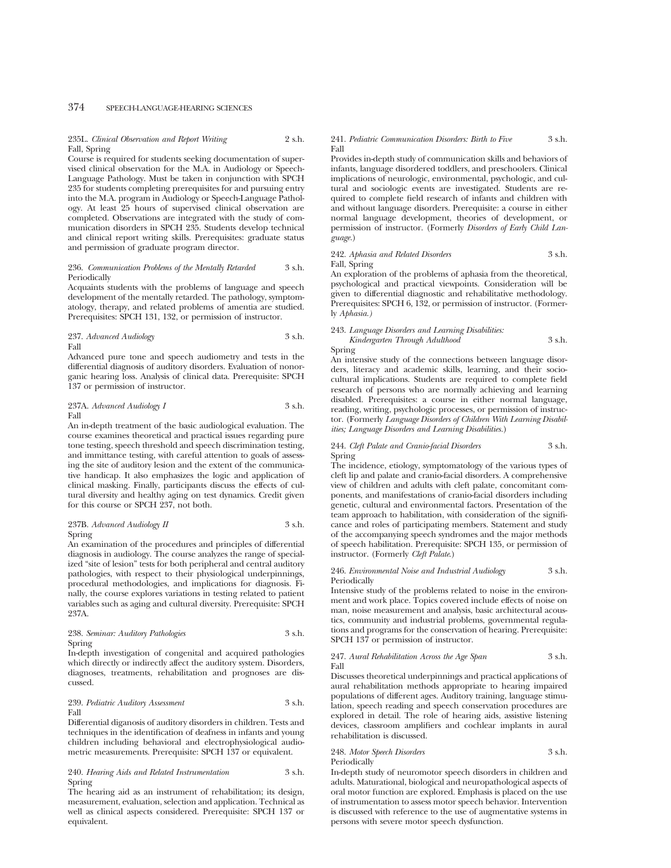# 374 SPEECH-LANGUAGE-HEARING SCIENCES

# 235L. *Clinical Observation and Report Writing* 2 s.h. Fall, Spring

Course is required for students seeking documentation of supervised clinical observation for the M.A. in Audiology or Speech-Language Pathology. Must be taken in conjunction with SPCH 235 for students completing prerequisites for and pursuing entry into the M.A. program in Audiology or Speech-Language Pathology. At least 25 hours of supervised clinical observation are completed. Observations are integrated with the study of communication disorders in SPCH 235. Students develop technical and clinical report writing skills. Prerequisites: graduate status and permission of graduate program director.

#### 236. *Communication Problems of the Mentally Retarded* 3 s.h. Periodically

Acquaints students with the problems of language and speech development of the mentally retarded. The pathology, symptomatology, therapy, and related problems of amentia are studied. Prerequisites: SPCH 131, 132, or permission of instructor.

237. *Advanced Audiology* 3 s.h. Fall

Advanced pure tone and speech audiometry and tests in the differential diagnosis of auditory disorders. Evaluation of nonorganic hearing loss. Analysis of clinical data. Prerequisite: SPCH 137 or permission of instructor.

#### 237A. *Advanced Audiology I* 3 s.h. Fall

An in-depth treatment of the basic audiological evaluation. The course examines theoretical and practical issues regarding pure tone testing, speech threshold and speech discrimination testing, and immittance testing, with careful attention to goals of assessing the site of auditory lesion and the extent of the communicative handicap. It also emphasizes the logic and application of clinical masking. Finally, participants discuss the effects of cultural diversity and healthy aging on test dynamics. Credit given for this course or SPCH 237, not both.

#### 237B. *Advanced Audiology II* 3 s.h. Spring

An examination of the procedures and principles of differential diagnosis in audiology. The course analyzes the range of specialized "site of lesion" tests for both peripheral and central auditory pathologies, with respect to their physiological underpinnings, procedural methodologies, and implications for diagnosis. Finally, the course explores variations in testing related to patient variables such as aging and cultural diversity. Prerequisite: SPCH 237A.

238. *Seminar: Auditory Pathologies* 3 s.h. Spring

In-depth investigation of congenital and acquired pathologies which directly or indirectly affect the auditory system. Disorders, diagnoses, treatments, rehabilitation and prognoses are discussed.

#### 239. *Pediatric Auditory Assessment* 3 s.h. Fall

Differential diganosis of auditory disorders in children. Tests and techniques in the identification of deafness in infants and young children including behavioral and electrophysiological audiometric measurements. Prerequisite: SPCH 137 or equivalent.

### 240. *Hearing Aids and Related Instrumentation* 3 s.h. Spring

The hearing aid as an instrument of rehabilitation; its design, measurement, evaluation, selection and application. Technical as well as clinical aspects considered. Prerequisite: SPCH 137 or equivalent.

### 241. *Pediatric Communication Disorders: Birth to Five* 3 s.h. Fall

Provides in-depth study of communication skills and behaviors of infants, language disordered toddlers, and preschoolers. Clinical implications of neurologic, environmental, psychologic, and cultural and sociologic events are investigated. Students are required to complete field research of infants and children with and without language disorders. Prerequisite: a course in either normal language development, theories of development, or permission of instructor. (Formerly *Disorders of Early Child Language.*)

## 242. *Aphasia and Related Disorders* 3 s.h. Fall, Spring

An exploration of the problems of aphasia from the theoretical, psychological and practical viewpoints. Consideration will be given to differential diagnostic and rehabilitative methodology. Prerequisites: SPCH 6, 132, or permission of instructor. (Formerly *Aphasia.)*

### 243. *Language Disorders and Learning Disabilities: Kindergarten Through Adulthood* 3 s.h.

Spring

An intensive study of the connections between language disorders, literacy and academic skills, learning, and their sociocultural implications. Students are required to complete field research of persons who are normally achieving and learning disabled. Prerequisites: a course in either normal language, reading, writing, psychologic processes, or permission of instructor. (Formerly *Language Disorders of Children With Learning Disabilities; Language Disorders and Learning Disabilities.*)

## 244. *Cleft Palate and Cranio-facial Disorders* 3 s.h. Spring

The incidence, etiology, symptomatology of the various types of cleft lip and palate and cranio-facial disorders. A comprehensive view of children and adults with cleft palate, concomitant components, and manifestations of cranio-facial disorders including genetic, cultural and environmental factors. Presentation of the team approach to habilitation, with consideration of the significance and roles of participating members. Statement and study of the accompanying speech syndromes and the major methods of speech habilitation. Prerequisite: SPCH 135, or permission of instructor. (Formerly *Cleft Palate*.)

#### 246. *Environmental Noise and Industrial Audiology* 3 s.h. Periodically

Intensive study of the problems related to noise in the environment and work place. Topics covered include effects of noise on man, noise measurement and analysis, basic architectural acoustics, community and industrial problems, governmental regulations and programs for the conservation of hearing. Prerequisite: SPCH 137 or permission of instructor.

#### 247. *Aural Rehabilitation Across the Age Span* 3 s.h. Fall

Discusses theoretical underpinnings and practical applications of aural rehabilitation methods appropriate to hearing impaired populations of different ages. Auditory training, language stimulation, speech reading and speech conservation procedures are explored in detail. The role of hearing aids, assistive listening devices, classroom amplifiers and cochlear implants in aural rehabilitation is discussed.

248. *Motor Speech Disorders* 3 s.h. Periodically

In-depth study of neuromotor speech disorders in children and adults. Maturational, biological and neuropathological aspects of oral motor function are explored. Emphasis is placed on the use of instrumentation to assess motor speech behavior. Intervention is discussed with reference to the use of augmentative systems in persons with severe motor speech dysfunction.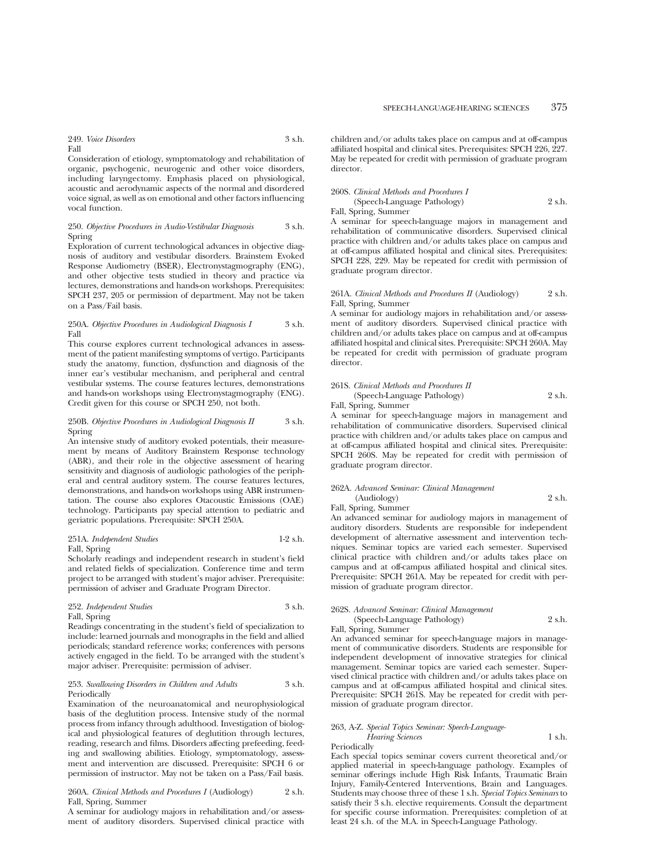# 249. *Voice Disorders* 3 s.h. Fall

Consideration of etiology, symptomatology and rehabilitation of organic, psychogenic, neurogenic and other voice disorders, including laryngectomy. Emphasis placed on physiological, acoustic and aerodynamic aspects of the normal and disordered voice signal, as well as on emotional and other factors influencing vocal function.

#### 250. *Objective Procedures in Audio-Vestibular Diagnosis* 3 s.h. Spring

Exploration of current technological advances in objective diagnosis of auditory and vestibular disorders. Brainstem Evoked Response Audiometry (BSER), Electronystagmography (ENG), and other objective tests studied in theory and practice via lectures, demonstrations and hands-on workshops. Prerequisites: SPCH 237, 205 or permission of department. May not be taken on a Pass/Fail basis.

#### 250A. *Objective Procedures in Audiological Diagnosis I* 3 s.h. Fall

This course explores current technological advances in assessment of the patient manifesting symptoms of vertigo. Participants study the anatomy, function, dysfunction and diagnosis of the inner ear's vestibular mechanism, and peripheral and central vestibular systems. The course features lectures, demonstrations and hands-on workshops using Electronystagmography (ENG). Credit given for this course or SPCH 250, not both.

#### 250B. *Objective Procedures in Audiological Diagnosis II* 3 s.h. Spring

An intensive study of auditory evoked potentials, their measurement by means of Auditory Brainstem Response technology (ABR), and their role in the objective assessment of hearing sensitivity and diagnosis of audiologic pathologies of the peripheral and central auditory system. The course features lectures, demonstrations, and hands-on workshops using ABR instrumentation. The course also explores Otacoustic Emissions (OAE) technology. Participants pay special attention to pediatric and geriatric populations. Prerequisite: SPCH 250A.

### 251A. *Independent Studies* 1-2 s.h. Fall, Spring

Scholarly readings and independent research in student's field and related fields of specialization. Conference time and term project to be arranged with student's major adviser. Prerequisite: permission of adviser and Graduate Program Director.

252. *Independent Studies* 3 s.h. Fall, Spring

Readings concentrating in the student's field of specialization to include: learned journals and monographs in the field and allied periodicals; standard reference works; conferences with persons actively engaged in the field. To be arranged with the student's

major adviser. Prerequisite: permission of adviser.

#### 253. *Swallowing Disorders in Children and Adults* 3 s.h. Periodically

Examination of the neuroanatomical and neurophysiological basis of the deglutition process. Intensive study of the normal process from infancy through adulthood. Investigation of biological and physiological features of deglutition through lectures, reading, research and films. Disorders affecting prefeeding, feeding and swallowing abilities. Etiology, symptomatology, assessment and intervention are discussed. Prerequisite: SPCH 6 or permission of instructor. May not be taken on a Pass/Fail basis.

#### 260A. *Clinical Methods and Procedures I* (Audiology) 2 s.h. Fall, Spring, Summer

A seminar for audiology majors in rehabilitation and/or assessment of auditory disorders. Supervised clinical practice with children and/or adults takes place on campus and at off-campus affiliated hospital and clinical sites. Prerequisites: SPCH 226, 227. May be repeated for credit with permission of graduate program director.

## 260S. *Clinical Methods and Procedures I*

(Speech-Language Pathology) 2 s.h. Fall, Spring, Summer

A seminar for speech-language majors in management and rehabilitation of communicative disorders. Supervised clinical practice with children and/or adults takes place on campus and at off-campus affiliated hospital and clinical sites. Prerequisites: SPCH 228, 229. May be repeated for credit with permission of graduate program director.

## 261A. *Clinical Methods and Procedures II* (Audiology) 2 s.h. Fall, Spring, Summer

A seminar for audiology majors in rehabilitation and/or assessment of auditory disorders. Supervised clinical practice with children and/or adults takes place on campus and at off-campus affiliated hospital and clinical sites. Prerequisite: SPCH 260A. May be repeated for credit with permission of graduate program director.

#### 261S. *Clinical Methods and Procedures II*

(Speech-Language Pathology) 2 s.h. Fall, Spring, Summer

A seminar for speech-language majors in management and rehabilitation of communicative disorders. Supervised clinical practice with children and/or adults takes place on campus and at off-campus affiliated hospital and clinical sites. Prerequisite: SPCH 260S. May be repeated for credit with permission of graduate program director.

#### 262A. *Advanced Seminar: Clinical Management*

(Audiology) 2 s.h.

Fall, Spring, Summer

An advanced seminar for audiology majors in management of auditory disorders. Students are responsible for independent development of alternative assessment and intervention techniques. Seminar topics are varied each semester. Supervised clinical practice with children and/or adults takes place on campus and at off-campus affiliated hospital and clinical sites. Prerequisite: SPCH 261A. May be repeated for credit with permission of graduate program director.

# 262S. *Advanced Seminar: Clinical Management*

(Speech-Language Pathology) 2 s.h. Fall, Spring, Summer

An advanced seminar for speech-language majors in management of communicative disorders. Students are responsible for independent development of innovative strategies for clinical management. Seminar topics are varied each semester. Supervised clinical practice with children and/or adults takes place on campus and at off-campus affiliated hospital and clinical sites. Prerequisite: SPCH 261S. May be repeated for credit with permission of graduate program director.

#### 263, A-Z. *Special Topics Seminar: Speech-Language-*

*Hearing Sciences* 1 s.h. Periodically

Each special topics seminar covers current theoretical and/or applied material in speech-language pathology. Examples of seminar offerings include High Risk Infants, Traumatic Brain Injury, Family-Centered Interventions, Brain and Languages. Students may choose three of these 1 s.h. *Special Topics Seminars* to satisfy their 3 s.h. elective requirements. Consult the department for specific course information. Prerequisites: completion of at least 24 s.h. of the M.A. in Speech-Language Pathology.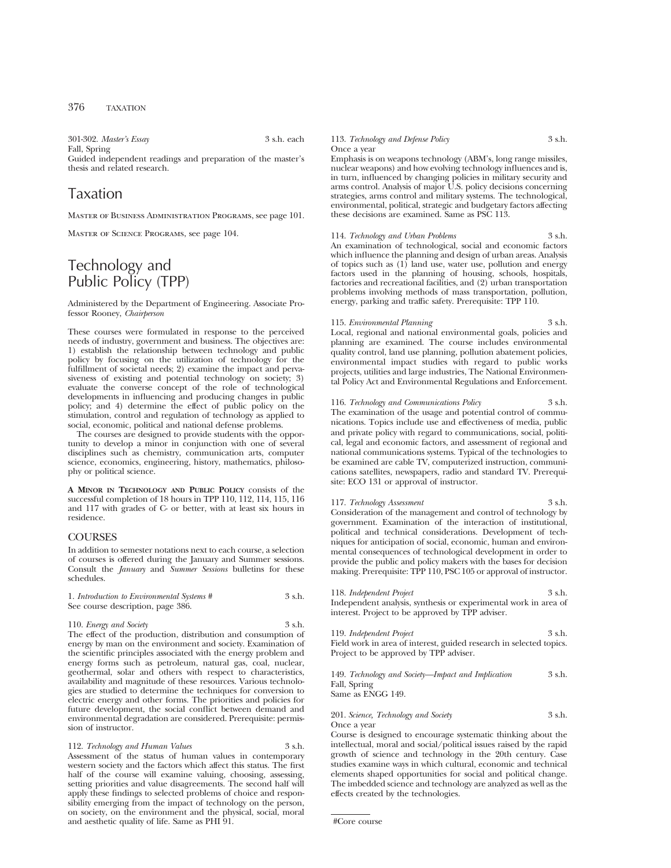301-302. *Master's Essay* 3 s.h. each Fall, Spring Guided independent readings and preparation of the master's thesis and related research.

# Taxation

Master of Business Administration Programs, see page 101.

Master of Science Programs, see page 104.

# Technology and Public Policy (TPP)

Administered by the Department of Engineering. Associate Professor Rooney, *Chairperson*

These courses were formulated in response to the perceived needs of industry, government and business. The objectives are: 1) establish the relationship between technology and public policy by focusing on the utilization of technology for the fulfillment of societal needs; 2) examine the impact and pervasiveness of existing and potential technology on society; 3) evaluate the converse concept of the role of technological developments in influencing and producing changes in public policy; and 4) determine the effect of public policy on the stimulation, control and regulation of technology as applied to social, economic, political and national defense problems.

The courses are designed to provide students with the opportunity to develop a minor in conjunction with one of several disciplines such as chemistry, communication arts, computer science, economics, engineering, history, mathematics, philosophy or political science.

**A MINOR IN TECHNOLOGY AND PUBLIC POLICY** consists of the successful completion of 18 hours in TPP 110, 112, 114, 115, 116 and 117 with grades of C- or better, with at least six hours in residence.

### **COURSES**

In addition to semester notations next to each course, a selection of courses is offered during the January and Summer sessions. Consult the *January* and *Summer Sessions* bulletins for these schedules.

| 1. Introduction to Environmental Systems # | 3 s.h. |
|--------------------------------------------|--------|
| See course description, page 386.          |        |

110. *Energy and Society* 3 s.h. The effect of the production, distribution and consumption of energy by man on the environment and society. Examination of the scientific principles associated with the energy problem and

energy forms such as petroleum, natural gas, coal, nuclear, geothermal, solar and others with respect to characteristics, availability and magnitude of these resources. Various technologies are studied to determine the techniques for conversion to electric energy and other forms. The priorities and policies for future development, the social conflict between demand and environmental degradation are considered. Prerequisite: permission of instructor.

112. *Technology and Human Values* 3 s.h. Assessment of the status of human values in contemporary western society and the factors which affect this status. The first half of the course will examine valuing, choosing, assessing, setting priorities and value disagreements. The second half will apply these findings to selected problems of choice and responsibility emerging from the impact of technology on the person, on society, on the environment and the physical, social, moral and aesthetic quality of life. Same as PHI 91.

### 113. *Technology and Defense Policy* 3 s.h. Once a year

Emphasis is on weapons technology (ABM's, long range missiles, nuclear weapons) and how evolving technology influences and is, in turn, influenced by changing policies in military security and arms control. Analysis of major U.S. policy decisions concerning strategies, arms control and military systems. The technological, environmental, political, strategic and budgetary factors affecting these decisions are examined. Same as PSC 113.

# 114. *Technology and Urban Problems* 3 s.h.

An examination of technological, social and economic factors which influence the planning and design of urban areas. Analysis of topics such as (1) land use, water use, pollution and energy factors used in the planning of housing, schools, hospitals, factories and recreational facilities, and (2) urban transportation problems involving methods of mass transportation, pollution, energy, parking and traffic safety. Prerequisite: TPP 110.

115. *Environmental Planning* 3 s.h. Local, regional and national environmental goals, policies and planning are examined. The course includes environmental quality control, land use planning, pollution abatement policies, environmental impact studies with regard to public works projects, utilities and large industries, The National Environmental Policy Act and Environmental Regulations and Enforcement.

116. *Technology and Communications Policy* 3 s.h. The examination of the usage and potential control of communications. Topics include use and effectiveness of media, public and private policy with regard to communications, social, political, legal and economic factors, and assessment of regional and national communications systems. Typical of the technologies to be examined are cable TV, computerized instruction, communications satellites, newspapers, radio and standard TV. Prerequisite: ECO 131 or approval of instructor.

117. *Technology Assessment* 3 s.h. Consideration of the management and control of technology by government. Examination of the interaction of institutional, political and technical considerations. Development of techniques for anticipation of social, economic, human and environmental consequences of technological development in order to provide the public and policy makers with the bases for decision making. Prerequisite: TPP 110, PSC 105 or approval of instructor.

118. *Independent Project* 3 s.h. Independent analysis, synthesis or experimental work in area of interest. Project to be approved by TPP adviser.

119. *Independent Project* 3 s.h. Field work in area of interest, guided research in selected topics. Project to be approved by TPP adviser.

149. *Technology and Society—Impact and Implication* 3 s.h. Fall, Spring Same as ENGG 149.

201. *Science, Technology and Society* 3 s.h. Once a year

Course is designed to encourage systematic thinking about the intellectual, moral and social/political issues raised by the rapid growth of science and technology in the 20th century. Case studies examine ways in which cultural, economic and technical elements shaped opportunities for social and political change. The imbedded science and technology are analyzed as well as the effects created by the technologies.

#Core course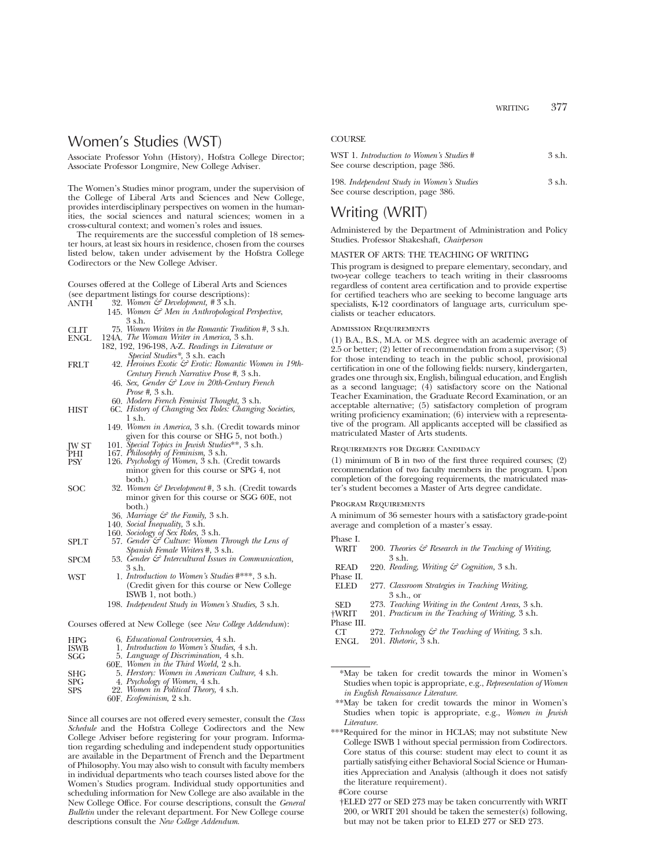# Women's Studies (WST)

Associate Professor Yohn (History), Hofstra College Director; Associate Professor Longmire, New College Adviser.

The Women's Studies minor program, under the supervision of the College of Liberal Arts and Sciences and New College, provides interdisciplinary perspectives on women in the humanities, the social sciences and natural sciences; women in a cross-cultural context; and women's roles and issues.

The requirements are the successful completion of 18 semester hours, at least six hours in residence, chosen from the courses listed below, taken under advisement by the Hofstra College Codirectors or the New College Adviser.

Courses offered at the College of Liberal Arts and Sciences (see department listings for course descriptions): ANTH 32. *Women & Development, #* 3 s.h.

| ANTH | 32. Women & Development, # 5 s.n.                |  |  |  |  |
|------|--------------------------------------------------|--|--|--|--|
|      | 145. Women & Men in Anthropological Perspective. |  |  |  |  |

|             | 3 s.h.                                                         |
|-------------|----------------------------------------------------------------|
| CLIT        | 75. Women Writers in the Romantic Tradition #, 3 s.h.          |
| <b>ENGL</b> | 124A. <i>The Woman Writer in America</i> , 3 s.h.              |
|             | 182, 192, 196-198, A-Z. Readings in Literature or              |
|             | Special Studies*, 3 s.h. each                                  |
| <b>FRLT</b> | 42. Heroines Exotic & Erotic: Romantic Women in 19th-          |
|             | Century French Narrative Prose #, 3 s.h.                       |
|             | 46. Sex, Gender $\mathcal{C}$ Love in 20th-Century French      |
|             | <i>Prose</i> #, 3 s.h.                                         |
|             | 60. Modern French Feminist Thought, 3 s.h.                     |
| HIST        | 6C. History of Changing Sex Roles: Changing Societies,         |
|             | $1 \text{ s.h.}$                                               |
|             | 149. Women in America, 3 s.h. (Credit towards minor            |
|             | given for this course or SHG 5, not both.)                     |
| <b>IWST</b> | 101. Special Topics in Jewish Studies**, 3 s.h.                |
| PHI         | 167. Philosophy of Feminism, 3 s.h.                            |
| <b>PSY</b>  | 126. Psychology of Women, 3 s.h. (Credit towards               |
|             | minor given for this course or SPG 4, not                      |
|             | both.)                                                         |
| SOC         | 32. Women & Development #, 3 s.h. (Credit towards              |
|             | minor given for this course or SGG 60E, not                    |
|             | both.)                                                         |
|             | 36. Marriage $\mathcal{C}$ the Family, 3 s.h.                  |
|             | 140. Social Inequality, 3 s.h.                                 |
|             | 160. Sociology of Sex Roles, 3 s.h.                            |
| <b>SPLT</b> | 57. Gender & Culture: Women Through the Lens of                |
|             | Spanish Female Writers #, 3 s.h.                               |
| <b>SPCM</b> | 53. Gender $\mathcal G$ Intercultural Issues in Communication, |
|             | 3 s.h.                                                         |
| WST         | 1. <i>Introduction to Women's Studies</i> #***, 3 s.h.         |
|             | (Credit given for this course or New College)                  |
|             | ISWB 1, not both.)                                             |
|             | 198. Independent Study in Women's Studies, 3 s.h.              |
|             |                                                                |
|             |                                                                |

Courses offered at New College (see *New College Addendum*):

| <b>HPG</b>  | 6. <i>Educational Controversies</i> , 4 s.h.                            |
|-------------|-------------------------------------------------------------------------|
| <b>ISWB</b> | 1. Introduction to Women's Studies, 4 s.h.                              |
| <b>SGG</b>  | 5. Language of Discrimination, 4 s.h.                                   |
|             | 60E. Women in the Third World, 2 s.h.                                   |
| <b>SHG</b>  | 5. Herstory: Women in American Culture, 4 s.h.                          |
| <b>SPG</b>  | 4. Psychology of Women, 4 s.h.<br>22. Women in Political Theory, 4 s.h. |
| <b>SPS</b>  |                                                                         |
|             | 60F. Ecofeminism, 2 s.h.                                                |
|             |                                                                         |

Since all courses are not offered every semester, consult the *Class Schedule* and the Hofstra College Codirectors and the New College Adviser before registering for your program. Information regarding scheduling and independent study opportunities are available in the Department of French and the Department of Philosophy. You may also wish to consult with faculty members in individual departments who teach courses listed above for the Women's Studies program. Individual study opportunities and scheduling information for New College are also available in the New College Office. For course descriptions, consult the *General Bulletin* under the relevant department. For New College course descriptions consult the *New College Addendum.*

# **COURSE**

| WST 1. Introduction to Women's Studies #  | $3$ s.h. |
|-------------------------------------------|----------|
| See course description, page 386.         |          |
| 198. Independent Study in Women's Studies | 3 s.h.   |

# Writing (WRIT)

See course description, page 386.

Administered by the Department of Administration and Policy Studies. Professor Shakeshaft, *Chairperson*

#### MASTER OF ARTS: THE TEACHING OF WRITING

This program is designed to prepare elementary, secondary, and two-year college teachers to teach writing in their classrooms regardless of content area certification and to provide expertise for certified teachers who are seeking to become language arts specialists, K-12 coordinators of language arts, curriculum specialists or teacher educators.

#### Admission Requirements

(1) B.A., B.S., M.A. or M.S. degree with an academic average of 2.5 or better; (2) letter of recommendation from a supervisor; (3) for those intending to teach in the public school, provisional certification in one of the following fields: nursery, kindergarten, grades one through six, English, bilingual education, and English as a second language;  $(4)$  satisfactory score on the National Teacher Examination, the Graduate Record Examination, or an acceptable alternative; (5) satisfactory completion of program writing proficiency examination; (6) interview with a representative of the program. All applicants accepted will be classified as matriculated Master of Arts students.

#### Requirements for Degree Candidacy

(1) minimum of B in two of the first three required courses; (2) recommendation of two faculty members in the program. Upon completion of the foregoing requirements, the matriculated master's student becomes a Master of Arts degree candidate.

#### Program Requirements

A minimum of 36 semester hours with a satisfactory grade-point average and completion of a master's essay.

- 
- Phase I. 200. *Theories & Research in the Teaching of Writing,* 3 s.h.
- READ 220. *Reading, Writing & Cognition,* 3 s.h.
- Phase II.
- ELED 277. *Classroom Strategies in Teaching Writing,* 3 s.h., or
- 
- SED 273. *Teaching Writing in the Content Areas,* 3 s.h. †WRIT 201. *Practicum in the Teaching of Writing,* 3 s.h.
	-
- Phase III.<br>CT CT 272. *Technology & the Teaching of Writing,* 3 s.h. ENGL 201. *Rhetoric,* 3 s.h.
- \*May be taken for credit towards the minor in Women's Studies when topic is appropriate, e.g., *Representation of Women in English Renaissance Literature.*
- \*\*May be taken for credit towards the minor in Women's Studies when topic is appropriate, e.g., *Women in Jewish Literature.*
- \*\*\*Required for the minor in HCLAS; may not substitute New College ISWB 1 without special permission from Codirectors. Core status of this course: student may elect to count it as partially satisfying either Behavioral Social Science or Humanities Appreciation and Analysis (although it does not satisfy the literature requirement).
	- #Core course
	- †ELED 277 or SED 273 may be taken concurrently with WRIT 200, or WRIT 201 should be taken the semester(s) following, but may not be taken prior to ELED 277 or SED 273.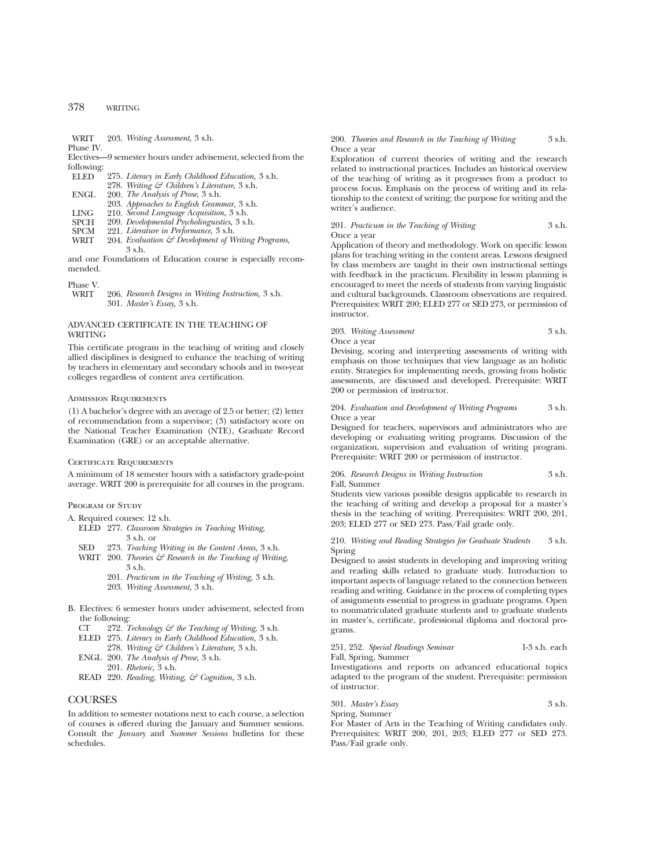# 378 WRITING

WRIT 203. *Writing Assessment,* 3 s.h.

Phase IV.

Electives—9 semester hours under advisement, selected from the following:<br>ELED

275. *Literacy in Early Childhood Education*, 3 s.h.

278. *Writing & Children's Literature,* 3 s.h.

- ENGL 200. *The Analysis of Prose,* 3 s.h.
- 203. *Approaches to English Grammar,* 3 s.h.

LING 210. *Second Language Acquisition,* 3 s.h.

SPCH 209. *Developmental Psycholinguistics,* 3 s.h.

- SPCM 221. *Literature in Performance,* 3 s.h.
- 204. *Evaluation & Development of Writing Programs,* 3 s.h.

and one Foundations of Education course is especially recommended.

Phase V.

206. *Research Designs in Writing Instruction*, 3 s.h. 301. *Master's Essay,* 3 s.h.

# ADVANCED CERTIFICATE IN THE TEACHING OF **WRITING**

This certificate program in the teaching of writing and closely allied disciplines is designed to enhance the teaching of writing by teachers in elementary and secondary schools and in two-year colleges regardless of content area certification.

### Admission Requirements

(1) A bachelor's degree with an average of 2.5 or better; (2) letter of recommendation from a supervisor; (3) satisfactory score on the National Teacher Examination (NTE), Graduate Record Examination (GRE) or an acceptable alternative.

#### CERTIFICATE REQUIREMENTS

A minimum of 18 semester hours with a satisfactory grade-point average. WRIT 200 is prerequisite for all courses in the program.

#### PROGRAM OF STUDY

A. Required courses: 12 s.h.

- ELED 277. *Classroom Strategies in Teaching Writing,* 3 s.h. or
- SED 273. *Teaching Writing in the Content Areas,* 3 s.h.
- WRIT 200. *Theories & Research in the Teaching of Writing,* 3 s.h.
	- 201. *Practicum in the Teaching of Writing,* 3 s.h.
	- 203. *Writing Assessment,* 3 s.h.
- B. Electives: 6 semester hours under advisement, selected from the following:
	- CT 272. *Technology & the Teaching of Writing,* 3 s.h.
	- ELED 275. *Literacy in Early Childhood Education,* 3 s.h.
	- 278. *Writing & Children's Literature,* 3 s.h. ENGL 200. *The Analysis of Prose,* 3 s.h.
	- 201. *Rhetoric,* 3 s.h.
	- READ 220. *Reading, Writing, & Cognition,* 3 s.h.

# **COURSES**

In addition to semester notations next to each course, a selection of courses is offered during the January and Summer sessions. Consult the *January* and *Summer Sessions* bulletins for these schedules.

200. *Theories and Research in the Teaching of Writing* 3 s.h. Once a year

Exploration of current theories of writing and the research related to instructional practices. Includes an historical overview of the teaching of writing as it progresses from a product to process focus. Emphasis on the process of writing and its relationship to the context of writing; the purpose for writing and the writer's audience.

#### 201. *Practicum in the Teaching of Writing* 3 s.h. Once a year

Application of theory and methodology. Work on specific lesson plans for teaching writing in the content areas. Lessons designed by class members are taught in their own instructional settings with feedback in the practicum. Flexibility in lesson planning is encouraged to meet the needs of students from varying linguistic and cultural backgrounds. Classroom observations are required. Prerequisites: WRIT 200; ELED 277 or SED 273, or permission of instructor.

203. *Writing Assessment* 3 s.h. Once a year

Devising, scoring and interpreting assessments of writing with emphasis on those techniques that view language as an holistic entity. Strategies for implementing needs, growing from holistic assessments, are discussed and developed. Prerequisite: WRIT 200 or permission of instructor.

#### 204. *Evaluation and Development of Writing Programs* 3 s.h. Once a year

Designed for teachers, supervisors and administrators who are developing or evaluating writing programs. Discussion of the organization, supervision and evaluation of writing program. Prerequisite: WRIT 200 or permission of instructor.

206. *Research Designs in Writing Instruction* 3 s.h. Fall, Summer

Students view various possible designs applicable to research in the teaching of writing and develop a proposal for a master's thesis in the teaching of writing. Prerequisites: WRIT 200, 201, 203; ELED 277 or SED 273. Pass/Fail grade only.

210. *Writing and Reading Strategies for Graduate Students* 3 s.h. Spring

Designed to assist students in developing and improving writing and reading skills related to graduate study. Introduction to important aspects of language related to the connection between reading and writing. Guidance in the process of completing types of assignments essential to progress in graduate programs. Open to nonmatriculated graduate students and to graduate students in master's, certificate, professional diploma and doctoral programs.

### 251, 252. *Special Readings Seminar* 1-3 s.h. each Fall, Spring, Summer

Investigations and reports on advanced educational topics adapted to the program of the student. Prerequisite: permission of instructor.

301. *Master's Essay* 3 s.h. Spring, Summer

For Master of Arts in the Teaching of Writing candidates only. Prerequisites: WRIT 200, 201, 203; ELED 277 or SED 273. Pass/Fail grade only.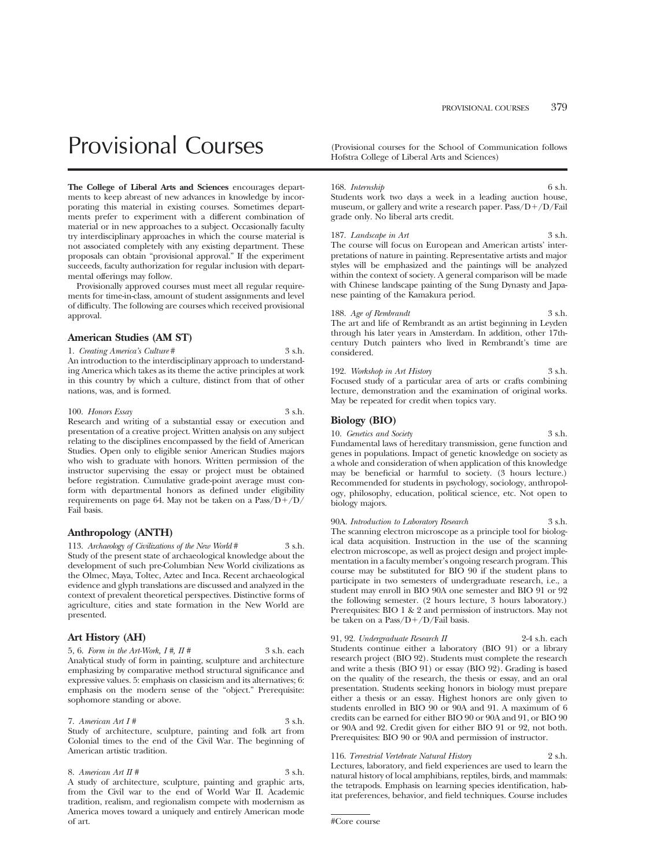# Provisional Courses (Provisional courses for the School of Communication follows

**The College of Liberal Arts and Sciences** encourages departments to keep abreast of new advances in knowledge by incorporating this material in existing courses. Sometimes departments prefer to experiment with a different combination of material or in new approaches to a subject. Occasionally faculty try interdisciplinary approaches in which the course material is not associated completely with any existing department. These proposals can obtain "provisional approval." If the experiment succeeds, faculty authorization for regular inclusion with departmental offerings may follow.

Provisionally approved courses must meet all regular requirements for time-in-class, amount of student assignments and level of difficulty. The following are courses which received provisional approval.

#### **American Studies (AM ST)**

1. *Creating America's Culture* # 3 s.h. An introduction to the interdisciplinary approach to understanding America which takes as its theme the active principles at work in this country by which a culture, distinct from that of other nations, was, and is formed.

#### 100. *Honors Essay* 3 s.h.

Research and writing of a substantial essay or execution and presentation of a creative project. Written analysis on any subject relating to the disciplines encompassed by the field of American Studies. Open only to eligible senior American Studies majors who wish to graduate with honors. Written permission of the instructor supervising the essay or project must be obtained before registration. Cumulative grade-point average must conform with departmental honors as defined under eligibility requirements on page 64. May not be taken on a  $Pass/D+/D/$ Fail basis.

#### **Anthropology (ANTH)**

113. *Archaeology of Civilizations of the New World* # 3 s.h. Study of the present state of archaeological knowledge about the development of such pre-Columbian New World civilizations as the Olmec, Maya, Toltec, Aztec and Inca. Recent archaeological evidence and glyph translations are discussed and analyzed in the context of prevalent theoretical perspectives. Distinctive forms of agriculture, cities and state formation in the New World are presented.

#### **Art History (AH)**

5, 6. *Form in the Art-Work, I*#, *II* # 3 s.h. each Analytical study of form in painting, sculpture and architecture emphasizing by comparative method structural significance and expressive values. 5: emphasis on classicism and its alternatives; 6: emphasis on the modern sense of the "object." Prerequisite: sophomore standing or above.

# 7. *American Art I #* 3 s.h.

Study of architecture, sculpture, painting and folk art from Colonial times to the end of the Civil War. The beginning of American artistic tradition.

#### 8. *American Art II* # 3 s.h.

A study of architecture, sculpture, painting and graphic arts, from the Civil war to the end of World War II. Academic tradition, realism, and regionalism compete with modernism as America moves toward a uniquely and entirely American mode of art.

Hofstra College of Liberal Arts and Sciences)

168. *Internship* 6 s.h.

Students work two days a week in a leading auction house, museum, or gallery and write a research paper.  $Pass/D+/D/Fail$ grade only. No liberal arts credit.

187. *Landscape in Art* 3 s.h. The course will focus on European and American artists' interpretations of nature in painting. Representative artists and major styles will be emphasized and the paintings will be analyzed within the context of society. A general comparison will be made with Chinese landscape painting of the Sung Dynasty and Japanese painting of the Kamakura period.

188. *Age of Rembrandt* 3 s.h. The art and life of Rembrandt as an artist beginning in Leyden through his later years in Amsterdam. In addition, other 17thcentury Dutch painters who lived in Rembrandt's time are considered.

192. *Workshop in Art History* 3 s.h. Focused study of a particular area of arts or crafts combining lecture, demonstration and the examination of original works. May be repeated for credit when topics vary.

#### **Biology (BIO)**

10. *Genetics and Society* 3 s.h. Fundamental laws of hereditary transmission, gene function and genes in populations. Impact of genetic knowledge on society as a whole and consideration of when application of this knowledge may be beneficial or harmful to society. (3 hours lecture.) Recommended for students in psychology, sociology, anthropology, philosophy, education, political science, etc. Not open to biology majors.

90A. *Introduction to Laboratory Research* 3 s.h. The scanning electron microscope as a principle tool for biological data acquisition. Instruction in the use of the scanning electron microscope, as well as project design and project implementation in a faculty member's ongoing research program. This course may be substituted for BIO 90 if the student plans to participate in two semesters of undergraduate research, i.e., a student may enroll in BIO 90A one semester and BIO 91 or 92 the following semester. (2 hours lecture, 3 hours laboratory.) Prerequisites: BIO 1 & 2 and permission of instructors. May not be taken on a Pass/D+/D/Fail basis.

91, 92. *Undergraduate Research II* 2-4 s.h. each Students continue either a laboratory (BIO 91) or a library research project (BIO 92). Students must complete the research and write a thesis (BIO 91) or essay (BIO 92). Grading is based on the quality of the research, the thesis or essay, and an oral presentation. Students seeking honors in biology must prepare either a thesis or an essay. Highest honors are only given to students enrolled in BIO 90 or 90A and 91. A maximum of 6 credits can be earned for either BIO 90 or 90A and 91, or BIO 90 or 90A and 92. Credit given for either BIO 91 or 92, not both. Prerequisites: BIO 90 or 90A and permission of instructor.

#### 116. *Terrestrial Vertebrate Natural History* 2 s.h.

Lectures, laboratory, and field experiences are used to learn the natural history of local amphibians, reptiles, birds, and mammals: the tetrapods. Emphasis on learning species identification, habitat preferences, behavior, and field techniques. Course includes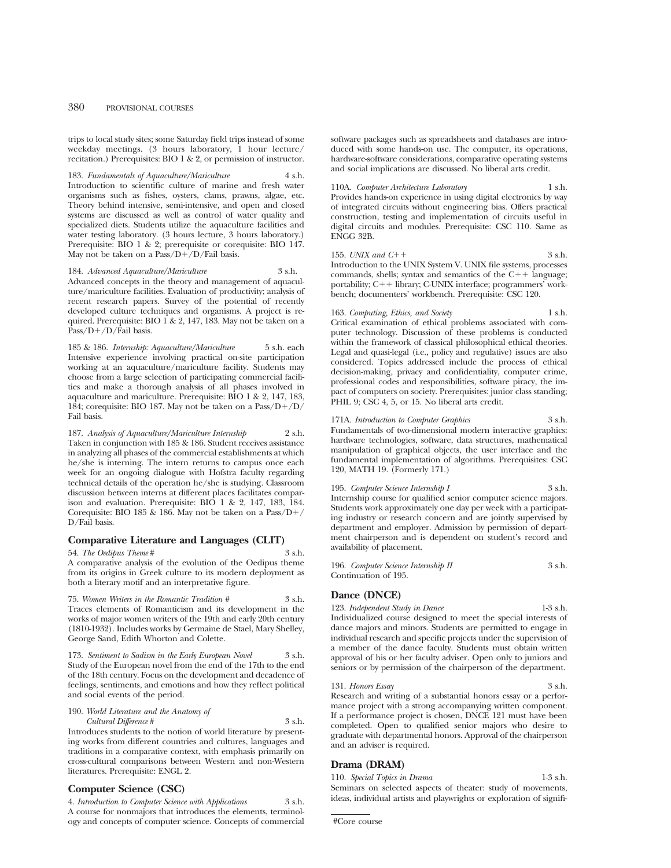trips to local study sites; some Saturday field trips instead of some weekday meetings. (3 hours laboratory, 1 hour lecture/ recitation.) Prerequisites: BIO 1 & 2, or permission of instructor.

183. *Fundamentals of Aquaculture/Mariculture* 4 s.h. Introduction to scientific culture of marine and fresh water organisms such as fishes, oysters, clams, prawns, algae, etc. Theory behind intensive, semi-intensive, and open and closed systems are discussed as well as control of water quality and specialized diets. Students utilize the aquaculture facilities and water testing laboratory. (3 hours lecture, 3 hours laboratory.) Prerequisite: BIO 1 & 2; prerequisite or corequisite: BIO 147. May not be taken on a  $Pass/D+/D/Fail$  basis.

184. *Advanced Aquaculture/Mariculture* 3 s.h. Advanced concepts in the theory and management of aquaculture/mariculture facilities. Evaluation of productivity; analysis of recent research papers. Survey of the potential of recently developed culture techniques and organisms. A project is required. Prerequisite: BIO 1 & 2, 147, 183. May not be taken on a Pass/D+/D/Fail basis.

185 & 186. *Internship: Aquaculture/Mariculture* 5 s.h. each Intensive experience involving practical on-site participation working at an aquaculture/mariculture facility. Students may choose from a large selection of participating commercial facilities and make a thorough analysis of all phases involved in aquaculture and mariculture. Prerequisite: BIO 1 & 2, 147, 183, 184; corequisite: BIO 187. May not be taken on a  $Pass/D+/D/$ Fail basis.

187. Analysis of Aquaculture/Mariculture Internship Taken in conjunction with 185 & 186. Student receives assistance in analyzing all phases of the commercial establishments at which he/she is interning. The intern returns to campus once each week for an ongoing dialogue with Hofstra faculty regarding technical details of the operation he/she is studying. Classroom discussion between interns at different places facilitates comparison and evaluation. Prerequisite: BIO 1 & 2, 147, 183, 184. Corequisite: BIO 185 & 186. May not be taken on a Pass/D+/ D/Fail basis.

#### **Comparative Literature and Languages (CLIT)**

54. *The Oedipus Theme* # 3 s.h. A comparative analysis of the evolution of the Oedipus theme from its origins in Greek culture to its modern deployment as both a literary motif and an interpretative figure.

75. *Women Writers in the Romantic Tradition #* 3 s.h. Traces elements of Romanticism and its development in the works of major women writers of the 19th and early 20th century (1810-1932). Includes works by Germaine de Stael, Mary Shelley, George Sand, Edith Whorton and Colette.

173. *Sentiment to Sadism in the Early European Novel* 3 s.h. Study of the European novel from the end of the 17th to the end of the 18th century. Focus on the development and decadence of feelings, sentiments, and emotions and how they reflect political and social events of the period.

#### 190. *World Literature and the Anatomy of Cultural Difference* # 3 s.h.

Introduces students to the notion of world literature by presenting works from different countries and cultures, languages and traditions in a comparative context, with emphasis primarily on cross-cultural comparisons between Western and non-Western literatures. Prerequisite: ENGL 2.

#### **Computer Science (CSC)**

4. *Introduction to Computer Science with Applications* 3 s.h. A course for nonmajors that introduces the elements, terminology and concepts of computer science. Concepts of commercial software packages such as spreadsheets and databases are introduced with some hands-on use. The computer, its operations, hardware-software considerations, comparative operating systems and social implications are discussed. No liberal arts credit.

#### 110A. *Computer Architecture Laboratory* 1 s.h.

Provides hands-on experience in using digital electronics by way of integrated circuits without engineering bias. Offers practical construction, testing and implementation of circuits useful in digital circuits and modules. Prerequisite: CSC 110. Same as ENGG 32B.

155. *UNIX and C*++ 3 s.h. Introduction to the UNIX System V. UNIX file systems, processes commands, shells; syntax and semantics of the  $C++$  language; portability; C++ library; C-UNIX interface; programmers' workbench; documenters' workbench. Prerequisite: CSC 120.

163. *Computing, Ethics, and Society* 1 s.h. Critical examination of ethical problems associated with computer technology. Discussion of these problems is conducted within the framework of classical philosophical ethical theories. Legal and quasi-legal (i.e., policy and regulative) issues are also considered. Topics addressed include the process of ethical decision-making, privacy and confidentiality, computer crime, professional codes and responsibilities, software piracy, the impact of computers on society. Prerequisites: junior class standing; PHIL 9; CSC 4, 5, or 15. No liberal arts credit.

#### 171A. *Introduction to Computer Graphics* 3 s.h.

Fundamentals of two-dimensional modern interactive graphics: hardware technologies, software, data structures, mathematical manipulation of graphical objects, the user interface and the fundamental implementation of algorithms. Prerequisites: CSC 120, MATH 19. (Formerly 171.)

195. *Computer Science Internship I* 3 s.h. Internship course for qualified senior computer science majors. Students work approximately one day per week with a participating industry or research concern and are jointly supervised by department and employer. Admission by permission of department chairperson and is dependent on student's record and availability of placement.

196. *Computer Science Internship II* 3 s.h. Continuation of 195.

#### **Dance (DNCE)**

123. *Independent Study in Dance* 1-3 s.h. Individualized course designed to meet the special interests of

dance majors and minors. Students are permitted to engage in individual research and specific projects under the supervision of a member of the dance faculty. Students must obtain written approval of his or her faculty adviser. Open only to juniors and seniors or by permission of the chairperson of the department.

131. *Honors Essay* Research and writing of a substantial honors essay or a performance project with a strong accompanying written component. If a performance project is chosen, DNCE 121 must have been completed. Open to qualified senior majors who desire to graduate with departmental honors. Approval of the chairperson and an adviser is required.

#### **Drama (DRAM)**

110. *Special Topics in Drama* 1-3 s.h. Seminars on selected aspects of theater: study of movements, ideas, individual artists and playwrights or exploration of signifi-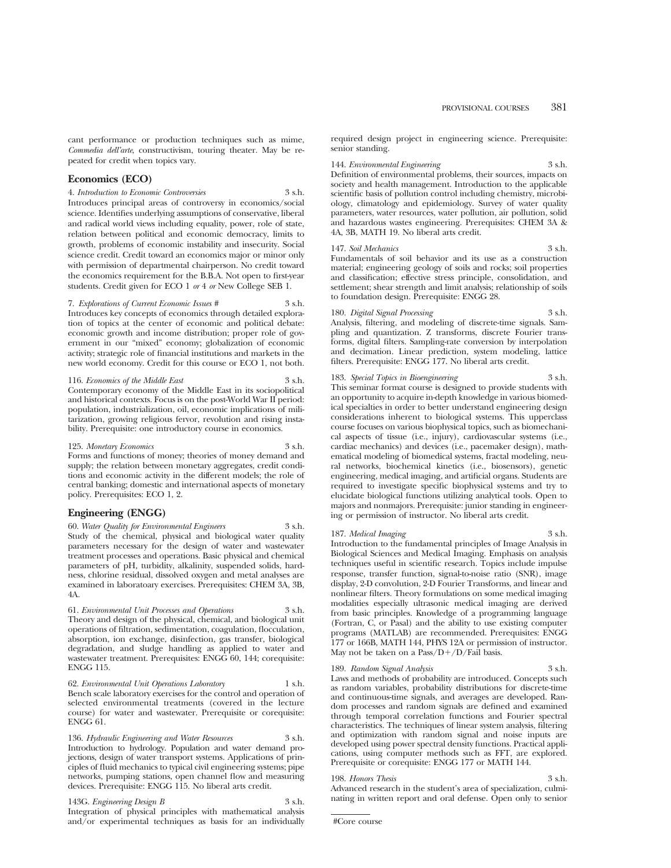cant performance or production techniques such as mime, *Commedia dell'arte*, constructivism, touring theater. May be repeated for credit when topics vary.

#### **Economics (ECO)**

4. *Introduction to Economic Controversies* 3 s.h. Introduces principal areas of controversy in economics/social science. Identifies underlying assumptions of conservative, liberal and radical world views including equality, power, role of state, relation between political and economic democracy, limits to growth, problems of economic instability and insecurity. Social science credit. Credit toward an economics major or minor only with permission of departmental chairperson. No credit toward the economics requirement for the B.B.A. Not open to first-year students. Credit given for ECO 1 *or* 4 *or* New College SEB 1.

7. *Explorations of Current Economic Issues #* 3 s.h. Introduces key concepts of economics through detailed exploration of topics at the center of economic and political debate: economic growth and income distribution; proper role of government in our "mixed" economy; globalization of economic activity; strategic role of financial institutions and markets in the new world economy. Credit for this course or ECO 1, not both.

116. *Economics of the Middle East* Contemporary economy of the Middle East in its sociopolitical and historical contexts. Focus is on the post-World War II period: population, industrialization, oil, economic implications of militarization, growing religious fervor, revolution and rising instability. Prerequisite: one introductory course in economics.

125. *Monetary Economics* 3 s.h. Forms and functions of money; theories of money demand and supply; the relation between monetary aggregates, credit conditions and economic activity in the different models; the role of central banking; domestic and international aspects of monetary policy. Prerequisites: ECO 1, 2.

#### **Engineering (ENGG)**

60. *Water Quality for Environmental Engineers* 3 s.h. Study of the chemical, physical and biological water quality parameters necessary for the design of water and wastewater treatment processes and operations. Basic physical and chemical parameters of pH, turbidity, alkalinity, suspended solids, hardness, chlorine residual, dissolved oxygen and metal analyses are examined in laboratoary exercises. Prerequisites: CHEM 3A, 3B, 4A.

61. *Environmental Unit Processes and Operations* 3 s.h. Theory and design of the physical, chemical, and biological unit operations of filtration, sedimentation, coagulation, flocculation, absorption, ion exchange, disinfection, gas transfer, biological degradation, and sludge handling as applied to water and wastewater treatment. Prerequisites: ENGG 60, 144; corequisite: ENGG 115.

62. *Environmental Unit Operations Laboratory* 1 s.h. Bench scale laboratory exercises for the control and operation of selected environmental treatments (covered in the lecture course) for water and wastewater. Prerequisite or corequisite: ENGG 61.

136. *Hydraulic Engineering and Water Resources* 3 s.h. Introduction to hydrology. Population and water demand projections, design of water transport systems. Applications of principles of fluid mechanics to typical civil engineering systems; pipe networks, pumping stations, open channel flow and measuring devices. Prerequisite: ENGG 115. No liberal arts credit.

143G. *Engineering Design B* 3 s.h. Integration of physical principles with mathematical analysis and/or experimental techniques as basis for an individually

required design project in engineering science. Prerequisite: senior standing.

#### 144. *Environmental Engineering* 3 s.h.

Definition of environmental problems, their sources, impacts on society and health management. Introduction to the applicable scientific basis of pollution control including chemistry, microbiology, climatology and epidemiology. Survey of water quality parameters, water resources, water pollution, air pollution, solid and hazardous wastes engineering. Prerequisites: CHEM 3A & 4A, 3B, MATH 19. No liberal arts credit.

#### 147. *Soil Mechanics* 3 s.h.

Fundamentals of soil behavior and its use as a construction material; engineering geology of soils and rocks; soil properties and classification; effective stress principle, consolidation, and settlement; shear strength and limit analysis; relationship of soils to foundation design. Prerequisite: ENGG 28.

#### 180. *Digital Signal Processing* 3 s.h.

Analysis, filtering, and modeling of discrete-time signals. Sampling and quantization. Z transforms, discrete Fourier transforms, digital filters. Sampling-rate conversion by interpolation and decimation. Linear prediction, system modeling, lattice filters. Prerequisite: ENGG 177. No liberal arts credit.

#### 183. *Special Topics in Bioengineering* 3 s.h.

This seminar format course is designed to provide students with an opportunity to acquire in-depth knowledge in various biomedical specialties in order to better understand engineering design considerations inherent to biological systems. This upperclass course focuses on various biophysical topics, such as biomechanical aspects of tissue (i.e., injury), cardiovascular systems (i.e., cardiac mechanics) and devices (i.e., pacemaker design), mathematical modeling of biomedical systems, fractal modeling, neural networks, biochemical kinetics (i.e., biosensors), genetic engineering, medical imaging, and artificial organs. Students are required to investigate specific biophysical systems and try to elucidate biological functions utilizing analytical tools. Open to majors and nonmajors. Prerequisite: junior standing in engineering or permission of instructor. No liberal arts credit.

#### 187. *Medical Imaging* 3 s.h.

Introduction to the fundamental principles of Image Analysis in Biological Sciences and Medical Imaging. Emphasis on analysis techniques useful in scientific research. Topics include impulse response, transfer function, signal-to-noise ratio (SNR), image display, 2-D convolution, 2-D Fourier Transforms, and linear and nonlinear filters. Theory formulations on some medical imaging modalities especially ultrasonic medical imaging are derived from basic principles. Knowledge of a programming language (Fortran, C, or Pasal) and the ability to use existing computer programs (MATLAB) are recommended. Prerequisites: ENGG 177 or 166B, MATH 144, PHYS 12A or permission of instructor. May not be taken on a  $Pass/D+/D/Fall$  basis.

#### 189. *Random Signal Analysis* 3 s.h.

Laws and methods of probability are introduced. Concepts such as random variables, probability distributions for discrete-time and continuous-time signals, and averages are developed. Random processes and random signals are defined and examined through temporal correlation functions and Fourier spectral characteristics. The techniques of linear system analysis, filtering and optimization with random signal and noise inputs are developed using power spectral density functions. Practical applications, using computer methods such as FFT, are explored. Prerequisite or corequisite: ENGG 177 or MATH 144.

#### 198. *Honors Thesis* 3 s.h.

Advanced research in the student's area of specialization, culminating in written report and oral defense. Open only to senior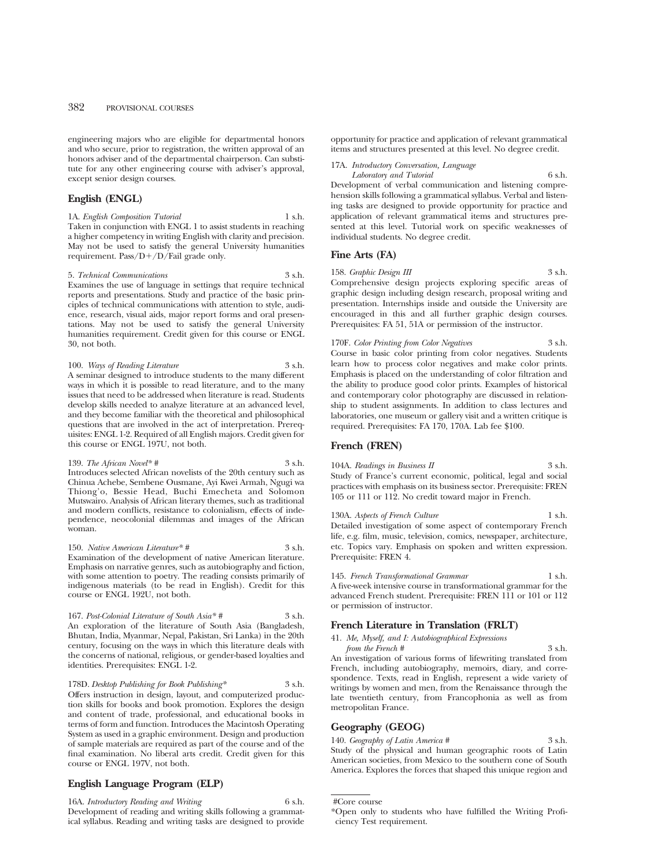engineering majors who are eligible for departmental honors and who secure, prior to registration, the written approval of an honors adviser and of the departmental chairperson. Can substitute for any other engineering course with adviser's approval, except senior design courses.

#### **English (ENGL)**

1A. *English Composition Tutorial* 1 s.h. Taken in conjunction with ENGL 1 to assist students in reaching a higher competency in writing English with clarity and precision. May not be used to satisfy the general University humanities requirement. Pass/ $D+/D/Fail$  grade only.

#### 5. *Technical Communications* 3 s.h.

Examines the use of language in settings that require technical reports and presentations. Study and practice of the basic principles of technical communications with attention to style, audience, research, visual aids, major report forms and oral presentations. May not be used to satisfy the general University humanities requirement. Credit given for this course or ENGL 30, not both.

100. *Ways of Reading Literature* 3 s.h. A seminar designed to introduce students to the many different ways in which it is possible to read literature, and to the many issues that need to be addressed when literature is read. Students develop skills needed to analyze literature at an advanced level, and they become familiar with the theoretical and philosophical questions that are involved in the act of interpretation. Prerequisites: ENGL 1-2. Required of all English majors. Credit given for this course or ENGL 197U, not both.

139. *The African Novel*<sup>\*</sup>  $\#$  3 s.h. Introduces selected African novelists of the 20th century such as Chinua Achebe, Sembene Ousmane, Ayi Kwei Armah, Ngugi wa Thiong'o, Bessie Head, Buchi Emecheta and Solomon Mutswairo. Analysis of African literary themes, such as traditional and modern conflicts, resistance to colonialism, effects of independence, neocolonial dilemmas and images of the African woman.

150. *Native American Literature\* #* 3 s.h. Examination of the development of native American literature. Emphasis on narrative genres, such as autobiography and fiction, with some attention to poetry. The reading consists primarily of indigenous materials (to be read in English). Credit for this course or ENGL 192U, not both.

167. *Post-Colonial Literature of South Asia\* #* 3 s.h. An exploration of the literature of South Asia (Bangladesh, Bhutan, India, Myanmar, Nepal, Pakistan, Sri Lanka) in the 20th century, focusing on the ways in which this literature deals with the concerns of national, religious, or gender-based loyalties and identities. Prerequisites: ENGL 1-2.

178D. *Desktop Publishing for Book Publishing\** 3 s.h. Offers instruction in design, layout, and computerized production skills for books and book promotion. Explores the design and content of trade, professional, and educational books in terms of form and function. Introduces the Macintosh Operating System as used in a graphic environment. Design and production of sample materials are required as part of the course and of the final examination. No liberal arts credit. Credit given for this course or ENGL 197V, not both.

#### **English Language Program (ELP)**

16A. *Introductory Reading and Writing* 6 s.h. Development of reading and writing skills following a grammatical syllabus. Reading and writing tasks are designed to provide opportunity for practice and application of relevant grammatical items and structures presented at this level. No degree credit.

#### 17A. *Introductory Conversation, Language*

*Laboratory and Tutorial* 6 s.h. Development of verbal communication and listening comprehension skills following a grammatical syllabus. Verbal and listening tasks are designed to provide opportunity for practice and application of relevant grammatical items and structures presented at this level. Tutorial work on specific weaknesses of individual students. No degree credit.

#### **Fine Arts (FA)**

158. *Graphic Design III* 3 s.h. Comprehensive design projects exploring specific areas of graphic design including design research, proposal writing and presentation. Internships inside and outside the University are encouraged in this and all further graphic design courses. Prerequisites: FA 51, 51A or permission of the instructor.

170F. *Color Printing from Color Negatives* 3 s.h. Course in basic color printing from color negatives. Students learn how to process color negatives and make color prints. Emphasis is placed on the understanding of color filtration and the ability to produce good color prints. Examples of historical and contemporary color photography are discussed in relationship to student assignments. In addition to class lectures and laboratories, one museum or gallery visit and a written critique is required. Prerequisites: FA 170, 170A. Lab fee \$100.

#### **French (FREN)**

104A. *Readings in Business II* 3 s.h. Study of France's current economic, political, legal and social practices with emphasis on its business sector. Prerequisite: FREN 105 or 111 or 112. No credit toward major in French.

130A. *Aspects of French Culture* 1 s.h. Detailed investigation of some aspect of contemporary French life, e.g. film, music, television, comics, newspaper, architecture, etc. Topics vary. Emphasis on spoken and written expression. Prerequisite: FREN 4.

145. *French Transformational Grammar* 1 s.h. A five-week intensive course in transformational grammar for the advanced French student. Prerequisite: FREN 111 or 101 or 112 or permission of instructor.

#### **French Literature in Translation (FRLT)**

41. *Me, Myself, and I: Autobiographical Expressions*

*from the French* # 3 s.h. An investigation of various forms of lifewriting translated from French, including autobiography, memoirs, diary, and correspondence. Texts, read in English, represent a wide variety of writings by women and men, from the Renaissance through the late twentieth century, from Francophonia as well as from metropolitan France.

#### **Geography (GEOG)**

140. *Geography of Latin America* # 3 s.h. Study of the physical and human geographic roots of Latin American societies, from Mexico to the southern cone of South America. Explores the forces that shaped this unique region and

<sup>\*</sup>Open only to students who have fulfilled the Writing Proficiency Test requirement.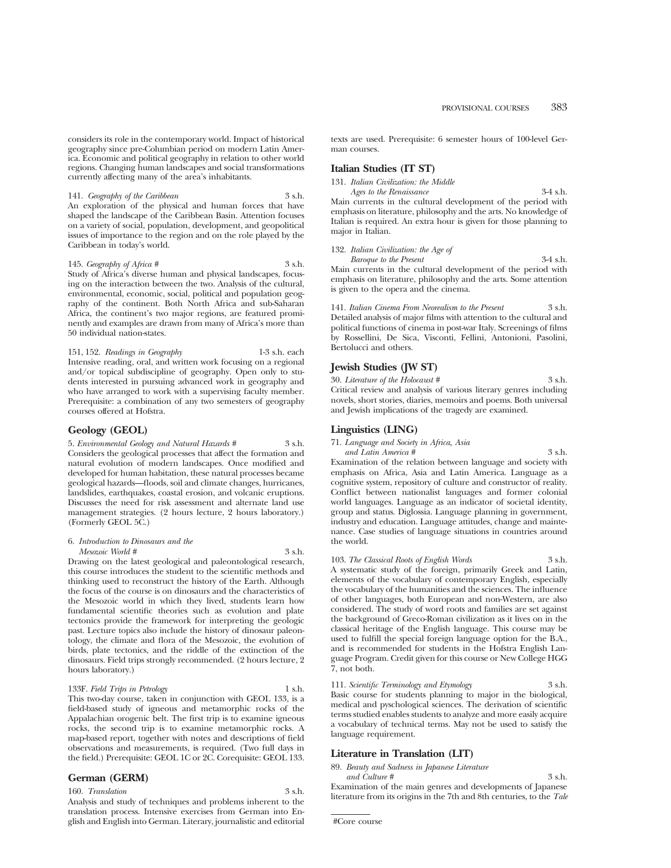considers its role in the contemporary world. Impact of historical geography since pre-Columbian period on modern Latin America. Economic and political geography in relation to other world regions. Changing human landscapes and social transformations currently affecting many of the area's inhabitants.

141. *Geography of the Caribbean* 3 s.h. An exploration of the physical and human forces that have shaped the landscape of the Caribbean Basin. Attention focuses on a variety of social, population, development, and geopolitical issues of importance to the region and on the role played by the Caribbean in today's world.

145. *Geography of Africa* # 3 s.h. Study of Africa's diverse human and physical landscapes, focusing on the interaction between the two. Analysis of the cultural, environmental, economic, social, political and population geography of the continent. Both North Africa and sub-Saharan Africa, the continent's two major regions, are featured prominently and examples are drawn from many of Africa's more than 50 individual nation-states.

151, 152. *Readings in Geography* 1-3 s.h. each Intensive reading, oral, and written work focusing on a regional and/or topical subdiscipline of geography. Open only to students interested in pursuing advanced work in geography and who have arranged to work with a supervising faculty member. Prerequisite: a combination of any two semesters of geography courses offered at Hofstra.

#### **Geology (GEOL)**

5. *Environmental Geology and Natural Hazards #* 3 s.h. Considers the geological processes that affect the formation and natural evolution of modern landscapes. Once modified and developed for human habitation, these natural processes became geological hazards—floods, soil and climate changes, hurricanes, landslides, earthquakes, coastal erosion, and volcanic eruptions. Discusses the need for risk assessment and alternate land use management strategies. (2 hours lecture, 2 hours laboratory.) (Formerly GEOL 5C.)

### 6. *Introduction to Dinosaurs and the*

*Mesozoic World #* 3 s.h.

Drawing on the latest geological and paleontological research, this course introduces the student to the scientific methods and thinking used to reconstruct the history of the Earth. Although the focus of the course is on dinosaurs and the characteristics of the Mesozoic world in which they lived, students learn how fundamental scientific theories such as evolution and plate tectonics provide the framework for interpreting the geologic past. Lecture topics also include the history of dinosaur paleontology, the climate and flora of the Mesozoic, the evolution of birds, plate tectonics, and the riddle of the extinction of the dinosaurs. Field trips strongly recommended. (2 hours lecture, 2 hours laboratory.)

133F. *Field Trips in Petrology* 1 s.h. This two-day course, taken in conjunction with GEOL 133, is a field-based study of igneous and metamorphic rocks of the Appalachian orogenic belt. The first trip is to examine igneous rocks, the second trip is to examine metamorphic rocks. A map-based report, together with notes and descriptions of field observations and measurements, is required. (Two full days in the field.) Prerequisite: GEOL 1C or 2C. Corequisite: GEOL 133.

#### **German (GERM)**

160. *Translation* 3 s.h.

Analysis and study of techniques and problems inherent to the translation process. Intensive exercises from German into English and English into German. Literary, journalistic and editorial texts are used. Prerequisite: 6 semester hours of 100-level German courses.

#### **Italian Studies (IT ST)**

131. *Italian Civilization: the Middle*

*Ages to the Renaissance* 3-4 s.h. Main currents in the cultural development of the period with emphasis on literature, philosophy and the arts. No knowledge of Italian is required. An extra hour is given for those planning to major in Italian.

132. *Italian Civilization: the Age of Baroque to the Present* 3-4 s.h.

Main currents in the cultural development of the period with emphasis on literature, philosophy and the arts. Some attention is given to the opera and the cinema.

141. *Italian Cinema From Neorealism to the Present* 3 s.h. Detailed analysis of major films with attention to the cultural and political functions of cinema in post-war Italy. Screenings of films by Rossellini, De Sica, Visconti, Fellini, Antonioni, Pasolini, Bertolucci and others.

#### **Jewish Studies (JW ST)**

30. *Literature of the Holocaust #* 3 s.h. Critical review and analysis of various literary genres including novels, short stories, diaries, memoirs and poems. Both universal and Jewish implications of the tragedy are examined.

#### **Linguistics (LING)**

71. *Language and Society in Africa, Asia*

*and Latin America #* 3 s.h. Examination of the relation between language and society with emphasis on Africa, Asia and Latin America. Language as a cognitive system, repository of culture and constructor of reality. Conflict between nationalist languages and former colonial world languages. Language as an indicator of societal identity, group and status. Diglossia. Language planning in government, industry and education. Language attitudes, change and maintenance. Case studies of language situations in countries around the world.

103. *The Classical Roots of English Words* 3 s.h. A systematic study of the foreign, primarily Greek and Latin, elements of the vocabulary of contemporary English, especially the vocabulary of the humanities and the sciences. The influence of other languages, both European and non-Western, are also considered. The study of word roots and families are set against the background of Greco-Roman civilization as it lives on in the classical heritage of the English language. This course may be used to fulfill the special foreign language option for the B.A., and is recommended for students in the Hofstra English Language Program. Credit given for this course or New College HGG 7, not both.

111. *Scientific Terminology and Etymology* 3 s.h. Basic course for students planning to major in the biological, medical and pyschological sciences. The derivation of scientific terms studied enables students to analyze and more easily acquire a vocabulary of technical terms. May not be used to satisfy the language requirement.

#### **Literature in Translation (LIT)**

89. *Beauty and Sadness in Japanese Literature*

*and Culture #* 3 s.h. Examination of the main genres and developments of Japanese literature from its origins in the 7th and 8th centuries, to the *Tale*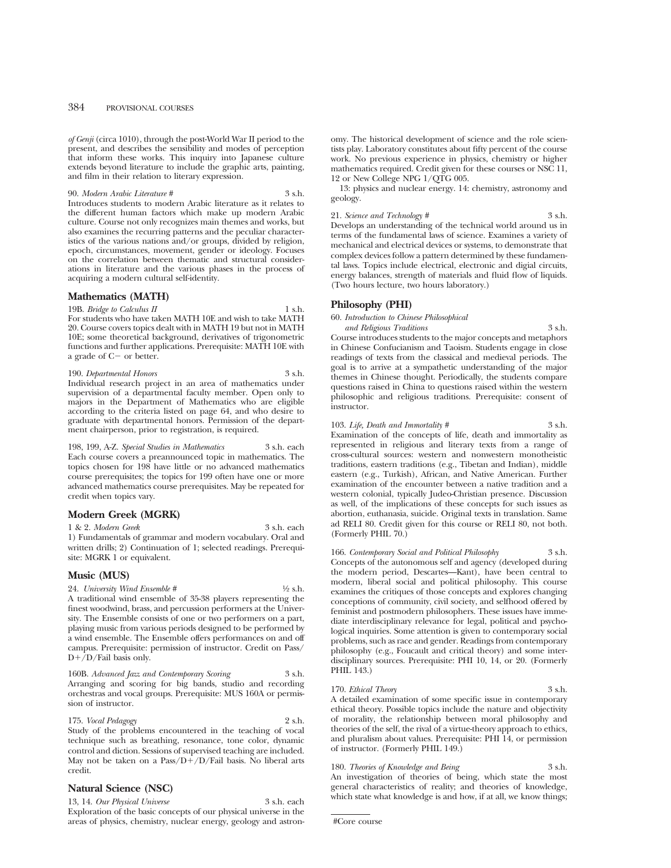#### 384 PROVISIONAL COURSES

*of Genji* (circa 1010), through the post-World War II period to the present, and describes the sensibility and modes of perception that inform these works. This inquiry into Japanese culture extends beyond literature to include the graphic arts, painting, and film in their relation to literary expression.

90. *Modern Arabic Literature #* 3 s.h. Introduces students to modern Arabic literature as it relates to the different human factors which make up modern Arabic culture. Course not only recognizes main themes and works, but also examines the recurring patterns and the peculiar characteristics of the various nations and/or groups, divided by religion, epoch, circumstances, movement, gender or ideology. Focuses on the correlation between thematic and structural considerations in literature and the various phases in the process of acquiring a modern cultural self-identity.

#### **Mathematics (MATH)**

19B. *Bridge to Calculus II* 1 s.h.

For students who have taken MATH 10E and wish to take MATH 20. Course covers topics dealt with in MATH 19 but not in MATH 10E; some theoretical background, derivatives of trigonometric functions and further applications. Prerequisite: MATH 10E with a grade of  $C-$  or better.

190. *Departmental Honors* 3 s.h. Individual research project in an area of mathematics under supervision of a departmental faculty member. Open only to majors in the Department of Mathematics who are eligible according to the criteria listed on page 64, and who desire to graduate with departmental honors. Permission of the department chairperson, prior to registration, is required.

198, 199, A-Z. *Special Studies in Mathematics* 3 s.h. each Each course covers a preannounced topic in mathematics. The topics chosen for 198 have little or no advanced mathematics course prerequisites; the topics for 199 often have one or more advanced mathematics course prerequisites. May be repeated for credit when topics vary.

#### **Modern Greek (MGRK)**

1 & 2. *Modern Greek* 3 s.h. each

1) Fundamentals of grammar and modern vocabulary. Oral and written drills; 2) Continuation of 1; selected readings. Prerequisite: MGRK 1 or equivalent.

#### **Music (MUS)**

 $D+/D$ *Fail basis only.* 

24. *University Wind Ensemble* #  $\frac{1}{2}$  s.h. A traditional wind ensemble of 35-38 players representing the finest woodwind, brass, and percussion performers at the University. The Ensemble consists of one or two performers on a part, playing music from various periods designed to be performed by a wind ensemble. The Ensemble offers performances on and off campus. Prerequisite: permission of instructor. Credit on Pass/

160B. *Advanced Jazz and Contemporary Scoring* 3 s.h. Arranging and scoring for big bands, studio and recording orchestras and vocal groups. Prerequisite: MUS 160A or permission of instructor.

175. *Vocal Pedagogy* 2 s.h. Study of the problems encountered in the teaching of vocal technique such as breathing, resonance, tone color, dynamic control and diction. Sessions of supervised teaching are included. May not be taken on a Pass/ $D+/D$ /Fail basis. No liberal arts credit.

#### **Natural Science (NSC)**

13, 14. *Our Physical Universe* 3 s.h. each Exploration of the basic concepts of our physical universe in the areas of physics, chemistry, nuclear energy, geology and astronomy. The historical development of science and the role scientists play. Laboratory constitutes about fifty percent of the course work. No previous experience in physics, chemistry or higher mathematics required. Credit given for these courses or NSC 11, 12 or New College NPG 1/QTG 005.

13: physics and nuclear energy. 14: chemistry, astronomy and geology.

21. *Science and Technology* # 3 s.h. Develops an understanding of the technical world around us in terms of the fundamental laws of science. Examines a variety of mechanical and electrical devices or systems, to demonstrate that complex devices follow a pattern determined by these fundamental laws. Topics include electrical, electronic and digial circuits, energy balances, strength of materials and fluid flow of liquids. (Two hours lecture, two hours laboratory.)

#### **Philosophy (PHI)**

60. *Introduction to Chinese Philosophical*

*and Religious Traditions* 3 s.h. Course introduces students to the major concepts and metaphors in Chinese Confucianism and Taoism. Students engage in close readings of texts from the classical and medieval periods. The goal is to arrive at a sympathetic understanding of the major themes in Chinese thought. Periodically, the students compare questions raised in China to questions raised within the western philosophic and religious traditions. Prerequisite: consent of instructor.

103. *Life, Death and Immortality* # 3 s.h.

Examination of the concepts of life, death and immortality as represented in religious and literary texts from a range of cross-cultural sources: western and nonwestern monotheistic traditions, eastern traditions (e.g., Tibetan and Indian), middle eastern (e.g., Turkish), African, and Native American. Further examination of the encounter between a native tradition and a western colonial, typically Judeo-Christian presence. Discussion as well, of the implications of these concepts for such issues as abortion, euthanasia, suicide. Original texts in translation. Same ad RELI 80. Credit given for this course or RELI 80, not both. (Formerly PHIL 70.)

166. *Contemporary Social and Political Philosophy* 3 s.h. Concepts of the autonomous self and agency (developed during the modern period, Descartes—Kant), have been central to modern, liberal social and political philosophy. This course examines the critiques of those concepts and explores changing conceptions of community, civil society, and selfhood offered by feminist and postmodern philosophers. These issues have immediate interdisciplinary relevance for legal, political and psychological inquiries. Some attention is given to contemporary social problems, such as race and gender. Readings from contemporary philosophy (e.g., Foucault and critical theory) and some interdisciplinary sources. Prerequisite: PHI 10, 14, or 20. (Formerly PHIL 143.)

170. *Ethical Theory* 3 s.h. A detailed examination of some specific issue in contemporary ethical theory. Possible topics include the nature and objectivity of morality, the relationship between moral philosophy and theories of the self, the rival of a virtue-theory approach to ethics, and pluralism about values. Prerequisite: PHI 14, or permission

180. *Theories of Knowledge and Being* 3 s.h. An investigation of theories of being, which state the most general characteristics of reality; and theories of knowledge, which state what knowledge is and how, if at all, we know things;

#Core course

of instructor. (Formerly PHIL 149.)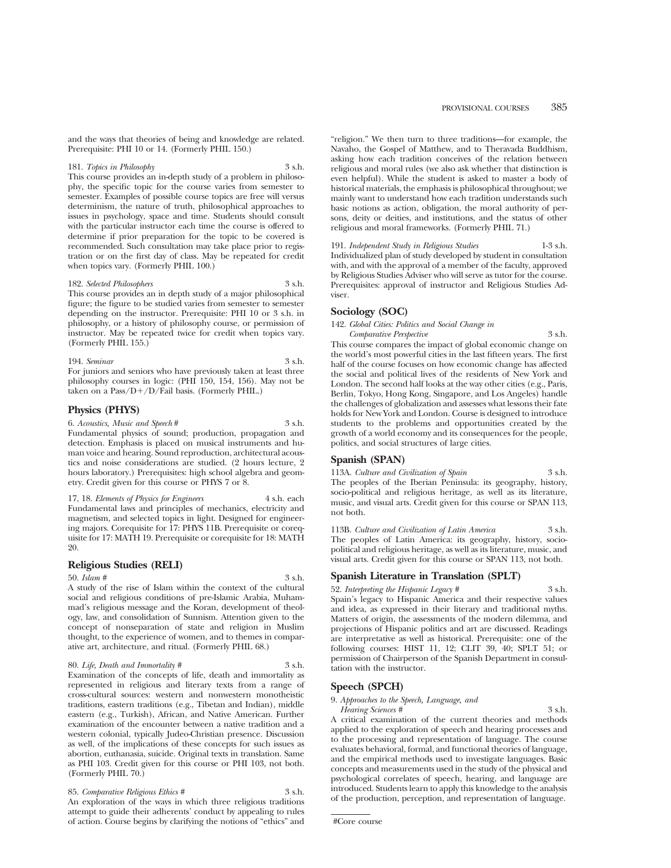and the ways that theories of being and knowledge are related. Prerequisite: PHI 10 or 14. (Formerly PHIL 150.)

#### 181. *Topics in Philosophy* 3 s.h.

This course provides an in-depth study of a problem in philosophy, the specific topic for the course varies from semester to semester. Examples of possible course topics are free will versus determinism, the nature of truth, philosophical approaches to issues in psychology, space and time. Students should consult with the particular instructor each time the course is offered to determine if prior preparation for the topic to be covered is recommended. Such consultation may take place prior to registration or on the first day of class. May be repeated for credit when topics vary. (Formerly PHIL 100.)

#### 182. *Selected Philosophers* 3 s.h.

This course provides an in depth study of a major philosophical figure; the figure to be studied varies from semester to semester depending on the instructor. Prerequisite: PHI 10 or 3 s.h. in philosophy, or a history of philosophy course, or permission of instructor. May be repeated twice for credit when topics vary. (Formerly PHIL 155.)

## 194. *Seminar* 3 s.h.

For juniors and seniors who have previously taken at least three philosophy courses in logic: (PHI 150, 154, 156). May not be taken on a Pass/ $D+/D/F$ ail basis. (Formerly PHIL.)

#### **Physics (PHYS)**

6. *Acoustics, Music and Speech* # 3 s.h. Fundamental physics of sound; production, propagation and detection. Emphasis is placed on musical instruments and human voice and hearing. Sound reproduction, architectural acoustics and noise considerations are studied. (2 hours lecture, 2 hours laboratory.) Prerequisites: high school algebra and geometry. Credit given for this course or PHYS 7 or 8.

17, 18. *Elements of Physics for Engineers* 4 s.h. each Fundamental laws and principles of mechanics, electricity and magnetism, and selected topics in light. Designed for engineering majors. Corequisite for 17: PHYS 11B. Prerequisite or corequisite for 17: MATH 19. Prerequisite or corequisite for 18: MATH 20.

#### **Religious Studies (RELI)**

#### 50. *Islam #* 3 s.h.

A study of the rise of Islam within the context of the cultural social and religious conditions of pre-Islamic Arabia, Muhammad's religious message and the Koran, development of theology, law, and consolidation of Sunnism. Attention given to the concept of nonseparation of state and religion in Muslim thought, to the experience of women, and to themes in comparative art, architecture, and ritual. (Formerly PHIL 68.)

80. *Life, Death and Immortality* # 3 s.h.

Examination of the concepts of life, death and immortality as represented in religious and literary texts from a range of cross-cultural sources: western and nonwestern monotheistic traditions, eastern traditions (e.g., Tibetan and Indian), middle eastern (e.g., Turkish), African, and Native American. Further examination of the encounter between a native tradition and a western colonial, typically Judeo-Christian presence. Discussion as well, of the implications of these concepts for such issues as abortion, euthanasia, suicide. Original texts in translation. Same as PHI 103. Credit given for this course or PHI 103, not both. (Formerly PHIL 70.)

85. *Comparative Religious Ethics* # 3 s.h. An exploration of the ways in which three religious traditions attempt to guide their adherents' conduct by appealing to rules of action. Course begins by clarifying the notions of "ethics" and

"religion." We then turn to three traditions—for example, the Navaho, the Gospel of Matthew, and to Theravada Buddhism, asking how each tradition conceives of the relation between religious and moral rules (we also ask whether that distinction is even helpful). While the student is asked to master a body of historical materials, the emphasis is philosophical throughout; we mainly want to understand how each tradition understands such basic notions as action, obligation, the moral authority of persons, deity or deities, and institutions, and the status of other religious and moral frameworks. (Formerly PHIL 71.)

191. *Independent Study in Religious Studies* 1-3 s.h. Individualized plan of study developed by student in consultation with, and with the approval of a member of the faculty, approved by Religious Studies Adviser who will serve as tutor for the course. Prerequisites: approval of instructor and Religious Studies Adviser.

### **Sociology (SOC)**

142. *Global Cities: Politics and Social Change in*

*Comparative Perspective* 3 s.h. This course compares the impact of global economic change on the world's most powerful cities in the last fifteen years. The first half of the course focuses on how economic change has affected the social and political lives of the residents of New York and London. The second half looks at the way other cities (e.g., Paris, Berlin, Tokyo, Hong Kong, Singapore, and Los Angeles) handle the challenges of globalization and assesses what lessons their fate holds for New York and London. Course is designed to introduce students to the problems and opportunities created by the growth of a world economy and its consequences for the people, politics, and social structures of large cities.

#### **Spanish (SPAN)**

113A. *Culture and Civilization of Spain* 3 s.h. The peoples of the Iberian Peninsula: its geography, history, socio-political and religious heritage, as well as its literature, music, and visual arts. Credit given for this course or SPAN 113, not both.

113B. *Culture and Civilization of Latin America* 3 s.h. The peoples of Latin America: its geography, history, sociopolitical and religious heritage, as well as its literature, music, and visual arts. Credit given for this course or SPAN 113, not both.

#### **Spanish Literature in Translation (SPLT)**

52. *Interpreting the Hispanic Legacy* # 3 s.h. Spain's legacy to Hispanic America and their respective values and idea, as expressed in their literary and traditional myths. Matters of origin, the assessments of the modern dilemma, and projections of Hispanic politics and art are discussed. Readings are interpretative as well as historical. Prerequisite: one of the following courses: HIST 11, 12; CLIT 39, 40; SPLT 51; or permission of Chairperson of the Spanish Department in consultation with the instructor.

#### **Speech (SPCH)**

9. *Approaches to the Speech, Language, and*

*Hearing Sciences #* 3 s.h. A critical examination of the current theories and methods applied to the exploration of speech and hearing processes and to the processing and representation of language. The course evaluates behavioral, formal, and functional theories of language, and the empirical methods used to investigate languages. Basic concepts and measurements used in the study of the physical and psychological correlates of speech, hearing, and language are introduced. Students learn to apply this knowledge to the analysis of the production, perception, and representation of language.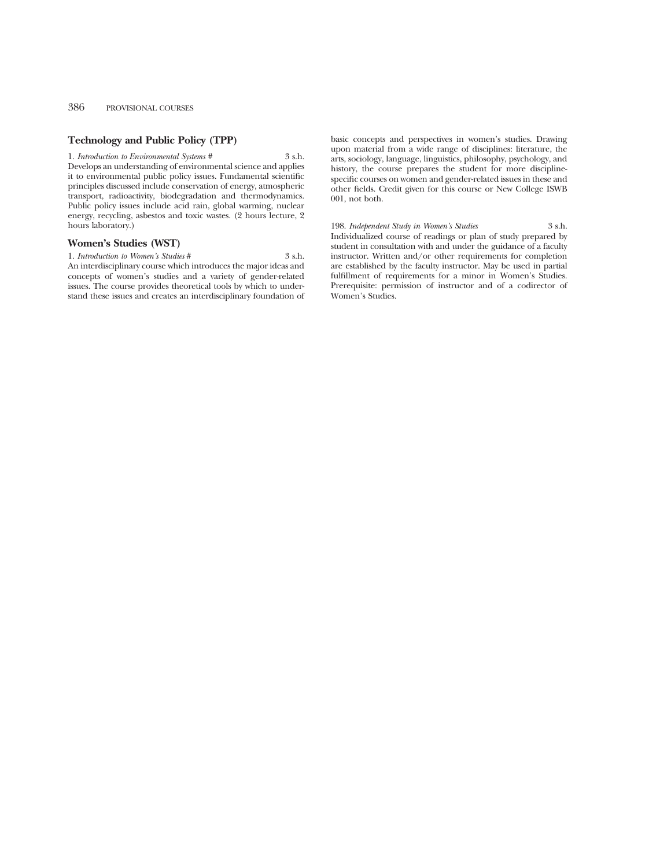#### 386 PROVISIONAL COURSES

#### **Technology and Public Policy (TPP)**

1. *Introduction to Environmental Systems* # 3 s.h. Develops an understanding of environmental science and applies it to environmental public policy issues. Fundamental scientific principles discussed include conservation of energy, atmospheric transport, radioactivity, biodegradation and thermodynamics. Public policy issues include acid rain, global warming, nuclear energy, recycling, asbestos and toxic wastes. (2 hours lecture, 2 hours laboratory.)

#### **Women's Studies (WST)**

1. *Introduction to Women's Studies* # 3 s.h. An interdisciplinary course which introduces the major ideas and concepts of women's studies and a variety of gender-related issues. The course provides theoretical tools by which to understand these issues and creates an interdisciplinary foundation of basic concepts and perspectives in women's studies. Drawing upon material from a wide range of disciplines: literature, the arts, sociology, language, linguistics, philosophy, psychology, and history, the course prepares the student for more disciplinespecific courses on women and gender-related issues in these and other fields. Credit given for this course or New College ISWB 001, not both.

198. *Independent Study in Women's Studies* 3 s.h. Individualized course of readings or plan of study prepared by student in consultation with and under the guidance of a faculty instructor. Written and/or other requirements for completion are established by the faculty instructor. May be used in partial fulfillment of requirements for a minor in Women's Studies. Prerequisite: permission of instructor and of a codirector of Women's Studies.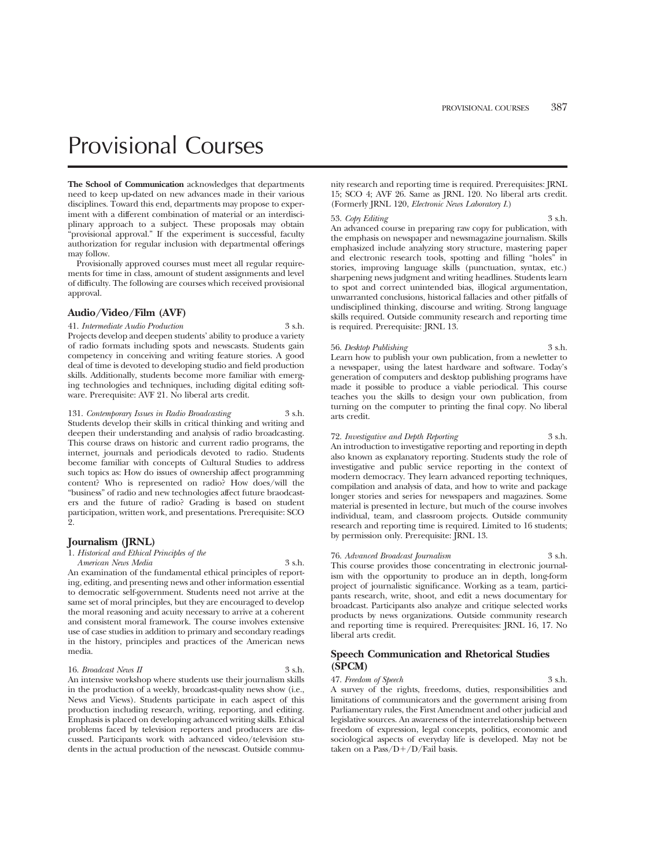# Provisional Courses

**The School of Communication** acknowledges that departments need to keep up-dated on new advances made in their various disciplines. Toward this end, departments may propose to experiment with a different combination of material or an interdisciplinary approach to a subject. These proposals may obtain "provisional approval." If the experiment is successful, faculty authorization for regular inclusion with departmental offerings may follow.

Provisionally approved courses must meet all regular requirements for time in class, amount of student assignments and level of difficulty. The following are courses which received provisional approval.

#### **Audio/Video/Film (AVF)**

41. *Intermediate Audio Production* 3 s.h. Projects develop and deepen students' ability to produce a variety of radio formats including spots and newscasts. Students gain competency in conceiving and writing feature stories. A good deal of time is devoted to developing studio and field production skills. Additionally, students become more familiar with emerging technologies and techniques, including digital editing software. Prerequisite: AVF 21. No liberal arts credit.

131. *Contemporary Issues in Radio Broadcasting* 3 s.h. Students develop their skills in critical thinking and writing and deepen their understanding and analysis of radio broadcasting. This course draws on historic and current radio programs, the internet, journals and periodicals devoted to radio. Students become familiar with concepts of Cultural Studies to address such topics as: How do issues of ownership affect programming content? Who is represented on radio? How does/will the "business" of radio and new technologies affect future braodcasters and the future of radio? Grading is based on student participation, written work, and presentations. Prerequisite: SCO 2.

#### **Journalism (JRNL)**

1. *Historical and Ethical Principles of the*

*American News Media* 3 s.h. An examination of the fundamental ethical principles of reporting, editing, and presenting news and other information essential to democratic self-government. Students need not arrive at the same set of moral principles, but they are encouraged to develop the moral reasoning and acuity necessary to arrive at a coherent and consistent moral framework. The course involves extensive use of case studies in addition to primary and secondary readings in the history, principles and practices of the American news media.

#### 16. *Broadcast News II* 3 s.h. An intensive workshop where students use their journalism skills in the production of a weekly, broadcast-quality news show (i.e., News and Views). Students participate in each aspect of this production including research, writing, reporting, and editing. Emphasis is placed on developing advanced writing skills. Ethical problems faced by television reporters and producers are discussed. Participants work with advanced video/television students in the actual production of the newscast. Outside commu-

nity research and reporting time is required. Prerequisites: JRNL 15; SCO 4; AVF 26. Same as JRNL 120. No liberal arts credit. (Formerly JRNL 120, *Electronic News Laboratory I*.)

53. *Copy Editing* 3 s.h. An advanced course in preparing raw copy for publication, with the emphasis on newspaper and newsmagazine journalism. Skills emphasized include analyzing story structure, mastering paper and electronic research tools, spotting and filling "holes" in stories, improving language skills (punctuation, syntax, etc.) sharpening news judgment and writing headlines. Students learn to spot and correct unintended bias, illogical argumentation, unwarranted conclusions, historical fallacies and other pitfalls of undisciplined thinking, discourse and writing. Strong language skills required. Outside community research and reporting time is required. Prerequisite: JRNL 13.

#### 56. *Desktop Publishing* 3 s.h.

Learn how to publish your own publication, from a newletter to a newspaper, using the latest hardware and software. Today's generation of computers and desktop publishing programs have made it possible to produce a viable periodical. This course teaches you the skills to design your own publication, from turning on the computer to printing the final copy. No liberal arts credit.

72. *Investigative and Depth Reporting* 3 s.h. An introduction to investigative reporting and reporting in depth also known as explanatory reporting. Students study the role of investigative and public service reporting in the context of modern democracy. They learn advanced reporting techniques, compilation and analysis of data, and how to write and package longer stories and series for newspapers and magazines. Some material is presented in lecture, but much of the course involves individual, team, and classroom projects. Outside community research and reporting time is required. Limited to 16 students; by permission only. Prerequisite: JRNL 13.

76. *Advanced Broadcast Journalism* 3 s.h. This course provides those concentrating in electronic journalism with the opportunity to produce an in depth, long-form project of journalistic significance. Working as a team, participants research, write, shoot, and edit a news documentary for broadcast. Participants also analyze and critique selected works products by news organizations. Outside community research and reporting time is required. Prerequisites: JRNL 16, 17. No liberal arts credit.

#### **Speech Communication and Rhetorical Studies (SPCM)**

47. *Freedom of Speech* 3 s.h.

A survey of the rights, freedoms, duties, responsibilities and limitations of communicators and the government arising from Parliamentary rules, the First Amendment and other judicial and legislative sources. An awareness of the interrelationship between freedom of expression, legal concepts, politics, economic and sociological aspects of everyday life is developed. May not be taken on a Pass/ $D+/D$ /Fail basis.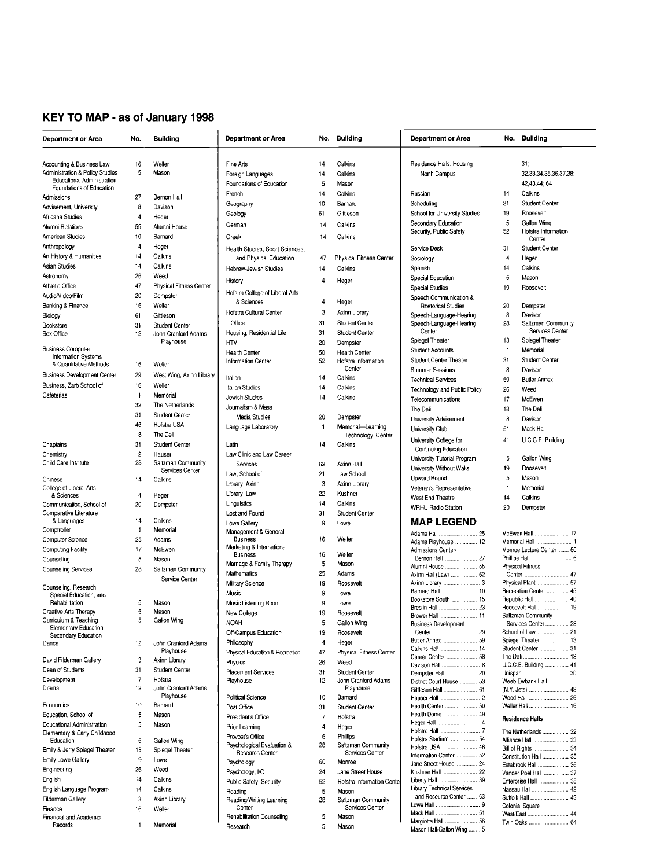# KEY TO MAP - as of January 1998

| <b>Department or Area</b>                                                       | No.                | <b>Building</b>                              | <b>Department or Area</b>                                 |          | No. Building                                 | <b>Department or Area</b>                           | No.          | <b>Building</b>                            |
|---------------------------------------------------------------------------------|--------------------|----------------------------------------------|-----------------------------------------------------------|----------|----------------------------------------------|-----------------------------------------------------|--------------|--------------------------------------------|
|                                                                                 |                    |                                              |                                                           |          |                                              |                                                     |              |                                            |
| Accounting & Business Law                                                       | 16                 | Weller                                       | Fine Arts                                                 | 14       | Calkins                                      | Residence Halls, Housing                            |              | 31:                                        |
| <b>Administration &amp; Policy Studies</b><br><b>Educational Administration</b> | 5                  | Mason                                        | Foreign Languages                                         | 14       | Calkins                                      | North Campus                                        |              | 32,33,34,35,36,37,38;                      |
| Foundations of Education                                                        |                    |                                              | Foundations of Education                                  | 5        | Mason                                        |                                                     |              | 42,43,44; 64                               |
| Admissions                                                                      | 27                 | Bernon Hall                                  | French                                                    | 14       | Calkins                                      | Russian                                             | 14           | Calkins                                    |
| Advisement, University                                                          | 8                  | Davison                                      | Geography                                                 | 10       | Barnard                                      | Scheduling                                          | 31           | <b>Student Center</b>                      |
| Africana Studies                                                                | $\overline{4}$     | Heger                                        | Geology                                                   | 61       | Gittleson                                    | School for University Studies                       | 19           | Roosevelt                                  |
| Alumni Relations                                                                | 55                 | Alumni House                                 | German                                                    | 14       | Calkins                                      | Secondary Education                                 | 5            | Gallon Wing                                |
| American Studies                                                                | 10                 | Barnard                                      | Greek                                                     | 14       | Calkins                                      | Security, Public Safety                             | 52           | Hofstra Information<br>Center              |
| Anthropology                                                                    | 4                  | Heger                                        |                                                           |          |                                              | Service Desk                                        | 31           | <b>Student Center</b>                      |
| Art History & Humanities                                                        | 14                 | Calkins                                      | Health Studies, Sport Sciences,<br>and Physical Education | 47       | Physical Fitness Center                      |                                                     | 4            |                                            |
| <b>Asian Studies</b>                                                            | 14                 | Calkins                                      |                                                           |          |                                              | Sociology                                           |              | Heger                                      |
| Astronomy                                                                       | 26                 | Weed                                         | Hebrew-Jewish Studies                                     | 14       | Calkins                                      | Spanish                                             | 14           | Calkins                                    |
| Athletic Office                                                                 | 47                 | <b>Physical Fitness Center</b>               | History                                                   | 4        | Heger                                        | Special Education                                   | 5            | Mason                                      |
| Audio/Video/Film                                                                | 20                 | Dempster                                     | Hofstra College of Liberal Arts                           |          |                                              | <b>Special Studies</b>                              | 19           | Roosevelt                                  |
| Banking & Finance                                                               | 16                 | Weller                                       | & Sciences                                                | 4        | Heger                                        | Speech Communication &<br><b>Rhetorical Studies</b> | 20           | Dempster                                   |
|                                                                                 | 61                 | Gittleson                                    | Hofstra Cultural Center                                   | 3        | Axinn Library                                | Speech-Language-Hearing                             | 8            | Davison                                    |
| Biology                                                                         |                    |                                              | Office                                                    | 31       | <b>Student Center</b>                        | Speech-Language-Hearing                             | 28           | Saltzman Community                         |
| Bookstore<br><b>Box Office</b>                                                  | 31<br>12           | <b>Student Center</b><br>John Cranford Adams | Housing, Residential Life                                 | 31       | <b>Student Center</b>                        | Center                                              |              | Services Center                            |
|                                                                                 |                    | Playhouse                                    | <b>HTV</b>                                                | 20       | Dempster                                     | Spiegel Theater                                     | 13           | Spiegel Theater                            |
| <b>Business Computer</b>                                                        |                    |                                              | <b>Health Center</b>                                      | 50       | <b>Health Center</b>                         | <b>Student Accounts</b>                             | 1            | Memorial                                   |
| Information Systems                                                             |                    |                                              | <b>Information Center</b>                                 | 52       | Hofstra Information                          | <b>Student Center Theater</b>                       | 31           | <b>Student Center</b>                      |
| & Quantitative Methods                                                          | 16                 | Weller                                       |                                                           |          | Center                                       | <b>Summer Sessions</b>                              | 8            | Davison                                    |
| <b>Business Development Center</b>                                              | 29                 | West Wing, Axinn Library                     | Italian                                                   | 14       | Calkins                                      | <b>Technical Services</b>                           | 59           | <b>Butler Annex</b>                        |
| Business, Zarb School of                                                        | 16                 | Weller                                       | <b>Italian Studies</b>                                    | 14       | Calkins                                      | Technology and Public Policy                        | 26           | Weed                                       |
| Cafeterias                                                                      | $\overline{1}$     | Memorial                                     | Jewish Studies                                            | 14       | Calkins                                      | Telecommunications                                  | 17           | McEwen                                     |
|                                                                                 | 32                 | The Netherlands                              | Journalism & Mass                                         |          |                                              |                                                     |              |                                            |
|                                                                                 | 31                 | <b>Student Center</b>                        | <b>Media Studies</b>                                      | 20       | Dempster                                     | The Deli                                            | 18           | The Deli                                   |
|                                                                                 | 46                 | Hofstra USA                                  | Language Laboratory                                       | -1       | Memorial-Learning                            | <b>University Advisement</b>                        | 8            | Davison                                    |
|                                                                                 | 18                 | The Deli                                     |                                                           |          | Technology Center                            | University Club                                     | 51           | Mack Hall                                  |
| Chaplains                                                                       | 31                 | <b>Student Center</b>                        | Latin                                                     | 14       | Calkins                                      | University College for                              | 41           | U.C.C.E. Building                          |
| Chemistry                                                                       | $\overline{c}$     | Hauser                                       | Law Clinic and Law Career                                 |          |                                              | Continuing Education                                |              |                                            |
| Child Care Institute                                                            | 28                 | Saltzman Community                           | Services                                                  | 62       | Axinn Hall                                   | University Tutorial Program                         | 5            | Gallon Wing                                |
|                                                                                 |                    | Services Center                              | Law, School of                                            | 21       | Law School                                   | University Without Walls                            | 19           | Roosevelt                                  |
| Chinese                                                                         | 14                 | Calkins                                      |                                                           |          |                                              | Upward Bound                                        | 5            | Mason                                      |
| College of Liberal Arts                                                         |                    |                                              | Library, Axinn                                            | 3        | Axinn Library                                | Veteran's Representative                            | $\mathbf{1}$ | Memorial                                   |
| & Sciences                                                                      | 4                  | Heger                                        | Library, Law                                              | 22       | Kushner                                      | West End Theatre                                    | 14           | Calkins                                    |
| Communication, School of                                                        | 20                 | Dempster                                     | Linguistics                                               | 14       | Calkins                                      | <b>WRHU Radio Station</b>                           | 20           | Dempster                                   |
| Comparative Literature                                                          |                    | Calkins                                      | Lost and Found                                            | 31       | <b>Student Center</b>                        |                                                     |              |                                            |
| & Languages                                                                     | 14<br>$\mathbf{1}$ | Memorial                                     | Lowe Gallery                                              | 9        | Lowe                                         | <b>MAP LEGEND</b>                                   |              |                                            |
| Comptroller                                                                     |                    |                                              | Management & General<br><b>Business</b>                   | 16       | Weller                                       | Adams Hall  25                                      |              | McEwen Hall  17                            |
| Computer Science                                                                | 25                 | Adams                                        | Marketing & International                                 |          |                                              | Adams Playhouse  12                                 |              |                                            |
| <b>Computing Facility</b>                                                       | 17                 | McEwen                                       | <b>Business</b>                                           | 16       | Weller                                       | Admissions Center/<br>Bernon Hall  27               |              | Monroe Lecture Center  60                  |
| Counseling                                                                      | 5                  | Mason                                        | Marriage & Family Therapy                                 | 5        | Mason                                        | Alumni House  55                                    |              | <b>Physical Fitness</b>                    |
| <b>Counseling Services</b>                                                      | 28                 | Saltzman Community                           | Mathematics                                               | 25       | Adams                                        | Axinn Hall (Law)  62                                |              |                                            |
|                                                                                 |                    | Service Center                               | Military Science                                          | 19       | Roosevelt                                    |                                                     |              | Physical Plant  57                         |
| Counseling, Research,<br>Special Education, and                                 |                    |                                              | Music                                                     | 9        | Lowe                                         | Barnard Hall  10                                    |              | Recreation Center  45                      |
| Rehabilitation                                                                  | 5                  | Mason                                        | Music Listening Room                                      | 9        | Lowe                                         | Bookstore South  15                                 |              | Republic Hall  40                          |
| Creative Arts Therapy                                                           | 5                  | Mason                                        | New College                                               | 19       | Roosevelt                                    | Breslin Hall  23                                    |              | Roosevelt Hall  19                         |
| Curriculum & Teaching                                                           | 5                  | Gallon Wing                                  | <b>NOAH</b>                                               | 5        | Gallon Wing                                  | Brower Hall  11                                     |              | Saltzman Community                         |
| <b>Elementary Education</b>                                                     |                    |                                              | Off-Campus Education                                      | 19       | Roosevelt                                    | <b>Business Development</b>                         |              | Services Center  28                        |
| Secondary Education                                                             |                    |                                              | Philosophy                                                | 4        | Heger                                        | Butler Annex  59                                    |              | Spiegel Theater  13                        |
| Dance                                                                           | 12                 | John Cranford Adams<br>Playhouse             |                                                           |          | Physical Fitness Center                      | Calkins Hall  14                                    |              | Student Center  31                         |
| David Filderman Gallery                                                         | 3                  | Axinn Library                                | Physical Education & Recreation                           | 47       |                                              | Career Center  58                                   |              |                                            |
| Dean of Students                                                                | 31                 | <b>Student Center</b>                        | Physics                                                   | 26       | Weed                                         |                                                     |              | U.C.C.E. Building  41                      |
| Development                                                                     | $\overline{7}$     | Hofstra                                      | <b>Placement Services</b><br>Playhouse                    | 31<br>12 | <b>Student Center</b><br>John Cranford Adams | Dempster Hall  20                                   |              |                                            |
| Drama                                                                           | 12                 | John Cranford Adams                          |                                                           |          | Playhouse                                    | District Court House  53<br>Gittleson Hall  61      |              | Weeb Ewbank Hall                           |
|                                                                                 |                    | Playhouse                                    | <b>Political Science</b>                                  | 10       | Barnard                                      |                                                     |              |                                            |
| Economics                                                                       | 10                 | Barnard                                      | Post Office                                               | 31       | Student Center                               | Health Center  50                                   |              | Weller Hall  16                            |
| Education, School of                                                            | 5                  | Mason                                        | President's Office                                        | 7        | Hofstra                                      | Health Dome  49                                     |              |                                            |
| <b>Educational Administration</b>                                               | 5                  | Mason                                        |                                                           | 4        |                                              |                                                     |              | <b>Residence Halls</b>                     |
| Elementary & Early Childhood                                                    |                    |                                              | Prior Learning                                            |          | Heger                                        |                                                     |              | The Netherlands  32                        |
| Education                                                                       | 5                  | Gallon Wing                                  | Provost's Office<br>Psychological Evaluation &            | 6<br>28  | Phillips<br>Saltzman Community               | Hofstra Stadium  54                                 |              | Alliance Hall  33                          |
| Emily & Jerry Spiegel Theater                                                   | 13                 | Spiegel Theater                              | Research Center                                           |          | Services Center                              | Hofstra USA  46                                     |              |                                            |
| Emily Lowe Gallery                                                              | 9                  | Lowe                                         | Psychology                                                | 60       | Monroe                                       | Information Center  52<br>Jane Street House  24     |              | Constitution Hall  35                      |
| Engineering                                                                     | 26                 | Weed                                         | Psychology, I/O                                           | 24       | Jane Street House                            | Kushner Hall  22                                    |              | Estabrook Hall  36<br>Vander Poel Hall  37 |
| English                                                                         | 14                 | Calkins                                      | Public Safety, Security                                   | 52       | Hofstra Information Cente                    | Liberty Hall  39                                    |              | Enterprise Hall  38                        |
| English Language Program                                                        | 14                 | Calkins                                      | Reading                                                   | 5        | Mason                                        | <b>Library Technical Services</b>                   |              | Nassau Hall  42                            |
| Filderman Gallery                                                               | 3                  | Axinn Library                                | Reading/Writing Learning                                  | 28       | Saltzman Community                           | and Resource Center  63                             |              | Suffolk Hall  43                           |
| Finance                                                                         | 16                 | Weller                                       | Center                                                    |          | Services Center                              |                                                     |              | Colonial Square                            |
| Financial and Academic                                                          |                    |                                              | <b>Rehabilitation Counseling</b>                          | 5        | Mason                                        |                                                     |              | West/East  44                              |
| Records                                                                         | $\overline{1}$     | Memorial                                     | Research                                                  | 5        | Mason                                        | Margiotta Hall  56                                  |              | Twin Oaks  64                              |
|                                                                                 |                    |                                              |                                                           |          |                                              | Mason Hall/Gallon Wing  5                           |              |                                            |